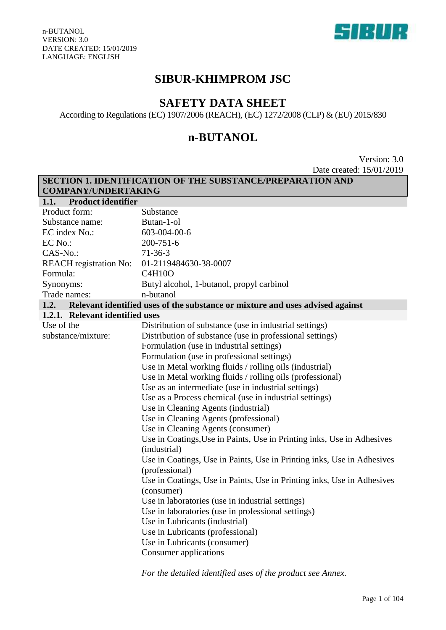

# **SIBUR-KHIMPROM JSC**

# **SAFETY DATA SHEET**

According to Regulations (EC) 1907/2006 (REACH), (EC) 1272/2008 (CLP) & (EU) 2015/830

# **n-BUTANOL**

Version: 3.0 Date created: 15/01/2019

| SECTION 1. IDENTIFICATION OF THE SUBSTANCE/PREPARATION AND |                                                                                          |  |  |  |  |
|------------------------------------------------------------|------------------------------------------------------------------------------------------|--|--|--|--|
| <b>COMPANY/UNDERTAKING</b>                                 |                                                                                          |  |  |  |  |
| <b>Product identifier</b><br>1.1.                          |                                                                                          |  |  |  |  |
| Product form:                                              | Substance                                                                                |  |  |  |  |
| Substance name:                                            | Butan-1-ol                                                                               |  |  |  |  |
| EC index No.:                                              | 603-004-00-6                                                                             |  |  |  |  |
| EC No.:                                                    | $200 - 751 - 6$                                                                          |  |  |  |  |
| CAS-No.:                                                   | $71-36-3$                                                                                |  |  |  |  |
| <b>REACH</b> registration No:                              | 01-2119484630-38-0007                                                                    |  |  |  |  |
| Formula:                                                   | <b>C4H10O</b>                                                                            |  |  |  |  |
| Synonyms:                                                  | Butyl alcohol, 1-butanol, propyl carbinol                                                |  |  |  |  |
| Trade names:                                               | n-butanol                                                                                |  |  |  |  |
| 1.2.                                                       | Relevant identified uses of the substance or mixture and uses advised against            |  |  |  |  |
| 1.2.1. Relevant identified uses                            |                                                                                          |  |  |  |  |
| Use of the                                                 | Distribution of substance (use in industrial settings)                                   |  |  |  |  |
| substance/mixture:                                         | Distribution of substance (use in professional settings)                                 |  |  |  |  |
|                                                            | Formulation (use in industrial settings)                                                 |  |  |  |  |
|                                                            | Formulation (use in professional settings)                                               |  |  |  |  |
|                                                            | Use in Metal working fluids / rolling oils (industrial)                                  |  |  |  |  |
|                                                            | Use in Metal working fluids / rolling oils (professional)                                |  |  |  |  |
|                                                            | Use as an intermediate (use in industrial settings)                                      |  |  |  |  |
|                                                            | Use as a Process chemical (use in industrial settings)                                   |  |  |  |  |
|                                                            | Use in Cleaning Agents (industrial)                                                      |  |  |  |  |
|                                                            | Use in Cleaning Agents (professional)                                                    |  |  |  |  |
|                                                            | Use in Cleaning Agents (consumer)                                                        |  |  |  |  |
|                                                            | Use in Coatings, Use in Paints, Use in Printing inks, Use in Adhesives<br>(industrial)   |  |  |  |  |
|                                                            | Use in Coatings, Use in Paints, Use in Printing inks, Use in Adhesives<br>(professional) |  |  |  |  |
|                                                            | Use in Coatings, Use in Paints, Use in Printing inks, Use in Adhesives                   |  |  |  |  |
|                                                            | (consumer)                                                                               |  |  |  |  |
|                                                            | Use in laboratories (use in industrial settings)                                         |  |  |  |  |
|                                                            | Use in laboratories (use in professional settings)                                       |  |  |  |  |
|                                                            | Use in Lubricants (industrial)                                                           |  |  |  |  |
|                                                            | Use in Lubricants (professional)                                                         |  |  |  |  |
|                                                            | Use in Lubricants (consumer)                                                             |  |  |  |  |
| Consumer applications                                      |                                                                                          |  |  |  |  |
|                                                            |                                                                                          |  |  |  |  |

*For the detailed identified uses of the product see Annex.*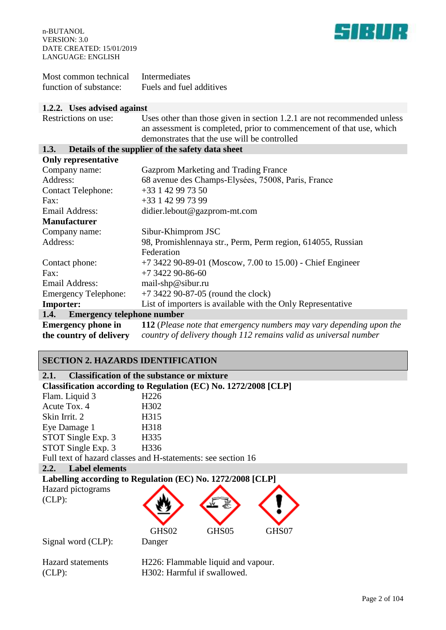

| Most common technical  | Intermediates            |
|------------------------|--------------------------|
| function of substance: | Fuels and fuel additives |

#### **1.2.2. Uses advised against**

| $\sim$ 0000 000 00000 0000000                            |                                                                                                                                                                                                 |  |  |  |  |
|----------------------------------------------------------|-------------------------------------------------------------------------------------------------------------------------------------------------------------------------------------------------|--|--|--|--|
| Restrictions on use:                                     | Uses other than those given in section 1.2.1 are not recommended unless<br>an assessment is completed, prior to commencement of that use, which<br>demonstrates that the use will be controlled |  |  |  |  |
| Details of the supplier of the safety data sheet<br>1.3. |                                                                                                                                                                                                 |  |  |  |  |
| <b>Only representative</b>                               |                                                                                                                                                                                                 |  |  |  |  |
| Company name:                                            | Gazprom Marketing and Trading France                                                                                                                                                            |  |  |  |  |
| Address:                                                 | 68 avenue des Champs-Elysées, 75008, Paris, France                                                                                                                                              |  |  |  |  |
| <b>Contact Telephone:</b>                                | $+33$ 1 42 99 73 50                                                                                                                                                                             |  |  |  |  |
| Fax:                                                     | +33 1 42 99 73 99                                                                                                                                                                               |  |  |  |  |
| <b>Email Address:</b>                                    | didier.lebout@gazprom-mt.com                                                                                                                                                                    |  |  |  |  |
| <b>Manufacturer</b>                                      |                                                                                                                                                                                                 |  |  |  |  |
| Company name:                                            | Sibur-Khimprom JSC                                                                                                                                                                              |  |  |  |  |
| Address:                                                 | 98, Promishlennaya str., Perm, Perm region, 614055, Russian                                                                                                                                     |  |  |  |  |
|                                                          | Federation                                                                                                                                                                                      |  |  |  |  |
| Contact phone:                                           | $+7$ 3422 90-89-01 (Moscow, 7.00 to 15.00) - Chief Engineer                                                                                                                                     |  |  |  |  |
| Fax:                                                     | $+7$ 3422 90-86-60                                                                                                                                                                              |  |  |  |  |
| <b>Email Address:</b>                                    | mail-shp@sibur.ru                                                                                                                                                                               |  |  |  |  |
| <b>Emergency Telephone:</b>                              | $+7$ 3422 90-87-05 (round the clock)                                                                                                                                                            |  |  |  |  |
| <b>Importer:</b>                                         | List of importers is available with the Only Representative                                                                                                                                     |  |  |  |  |
| <b>Emergency telephone number</b><br>1.4.                |                                                                                                                                                                                                 |  |  |  |  |
| <b>Emergency phone in</b>                                | 112 (Please note that emergency numbers may vary depending upon the                                                                                                                             |  |  |  |  |
| the country of delivery                                  | country of delivery though 112 remains valid as universal number                                                                                                                                |  |  |  |  |
|                                                          |                                                                                                                                                                                                 |  |  |  |  |

# **SECTION 2. HAZARDS IDENTIFICATION**

| <b>Classification of the substance or mixture</b><br>2.1. |                                                                 |  |  |  |
|-----------------------------------------------------------|-----------------------------------------------------------------|--|--|--|
|                                                           | Classification according to Regulation (EC) No. 1272/2008 [CLP] |  |  |  |
| Flam. Liquid 3                                            | H <sub>226</sub>                                                |  |  |  |
| Acute Tox. 4                                              | H <sub>3</sub> 02                                               |  |  |  |
| Skin Irrit. 2                                             | H315                                                            |  |  |  |
| Eye Damage 1                                              | H318                                                            |  |  |  |
| STOT Single Exp. 3                                        | H335                                                            |  |  |  |
| STOT Single Exp. 3                                        | H336                                                            |  |  |  |
|                                                           | Full text of hazard classes and H-statements: see section 16    |  |  |  |
| <b>Label elements</b><br>2.2.                             |                                                                 |  |  |  |
|                                                           | Labelling according to Regulation (EC) No. 1272/2008 [CLP]      |  |  |  |
| Hazard pictograms                                         |                                                                 |  |  |  |
| $CLP)$ :                                                  |                                                                 |  |  |  |
|                                                           |                                                                 |  |  |  |
|                                                           |                                                                 |  |  |  |
|                                                           | GHS02<br>GHS05<br>GHS07                                         |  |  |  |
| Signal word (CLP):                                        | Danger                                                          |  |  |  |
|                                                           |                                                                 |  |  |  |
| <b>Hazard</b> statements                                  | H226: Flammable liquid and vapour.                              |  |  |  |
| $CLP)$ :                                                  | H302: Harmful if swallowed.                                     |  |  |  |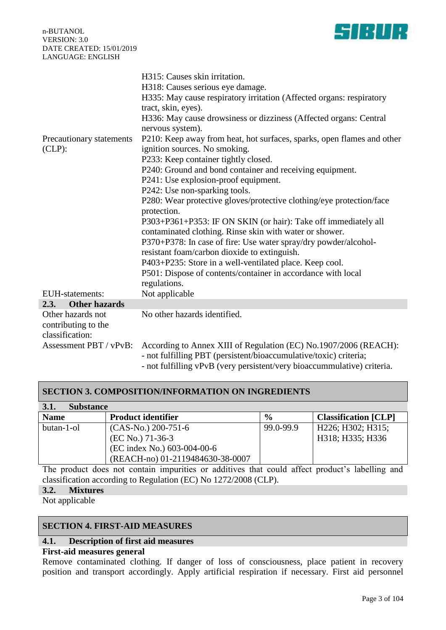**HI** 

n-BUTANOL VERSION: 3.0 DATE CREATED: 15/01/2019 LANGUAGE: ENGLISH

|                              | H315: Causes skin irritation.                                                                                             |  |  |  |
|------------------------------|---------------------------------------------------------------------------------------------------------------------------|--|--|--|
|                              | H318: Causes serious eye damage.                                                                                          |  |  |  |
|                              | H335: May cause respiratory irritation (Affected organs: respiratory                                                      |  |  |  |
|                              | tract, skin, eyes).                                                                                                       |  |  |  |
|                              | H336: May cause drowsiness or dizziness (Affected organs: Central                                                         |  |  |  |
|                              | nervous system).                                                                                                          |  |  |  |
| Precautionary statements     | P210: Keep away from heat, hot surfaces, sparks, open flames and other                                                    |  |  |  |
| $CLP)$ :                     | ignition sources. No smoking.                                                                                             |  |  |  |
|                              | P233: Keep container tightly closed.                                                                                      |  |  |  |
|                              | P240: Ground and bond container and receiving equipment.                                                                  |  |  |  |
|                              | P241: Use explosion-proof equipment.                                                                                      |  |  |  |
|                              | P242: Use non-sparking tools.                                                                                             |  |  |  |
|                              | P280: Wear protective gloves/protective clothing/eye protection/face                                                      |  |  |  |
|                              | protection.                                                                                                               |  |  |  |
|                              | P303+P361+P353: IF ON SKIN (or hair): Take off immediately all<br>contaminated clothing. Rinse skin with water or shower. |  |  |  |
|                              | P370+P378: In case of fire: Use water spray/dry powder/alcohol-                                                           |  |  |  |
|                              | resistant foam/carbon dioxide to extinguish.                                                                              |  |  |  |
|                              | P403+P235: Store in a well-ventilated place. Keep cool.                                                                   |  |  |  |
|                              | P501: Dispose of contents/container in accordance with local<br>regulations.                                              |  |  |  |
| <b>EUH-statements:</b>       | Not applicable                                                                                                            |  |  |  |
| 2.3.<br><b>Other hazards</b> |                                                                                                                           |  |  |  |
| Other hazards not            | No other hazards identified.                                                                                              |  |  |  |
| contributing to the          |                                                                                                                           |  |  |  |
| classification:              |                                                                                                                           |  |  |  |
| Assessment PBT / vPvB:       | According to Annex XIII of Regulation (EC) No.1907/2006 (REACH):                                                          |  |  |  |
|                              | - not fulfilling PBT (persistent/bioaccumulative/toxic) criteria;                                                         |  |  |  |
|                              | - not fulfilling vPvB (very persistent/very bioaccummulative) criteria.                                                   |  |  |  |

## **SECTION 3. COMPOSITION/INFORMATION ON INGREDIENTS**

| <b>Substance</b><br><b>3.1.</b> |                                  |               |                             |  |  |  |
|---------------------------------|----------------------------------|---------------|-----------------------------|--|--|--|
| <b>Name</b>                     | <b>Product identifier</b>        | $\frac{0}{0}$ | <b>Classification</b> [CLP] |  |  |  |
| butan-1-ol                      | $(CAS-N0)$ 200-751-6             | 99.0-99.9     | H226; H302; H315;           |  |  |  |
|                                 | (EC No.) 71-36-3                 |               | H318; H335; H336            |  |  |  |
|                                 | (EC index No.) 603-004-00-6      |               |                             |  |  |  |
|                                 | (REACH-no) 01-2119484630-38-0007 |               |                             |  |  |  |

The product does not contain impurities or additives that could affect product's labelling and classification according to Regulation (EC) No 1272/2008 (CLP).

### **3.2. Mixtures**

Not applicable

## **SECTION 4. FIRST-AID MEASURES**

### **4.1. Description of first aid measures**

## **First-aid measures general**

Remove contaminated clothing. If danger of loss of consciousness, place patient in recovery position and transport accordingly. Apply artificial respiration if necessary. First aid personnel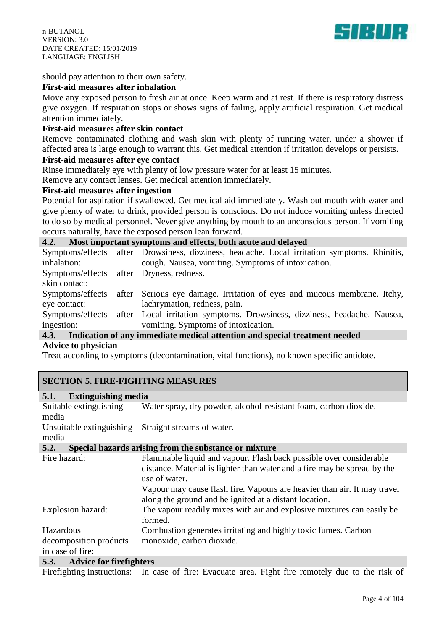

#### should pay attention to their own safety.

#### **First-aid measures after inhalation**

Move any exposed person to fresh air at once. Keep warm and at rest. If there is respiratory distress give oxygen. If respiration stops or shows signs of failing, apply artificial respiration. Get medical attention immediately.

### **First-aid measures after skin contact**

Remove contaminated clothing and wash skin with plenty of running water, under a shower if affected area is large enough to warrant this. Get medical attention if irritation develops or persists.

## **First-aid measures after eye contact**

Rinse immediately eye with plenty of low pressure water for at least 15 minutes.

Remove any contact lenses. Get medical attention immediately.

#### **First-aid measures after ingestion**

Potential for aspiration if swallowed. Get medical aid immediately. Wash out mouth with water and give plenty of water to drink, provided person is conscious. Do not induce vomiting unless directed to do so by medical personnel. Never give anything by mouth to an unconscious person. If vomiting occurs naturally, have the exposed person lean forward.

#### **4.2. Most important symptoms and effects, both acute and delayed**

|                                          | Symptoms/effects after Drowsiness, dizziness, headache. Local irritation symptoms. Rhinitis, |
|------------------------------------------|----------------------------------------------------------------------------------------------|
| inhalation:                              | cough. Nausea, vomiting. Symptoms of intoxication.                                           |
| Symptoms/effects after Dryness, redness. |                                                                                              |
| skin contact:                            |                                                                                              |
|                                          | Symptoms/effects after Serious eye damage. Irritation of eyes and mucous membrane. Itchy,    |
| eye contact:                             | lachrymation, redness, pain.                                                                 |
|                                          | Symptoms/effects after Local irritation symptoms. Drowsiness, dizziness, headache. Nausea,   |
| ingestion:                               | vomiting. Symptoms of intoxication.                                                          |
|                                          | 12 Indication of any immediate medical attention and special treatment needed                |

#### **4.3. Indication of any immediate medical attention and special treatment needed Advice to physician**

Treat according to symptoms (decontamination, vital functions), no known specific antidote.

### **SECTION 5. FIRE-FIGHTING MEASURES**

#### **5.1. Extinguishing media**

Suitable extinguishing media Water spray, dry powder, alcohol-resistant foam, carbon dioxide. Unsuitable extinguishing Straight streams of water. media **5.2. Special hazards arising from the substance or mixture** Fire hazard: Flammable liquid and vapour. Flash back possible over considerable distance. Material is lighter than water and a fire may be spread by the use of water. Vapour may cause flash fire. Vapours are heavier than air. It may travel along the ground and be ignited at a distant location. Explosion hazard: The vapour readily mixes with air and explosive mixtures can easily be formed. Hazardous decomposition products in case of fire: Combustion generates irritating and highly toxic fumes. Carbon monoxide, carbon dioxide. **5.3. Advice for firefighters**

Firefighting instructions: In case of fire: Evacuate area. Fight fire remotely due to the risk of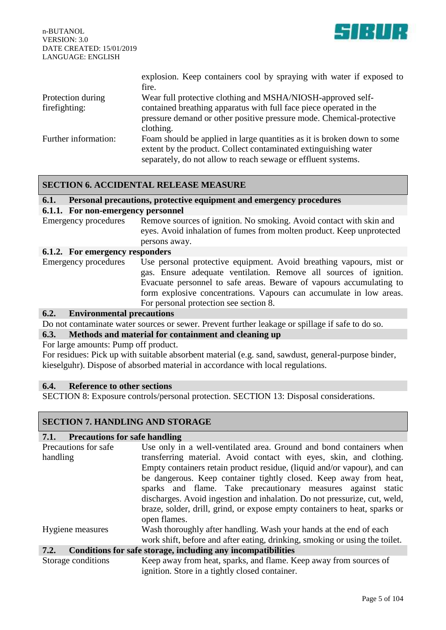

|                      | explosion. Keep containers cool by spraying with water if exposed to<br>fire.                                                                                                                               |
|----------------------|-------------------------------------------------------------------------------------------------------------------------------------------------------------------------------------------------------------|
| Protection during    | Wear full protective clothing and MSHA/NIOSH-approved self-                                                                                                                                                 |
| firefighting:        | contained breathing apparatus with full face piece operated in the<br>pressure demand or other positive pressure mode. Chemical-protective<br>clothing.                                                     |
| Further information: | Foam should be applied in large quantities as it is broken down to some<br>extent by the product. Collect contaminated extinguishing water<br>separately, do not allow to reach sewage or effluent systems. |

#### **SECTION 6. ACCIDENTAL RELEASE MEASURE**

#### **6.1. Personal precautions, protective equipment and emergency procedures**

#### **6.1.1. For non-emergency personnel**

Emergency procedures Remove sources of ignition. No smoking. Avoid contact with skin and eyes. Avoid inhalation of fumes from molten product. Keep unprotected persons away.

#### **6.1.2. For emergency responders**

| Emergency procedures | Use personal protective equipment. Avoid breathing vapours, mist or |
|----------------------|---------------------------------------------------------------------|
|                      | gas. Ensure adequate ventilation. Remove all sources of ignition.   |
|                      | Evacuate personnel to safe areas. Beware of vapours accumulating to |
|                      | form explosive concentrations. Vapours can accumulate in low areas. |
|                      | For personal protection see section 8.                              |

#### **6.2. Environmental precautions**

Do not contaminate water sources or sewer. Prevent further leakage or spillage if safe to do so.

#### **6.3. Methods and material for containment and cleaning up**

For large amounts: Pump off product.

For residues: Pick up with suitable absorbent material (e.g. sand, sawdust, general-purpose binder, kieselguhr). Dispose of absorbed material in accordance with local regulations.

#### **6.4. Reference to other sections**

SECTION 8: Exposure controls/personal protection. SECTION 13: Disposal considerations.

## **SECTION 7. HANDLING AND STORAGE**

#### **7.1. Precautions for safe handling**

| Precautions for safe<br>handling | Use only in a well-ventilated area. Ground and bond containers when<br>transferring material. Avoid contact with eyes, skin, and clothing.                                                                                                                                                   |  |  |  |  |
|----------------------------------|----------------------------------------------------------------------------------------------------------------------------------------------------------------------------------------------------------------------------------------------------------------------------------------------|--|--|--|--|
|                                  | Empty containers retain product residue, (liquid and/or vapour), and can                                                                                                                                                                                                                     |  |  |  |  |
|                                  | be dangerous. Keep container tightly closed. Keep away from heat,<br>sparks and flame. Take precautionary measures against static<br>discharges. Avoid ingestion and inhalation. Do not pressurize, cut, weld,<br>braze, solder, drill, grind, or expose empty containers to heat, sparks or |  |  |  |  |
| Hygiene measures                 | open flames.                                                                                                                                                                                                                                                                                 |  |  |  |  |
|                                  | Wash thoroughly after handling. Wash your hands at the end of each<br>work shift, before and after eating, drinking, smoking or using the toilet.                                                                                                                                            |  |  |  |  |
| 7.2.                             | Conditions for safe storage, including any incompatibilities                                                                                                                                                                                                                                 |  |  |  |  |
| Storage conditions               | Keep away from heat, sparks, and flame. Keep away from sources of<br>ignition. Store in a tightly closed container.                                                                                                                                                                          |  |  |  |  |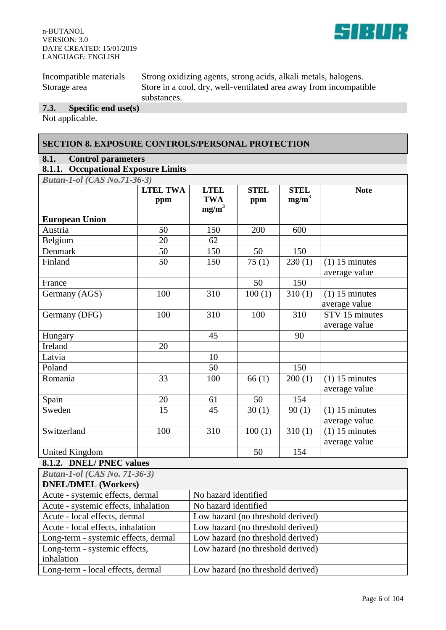

| Incompatible materials | Strong oxidizing agents, strong acids, alkali metals, halogens.   |
|------------------------|-------------------------------------------------------------------|
| Storage area           | Store in a cool, dry, well-ventilated area away from incompatible |
|                        | substances.                                                       |

# **7.3. Specific end use(s)**

Not applicable.

inhalation

### **SECTION 8. EXPOSURE CONTROLS/PERSONAL PROTECTION**

### **8.1. Control parameters**

# **8.1.1. Occupational Exposure Limits**

| <b>Butan-1-ol</b> (CAS No.71-36-3)   |                 |                                   |                    |                     |                  |
|--------------------------------------|-----------------|-----------------------------------|--------------------|---------------------|------------------|
|                                      | <b>LTEL TWA</b> | <b>LTEL</b>                       | <b>STEL</b>        | <b>STEL</b>         | <b>Note</b>      |
|                                      | ppm             | <b>TWA</b><br>$mg/m^3$            | ppm                | $mg/m^3$            |                  |
| <b>European Union</b>                |                 |                                   |                    |                     |                  |
| Austria                              | 50              | 150                               | 200                | 600                 |                  |
| Belgium                              | 20              | 62                                |                    |                     |                  |
| Denmark                              | 50              | 150                               | 50                 | 150                 |                  |
| Finland                              | 50              | 150                               | $\overline{75(1)}$ | 230(1)              | $(1)$ 15 minutes |
|                                      |                 |                                   |                    |                     | average value    |
| France                               |                 |                                   | 50                 | 150                 |                  |
| Germany (AGS)                        | 100             | 310                               | 100(1)             | 310(1)              | $(1)$ 15 minutes |
|                                      |                 |                                   |                    |                     | average value    |
| Germany (DFG)                        | 100             | 310                               | 100                | 310                 | STV 15 minutes   |
|                                      |                 |                                   |                    |                     | average value    |
| Hungary                              |                 | 45                                |                    | 90                  |                  |
| Ireland                              | 20              |                                   |                    |                     |                  |
| Latvia                               |                 | 10                                |                    |                     |                  |
| Poland                               |                 | 50                                |                    | 150                 |                  |
| Romania                              | 33              | 100                               | 66(1)              | 200(1)              | $(1)$ 15 minutes |
|                                      |                 |                                   |                    |                     | average value    |
| Spain                                | 20              | 61                                | 50                 | 154                 |                  |
| Sweden                               | $\overline{15}$ | $\overline{45}$                   | $\overline{30(1)}$ | $\overline{90}$ (1) | $(1)$ 15 minutes |
|                                      |                 |                                   |                    |                     | average value    |
| Switzerland                          | 100             | 310                               | 100(1)             | 310(1)              | $(1)$ 15 minutes |
|                                      |                 |                                   |                    |                     | average value    |
| United Kingdom                       |                 |                                   | 50                 | 154                 |                  |
| 8.1.2. DNEL/PNEC values              |                 |                                   |                    |                     |                  |
| <b>Butan-1-ol</b> (CAS No. 71-36-3)  |                 |                                   |                    |                     |                  |
| <b>DNEL/DMEL (Workers)</b>           |                 |                                   |                    |                     |                  |
| Acute - systemic effects, dermal     |                 | No hazard identified              |                    |                     |                  |
| Acute - systemic effects, inhalation |                 | No hazard identified              |                    |                     |                  |
| Acute - local effects, dermal        |                 | Low hazard (no threshold derived) |                    |                     |                  |
| Acute - local effects, inhalation    |                 | Low hazard (no threshold derived) |                    |                     |                  |
| Long-term - systemic effects, dermal |                 | Low hazard (no threshold derived) |                    |                     |                  |
| Long-term - systemic effects,        |                 | Low hazard (no threshold derived) |                    |                     |                  |

Long-term - local effects, dermal Low hazard (no threshold derived)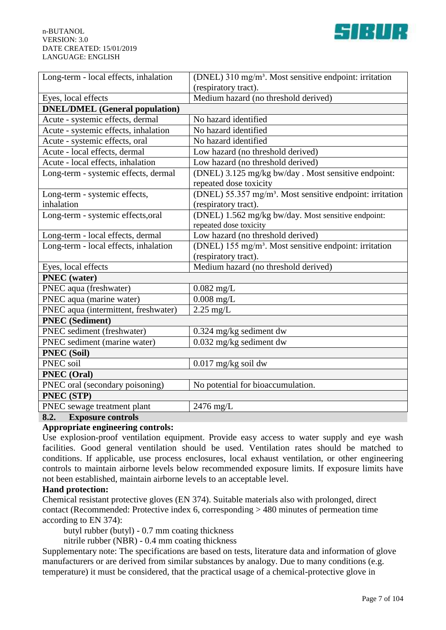

| Long-term - local effects, inhalation | (DNEL) 310 mg/m <sup>3</sup> . Most sensitive endpoint: irritation    |  |  |
|---------------------------------------|-----------------------------------------------------------------------|--|--|
|                                       | (respiratory tract).                                                  |  |  |
| Eyes, local effects                   | Medium hazard (no threshold derived)                                  |  |  |
| <b>DNEL/DMEL</b> (General population) |                                                                       |  |  |
| Acute - systemic effects, dermal      | No hazard identified                                                  |  |  |
| Acute - systemic effects, inhalation  | No hazard identified                                                  |  |  |
| Acute - systemic effects, oral        | No hazard identified                                                  |  |  |
| Acute - local effects, dermal         | Low hazard (no threshold derived)                                     |  |  |
| Acute - local effects, inhalation     | Low hazard (no threshold derived)                                     |  |  |
| Long-term - systemic effects, dermal  | (DNEL) 3.125 mg/kg bw/day . Most sensitive endpoint:                  |  |  |
|                                       | repeated dose toxicity                                                |  |  |
| Long-term - systemic effects,         | (DNEL) 55.357 mg/m <sup>3</sup> . Most sensitive endpoint: irritation |  |  |
| inhalation                            | (respiratory tract).                                                  |  |  |
| Long-term - systemic effects, oral    | (DNEL) 1.562 mg/kg bw/day. Most sensitive endpoint:                   |  |  |
|                                       | repeated dose toxicity                                                |  |  |
| Long-term - local effects, dermal     | Low hazard (no threshold derived)                                     |  |  |
| Long-term - local effects, inhalation | (DNEL) 155 mg/m <sup>3</sup> . Most sensitive endpoint: irritation    |  |  |
|                                       | (respiratory tract).                                                  |  |  |
| Eyes, local effects                   | Medium hazard (no threshold derived)                                  |  |  |
| <b>PNEC</b> (water)                   |                                                                       |  |  |
| PNEC aqua (freshwater)                | $0.082$ mg/L                                                          |  |  |
| PNEC aqua (marine water)              | $0.008$ mg/L                                                          |  |  |
| PNEC aqua (intermittent, freshwater)  | $2.25 \text{ mg/L}$                                                   |  |  |
| <b>PNEC</b> (Sediment)                |                                                                       |  |  |
| PNEC sediment (freshwater)            | $0.324$ mg/kg sediment dw                                             |  |  |
| PNEC sediment (marine water)          | $0.032$ mg/kg sediment dw                                             |  |  |
| <b>PNEC</b> (Soil)                    |                                                                       |  |  |
| PNEC soil                             | $0.017$ mg/kg soil dw                                                 |  |  |
| <b>PNEC</b> (Oral)                    |                                                                       |  |  |
| PNEC oral (secondary poisoning)       | No potential for bioaccumulation.                                     |  |  |
| PNEC (STP)                            |                                                                       |  |  |
| PNEC sewage treatment plant           | 2476 mg/L                                                             |  |  |
| 8.2.<br><b>Exposure controls</b>      |                                                                       |  |  |

## **Appropriate engineering controls:**

Use explosion-proof ventilation equipment. Provide easy access to water supply and eye wash facilities. Good general ventilation should be used. Ventilation rates should be matched to conditions. If applicable, use process enclosures, local exhaust ventilation, or other engineering controls to maintain airborne levels below recommended exposure limits. If exposure limits have not been established, maintain airborne levels to an acceptable level.

### **Hand protection:**

Chemical resistant protective gloves (EN 374). Suitable materials also with prolonged, direct contact (Recommended: Protective index 6, corresponding > 480 minutes of permeation time according to EN 374):

butyl rubber (butyl) - 0.7 mm coating thickness

nitrile rubber (NBR) - 0.4 mm coating thickness

Supplementary note: The specifications are based on tests, literature data and information of glove manufacturers or are derived from similar substances by analogy. Due to many conditions (e.g. temperature) it must be considered, that the practical usage of a chemical-protective glove in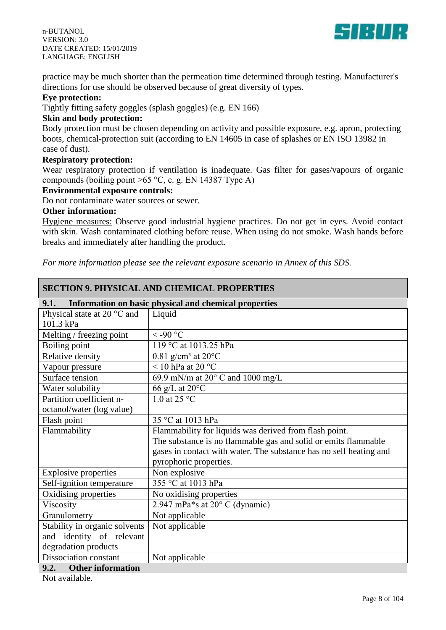



practice may be much shorter than the permeation time determined through testing. Manufacturer's directions for use should be observed because of great diversity of types.

#### **Eye protection:**

Tightly fitting safety goggles (splash goggles) (e.g. EN 166)

## **Skin and body protection:**

Body protection must be chosen depending on activity and possible exposure, e.g. apron, protecting boots, chemical-protection suit (according to EN 14605 in case of splashes or EN ISO 13982 in case of dust).

### **Respiratory protection:**

Wear respiratory protection if ventilation is inadequate. Gas filter for gases/vapours of organic compounds (boiling point  $>65 °C$ , e. g. EN 14387 Type A)

#### **Environmental exposure controls:**

Do not contaminate water sources or sewer.

### **Other information:**

Hygiene measures: Observe good industrial hygiene practices. Do not get in eyes. Avoid contact with skin. Wash contaminated clothing before reuse. When using do not smoke. Wash hands before breaks and immediately after handling the product.

*For more information please see the relevant exposure scenario in Annex of this SDS.*

| <b>SECTION 9. PHYSICAL AND CHEMICAL PROPERTIES</b> |                                                                    |  |  |
|----------------------------------------------------|--------------------------------------------------------------------|--|--|
| 9.1.                                               | Information on basic physical and chemical properties              |  |  |
| Physical state at 20 °C and                        | Liquid                                                             |  |  |
| 101.3 kPa                                          |                                                                    |  |  |
| Melting / freezing point                           | $<$ -90 °C                                                         |  |  |
| Boiling point                                      | 119 °C at 1013.25 hPa                                              |  |  |
| Relative density                                   | $0.81$ g/cm <sup>3</sup> at $20^{\circ}$ C                         |  |  |
| Vapour pressure                                    | < 10 hPa at $20^{\circ}$ C                                         |  |  |
| Surface tension                                    | 69.9 mN/m at $20^{\circ}$ C and 1000 mg/L                          |  |  |
| Water solubility                                   | 66 g/L at $20^{\circ}$ C                                           |  |  |
| Partition coefficient n-                           | 1.0 at 25 $\degree$ C                                              |  |  |
| octanol/water (log value)                          |                                                                    |  |  |
| Flash point                                        | 35 °C at 1013 hPa                                                  |  |  |
| Flammability                                       | Flammability for liquids was derived from flash point.             |  |  |
|                                                    | The substance is no flammable gas and solid or emits flammable     |  |  |
|                                                    | gases in contact with water. The substance has no self heating and |  |  |
|                                                    | pyrophoric properties.                                             |  |  |
| <b>Explosive properties</b>                        | Non explosive                                                      |  |  |
| Self-ignition temperature                          | 355 °C at 1013 hPa                                                 |  |  |
| Oxidising properties                               | No oxidising properties                                            |  |  |
| Viscosity                                          | 2.947 mPa*s at $20^{\circ}$ C (dynamic)                            |  |  |
| Granulometry                                       | Not applicable                                                     |  |  |
| Stability in organic solvents                      | Not applicable                                                     |  |  |
| and identity of relevant                           |                                                                    |  |  |
| degradation products                               |                                                                    |  |  |
| Dissociation constant                              | Not applicable                                                     |  |  |
| 9.2.<br><b>Other information</b>                   |                                                                    |  |  |

Not available.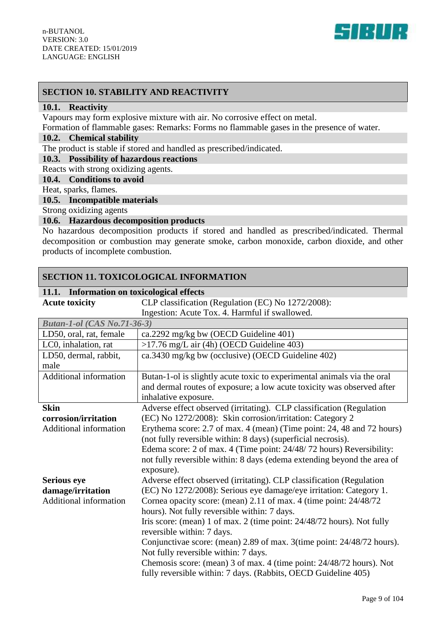

## **SECTION 10. STABILITY AND REACTIVITY**

#### **10.1. Reactivity**

Vapours may form explosive mixture with air. No corrosive effect on metal.

Formation of flammable gases: Remarks: Forms no flammable gases in the presence of water.

## **10.2. Chemical stability**

The product is stable if stored and handled as prescribed/indicated.

#### **10.3. Possibility of hazardous reactions**

Reacts with strong oxidizing agents.

## **10.4. Conditions to avoid**

Heat, sparks, flames.

#### **10.5. Incompatible materials**

Strong oxidizing agents

### **10.6. Hazardous decomposition products**

No hazardous decomposition products if stored and handled as prescribed/indicated. Thermal decomposition or combustion may generate smoke, carbon monoxide, carbon dioxide, and other products of incomplete combustion.

### **SECTION 11. TOXICOLOGICAL INFORMATION**

#### **11.1. Information on toxicological effects**

**Acute toxicity** CLP classification (Regulation (EC) No 1272/2008): Ingestion: Acute Tox. 4. Harmful if swallowed.

| mgestion. Acute Tox. +. Hammur if swanowed. |                                                                                                                |  |  |
|---------------------------------------------|----------------------------------------------------------------------------------------------------------------|--|--|
| <b>Butan-1-ol</b> (CAS No.71-36-3)          |                                                                                                                |  |  |
| LD50, oral, rat, female                     | ca.2292 mg/kg bw (OECD Guideline 401)                                                                          |  |  |
| LC0, inhalation, rat                        | >17.76 mg/L air (4h) (OECD Guideline 403)                                                                      |  |  |
| LD50, dermal, rabbit,                       | ca.3430 mg/kg bw (occlusive) (OECD Guideline 402)                                                              |  |  |
| male                                        |                                                                                                                |  |  |
| Additional information                      | Butan-1-ol is slightly acute toxic to experimental animals via the oral                                        |  |  |
|                                             | and dermal routes of exposure; a low acute toxicity was observed after                                         |  |  |
|                                             | inhalative exposure.                                                                                           |  |  |
| <b>Skin</b>                                 | Adverse effect observed (irritating). CLP classification (Regulation                                           |  |  |
| corrosion/irritation                        | (EC) No 1272/2008): Skin corrosion/irritation: Category 2                                                      |  |  |
| Additional information                      | Erythema score: 2.7 of max. 4 (mean) (Time point: 24, 48 and 72 hours)                                         |  |  |
|                                             | (not fully reversible within: 8 days) (superficial necrosis).                                                  |  |  |
|                                             | Edema score: 2 of max. 4 (Time point: 24/48/72 hours) Reversibility:                                           |  |  |
|                                             | not fully reversible within: 8 days (edema extending beyond the area of                                        |  |  |
|                                             | exposure).                                                                                                     |  |  |
| <b>Serious eye</b>                          | Adverse effect observed (irritating). CLP classification (Regulation                                           |  |  |
| damage/irritation                           | (EC) No 1272/2008): Serious eye damage/eye irritation: Category 1.                                             |  |  |
| Additional information                      | Cornea opacity score: (mean) 2.11 of max. 4 (time point: 24/48/72)                                             |  |  |
|                                             | hours). Not fully reversible within: 7 days.                                                                   |  |  |
|                                             | Iris score: (mean) 1 of max. 2 (time point: 24/48/72 hours). Not fully                                         |  |  |
|                                             | reversible within: 7 days.                                                                                     |  |  |
|                                             | Conjunctivae score: (mean) 2.89 of max. 3(time point: 24/48/72 hours).<br>Not fully reversible within: 7 days. |  |  |
|                                             | Chemosis score: (mean) 3 of max. 4 (time point: 24/48/72 hours). Not                                           |  |  |
|                                             | fully reversible within: 7 days. (Rabbits, OECD Guideline 405)                                                 |  |  |
|                                             |                                                                                                                |  |  |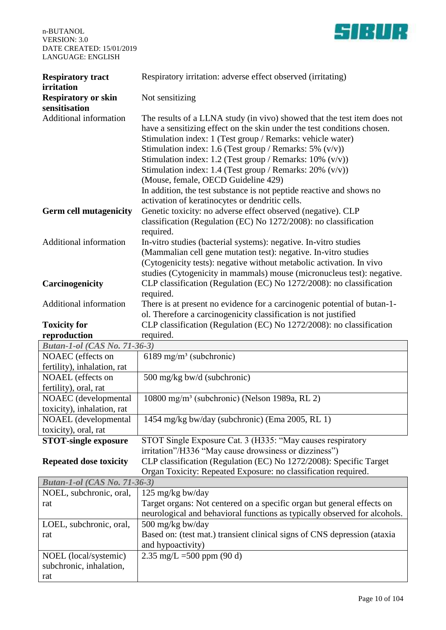

| <b>Respiratory tract</b><br>irritation<br><b>Respiratory or skin</b><br>sensitisation | Respiratory irritation: adverse effect observed (irritating)<br>Not sensitizing                                                                                                                                                                                                                                                                                                                                                                                                                                                                                                 |  |  |
|---------------------------------------------------------------------------------------|---------------------------------------------------------------------------------------------------------------------------------------------------------------------------------------------------------------------------------------------------------------------------------------------------------------------------------------------------------------------------------------------------------------------------------------------------------------------------------------------------------------------------------------------------------------------------------|--|--|
|                                                                                       |                                                                                                                                                                                                                                                                                                                                                                                                                                                                                                                                                                                 |  |  |
|                                                                                       |                                                                                                                                                                                                                                                                                                                                                                                                                                                                                                                                                                                 |  |  |
| Additional information                                                                | The results of a LLNA study (in vivo) showed that the test item does not<br>have a sensitizing effect on the skin under the test conditions chosen.<br>Stimulation index: 1 (Test group / Remarks: vehicle water)<br>Stimulation index: 1.6 (Test group / Remarks: 5% $(v/v)$ )<br>Stimulation index: 1.2 (Test group / Remarks: $10\%$ (v/v))<br>Stimulation index: 1.4 (Test group / Remarks: $20\%$ (v/v))<br>(Mouse, female, OECD Guideline 429)<br>In addition, the test substance is not peptide reactive and shows no<br>activation of keratinocytes or dendritic cells. |  |  |
| <b>Germ cell mutagenicity</b>                                                         | Genetic toxicity: no adverse effect observed (negative). CLP<br>classification (Regulation (EC) No 1272/2008): no classification<br>required.                                                                                                                                                                                                                                                                                                                                                                                                                                   |  |  |
| Additional information                                                                | In-vitro studies (bacterial systems): negative. In-vitro studies<br>(Mammalian cell gene mutation test): negative. In-vitro studies<br>(Cytogenicity tests): negative without metabolic activation. In vivo<br>studies (Cytogenicity in mammals) mouse (micronucleus test): negative.                                                                                                                                                                                                                                                                                           |  |  |
| Carcinogenicity                                                                       | CLP classification (Regulation (EC) No 1272/2008): no classification<br>required.                                                                                                                                                                                                                                                                                                                                                                                                                                                                                               |  |  |
| <b>Additional information</b>                                                         | There is at present no evidence for a carcinogenic potential of butan-1-<br>ol. Therefore a carcinogenicity classification is not justified                                                                                                                                                                                                                                                                                                                                                                                                                                     |  |  |
| <b>Toxicity for</b>                                                                   | CLP classification (Regulation (EC) No 1272/2008): no classification                                                                                                                                                                                                                                                                                                                                                                                                                                                                                                            |  |  |
| reproduction                                                                          | required.                                                                                                                                                                                                                                                                                                                                                                                                                                                                                                                                                                       |  |  |
| <b>Butan-1-ol</b> (CAS No. 71-36-3)                                                   |                                                                                                                                                                                                                                                                                                                                                                                                                                                                                                                                                                                 |  |  |
| NOAEC (effects on<br>fertility), inhalation, rat                                      | 6189 mg/m <sup>3</sup> (subchronic)                                                                                                                                                                                                                                                                                                                                                                                                                                                                                                                                             |  |  |
| NOAEL (effects on                                                                     | 500 mg/kg bw/d (subchronic)                                                                                                                                                                                                                                                                                                                                                                                                                                                                                                                                                     |  |  |
| fertility), oral, rat                                                                 |                                                                                                                                                                                                                                                                                                                                                                                                                                                                                                                                                                                 |  |  |
| NOAEC (developmental                                                                  | 10800 mg/m <sup>3</sup> (subchronic) (Nelson 1989a, RL 2)                                                                                                                                                                                                                                                                                                                                                                                                                                                                                                                       |  |  |
| toxicity), inhalation, rat                                                            |                                                                                                                                                                                                                                                                                                                                                                                                                                                                                                                                                                                 |  |  |
| NOAEL (developmental                                                                  | 1454 mg/kg bw/day (subchronic) (Ema 2005, RL 1)                                                                                                                                                                                                                                                                                                                                                                                                                                                                                                                                 |  |  |
| toxicity), oral, rat                                                                  |                                                                                                                                                                                                                                                                                                                                                                                                                                                                                                                                                                                 |  |  |
| <b>STOT-single exposure</b>                                                           | STOT Single Exposure Cat. 3 (H335: "May causes respiratory                                                                                                                                                                                                                                                                                                                                                                                                                                                                                                                      |  |  |
|                                                                                       | irritation"/H336 "May cause drowsiness or dizziness")                                                                                                                                                                                                                                                                                                                                                                                                                                                                                                                           |  |  |
| <b>Repeated dose toxicity</b>                                                         | CLP classification (Regulation (EC) No 1272/2008): Specific Target                                                                                                                                                                                                                                                                                                                                                                                                                                                                                                              |  |  |
|                                                                                       | Organ Toxicity: Repeated Exposure: no classification required.                                                                                                                                                                                                                                                                                                                                                                                                                                                                                                                  |  |  |
| <b>Butan-1-ol</b> (CAS No. 71-36-3)                                                   |                                                                                                                                                                                                                                                                                                                                                                                                                                                                                                                                                                                 |  |  |
| NOEL, subchronic, oral,                                                               | $125 \text{ mg/kg}$ bw/day                                                                                                                                                                                                                                                                                                                                                                                                                                                                                                                                                      |  |  |
| rat                                                                                   | Target organs: Not centered on a specific organ but general effects on<br>neurological and behavioral functions as typically observed for alcohols.                                                                                                                                                                                                                                                                                                                                                                                                                             |  |  |
| LOEL, subchronic, oral,                                                               | 500 mg/kg bw/day                                                                                                                                                                                                                                                                                                                                                                                                                                                                                                                                                                |  |  |
| rat                                                                                   | Based on: (test mat.) transient clinical signs of CNS depression (ataxia                                                                                                                                                                                                                                                                                                                                                                                                                                                                                                        |  |  |
|                                                                                       | and hypoactivity)                                                                                                                                                                                                                                                                                                                                                                                                                                                                                                                                                               |  |  |
|                                                                                       |                                                                                                                                                                                                                                                                                                                                                                                                                                                                                                                                                                                 |  |  |
| subchronic, inhalation,                                                               |                                                                                                                                                                                                                                                                                                                                                                                                                                                                                                                                                                                 |  |  |
| rat                                                                                   |                                                                                                                                                                                                                                                                                                                                                                                                                                                                                                                                                                                 |  |  |
| NOEL (local/systemic)                                                                 | 2.35 mg/L = $500$ ppm (90 d)                                                                                                                                                                                                                                                                                                                                                                                                                                                                                                                                                    |  |  |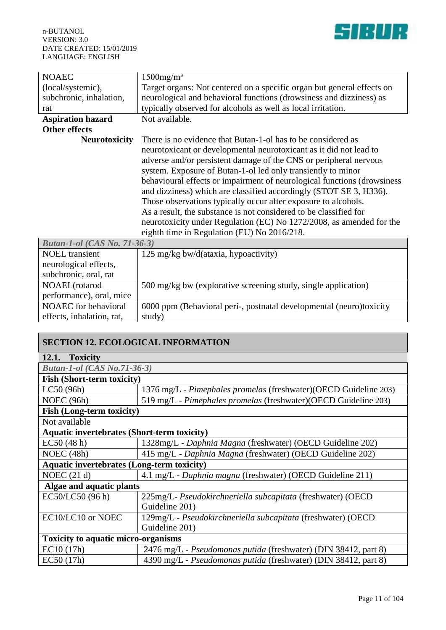effects, inhalation, rat,

study)

| <b>NOAEC</b>                        | $1500$ mg/m <sup>3</sup>                                                                                                                                                                                                                                                                                                                                                                                                                                                                                                                                                                                               |  |
|-------------------------------------|------------------------------------------------------------------------------------------------------------------------------------------------------------------------------------------------------------------------------------------------------------------------------------------------------------------------------------------------------------------------------------------------------------------------------------------------------------------------------------------------------------------------------------------------------------------------------------------------------------------------|--|
| (local/systemic),                   | Target organs: Not centered on a specific organ but general effects on                                                                                                                                                                                                                                                                                                                                                                                                                                                                                                                                                 |  |
| subchronic, inhalation,             | neurological and behavioral functions (drowsiness and dizziness) as                                                                                                                                                                                                                                                                                                                                                                                                                                                                                                                                                    |  |
| rat                                 | typically observed for alcohols as well as local irritation.                                                                                                                                                                                                                                                                                                                                                                                                                                                                                                                                                           |  |
| <b>Aspiration hazard</b>            | Not available.                                                                                                                                                                                                                                                                                                                                                                                                                                                                                                                                                                                                         |  |
| <b>Other effects</b>                |                                                                                                                                                                                                                                                                                                                                                                                                                                                                                                                                                                                                                        |  |
| <b>Neurotoxicity</b>                | There is no evidence that Butan-1-ol has to be considered as                                                                                                                                                                                                                                                                                                                                                                                                                                                                                                                                                           |  |
|                                     | neurotoxicant or developmental neurotoxicant as it did not lead to<br>adverse and/or persistent damage of the CNS or peripheral nervous<br>system. Exposure of Butan-1-ol led only transiently to minor<br>behavioural effects or impairment of neurological functions (drowsiness<br>and dizziness) which are classified accordingly (STOT SE 3, H336).<br>Those observations typically occur after exposure to alcohols.<br>As a result, the substance is not considered to be classified for<br>neurotoxicity under Regulation (EC) No 1272/2008, as amended for the<br>eighth time in Regulation (EU) No 2016/218. |  |
| <b>Butan-1-ol</b> (CAS No. 71-36-3) |                                                                                                                                                                                                                                                                                                                                                                                                                                                                                                                                                                                                                        |  |
| <b>NOEL</b> transient               | 125 mg/kg bw/d(ataxia, hypoactivity)                                                                                                                                                                                                                                                                                                                                                                                                                                                                                                                                                                                   |  |
| neurological effects,               |                                                                                                                                                                                                                                                                                                                                                                                                                                                                                                                                                                                                                        |  |
| subchronic, oral, rat               |                                                                                                                                                                                                                                                                                                                                                                                                                                                                                                                                                                                                                        |  |
| NOAEL(rotarod                       | 500 mg/kg bw (explorative screening study, single application)                                                                                                                                                                                                                                                                                                                                                                                                                                                                                                                                                         |  |
| performance), oral, mice            |                                                                                                                                                                                                                                                                                                                                                                                                                                                                                                                                                                                                                        |  |
| NOAEC for behavioral                | 6000 ppm (Behavioral peri-, postnatal developmental (neuro)toxicity                                                                                                                                                                                                                                                                                                                                                                                                                                                                                                                                                    |  |

| <b>SECTION 12. ECOLOGICAL INFORMATION</b>          |                                                                  |  |  |
|----------------------------------------------------|------------------------------------------------------------------|--|--|
| 12.1. Toxicity                                     |                                                                  |  |  |
| <b>Butan-1-ol</b> (CAS No.71-36-3)                 |                                                                  |  |  |
| <b>Fish (Short-term toxicity)</b>                  |                                                                  |  |  |
| LC50(96h)                                          | 1376 mg/L - Pimephales promelas (freshwater)(OECD Guideline 203) |  |  |
| NOEC $(96h)$                                       | 519 mg/L - Pimephales promelas (freshwater)(OECD Guideline 203)  |  |  |
| <b>Fish (Long-term toxicity)</b>                   |                                                                  |  |  |
| Not available                                      |                                                                  |  |  |
| <b>Aquatic invertebrates (Short-term toxicity)</b> |                                                                  |  |  |
| EC50(48 h)                                         | 1328mg/L - Daphnia Magna (freshwater) (OECD Guideline 202)       |  |  |
| NOEC $(48h)$                                       | 415 mg/L - Daphnia Magna (freshwater) (OECD Guideline 202)       |  |  |
| <b>Aquatic invertebrates (Long-term toxicity)</b>  |                                                                  |  |  |
| NOEC $(21 d)$                                      | 4.1 mg/L - Daphnia magna (freshwater) (OECD Guideline 211)       |  |  |
| Algae and aquatic plants                           |                                                                  |  |  |
| EC50/LC50 (96 h)                                   | 225mg/L- Pseudokirchneriella subcapitata (freshwater) (OECD      |  |  |
|                                                    | Guideline 201)                                                   |  |  |
| EC10/LC10 or NOEC                                  | 129mg/L - Pseudokirchneriella subcapitata (freshwater) (OECD     |  |  |
|                                                    | Guideline 201)                                                   |  |  |
| <b>Toxicity to aquatic micro-organisms</b>         |                                                                  |  |  |
| EC10(17h)                                          | 2476 mg/L - Pseudomonas putida (freshwater) (DIN 38412, part 8)  |  |  |
| EC50(17h)                                          | 4390 mg/L - Pseudomonas putida (freshwater) (DIN 38412, part 8)  |  |  |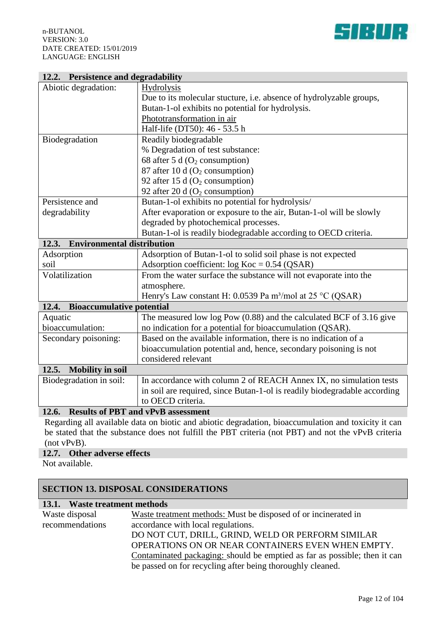

## **12.2. Persistence and degradability**

| Termolice and degradability               |                                                                            |  |  |
|-------------------------------------------|----------------------------------------------------------------------------|--|--|
| Abiotic degradation:                      | <b>Hydrolysis</b>                                                          |  |  |
|                                           | Due to its molecular stucture, <i>i.e.</i> absence of hydrolyzable groups, |  |  |
|                                           | Butan-1-ol exhibits no potential for hydrolysis.                           |  |  |
|                                           | Phototransformation in air                                                 |  |  |
|                                           | Half-life (DT50): 46 - 53.5 h                                              |  |  |
| Biodegradation                            | Readily biodegradable                                                      |  |  |
|                                           | % Degradation of test substance:                                           |  |  |
|                                           | 68 after 5 d $(O_2$ consumption)                                           |  |  |
|                                           | 87 after 10 d $(O_2$ consumption)                                          |  |  |
|                                           | 92 after 15 d $(O_2 \text{ consumption})$                                  |  |  |
|                                           | 92 after 20 d $(O_2$ consumption)                                          |  |  |
| Persistence and                           | Butan-1-ol exhibits no potential for hydrolysis/                           |  |  |
| degradability                             | After evaporation or exposure to the air, Butan-1-ol will be slowly        |  |  |
|                                           | degraded by photochemical processes.                                       |  |  |
|                                           | Butan-1-ol is readily biodegradable according to OECD criteria.            |  |  |
| 12.3. Environmental distribution          |                                                                            |  |  |
| Adsorption                                | Adsorption of Butan-1-ol to solid soil phase is not expected               |  |  |
| soil                                      | Adsorption coefficient: $log Koc = 0.54 (QSAR)$                            |  |  |
| Volatilization                            | From the water surface the substance will not evaporate into the           |  |  |
|                                           | atmosphere.                                                                |  |  |
|                                           | Henry's Law constant H: 0.0539 Pa m <sup>3</sup> /mol at 25 °C (QSAR)      |  |  |
| <b>Bioaccumulative potential</b><br>12.4. |                                                                            |  |  |
| Aquatic                                   | The measured low $log Pow (0.88)$ and the calculated BCF of 3.16 give      |  |  |
| bioaccumulation:                          | no indication for a potential for bioaccumulation (QSAR).                  |  |  |
| Secondary poisoning:                      | Based on the available information, there is no indication of a            |  |  |
|                                           | bioaccumulation potential and, hence, secondary poisoning is not           |  |  |
|                                           | considered relevant                                                        |  |  |
| 12.5.<br><b>Mobility</b> in soil          |                                                                            |  |  |
| Biodegradation in soil:                   | In accordance with column 2 of REACH Annex IX, no simulation tests         |  |  |
|                                           | in soil are required, since Butan-1-ol is readily biodegradable according  |  |  |
|                                           | to OECD criteria.                                                          |  |  |
| 12.6.                                     | <b>Results of PBT and vPvB assessment</b>                                  |  |  |

Regarding all available data on biotic and abiotic degradation, bioaccumulation and toxicity it can be stated that the substance does not fulfill the PBT criteria (not PBT) and not the vPvB criteria (not vPvB).

### **12.7. Other adverse effects**

Not available.

## **SECTION 13. DISPOSAL CONSIDERATIONS**

## **13.1. Waste treatment methods**

| Waste disposal  | Waste treatment methods: Must be disposed of or incinerated in            |  |  |
|-----------------|---------------------------------------------------------------------------|--|--|
| recommendations | accordance with local regulations.                                        |  |  |
|                 | DO NOT CUT, DRILL, GRIND, WELD OR PERFORM SIMILAR                         |  |  |
|                 | OPERATIONS ON OR NEAR CONTAINERS EVEN WHEN EMPTY.                         |  |  |
|                 | Contaminated packaging: should be emptied as far as possible; then it can |  |  |
|                 | be passed on for recycling after being thoroughly cleaned.                |  |  |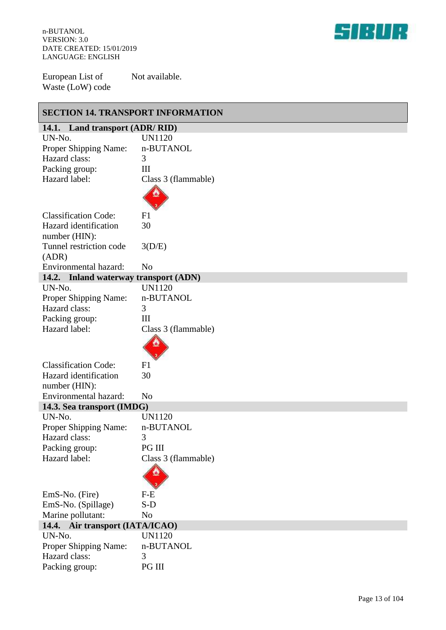

European List of Waste (LoW) code Not available.

| <b>SECTION 14. TRANSPORT INFORMATION</b> |                     |  |
|------------------------------------------|---------------------|--|
| 14.1. Land transport (ADR/RID)           |                     |  |
| UN-No.                                   | <b>UN1120</b>       |  |
| Proper Shipping Name:                    | n-BUTANOL           |  |
| Hazard class:                            | 3                   |  |
| Packing group:                           | III                 |  |
| Hazard label:                            | Class 3 (flammable) |  |
|                                          |                     |  |
| <b>Classification Code:</b>              | F1                  |  |
| Hazard identification                    | 30                  |  |
| number (HIN):                            |                     |  |
| Tunnel restriction code                  | 3(D/E)              |  |
| (ADR)                                    |                     |  |
| Environmental hazard:                    | N <sub>o</sub>      |  |
| 14.2. Inland waterway transport (ADN)    |                     |  |
| UN-No.                                   | <b>UN1120</b>       |  |
| Proper Shipping Name:                    | n-BUTANOL           |  |
| Hazard class:                            | 3                   |  |
| Packing group:                           | III                 |  |
| Hazard label:                            | Class 3 (flammable) |  |
|                                          |                     |  |
| <b>Classification Code:</b>              | F1                  |  |
| Hazard identification                    | 30                  |  |
| number (HIN):                            |                     |  |
| Environmental hazard:                    | N <sub>0</sub>      |  |
| 14.3. Sea transport (IMDG)               |                     |  |
| UN-No.                                   | <b>UN1120</b>       |  |
| Proper Shipping Name:                    | n-BUTANOL           |  |
| Hazard class:                            | 3                   |  |
| Packing group:                           | PG III              |  |
| Hazard label:                            | Class 3 (flammable) |  |
|                                          |                     |  |
| EmS-No. (Fire)                           | $F-E$               |  |
| EmS-No. (Spillage)                       | $S-D$               |  |
| Marine pollutant:                        | N <sub>o</sub>      |  |
| 14.4. Air transport (IATA/ICAO)          |                     |  |
| UN-No.                                   | <b>UN1120</b>       |  |
| Proper Shipping Name:                    | n-BUTANOL           |  |
| Hazard class:                            | 3                   |  |
| Packing group:                           | PG III              |  |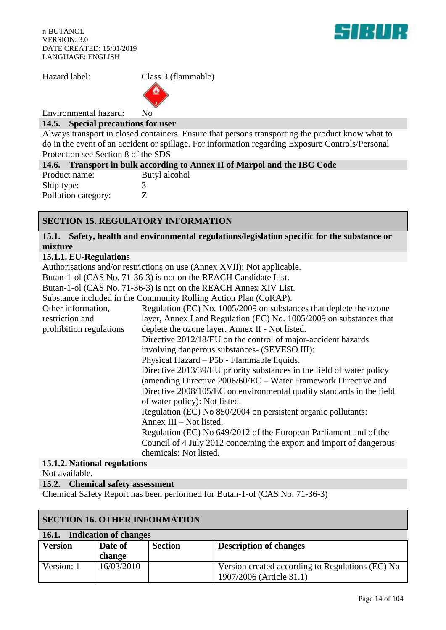

Environmental hazard: No

### **14.5. Special precautions for user**

Always transport in closed containers. Ensure that persons transporting the product know what to do in the event of an accident or spillage. For information regarding Exposure Controls/Personal Protection see Section 8 of the SDS

|                     | 14.6. Transport in bulk according to Annex II of Marpol and the IBC Code |
|---------------------|--------------------------------------------------------------------------|
| Product name:       | Butyl alcohol                                                            |
| Ship type:          |                                                                          |
| Pollution category: |                                                                          |

# **SECTION 15. REGULATORY INFORMATION**

**15.1. Safety, health and environmental regulations/legislation specific for the substance or mixture**

### **15.1.1. EU-Regulations**

Authorisations and/or restrictions on use (Annex XVII): Not applicable.

Butan-1-ol (CAS No. 71-36-3) is not on the REACH Candidate List.

Butan-1-ol (CAS No. 71-36-3) is not on the REACH Annex XIV List.

Substance included in the Community Rolling Action Plan (CoRAP).

|                         | $\beta$ domain and the community indicate the contract $\beta$ .      |  |
|-------------------------|-----------------------------------------------------------------------|--|
| Other information,      | Regulation (EC) No. 1005/2009 on substances that deplete the ozone    |  |
| restriction and         | layer, Annex I and Regulation (EC) No. 1005/2009 on substances that   |  |
| prohibition regulations | deplete the ozone layer. Annex II - Not listed.                       |  |
|                         | Directive 2012/18/EU on the control of major-accident hazards         |  |
|                         | involving dangerous substances- (SEVESO III):                         |  |
|                         | Physical Hazard – P5b - Flammable liquids.                            |  |
|                         | Directive 2013/39/EU priority substances in the field of water policy |  |
|                         | (amending Directive 2006/60/EC – Water Framework Directive and        |  |
|                         | Directive 2008/105/EC on environmental quality standards in the field |  |
|                         | of water policy): Not listed.                                         |  |
|                         | Regulation (EC) No 850/2004 on persistent organic pollutants:         |  |
|                         | Annex III – Not listed.                                               |  |
|                         | Regulation (EC) No 649/2012 of the European Parliament and of the     |  |
|                         | Council of 4 July 2012 concerning the export and import of dangerous  |  |
|                         | chemicals: Not listed.                                                |  |
|                         |                                                                       |  |

## **15.1.2. National regulations**

Not available.

**15.2. Chemical safety assessment**

Chemical Safety Report has been performed for Butan-1-ol (CAS No. 71-36-3)

| <b>SECTION 16. OTHER INFORMATION</b> |            |                |                                                  |
|--------------------------------------|------------|----------------|--------------------------------------------------|
| 16.1. Indication of changes          |            |                |                                                  |
| <b>Version</b>                       | Date of    | <b>Section</b> | <b>Description of changes</b>                    |
|                                      | change     |                |                                                  |
| Version: 1                           | 16/03/2010 |                | Version created according to Regulations (EC) No |
|                                      |            |                | 1907/2006 (Article 31.1)                         |

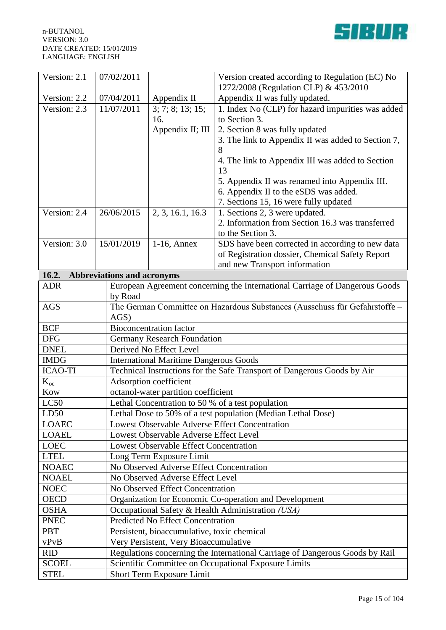

| Version: 2.1   | 07/02/2011                        |                                                                              | Version created according to Regulation (EC) No                             |  |
|----------------|-----------------------------------|------------------------------------------------------------------------------|-----------------------------------------------------------------------------|--|
|                |                                   |                                                                              | 1272/2008 (Regulation CLP) & 453/2010                                       |  |
| Version: 2.2   | 07/04/2011                        | Appendix II                                                                  | Appendix II was fully updated.                                              |  |
| Version: 2.3   | 11/07/2011                        | 3; 7; 8; 13; 15;                                                             | 1. Index No (CLP) for hazard impurities was added                           |  |
|                |                                   | 16.                                                                          | to Section 3.                                                               |  |
|                |                                   | Appendix II; III                                                             | 2. Section 8 was fully updated                                              |  |
|                |                                   |                                                                              | 3. The link to Appendix II was added to Section 7,                          |  |
|                |                                   |                                                                              | 8                                                                           |  |
|                |                                   |                                                                              | 4. The link to Appendix III was added to Section<br>13                      |  |
|                |                                   |                                                                              | 5. Appendix II was renamed into Appendix III.                               |  |
|                |                                   |                                                                              | 6. Appendix II to the eSDS was added.                                       |  |
|                |                                   |                                                                              | 7. Sections 15, 16 were fully updated                                       |  |
| Version: 2.4   | 26/06/2015                        | 2, 3, 16.1, 16.3                                                             | 1. Sections 2, 3 were updated.                                              |  |
|                |                                   |                                                                              | 2. Information from Section 16.3 was transferred                            |  |
|                |                                   |                                                                              | to the Section 3.                                                           |  |
| Version: 3.0   | 15/01/2019                        | $1-16$ , Annex                                                               | SDS have been corrected in according to new data                            |  |
|                |                                   |                                                                              | of Registration dossier, Chemical Safety Report                             |  |
|                |                                   |                                                                              | and new Transport information                                               |  |
| 16.2.          | <b>Abbreviations and acronyms</b> |                                                                              |                                                                             |  |
| <b>ADR</b>     |                                   |                                                                              | European Agreement concerning the International Carriage of Dangerous Goods |  |
|                | by Road                           |                                                                              |                                                                             |  |
| <b>AGS</b>     |                                   |                                                                              | The German Committee on Hazardous Substances (Ausschuss für Gefahrstoffe -  |  |
|                | $AGS$ )                           |                                                                              |                                                                             |  |
| <b>BCF</b>     |                                   | <b>Bioconcentration factor</b>                                               |                                                                             |  |
| <b>DFG</b>     |                                   | <b>Germany Research Foundation</b>                                           |                                                                             |  |
| <b>DNEL</b>    |                                   | Derived No Effect Level                                                      |                                                                             |  |
| <b>IMDG</b>    |                                   | <b>International Maritime Dangerous Goods</b>                                |                                                                             |  |
| <b>ICAO-TI</b> |                                   | Technical Instructions for the Safe Transport of Dangerous Goods by Air      |                                                                             |  |
| $K_{oc}$       |                                   | Adsorption coefficient                                                       |                                                                             |  |
| Kow            |                                   | octanol-water partition coefficient                                          |                                                                             |  |
| LC50           |                                   | Lethal Concentration to 50 % of a test population                            |                                                                             |  |
| LD50           |                                   | Lethal Dose to 50% of a test population (Median Lethal Dose)                 |                                                                             |  |
| <b>LOAEC</b>   |                                   | <b>Lowest Observable Adverse Effect Concentration</b>                        |                                                                             |  |
| <b>LOAEL</b>   |                                   | Lowest Observable Adverse Effect Level                                       |                                                                             |  |
| LOEC           |                                   | Lowest Observable Effect Concentration                                       |                                                                             |  |
| <b>LTEL</b>    |                                   | Long Term Exposure Limit                                                     |                                                                             |  |
| <b>NOAEC</b>   |                                   | No Observed Adverse Effect Concentration                                     |                                                                             |  |
| <b>NOAEL</b>   |                                   | No Observed Adverse Effect Level                                             |                                                                             |  |
| <b>NOEC</b>    |                                   | No Observed Effect Concentration                                             |                                                                             |  |
| <b>OECD</b>    |                                   | Organization for Economic Co-operation and Development                       |                                                                             |  |
| <b>OSHA</b>    |                                   | Occupational Safety & Health Administration (USA)                            |                                                                             |  |
| <b>PNEC</b>    |                                   | <b>Predicted No Effect Concentration</b>                                     |                                                                             |  |
| <b>PBT</b>     |                                   | Persistent, bioaccumulative, toxic chemical                                  |                                                                             |  |
| vPvB           |                                   | Very Persistent, Very Bioaccumulative                                        |                                                                             |  |
| <b>RID</b>     |                                   | Regulations concerning the International Carriage of Dangerous Goods by Rail |                                                                             |  |
| <b>SCOEL</b>   |                                   | Scientific Committee on Occupational Exposure Limits                         |                                                                             |  |
| <b>STEL</b>    |                                   | Short Term Exposure Limit                                                    |                                                                             |  |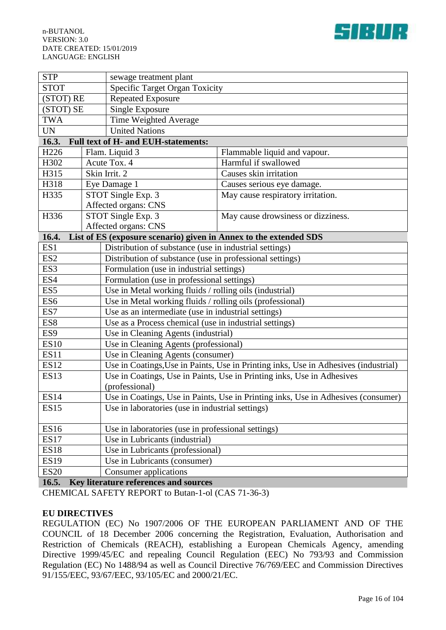

| <b>STP</b><br>sewage treatment plant                                                               |                                                    |                                                                   |                                    |  |
|----------------------------------------------------------------------------------------------------|----------------------------------------------------|-------------------------------------------------------------------|------------------------------------|--|
| <b>STOT</b>                                                                                        |                                                    | <b>Specific Target Organ Toxicity</b>                             |                                    |  |
| (STOT) RE                                                                                          |                                                    | <b>Repeated Exposure</b>                                          |                                    |  |
| (STOT) SE                                                                                          |                                                    | Single Exposure                                                   |                                    |  |
| <b>TWA</b>                                                                                         |                                                    | Time Weighted Average                                             |                                    |  |
| <b>UN</b>                                                                                          |                                                    | <b>United Nations</b>                                             |                                    |  |
| 16.3.                                                                                              |                                                    | <b>Full text of H- and EUH-statements:</b>                        |                                    |  |
| H <sub>226</sub>                                                                                   |                                                    | Flam. Liquid 3                                                    | Flammable liquid and vapour.       |  |
| H302                                                                                               |                                                    | Acute Tox. 4                                                      | Harmful if swallowed               |  |
| H315                                                                                               |                                                    | Skin Irrit. 2                                                     | Causes skin irritation             |  |
| H318                                                                                               |                                                    | Eye Damage 1                                                      | Causes serious eye damage.         |  |
| H335                                                                                               |                                                    | STOT Single Exp. 3                                                | May cause respiratory irritation.  |  |
|                                                                                                    |                                                    | Affected organs: CNS                                              |                                    |  |
| H336                                                                                               |                                                    | STOT Single Exp. 3                                                | May cause drowsiness or dizziness. |  |
|                                                                                                    |                                                    | Affected organs: CNS                                              |                                    |  |
| 16.4.                                                                                              |                                                    | List of ES (exposure scenario) given in Annex to the extended SDS |                                    |  |
| ES1                                                                                                |                                                    | Distribution of substance (use in industrial settings)            |                                    |  |
| ES <sub>2</sub>                                                                                    |                                                    | Distribution of substance (use in professional settings)          |                                    |  |
| ES3<br>Formulation (use in industrial settings)                                                    |                                                    |                                                                   |                                    |  |
| ES4<br>Formulation (use in professional settings)                                                  |                                                    |                                                                   |                                    |  |
| Use in Metal working fluids / rolling oils (industrial)<br>ES <sub>5</sub>                         |                                                    |                                                                   |                                    |  |
| Use in Metal working fluids / rolling oils (professional)<br>ES <sub>6</sub>                       |                                                    |                                                                   |                                    |  |
| ES7<br>Use as an intermediate (use in industrial settings)                                         |                                                    |                                                                   |                                    |  |
| Use as a Process chemical (use in industrial settings)<br>ES8                                      |                                                    |                                                                   |                                    |  |
| ES9<br>Use in Cleaning Agents (industrial)                                                         |                                                    |                                                                   |                                    |  |
| Use in Cleaning Agents (professional)<br><b>ES10</b>                                               |                                                    |                                                                   |                                    |  |
| <b>ES11</b><br>Use in Cleaning Agents (consumer)                                                   |                                                    |                                                                   |                                    |  |
| <b>ES12</b><br>Use in Coatings, Use in Paints, Use in Printing inks, Use in Adhesives (industrial) |                                                    |                                                                   |                                    |  |
| <b>ES13</b><br>Use in Coatings, Use in Paints, Use in Printing inks, Use in Adhesives              |                                                    |                                                                   |                                    |  |
| (professional)                                                                                     |                                                    |                                                                   |                                    |  |
| Use in Coatings, Use in Paints, Use in Printing inks, Use in Adhesives (consumer)<br><b>ES14</b>   |                                                    |                                                                   |                                    |  |
| ES15                                                                                               | Use in laboratories (use in industrial settings)   |                                                                   |                                    |  |
| <b>ES16</b>                                                                                        | Use in laboratories (use in professional settings) |                                                                   |                                    |  |
| <b>ES17</b>                                                                                        |                                                    | Use in Lubricants (industrial)                                    |                                    |  |
| <b>ES18</b>                                                                                        |                                                    | Use in Lubricants (professional)                                  |                                    |  |
| <b>ES19</b><br>Use in Lubricants (consumer)                                                        |                                                    |                                                                   |                                    |  |
| <b>ES20</b><br>Consumer applications                                                               |                                                    |                                                                   |                                    |  |

**16.5. Key literature references and sources**

CHEMICAL SAFETY REPORT to Butan-1-ol (CAS 71-36-3)

#### **EU DIRECTIVES**

REGULATION (EC) No 1907/2006 OF THE EUROPEAN PARLIAMENT AND OF THE COUNCIL of 18 December 2006 concerning the Registration, Evaluation, Authorisation and Restriction of Chemicals (REACH), establishing a European Chemicals Agency, amending Directive 1999/45/EC and repealing Council Regulation (EEC) No 793/93 and Commission Regulation (EC) No 1488/94 as well as Council Directive 76/769/EEC and Commission Directives 91/155/EEC, 93/67/EEC, 93/105/EC and 2000/21/EC.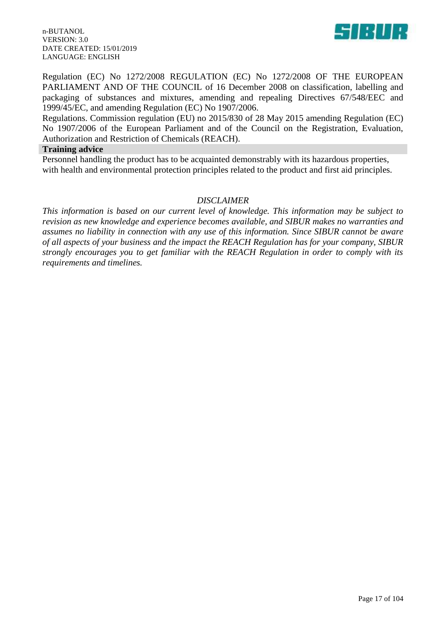84 L

n-BUTANOL VERSION: 3.0 DATE CREATED: 15/01/2019 LANGUAGE: ENGLISH

Regulation (EC) No 1272/2008 REGULATION (EC) No 1272/2008 OF THE EUROPEAN PARLIAMENT AND OF THE COUNCIL of 16 December 2008 on classification, labelling and packaging of substances and mixtures, amending and repealing Directives 67/548/EEC and 1999/45/EC, and amending Regulation (EC) No 1907/2006.

Regulations. Commission regulation (EU) no 2015/830 of 28 May 2015 amending Regulation (EC) No 1907/2006 of the European Parliament and of the Council on the Registration, Evaluation, Authorization and Restriction of Chemicals (REACH).

#### **Training advice**

Personnel handling the product has to be acquainted demonstrably with its hazardous properties, with health and environmental protection principles related to the product and first aid principles.

### *DISCLAIMER*

*This information is based on our current level of knowledge. This information may be subject to revision as new knowledge and experience becomes available, and SIBUR makes no warranties and assumes no liability in connection with any use of this information. Since SIBUR cannot be aware of all aspects of your business and the impact the REACH Regulation has for your company, SIBUR strongly encourages you to get familiar with the REACH Regulation in order to comply with its requirements and timelines.*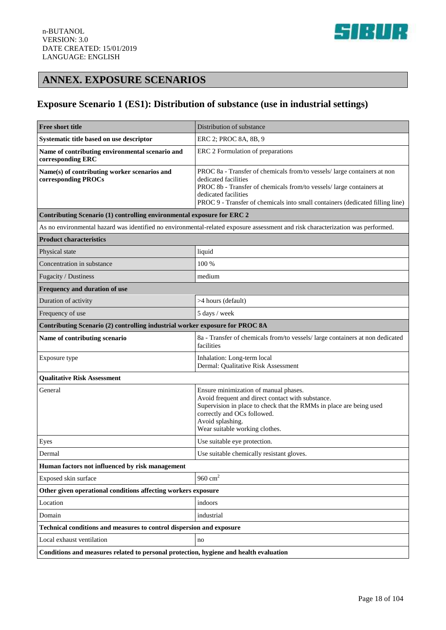

# **ANNEX. EXPOSURE SCENARIOS**

# **Exposure Scenario 1 (ES1): Distribution of substance (use in industrial settings)**

| Free short title                                                                      | Distribution of substance                                                                                                                                                                                                                                                         |  |
|---------------------------------------------------------------------------------------|-----------------------------------------------------------------------------------------------------------------------------------------------------------------------------------------------------------------------------------------------------------------------------------|--|
| Systematic title based on use descriptor                                              | ERC 2; PROC 8A, 8B, 9                                                                                                                                                                                                                                                             |  |
| Name of contributing environmental scenario and<br>corresponding ERC                  | ERC 2 Formulation of preparations                                                                                                                                                                                                                                                 |  |
| Name(s) of contributing worker scenarios and<br>corresponding PROCs                   | PROC 8a - Transfer of chemicals from/to vessels/ large containers at non<br>dedicated facilities<br>PROC 8b - Transfer of chemicals from/to vessels/ large containers at<br>dedicated facilities<br>PROC 9 - Transfer of chemicals into small containers (dedicated filling line) |  |
| Contributing Scenario (1) controlling environmental exposure for ERC 2                |                                                                                                                                                                                                                                                                                   |  |
|                                                                                       | As no environmental hazard was identified no environmental-related exposure assessment and risk characterization was performed.                                                                                                                                                   |  |
| <b>Product characteristics</b>                                                        |                                                                                                                                                                                                                                                                                   |  |
| Physical state                                                                        | liquid                                                                                                                                                                                                                                                                            |  |
| Concentration in substance                                                            | 100 %                                                                                                                                                                                                                                                                             |  |
| Fugacity / Dustiness                                                                  | medium                                                                                                                                                                                                                                                                            |  |
| Frequency and duration of use                                                         |                                                                                                                                                                                                                                                                                   |  |
| Duration of activity                                                                  | >4 hours (default)                                                                                                                                                                                                                                                                |  |
| Frequency of use                                                                      | 5 days / week                                                                                                                                                                                                                                                                     |  |
| Contributing Scenario (2) controlling industrial worker exposure for PROC 8A          |                                                                                                                                                                                                                                                                                   |  |
| Name of contributing scenario                                                         | 8a - Transfer of chemicals from/to vessels/ large containers at non dedicated<br>facilities                                                                                                                                                                                       |  |
| Exposure type                                                                         | Inhalation: Long-term local<br>Dermal: Qualitative Risk Assessment                                                                                                                                                                                                                |  |
| <b>Qualitative Risk Assessment</b>                                                    |                                                                                                                                                                                                                                                                                   |  |
| General                                                                               | Ensure minimization of manual phases.<br>Avoid frequent and direct contact with substance.<br>Supervision in place to check that the RMMs in place are being used<br>correctly and OCs followed.<br>Avoid splashing.<br>Wear suitable working clothes.                            |  |
| Eyes                                                                                  | Use suitable eye protection.                                                                                                                                                                                                                                                      |  |
| Dermal                                                                                | Use suitable chemically resistant gloves.                                                                                                                                                                                                                                         |  |
| Human factors not influenced by risk management                                       |                                                                                                                                                                                                                                                                                   |  |
| Exposed skin surface                                                                  | 960 $cm2$                                                                                                                                                                                                                                                                         |  |
| Other given operational conditions affecting workers exposure                         |                                                                                                                                                                                                                                                                                   |  |
| Location                                                                              | indoors                                                                                                                                                                                                                                                                           |  |
| Domain                                                                                | industrial                                                                                                                                                                                                                                                                        |  |
| Technical conditions and measures to control dispersion and exposure                  |                                                                                                                                                                                                                                                                                   |  |
| Local exhaust ventilation                                                             | no                                                                                                                                                                                                                                                                                |  |
| Conditions and measures related to personal protection, hygiene and health evaluation |                                                                                                                                                                                                                                                                                   |  |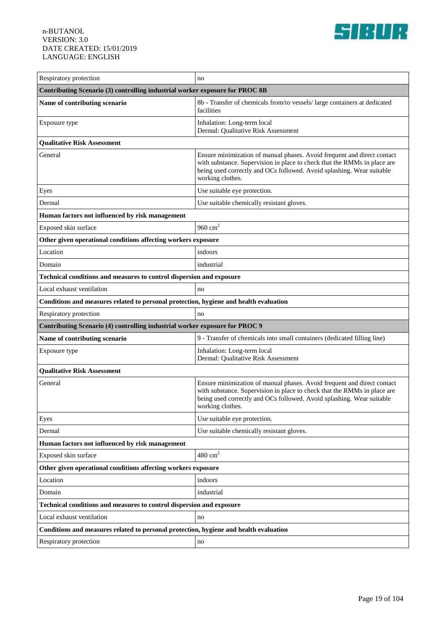

| Respiratory protection                                                                | no                                                                                                                                                                                                                                               |  |
|---------------------------------------------------------------------------------------|--------------------------------------------------------------------------------------------------------------------------------------------------------------------------------------------------------------------------------------------------|--|
| Contributing Scenario (3) controlling industrial worker exposure for PROC 8B          |                                                                                                                                                                                                                                                  |  |
| Name of contributing scenario                                                         | 8b - Transfer of chemicals from/to vessels/ large containers at dedicated<br>facilities                                                                                                                                                          |  |
| Exposure type                                                                         | Inhalation: Long-term local<br>Dermal: Qualitative Risk Assessment                                                                                                                                                                               |  |
| <b>Qualitative Risk Assessment</b>                                                    |                                                                                                                                                                                                                                                  |  |
| General                                                                               | Ensure minimization of manual phases. Avoid frequent and direct contact<br>with substance. Supervision in place to check that the RMMs in place are<br>being used correctly and OCs followed. Avoid splashing. Wear suitable<br>working clothes. |  |
| Eyes                                                                                  | Use suitable eye protection.                                                                                                                                                                                                                     |  |
| Dermal                                                                                | Use suitable chemically resistant gloves.                                                                                                                                                                                                        |  |
| Human factors not influenced by risk management                                       |                                                                                                                                                                                                                                                  |  |
| Exposed skin surface                                                                  | 960 $cm2$                                                                                                                                                                                                                                        |  |
| Other given operational conditions affecting workers exposure                         |                                                                                                                                                                                                                                                  |  |
| Location                                                                              | indoors                                                                                                                                                                                                                                          |  |
| Domain                                                                                | industrial                                                                                                                                                                                                                                       |  |
| Technical conditions and measures to control dispersion and exposure                  |                                                                                                                                                                                                                                                  |  |
| Local exhaust ventilation                                                             | no                                                                                                                                                                                                                                               |  |
| Conditions and measures related to personal protection, hygiene and health evaluation |                                                                                                                                                                                                                                                  |  |
| Respiratory protection                                                                | no                                                                                                                                                                                                                                               |  |
| Contributing Scenario (4) controlling industrial worker exposure for PROC 9           |                                                                                                                                                                                                                                                  |  |
| Name of contributing scenario                                                         | 9 - Transfer of chemicals into small containers (dedicated filling line)                                                                                                                                                                         |  |
| Exposure type                                                                         | Inhalation: Long-term local<br>Dermal: Qualitative Risk Assessment                                                                                                                                                                               |  |
| <b>Qualitative Risk Assessment</b>                                                    |                                                                                                                                                                                                                                                  |  |
| General                                                                               | Ensure minimization of manual phases. Avoid frequent and direct contact<br>with substance. Supervision in place to check that the RMMs in place are<br>being used correctly and OCs followed. Avoid splashing. Wear suitable<br>working clothes. |  |
| Eyes                                                                                  | Use suitable eye protection.                                                                                                                                                                                                                     |  |
| Dermal                                                                                | Use suitable chemically resistant gloves.                                                                                                                                                                                                        |  |
| Human factors not influenced by risk management                                       |                                                                                                                                                                                                                                                  |  |
| Exposed skin surface                                                                  | $480\ {\rm cm}^2$                                                                                                                                                                                                                                |  |
| Other given operational conditions affecting workers exposure                         |                                                                                                                                                                                                                                                  |  |
| Location                                                                              | indoors                                                                                                                                                                                                                                          |  |
| Domain                                                                                | industrial                                                                                                                                                                                                                                       |  |
| Technical conditions and measures to control dispersion and exposure                  |                                                                                                                                                                                                                                                  |  |
| Local exhaust ventilation                                                             | no                                                                                                                                                                                                                                               |  |
| Conditions and measures related to personal protection, hygiene and health evaluation |                                                                                                                                                                                                                                                  |  |
| Respiratory protection                                                                | no                                                                                                                                                                                                                                               |  |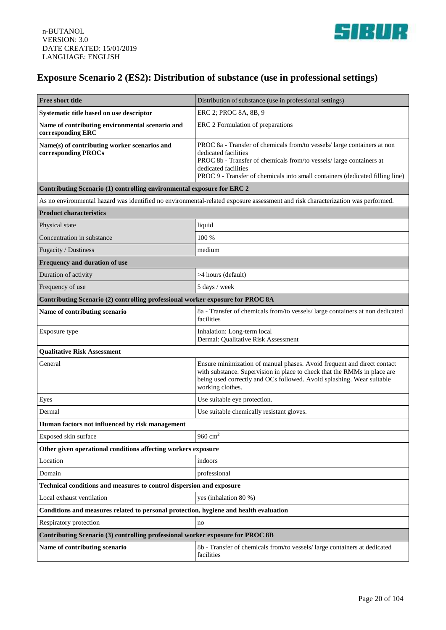

# **Exposure Scenario 2 (ES2): Distribution of substance (use in professional settings)**

| <b>Free short title</b>                                                               | Distribution of substance (use in professional settings)                                                                                                                                                                                                                          |  |
|---------------------------------------------------------------------------------------|-----------------------------------------------------------------------------------------------------------------------------------------------------------------------------------------------------------------------------------------------------------------------------------|--|
| Systematic title based on use descriptor                                              | ERC 2; PROC 8A, 8B, 9                                                                                                                                                                                                                                                             |  |
| Name of contributing environmental scenario and<br>corresponding ERC                  | ERC 2 Formulation of preparations                                                                                                                                                                                                                                                 |  |
| Name(s) of contributing worker scenarios and<br>corresponding PROCs                   | PROC 8a - Transfer of chemicals from/to vessels/ large containers at non<br>dedicated facilities<br>PROC 8b - Transfer of chemicals from/to vessels/ large containers at<br>dedicated facilities<br>PROC 9 - Transfer of chemicals into small containers (dedicated filling line) |  |
| Contributing Scenario (1) controlling environmental exposure for ERC 2                |                                                                                                                                                                                                                                                                                   |  |
|                                                                                       | As no environmental hazard was identified no environmental-related exposure assessment and risk characterization was performed.                                                                                                                                                   |  |
| <b>Product characteristics</b>                                                        |                                                                                                                                                                                                                                                                                   |  |
| Physical state                                                                        | liquid                                                                                                                                                                                                                                                                            |  |
| Concentration in substance                                                            | 100 %                                                                                                                                                                                                                                                                             |  |
| Fugacity / Dustiness                                                                  | medium                                                                                                                                                                                                                                                                            |  |
| Frequency and duration of use                                                         |                                                                                                                                                                                                                                                                                   |  |
| Duration of activity                                                                  | >4 hours (default)                                                                                                                                                                                                                                                                |  |
| Frequency of use                                                                      | 5 days / week                                                                                                                                                                                                                                                                     |  |
| Contributing Scenario (2) controlling professional worker exposure for PROC 8A        |                                                                                                                                                                                                                                                                                   |  |
| Name of contributing scenario                                                         | 8a - Transfer of chemicals from/to vessels/ large containers at non dedicated<br>facilities                                                                                                                                                                                       |  |
| Exposure type                                                                         | Inhalation: Long-term local<br>Dermal: Qualitative Risk Assessment                                                                                                                                                                                                                |  |
| <b>Qualitative Risk Assessment</b>                                                    |                                                                                                                                                                                                                                                                                   |  |
| General                                                                               | Ensure minimization of manual phases. Avoid frequent and direct contact<br>with substance. Supervision in place to check that the RMMs in place are<br>being used correctly and OCs followed. Avoid splashing. Wear suitable<br>working clothes.                                  |  |
| Eyes                                                                                  | Use suitable eye protection.                                                                                                                                                                                                                                                      |  |
| Dermal                                                                                | Use suitable chemically resistant gloves.                                                                                                                                                                                                                                         |  |
| Human factors not influenced by risk management                                       |                                                                                                                                                                                                                                                                                   |  |
| Exposed skin surface                                                                  | 960 $cm2$                                                                                                                                                                                                                                                                         |  |
| Other given operational conditions affecting workers exposure                         |                                                                                                                                                                                                                                                                                   |  |
| Location                                                                              | indoors                                                                                                                                                                                                                                                                           |  |
| Domain                                                                                | professional                                                                                                                                                                                                                                                                      |  |
| Technical conditions and measures to control dispersion and exposure                  |                                                                                                                                                                                                                                                                                   |  |
| Local exhaust ventilation                                                             | yes (inhalation 80 %)                                                                                                                                                                                                                                                             |  |
| Conditions and measures related to personal protection, hygiene and health evaluation |                                                                                                                                                                                                                                                                                   |  |
| Respiratory protection                                                                | no                                                                                                                                                                                                                                                                                |  |
| Contributing Scenario (3) controlling professional worker exposure for PROC 8B        |                                                                                                                                                                                                                                                                                   |  |
| Name of contributing scenario                                                         | 8b - Transfer of chemicals from/to vessels/ large containers at dedicated<br>facilities                                                                                                                                                                                           |  |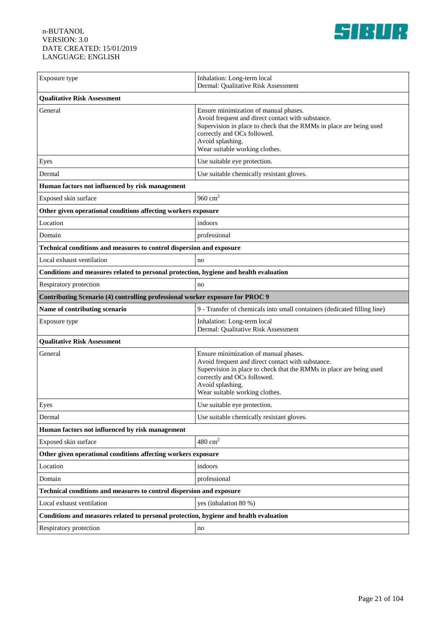

| Exposure type                                                                         | Inhalation: Long-term local<br>Dermal: Qualitative Risk Assessment                                                                                                                                                                                     |  |
|---------------------------------------------------------------------------------------|--------------------------------------------------------------------------------------------------------------------------------------------------------------------------------------------------------------------------------------------------------|--|
| <b>Qualitative Risk Assessment</b>                                                    |                                                                                                                                                                                                                                                        |  |
| General                                                                               | Ensure minimization of manual phases.<br>Avoid frequent and direct contact with substance.<br>Supervision in place to check that the RMMs in place are being used<br>correctly and OCs followed.<br>Avoid splashing.<br>Wear suitable working clothes. |  |
| Eyes                                                                                  | Use suitable eye protection.                                                                                                                                                                                                                           |  |
| Dermal                                                                                | Use suitable chemically resistant gloves.                                                                                                                                                                                                              |  |
| Human factors not influenced by risk management                                       |                                                                                                                                                                                                                                                        |  |
| Exposed skin surface                                                                  | $960 \text{ cm}^2$                                                                                                                                                                                                                                     |  |
| Other given operational conditions affecting workers exposure                         |                                                                                                                                                                                                                                                        |  |
| Location                                                                              | indoors                                                                                                                                                                                                                                                |  |
| Domain                                                                                | professional                                                                                                                                                                                                                                           |  |
| Technical conditions and measures to control dispersion and exposure                  |                                                                                                                                                                                                                                                        |  |
| Local exhaust ventilation                                                             | no                                                                                                                                                                                                                                                     |  |
| Conditions and measures related to personal protection, hygiene and health evaluation |                                                                                                                                                                                                                                                        |  |
| Respiratory protection                                                                | no                                                                                                                                                                                                                                                     |  |
| Contributing Scenario (4) controlling professional worker exposure for PROC 9         |                                                                                                                                                                                                                                                        |  |
| Name of contributing scenario                                                         | 9 - Transfer of chemicals into small containers (dedicated filling line)                                                                                                                                                                               |  |
| Exposure type                                                                         | Inhalation: Long-term local<br>Dermal: Qualitative Risk Assessment                                                                                                                                                                                     |  |
| <b>Qualitative Risk Assessment</b>                                                    |                                                                                                                                                                                                                                                        |  |
| General                                                                               | Ensure minimization of manual phases.<br>Avoid frequent and direct contact with substance.<br>Supervision in place to check that the RMMs in place are being used<br>correctly and OCs followed.<br>Avoid splashing.<br>Wear suitable working clothes. |  |
| Eyes                                                                                  | Use suitable eye protection.                                                                                                                                                                                                                           |  |
| Dermal                                                                                | Use suitable chemically resistant gloves.                                                                                                                                                                                                              |  |
| Human factors not influenced by risk management                                       |                                                                                                                                                                                                                                                        |  |
| Exposed skin surface                                                                  | $480 \text{ cm}^2$                                                                                                                                                                                                                                     |  |
| Other given operational conditions affecting workers exposure                         |                                                                                                                                                                                                                                                        |  |
| Location                                                                              | indoors                                                                                                                                                                                                                                                |  |
| Domain                                                                                | professional                                                                                                                                                                                                                                           |  |
| Technical conditions and measures to control dispersion and exposure                  |                                                                                                                                                                                                                                                        |  |
| Local exhaust ventilation                                                             | yes (inhalation 80 %)                                                                                                                                                                                                                                  |  |
| Conditions and measures related to personal protection, hygiene and health evaluation |                                                                                                                                                                                                                                                        |  |
| Respiratory protection                                                                | no                                                                                                                                                                                                                                                     |  |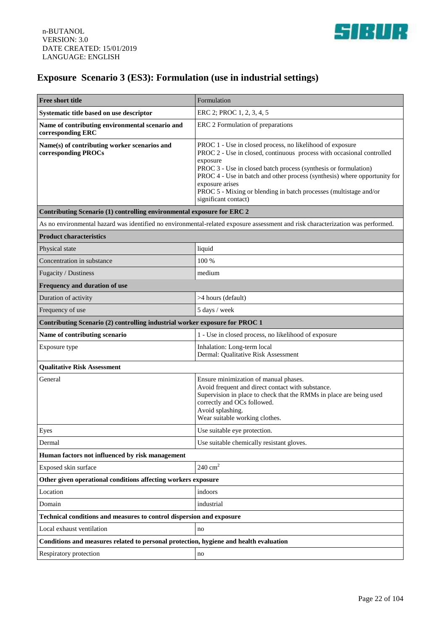

# **Exposure Scenario 3 (ES3): Formulation (use in industrial settings)**

| Free short title                                                                      | Formulation                                                                                                                                                                                                                                                                                                                                                                                                    |  |
|---------------------------------------------------------------------------------------|----------------------------------------------------------------------------------------------------------------------------------------------------------------------------------------------------------------------------------------------------------------------------------------------------------------------------------------------------------------------------------------------------------------|--|
| Systematic title based on use descriptor                                              | ERC 2; PROC 1, 2, 3, 4, 5                                                                                                                                                                                                                                                                                                                                                                                      |  |
| Name of contributing environmental scenario and<br>corresponding ERC                  | ERC 2 Formulation of preparations                                                                                                                                                                                                                                                                                                                                                                              |  |
| Name(s) of contributing worker scenarios and<br>corresponding PROCs                   | PROC 1 - Use in closed process, no likelihood of exposure<br>PROC 2 - Use in closed, continuous process with occasional controlled<br>exposure<br>PROC 3 - Use in closed batch process (synthesis or formulation)<br>PROC 4 - Use in batch and other process (synthesis) where opportunity for<br>exposure arises<br>PROC 5 - Mixing or blending in batch processes (multistage and/or<br>significant contact) |  |
| Contributing Scenario (1) controlling environmental exposure for ERC 2                |                                                                                                                                                                                                                                                                                                                                                                                                                |  |
|                                                                                       | As no environmental hazard was identified no environmental-related exposure assessment and risk characterization was performed.                                                                                                                                                                                                                                                                                |  |
| <b>Product characteristics</b>                                                        |                                                                                                                                                                                                                                                                                                                                                                                                                |  |
| Physical state                                                                        | liquid                                                                                                                                                                                                                                                                                                                                                                                                         |  |
| Concentration in substance                                                            | 100 %                                                                                                                                                                                                                                                                                                                                                                                                          |  |
| Fugacity / Dustiness                                                                  | medium                                                                                                                                                                                                                                                                                                                                                                                                         |  |
| Frequency and duration of use                                                         |                                                                                                                                                                                                                                                                                                                                                                                                                |  |
| Duration of activity                                                                  | >4 hours (default)                                                                                                                                                                                                                                                                                                                                                                                             |  |
| Frequency of use                                                                      | 5 days / week                                                                                                                                                                                                                                                                                                                                                                                                  |  |
| Contributing Scenario (2) controlling industrial worker exposure for PROC 1           |                                                                                                                                                                                                                                                                                                                                                                                                                |  |
| Name of contributing scenario                                                         | 1 - Use in closed process, no likelihood of exposure                                                                                                                                                                                                                                                                                                                                                           |  |
| Exposure type                                                                         | Inhalation: Long-term local<br>Dermal: Qualitative Risk Assessment                                                                                                                                                                                                                                                                                                                                             |  |
| <b>Qualitative Risk Assessment</b>                                                    |                                                                                                                                                                                                                                                                                                                                                                                                                |  |
| General                                                                               | Ensure minimization of manual phases.<br>Avoid frequent and direct contact with substance.<br>Supervision in place to check that the RMMs in place are being used<br>correctly and OCs followed.<br>Avoid splashing.<br>Wear suitable working clothes.                                                                                                                                                         |  |
| ${\rm Eyes}$                                                                          | Use suitable eye protection.                                                                                                                                                                                                                                                                                                                                                                                   |  |
| Dermal                                                                                | Use suitable chemically resistant gloves.                                                                                                                                                                                                                                                                                                                                                                      |  |
| Human factors not influenced by risk management                                       |                                                                                                                                                                                                                                                                                                                                                                                                                |  |
| Exposed skin surface                                                                  | $240\ {\rm cm^2}$                                                                                                                                                                                                                                                                                                                                                                                              |  |
| Other given operational conditions affecting workers exposure                         |                                                                                                                                                                                                                                                                                                                                                                                                                |  |
| Location                                                                              | indoors                                                                                                                                                                                                                                                                                                                                                                                                        |  |
| Domain                                                                                | industrial                                                                                                                                                                                                                                                                                                                                                                                                     |  |
| Technical conditions and measures to control dispersion and exposure                  |                                                                                                                                                                                                                                                                                                                                                                                                                |  |
| Local exhaust ventilation                                                             | no                                                                                                                                                                                                                                                                                                                                                                                                             |  |
| Conditions and measures related to personal protection, hygiene and health evaluation |                                                                                                                                                                                                                                                                                                                                                                                                                |  |
| Respiratory protection                                                                | no                                                                                                                                                                                                                                                                                                                                                                                                             |  |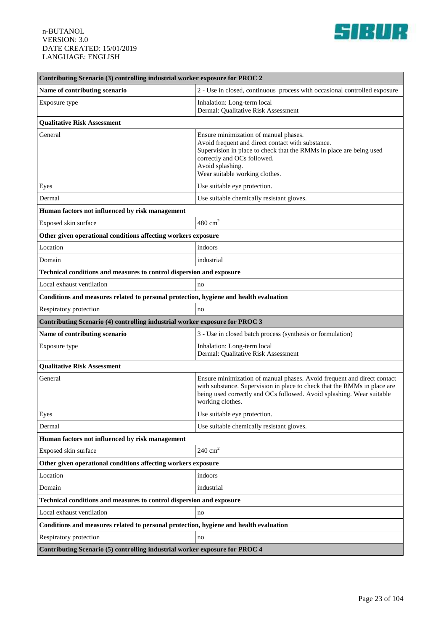

| Contributing Scenario (3) controlling industrial worker exposure for PROC 2           |                                                                                                                                                                                                                                                        |  |
|---------------------------------------------------------------------------------------|--------------------------------------------------------------------------------------------------------------------------------------------------------------------------------------------------------------------------------------------------------|--|
| Name of contributing scenario                                                         | 2 - Use in closed, continuous process with occasional controlled exposure                                                                                                                                                                              |  |
| Exposure type                                                                         | Inhalation: Long-term local<br>Dermal: Qualitative Risk Assessment                                                                                                                                                                                     |  |
| <b>Qualitative Risk Assessment</b>                                                    |                                                                                                                                                                                                                                                        |  |
| General                                                                               | Ensure minimization of manual phases.<br>Avoid frequent and direct contact with substance.<br>Supervision in place to check that the RMMs in place are being used<br>correctly and OCs followed.<br>Avoid splashing.<br>Wear suitable working clothes. |  |
| Eyes                                                                                  | Use suitable eye protection.                                                                                                                                                                                                                           |  |
| Dermal                                                                                | Use suitable chemically resistant gloves.                                                                                                                                                                                                              |  |
| Human factors not influenced by risk management                                       |                                                                                                                                                                                                                                                        |  |
| Exposed skin surface                                                                  | $480 \text{ cm}^2$                                                                                                                                                                                                                                     |  |
| Other given operational conditions affecting workers exposure                         |                                                                                                                                                                                                                                                        |  |
| Location                                                                              | indoors                                                                                                                                                                                                                                                |  |
| Domain                                                                                | industrial                                                                                                                                                                                                                                             |  |
| Technical conditions and measures to control dispersion and exposure                  |                                                                                                                                                                                                                                                        |  |
| Local exhaust ventilation                                                             | no                                                                                                                                                                                                                                                     |  |
| Conditions and measures related to personal protection, hygiene and health evaluation |                                                                                                                                                                                                                                                        |  |
| Respiratory protection                                                                | no                                                                                                                                                                                                                                                     |  |
| Contributing Scenario (4) controlling industrial worker exposure for PROC 3           |                                                                                                                                                                                                                                                        |  |
| Name of contributing scenario                                                         | 3 - Use in closed batch process (synthesis or formulation)                                                                                                                                                                                             |  |
| Exposure type                                                                         | Inhalation: Long-term local<br>Dermal: Qualitative Risk Assessment                                                                                                                                                                                     |  |
| <b>Qualitative Risk Assessment</b>                                                    |                                                                                                                                                                                                                                                        |  |
| General                                                                               | Ensure minimization of manual phases. Avoid frequent and direct contact<br>with substance. Supervision in place to check that the RMMs in place are<br>being used correctly and OCs followed. Avoid splashing. Wear suitable<br>working clothes.       |  |
| Eyes                                                                                  | Use suitable eye protection.                                                                                                                                                                                                                           |  |
| Dermal                                                                                | Use suitable chemically resistant gloves.                                                                                                                                                                                                              |  |
| Human factors not influenced by risk management                                       |                                                                                                                                                                                                                                                        |  |
| Exposed skin surface                                                                  | $240 \text{ cm}^2$                                                                                                                                                                                                                                     |  |
| Other given operational conditions affecting workers exposure                         |                                                                                                                                                                                                                                                        |  |
| Location                                                                              | indoors                                                                                                                                                                                                                                                |  |
| Domain                                                                                | industrial                                                                                                                                                                                                                                             |  |
| Technical conditions and measures to control dispersion and exposure                  |                                                                                                                                                                                                                                                        |  |
| Local exhaust ventilation                                                             | no                                                                                                                                                                                                                                                     |  |
| Conditions and measures related to personal protection, hygiene and health evaluation |                                                                                                                                                                                                                                                        |  |
| Respiratory protection                                                                | no                                                                                                                                                                                                                                                     |  |
| Contributing Scenario (5) controlling industrial worker exposure for PROC 4           |                                                                                                                                                                                                                                                        |  |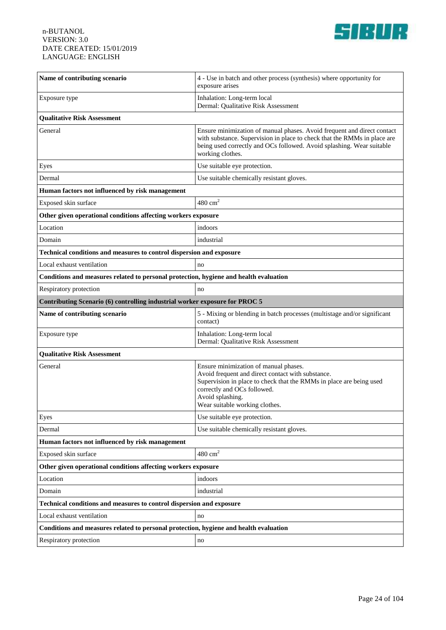

| Name of contributing scenario                                                         | 4 - Use in batch and other process (synthesis) where opportunity for<br>exposure arises                                                                                                                                                                |  |
|---------------------------------------------------------------------------------------|--------------------------------------------------------------------------------------------------------------------------------------------------------------------------------------------------------------------------------------------------------|--|
| Exposure type                                                                         | Inhalation: Long-term local<br>Dermal: Qualitative Risk Assessment                                                                                                                                                                                     |  |
| <b>Qualitative Risk Assessment</b>                                                    |                                                                                                                                                                                                                                                        |  |
| General                                                                               | Ensure minimization of manual phases. Avoid frequent and direct contact<br>with substance. Supervision in place to check that the RMMs in place are<br>being used correctly and OCs followed. Avoid splashing. Wear suitable<br>working clothes.       |  |
| Eyes                                                                                  | Use suitable eye protection.                                                                                                                                                                                                                           |  |
| Dermal                                                                                | Use suitable chemically resistant gloves.                                                                                                                                                                                                              |  |
| Human factors not influenced by risk management                                       |                                                                                                                                                                                                                                                        |  |
| Exposed skin surface                                                                  | $480 \text{ cm}^2$                                                                                                                                                                                                                                     |  |
| Other given operational conditions affecting workers exposure                         |                                                                                                                                                                                                                                                        |  |
| Location                                                                              | indoors                                                                                                                                                                                                                                                |  |
| Domain                                                                                | industrial                                                                                                                                                                                                                                             |  |
| Technical conditions and measures to control dispersion and exposure                  |                                                                                                                                                                                                                                                        |  |
| Local exhaust ventilation                                                             | no                                                                                                                                                                                                                                                     |  |
| Conditions and measures related to personal protection, hygiene and health evaluation |                                                                                                                                                                                                                                                        |  |
| Respiratory protection                                                                | no                                                                                                                                                                                                                                                     |  |
| Contributing Scenario (6) controlling industrial worker exposure for PROC 5           |                                                                                                                                                                                                                                                        |  |
| Name of contributing scenario                                                         | 5 - Mixing or blending in batch processes (multistage and/or significant<br>contact)                                                                                                                                                                   |  |
| Exposure type                                                                         | Inhalation: Long-term local<br>Dermal: Qualitative Risk Assessment                                                                                                                                                                                     |  |
| <b>Qualitative Risk Assessment</b>                                                    |                                                                                                                                                                                                                                                        |  |
| General                                                                               | Ensure minimization of manual phases.<br>Avoid frequent and direct contact with substance.<br>Supervision in place to check that the RMMs in place are being used<br>correctly and OCs followed.<br>Avoid splashing.<br>Wear suitable working clothes. |  |
| Eyes                                                                                  | Use suitable eye protection.                                                                                                                                                                                                                           |  |
| Dermal                                                                                | Use suitable chemically resistant gloves.                                                                                                                                                                                                              |  |
| Human factors not influenced by risk management                                       |                                                                                                                                                                                                                                                        |  |
| Exposed skin surface                                                                  | $480 \mathrm{~cm}^2$                                                                                                                                                                                                                                   |  |
| Other given operational conditions affecting workers exposure                         |                                                                                                                                                                                                                                                        |  |
| Location                                                                              | indoors                                                                                                                                                                                                                                                |  |
| Domain                                                                                | industrial                                                                                                                                                                                                                                             |  |
| Technical conditions and measures to control dispersion and exposure                  |                                                                                                                                                                                                                                                        |  |
| Local exhaust ventilation                                                             | no                                                                                                                                                                                                                                                     |  |
| Conditions and measures related to personal protection, hygiene and health evaluation |                                                                                                                                                                                                                                                        |  |
| Respiratory protection                                                                | $\rm no$                                                                                                                                                                                                                                               |  |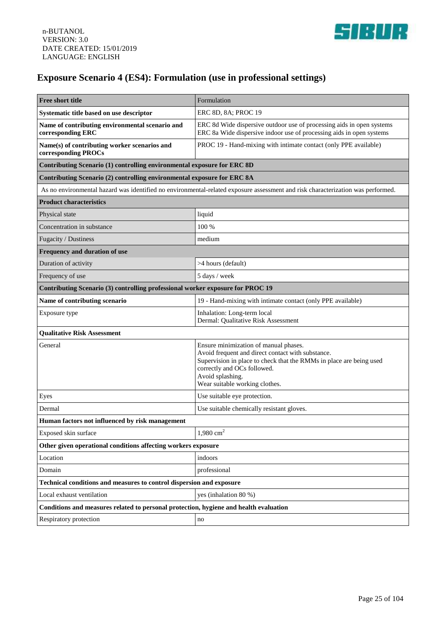

# **Exposure Scenario 4 (ES4): Formulation (use in professional settings)**

| Free short title                                                                      | Formulation                                                                                                                                                                                                                                            |  |
|---------------------------------------------------------------------------------------|--------------------------------------------------------------------------------------------------------------------------------------------------------------------------------------------------------------------------------------------------------|--|
| Systematic title based on use descriptor                                              | ERC 8D, 8A; PROC 19                                                                                                                                                                                                                                    |  |
| Name of contributing environmental scenario and<br>corresponding ERC                  | ERC 8d Wide dispersive outdoor use of processing aids in open systems<br>ERC 8a Wide dispersive indoor use of processing aids in open systems                                                                                                          |  |
| Name(s) of contributing worker scenarios and<br>corresponding PROCs                   | PROC 19 - Hand-mixing with intimate contact (only PPE available)                                                                                                                                                                                       |  |
| Contributing Scenario (1) controlling environmental exposure for ERC 8D               |                                                                                                                                                                                                                                                        |  |
| Contributing Scenario (2) controlling environmental exposure for ERC 8A               |                                                                                                                                                                                                                                                        |  |
|                                                                                       | As no environmental hazard was identified no environmental-related exposure assessment and risk characterization was performed.                                                                                                                        |  |
| <b>Product characteristics</b>                                                        |                                                                                                                                                                                                                                                        |  |
| Physical state                                                                        | liquid                                                                                                                                                                                                                                                 |  |
| Concentration in substance                                                            | 100 %                                                                                                                                                                                                                                                  |  |
| Fugacity / Dustiness                                                                  | medium                                                                                                                                                                                                                                                 |  |
| Frequency and duration of use                                                         |                                                                                                                                                                                                                                                        |  |
| Duration of activity                                                                  | >4 hours (default)                                                                                                                                                                                                                                     |  |
| Frequency of use                                                                      | 5 days / week                                                                                                                                                                                                                                          |  |
| Contributing Scenario (3) controlling professional worker exposure for PROC 19        |                                                                                                                                                                                                                                                        |  |
| Name of contributing scenario                                                         | 19 - Hand-mixing with intimate contact (only PPE available)                                                                                                                                                                                            |  |
| Exposure type                                                                         | Inhalation: Long-term local<br>Dermal: Qualitative Risk Assessment                                                                                                                                                                                     |  |
| <b>Qualitative Risk Assessment</b>                                                    |                                                                                                                                                                                                                                                        |  |
| General                                                                               | Ensure minimization of manual phases.<br>Avoid frequent and direct contact with substance.<br>Supervision in place to check that the RMMs in place are being used<br>correctly and OCs followed.<br>Avoid splashing.<br>Wear suitable working clothes. |  |
| Eyes                                                                                  | Use suitable eye protection.                                                                                                                                                                                                                           |  |
| Dermal                                                                                | Use suitable chemically resistant gloves.                                                                                                                                                                                                              |  |
| Human factors not influenced by risk management                                       |                                                                                                                                                                                                                                                        |  |
| Exposed skin surface                                                                  | 1,980 cm <sup>2</sup>                                                                                                                                                                                                                                  |  |
| Other given operational conditions affecting workers exposure                         |                                                                                                                                                                                                                                                        |  |
| Location                                                                              | indoors                                                                                                                                                                                                                                                |  |
| Domain                                                                                | professional                                                                                                                                                                                                                                           |  |
| Technical conditions and measures to control dispersion and exposure                  |                                                                                                                                                                                                                                                        |  |
| Local exhaust ventilation                                                             | yes (inhalation 80 %)                                                                                                                                                                                                                                  |  |
| Conditions and measures related to personal protection, hygiene and health evaluation |                                                                                                                                                                                                                                                        |  |
| Respiratory protection                                                                | no                                                                                                                                                                                                                                                     |  |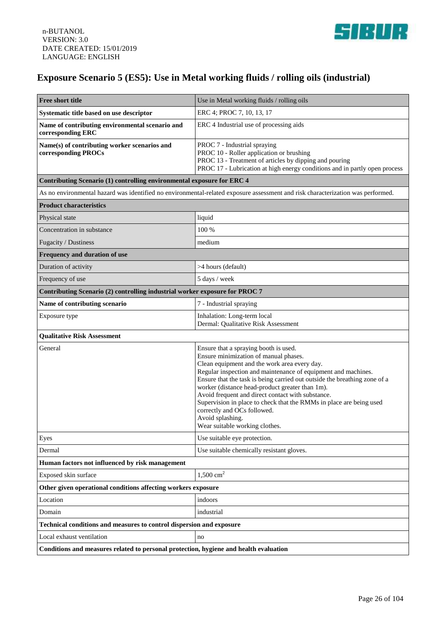

# **Exposure Scenario 5 (ES5): Use in Metal working fluids / rolling oils (industrial)**

| <b>Free short title</b>                                                               | Use in Metal working fluids / rolling oils                                                                                                                                                                                                                                                                                                                                                                                                                                                                                                       |  |
|---------------------------------------------------------------------------------------|--------------------------------------------------------------------------------------------------------------------------------------------------------------------------------------------------------------------------------------------------------------------------------------------------------------------------------------------------------------------------------------------------------------------------------------------------------------------------------------------------------------------------------------------------|--|
| Systematic title based on use descriptor                                              | ERC 4; PROC 7, 10, 13, 17                                                                                                                                                                                                                                                                                                                                                                                                                                                                                                                        |  |
| Name of contributing environmental scenario and<br>corresponding ERC                  | ERC 4 Industrial use of processing aids                                                                                                                                                                                                                                                                                                                                                                                                                                                                                                          |  |
| Name(s) of contributing worker scenarios and<br>corresponding PROCs                   | PROC 7 - Industrial spraying<br>PROC 10 - Roller application or brushing<br>PROC 13 - Treatment of articles by dipping and pouring<br>PROC 17 - Lubrication at high energy conditions and in partly open process                                                                                                                                                                                                                                                                                                                                 |  |
| Contributing Scenario (1) controlling environmental exposure for ERC 4                |                                                                                                                                                                                                                                                                                                                                                                                                                                                                                                                                                  |  |
|                                                                                       | As no environmental hazard was identified no environmental-related exposure assessment and risk characterization was performed.                                                                                                                                                                                                                                                                                                                                                                                                                  |  |
| <b>Product characteristics</b>                                                        |                                                                                                                                                                                                                                                                                                                                                                                                                                                                                                                                                  |  |
| Physical state                                                                        | liquid                                                                                                                                                                                                                                                                                                                                                                                                                                                                                                                                           |  |
| Concentration in substance                                                            | 100 %                                                                                                                                                                                                                                                                                                                                                                                                                                                                                                                                            |  |
| Fugacity / Dustiness                                                                  | medium                                                                                                                                                                                                                                                                                                                                                                                                                                                                                                                                           |  |
| Frequency and duration of use                                                         |                                                                                                                                                                                                                                                                                                                                                                                                                                                                                                                                                  |  |
| Duration of activity                                                                  | >4 hours (default)                                                                                                                                                                                                                                                                                                                                                                                                                                                                                                                               |  |
| Frequency of use                                                                      | 5 days / week                                                                                                                                                                                                                                                                                                                                                                                                                                                                                                                                    |  |
| Contributing Scenario (2) controlling industrial worker exposure for PROC 7           |                                                                                                                                                                                                                                                                                                                                                                                                                                                                                                                                                  |  |
| Name of contributing scenario                                                         | 7 - Industrial spraying                                                                                                                                                                                                                                                                                                                                                                                                                                                                                                                          |  |
| Exposure type                                                                         | Inhalation: Long-term local<br>Dermal: Qualitative Risk Assessment                                                                                                                                                                                                                                                                                                                                                                                                                                                                               |  |
| <b>Qualitative Risk Assessment</b>                                                    |                                                                                                                                                                                                                                                                                                                                                                                                                                                                                                                                                  |  |
| General                                                                               | Ensure that a spraying booth is used.<br>Ensure minimization of manual phases.<br>Clean equipment and the work area every day.<br>Regular inspection and maintenance of equipment and machines.<br>Ensure that the task is being carried out outside the breathing zone of a<br>worker (distance head-product greater than 1m).<br>Avoid frequent and direct contact with substance.<br>Supervision in place to check that the RMMs in place are being used<br>correctly and OCs followed.<br>Avoid splashing.<br>Wear suitable working clothes. |  |
| Eyes                                                                                  | Use suitable eye protection.                                                                                                                                                                                                                                                                                                                                                                                                                                                                                                                     |  |
| Dermal                                                                                | Use suitable chemically resistant gloves.                                                                                                                                                                                                                                                                                                                                                                                                                                                                                                        |  |
| Human factors not influenced by risk management                                       |                                                                                                                                                                                                                                                                                                                                                                                                                                                                                                                                                  |  |
| Exposed skin surface                                                                  | $1,500 \text{ cm}^2$                                                                                                                                                                                                                                                                                                                                                                                                                                                                                                                             |  |
| Other given operational conditions affecting workers exposure                         |                                                                                                                                                                                                                                                                                                                                                                                                                                                                                                                                                  |  |
| Location                                                                              | indoors                                                                                                                                                                                                                                                                                                                                                                                                                                                                                                                                          |  |
| Domain                                                                                | industrial                                                                                                                                                                                                                                                                                                                                                                                                                                                                                                                                       |  |
| Technical conditions and measures to control dispersion and exposure                  |                                                                                                                                                                                                                                                                                                                                                                                                                                                                                                                                                  |  |
| Local exhaust ventilation                                                             | no                                                                                                                                                                                                                                                                                                                                                                                                                                                                                                                                               |  |
| Conditions and measures related to personal protection, hygiene and health evaluation |                                                                                                                                                                                                                                                                                                                                                                                                                                                                                                                                                  |  |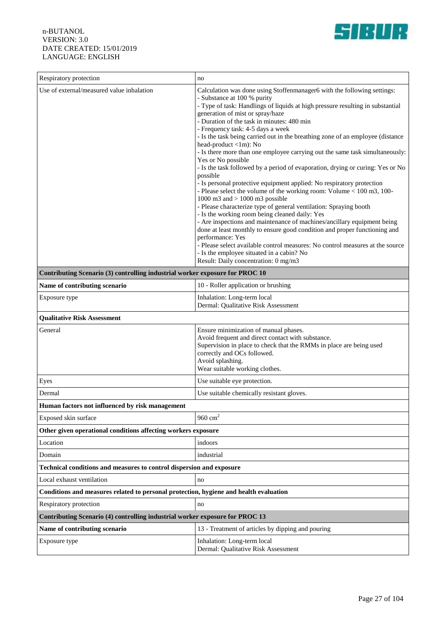

| Respiratory protection                                                                | no                                                                                                                                                                                                                                                                                                                                                                                                                                                                                                                                                                                                                                                                                                                                                                                                                                                                                                                                                                                                                                                                                                                                                                                                                                                                                            |  |
|---------------------------------------------------------------------------------------|-----------------------------------------------------------------------------------------------------------------------------------------------------------------------------------------------------------------------------------------------------------------------------------------------------------------------------------------------------------------------------------------------------------------------------------------------------------------------------------------------------------------------------------------------------------------------------------------------------------------------------------------------------------------------------------------------------------------------------------------------------------------------------------------------------------------------------------------------------------------------------------------------------------------------------------------------------------------------------------------------------------------------------------------------------------------------------------------------------------------------------------------------------------------------------------------------------------------------------------------------------------------------------------------------|--|
| Use of external/measured value inhalation                                             | Calculation was done using Stoffenmanager6 with the following settings:<br>- Substance at 100 % purity<br>- Type of task: Handlings of liquids at high pressure resulting in substantial<br>generation of mist or spray/haze<br>- Duration of the task in minutes: 480 min<br>- Frequency task: 4-5 days a week<br>- Is the task being carried out in the breathing zone of an employee (distance<br>head-product <1m): No<br>- Is there more than one employee carrying out the same task simultaneously:<br>Yes or No possible<br>- Is the task followed by a period of evaporation, drying or curing: Yes or No<br>possible<br>- Is personal protective equipment applied: No respiratory protection<br>- Please select the volume of the working room: Volume < 100 m3, 100-<br>1000 m3 and $> 1000$ m3 possible<br>- Please characterize type of general ventilation: Spraying booth<br>- Is the working room being cleaned daily: Yes<br>- Are inspections and maintenance of machines/ancillary equipment being<br>done at least monthly to ensure good condition and proper functioning and<br>performance: Yes<br>- Please select available control measures: No control measures at the source<br>- Is the employee situated in a cabin? No<br>Result: Daily concentration: 0 mg/m3 |  |
| Contributing Scenario (3) controlling industrial worker exposure for PROC 10          |                                                                                                                                                                                                                                                                                                                                                                                                                                                                                                                                                                                                                                                                                                                                                                                                                                                                                                                                                                                                                                                                                                                                                                                                                                                                                               |  |
| Name of contributing scenario                                                         | 10 - Roller application or brushing                                                                                                                                                                                                                                                                                                                                                                                                                                                                                                                                                                                                                                                                                                                                                                                                                                                                                                                                                                                                                                                                                                                                                                                                                                                           |  |
| Exposure type                                                                         | Inhalation: Long-term local<br>Dermal: Qualitative Risk Assessment                                                                                                                                                                                                                                                                                                                                                                                                                                                                                                                                                                                                                                                                                                                                                                                                                                                                                                                                                                                                                                                                                                                                                                                                                            |  |
| <b>Qualitative Risk Assessment</b>                                                    |                                                                                                                                                                                                                                                                                                                                                                                                                                                                                                                                                                                                                                                                                                                                                                                                                                                                                                                                                                                                                                                                                                                                                                                                                                                                                               |  |
| General                                                                               | Ensure minimization of manual phases.<br>Avoid frequent and direct contact with substance.<br>Supervision in place to check that the RMMs in place are being used<br>correctly and OCs followed.<br>Avoid splashing.<br>Wear suitable working clothes.                                                                                                                                                                                                                                                                                                                                                                                                                                                                                                                                                                                                                                                                                                                                                                                                                                                                                                                                                                                                                                        |  |
| Eyes                                                                                  | Use suitable eye protection.                                                                                                                                                                                                                                                                                                                                                                                                                                                                                                                                                                                                                                                                                                                                                                                                                                                                                                                                                                                                                                                                                                                                                                                                                                                                  |  |
| Dermal                                                                                | Use suitable chemically resistant gloves.                                                                                                                                                                                                                                                                                                                                                                                                                                                                                                                                                                                                                                                                                                                                                                                                                                                                                                                                                                                                                                                                                                                                                                                                                                                     |  |
| Human factors not influenced by risk management                                       |                                                                                                                                                                                                                                                                                                                                                                                                                                                                                                                                                                                                                                                                                                                                                                                                                                                                                                                                                                                                                                                                                                                                                                                                                                                                                               |  |
| Exposed skin surface                                                                  | 960 $cm2$                                                                                                                                                                                                                                                                                                                                                                                                                                                                                                                                                                                                                                                                                                                                                                                                                                                                                                                                                                                                                                                                                                                                                                                                                                                                                     |  |
| Other given operational conditions affecting workers exposure                         |                                                                                                                                                                                                                                                                                                                                                                                                                                                                                                                                                                                                                                                                                                                                                                                                                                                                                                                                                                                                                                                                                                                                                                                                                                                                                               |  |
| Location                                                                              | indoors                                                                                                                                                                                                                                                                                                                                                                                                                                                                                                                                                                                                                                                                                                                                                                                                                                                                                                                                                                                                                                                                                                                                                                                                                                                                                       |  |
| Domain                                                                                | industrial                                                                                                                                                                                                                                                                                                                                                                                                                                                                                                                                                                                                                                                                                                                                                                                                                                                                                                                                                                                                                                                                                                                                                                                                                                                                                    |  |
| Technical conditions and measures to control dispersion and exposure                  |                                                                                                                                                                                                                                                                                                                                                                                                                                                                                                                                                                                                                                                                                                                                                                                                                                                                                                                                                                                                                                                                                                                                                                                                                                                                                               |  |
| Local exhaust ventilation                                                             | no                                                                                                                                                                                                                                                                                                                                                                                                                                                                                                                                                                                                                                                                                                                                                                                                                                                                                                                                                                                                                                                                                                                                                                                                                                                                                            |  |
| Conditions and measures related to personal protection, hygiene and health evaluation |                                                                                                                                                                                                                                                                                                                                                                                                                                                                                                                                                                                                                                                                                                                                                                                                                                                                                                                                                                                                                                                                                                                                                                                                                                                                                               |  |
| Respiratory protection                                                                | no                                                                                                                                                                                                                                                                                                                                                                                                                                                                                                                                                                                                                                                                                                                                                                                                                                                                                                                                                                                                                                                                                                                                                                                                                                                                                            |  |
| Contributing Scenario (4) controlling industrial worker exposure for PROC 13          |                                                                                                                                                                                                                                                                                                                                                                                                                                                                                                                                                                                                                                                                                                                                                                                                                                                                                                                                                                                                                                                                                                                                                                                                                                                                                               |  |
| Name of contributing scenario                                                         | 13 - Treatment of articles by dipping and pouring                                                                                                                                                                                                                                                                                                                                                                                                                                                                                                                                                                                                                                                                                                                                                                                                                                                                                                                                                                                                                                                                                                                                                                                                                                             |  |
| Exposure type                                                                         | Inhalation: Long-term local<br>Dermal: Qualitative Risk Assessment                                                                                                                                                                                                                                                                                                                                                                                                                                                                                                                                                                                                                                                                                                                                                                                                                                                                                                                                                                                                                                                                                                                                                                                                                            |  |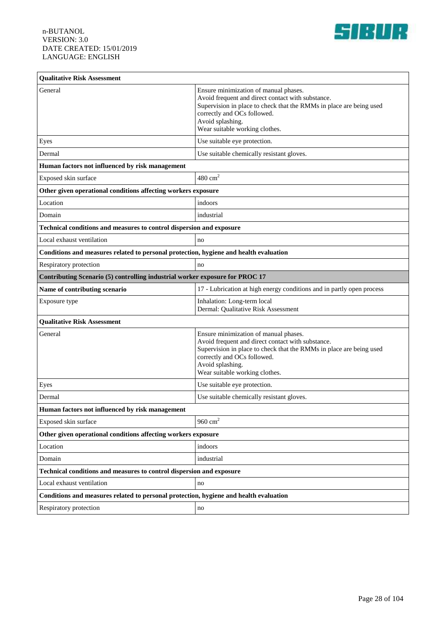

| <b>Qualitative Risk Assessment</b>                                                    |                                                                                                                                                                                                                                                        |
|---------------------------------------------------------------------------------------|--------------------------------------------------------------------------------------------------------------------------------------------------------------------------------------------------------------------------------------------------------|
| General                                                                               | Ensure minimization of manual phases.<br>Avoid frequent and direct contact with substance.<br>Supervision in place to check that the RMMs in place are being used<br>correctly and OCs followed.<br>Avoid splashing.<br>Wear suitable working clothes. |
| Eyes                                                                                  | Use suitable eye protection.                                                                                                                                                                                                                           |
| Dermal                                                                                | Use suitable chemically resistant gloves.                                                                                                                                                                                                              |
| Human factors not influenced by risk management                                       |                                                                                                                                                                                                                                                        |
| Exposed skin surface                                                                  | $480 \text{ cm}^2$                                                                                                                                                                                                                                     |
| Other given operational conditions affecting workers exposure                         |                                                                                                                                                                                                                                                        |
| Location                                                                              | indoors                                                                                                                                                                                                                                                |
| Domain                                                                                | industrial                                                                                                                                                                                                                                             |
| Technical conditions and measures to control dispersion and exposure                  |                                                                                                                                                                                                                                                        |
| Local exhaust ventilation                                                             | no                                                                                                                                                                                                                                                     |
| Conditions and measures related to personal protection, hygiene and health evaluation |                                                                                                                                                                                                                                                        |
| Respiratory protection                                                                | no                                                                                                                                                                                                                                                     |
| Contributing Scenario (5) controlling industrial worker exposure for PROC 17          |                                                                                                                                                                                                                                                        |
| Name of contributing scenario                                                         | 17 - Lubrication at high energy conditions and in partly open process                                                                                                                                                                                  |
| Exposure type                                                                         | Inhalation: Long-term local<br>Dermal: Qualitative Risk Assessment                                                                                                                                                                                     |
| <b>Qualitative Risk Assessment</b>                                                    |                                                                                                                                                                                                                                                        |
| General                                                                               | Ensure minimization of manual phases.<br>Avoid frequent and direct contact with substance.<br>Supervision in place to check that the RMMs in place are being used<br>correctly and OCs followed.<br>Avoid splashing.<br>Wear suitable working clothes. |
| Eyes                                                                                  | Use suitable eye protection.                                                                                                                                                                                                                           |
| Dermal                                                                                | Use suitable chemically resistant gloves.                                                                                                                                                                                                              |
| Human factors not influenced by risk management                                       |                                                                                                                                                                                                                                                        |
| Exposed skin surface                                                                  | 960 $cm2$                                                                                                                                                                                                                                              |
| Other given operational conditions affecting workers exposure                         |                                                                                                                                                                                                                                                        |
| Location                                                                              | indoors                                                                                                                                                                                                                                                |
| Domain                                                                                | industrial                                                                                                                                                                                                                                             |
| Technical conditions and measures to control dispersion and exposure                  |                                                                                                                                                                                                                                                        |
| Local exhaust ventilation                                                             | no                                                                                                                                                                                                                                                     |
| Conditions and measures related to personal protection, hygiene and health evaluation |                                                                                                                                                                                                                                                        |
| Respiratory protection                                                                | no                                                                                                                                                                                                                                                     |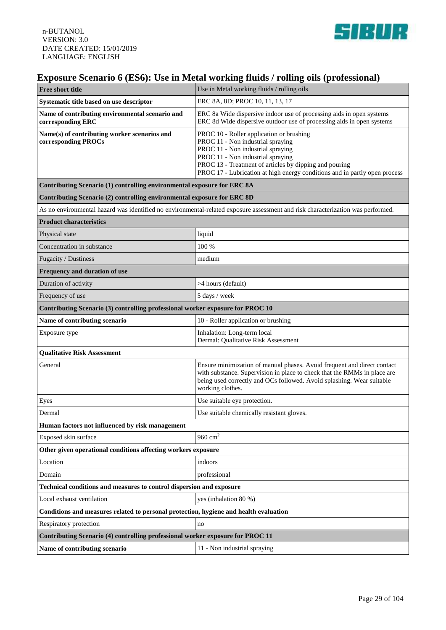

# **Exposure Scenario 6 (ES6): Use in Metal working fluids / rolling oils (professional)**

| <b>Free short title</b>                                                                                                         | Use in Metal working fluids / rolling oils                                                                                                                                                                                                                                                      |
|---------------------------------------------------------------------------------------------------------------------------------|-------------------------------------------------------------------------------------------------------------------------------------------------------------------------------------------------------------------------------------------------------------------------------------------------|
| Systematic title based on use descriptor                                                                                        | ERC 8A, 8D; PROC 10, 11, 13, 17                                                                                                                                                                                                                                                                 |
| Name of contributing environmental scenario and<br>corresponding ERC                                                            | ERC 8a Wide dispersive indoor use of processing aids in open systems<br>ERC 8d Wide dispersive outdoor use of processing aids in open systems                                                                                                                                                   |
| Name(s) of contributing worker scenarios and<br>corresponding PROCs                                                             | PROC 10 - Roller application or brushing<br>PROC 11 - Non industrial spraying<br>PROC 11 - Non industrial spraying<br>PROC 11 - Non industrial spraying<br>PROC 13 - Treatment of articles by dipping and pouring<br>PROC 17 - Lubrication at high energy conditions and in partly open process |
| Contributing Scenario (1) controlling environmental exposure for ERC 8A                                                         |                                                                                                                                                                                                                                                                                                 |
| Contributing Scenario (2) controlling environmental exposure for ERC 8D                                                         |                                                                                                                                                                                                                                                                                                 |
| As no environmental hazard was identified no environmental-related exposure assessment and risk characterization was performed. |                                                                                                                                                                                                                                                                                                 |
| <b>Product characteristics</b>                                                                                                  |                                                                                                                                                                                                                                                                                                 |
| Physical state                                                                                                                  | liquid                                                                                                                                                                                                                                                                                          |
| Concentration in substance                                                                                                      | 100 %                                                                                                                                                                                                                                                                                           |
| Fugacity / Dustiness                                                                                                            | medium                                                                                                                                                                                                                                                                                          |
| Frequency and duration of use                                                                                                   |                                                                                                                                                                                                                                                                                                 |
| Duration of activity                                                                                                            | >4 hours (default)                                                                                                                                                                                                                                                                              |
| Frequency of use                                                                                                                | 5 days / week                                                                                                                                                                                                                                                                                   |
| Contributing Scenario (3) controlling professional worker exposure for PROC 10                                                  |                                                                                                                                                                                                                                                                                                 |
| Name of contributing scenario                                                                                                   | 10 - Roller application or brushing                                                                                                                                                                                                                                                             |
| Exposure type                                                                                                                   | Inhalation: Long-term local<br>Dermal: Qualitative Risk Assessment                                                                                                                                                                                                                              |
| <b>Qualitative Risk Assessment</b>                                                                                              |                                                                                                                                                                                                                                                                                                 |
| General                                                                                                                         | Ensure minimization of manual phases. Avoid frequent and direct contact<br>with substance. Supervision in place to check that the RMMs in place are<br>being used correctly and OCs followed. Avoid splashing. Wear suitable<br>working clothes.                                                |
| Eyes                                                                                                                            | Use suitable eye protection.                                                                                                                                                                                                                                                                    |
| Dermal                                                                                                                          | Use suitable chemically resistant gloves.                                                                                                                                                                                                                                                       |
| Human factors not influenced by risk management                                                                                 |                                                                                                                                                                                                                                                                                                 |
| Exposed skin surface                                                                                                            | 960 $cm2$                                                                                                                                                                                                                                                                                       |
| Other given operational conditions affecting workers exposure                                                                   |                                                                                                                                                                                                                                                                                                 |
| Location                                                                                                                        | indoors                                                                                                                                                                                                                                                                                         |
| Domain                                                                                                                          | professional                                                                                                                                                                                                                                                                                    |
| Technical conditions and measures to control dispersion and exposure                                                            |                                                                                                                                                                                                                                                                                                 |
| Local exhaust ventilation                                                                                                       | yes (inhalation 80 %)                                                                                                                                                                                                                                                                           |
| Conditions and measures related to personal protection, hygiene and health evaluation                                           |                                                                                                                                                                                                                                                                                                 |
| Respiratory protection                                                                                                          | no                                                                                                                                                                                                                                                                                              |
| Contributing Scenario (4) controlling professional worker exposure for PROC 11                                                  |                                                                                                                                                                                                                                                                                                 |
| Name of contributing scenario                                                                                                   | 11 - Non industrial spraying                                                                                                                                                                                                                                                                    |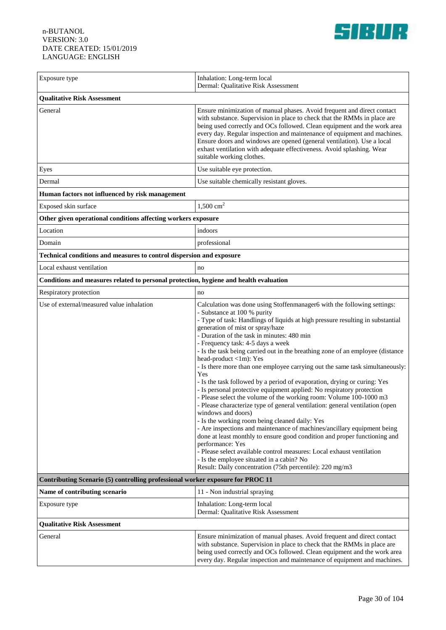

| Exposure type                                                                         | Inhalation: Long-term local<br>Dermal: Qualitative Risk Assessment                                                                                                                                                                                                                                                                                                                                                                                                                                                                                                                                                                                                                                                                                                                                                                                                                                                                                                                                                                                                                                                                                                                                                                                                  |  |
|---------------------------------------------------------------------------------------|---------------------------------------------------------------------------------------------------------------------------------------------------------------------------------------------------------------------------------------------------------------------------------------------------------------------------------------------------------------------------------------------------------------------------------------------------------------------------------------------------------------------------------------------------------------------------------------------------------------------------------------------------------------------------------------------------------------------------------------------------------------------------------------------------------------------------------------------------------------------------------------------------------------------------------------------------------------------------------------------------------------------------------------------------------------------------------------------------------------------------------------------------------------------------------------------------------------------------------------------------------------------|--|
| <b>Qualitative Risk Assessment</b>                                                    |                                                                                                                                                                                                                                                                                                                                                                                                                                                                                                                                                                                                                                                                                                                                                                                                                                                                                                                                                                                                                                                                                                                                                                                                                                                                     |  |
| General                                                                               | Ensure minimization of manual phases. Avoid frequent and direct contact<br>with substance. Supervision in place to check that the RMMs in place are<br>being used correctly and OCs followed. Clean equipment and the work area<br>every day. Regular inspection and maintenance of equipment and machines.<br>Ensure doors and windows are opened (general ventilation). Use a local<br>exhast ventilation with adequate effectiveness. Avoid splashing. Wear<br>suitable working clothes.                                                                                                                                                                                                                                                                                                                                                                                                                                                                                                                                                                                                                                                                                                                                                                         |  |
| Eyes                                                                                  | Use suitable eye protection.                                                                                                                                                                                                                                                                                                                                                                                                                                                                                                                                                                                                                                                                                                                                                                                                                                                                                                                                                                                                                                                                                                                                                                                                                                        |  |
| Dermal                                                                                | Use suitable chemically resistant gloves.                                                                                                                                                                                                                                                                                                                                                                                                                                                                                                                                                                                                                                                                                                                                                                                                                                                                                                                                                                                                                                                                                                                                                                                                                           |  |
| Human factors not influenced by risk management                                       |                                                                                                                                                                                                                                                                                                                                                                                                                                                                                                                                                                                                                                                                                                                                                                                                                                                                                                                                                                                                                                                                                                                                                                                                                                                                     |  |
| Exposed skin surface                                                                  | $1,500 \text{ cm}^2$                                                                                                                                                                                                                                                                                                                                                                                                                                                                                                                                                                                                                                                                                                                                                                                                                                                                                                                                                                                                                                                                                                                                                                                                                                                |  |
| Other given operational conditions affecting workers exposure                         |                                                                                                                                                                                                                                                                                                                                                                                                                                                                                                                                                                                                                                                                                                                                                                                                                                                                                                                                                                                                                                                                                                                                                                                                                                                                     |  |
| Location                                                                              | indoors                                                                                                                                                                                                                                                                                                                                                                                                                                                                                                                                                                                                                                                                                                                                                                                                                                                                                                                                                                                                                                                                                                                                                                                                                                                             |  |
| Domain                                                                                | professional                                                                                                                                                                                                                                                                                                                                                                                                                                                                                                                                                                                                                                                                                                                                                                                                                                                                                                                                                                                                                                                                                                                                                                                                                                                        |  |
| Technical conditions and measures to control dispersion and exposure                  |                                                                                                                                                                                                                                                                                                                                                                                                                                                                                                                                                                                                                                                                                                                                                                                                                                                                                                                                                                                                                                                                                                                                                                                                                                                                     |  |
| Local exhaust ventilation                                                             | no                                                                                                                                                                                                                                                                                                                                                                                                                                                                                                                                                                                                                                                                                                                                                                                                                                                                                                                                                                                                                                                                                                                                                                                                                                                                  |  |
| Conditions and measures related to personal protection, hygiene and health evaluation |                                                                                                                                                                                                                                                                                                                                                                                                                                                                                                                                                                                                                                                                                                                                                                                                                                                                                                                                                                                                                                                                                                                                                                                                                                                                     |  |
| Respiratory protection                                                                | no                                                                                                                                                                                                                                                                                                                                                                                                                                                                                                                                                                                                                                                                                                                                                                                                                                                                                                                                                                                                                                                                                                                                                                                                                                                                  |  |
| Use of external/measured value inhalation                                             | Calculation was done using Stoffenmanager6 with the following settings:<br>- Substance at 100 % purity<br>- Type of task: Handlings of liquids at high pressure resulting in substantial<br>generation of mist or spray/haze<br>- Duration of the task in minutes: 480 min<br>- Frequency task: 4-5 days a week<br>- Is the task being carried out in the breathing zone of an employee (distance<br>head-product <1m): Yes<br>- Is there more than one employee carrying out the same task simultaneously:<br>Yes<br>- Is the task followed by a period of evaporation, drying or curing: Yes<br>- Is personal protective equipment applied: No respiratory protection<br>- Please select the volume of the working room: Volume 100-1000 m3<br>- Please characterize type of general ventilation: general ventilation (open<br>windows and doors)<br>- Is the working room being cleaned daily: Yes<br>- Are inspections and maintenance of machines/ancillary equipment being<br>done at least monthly to ensure good condition and proper functioning and<br>performance: Yes<br>- Please select available control measures: Local exhaust ventilation<br>- Is the employee situated in a cabin? No<br>Result: Daily concentration (75th percentile): 220 mg/m3 |  |
| Contributing Scenario (5) controlling professional worker exposure for PROC 11        |                                                                                                                                                                                                                                                                                                                                                                                                                                                                                                                                                                                                                                                                                                                                                                                                                                                                                                                                                                                                                                                                                                                                                                                                                                                                     |  |
| Name of contributing scenario                                                         | 11 - Non industrial spraying                                                                                                                                                                                                                                                                                                                                                                                                                                                                                                                                                                                                                                                                                                                                                                                                                                                                                                                                                                                                                                                                                                                                                                                                                                        |  |
| Exposure type                                                                         | Inhalation: Long-term local<br>Dermal: Qualitative Risk Assessment                                                                                                                                                                                                                                                                                                                                                                                                                                                                                                                                                                                                                                                                                                                                                                                                                                                                                                                                                                                                                                                                                                                                                                                                  |  |
| <b>Qualitative Risk Assessment</b>                                                    |                                                                                                                                                                                                                                                                                                                                                                                                                                                                                                                                                                                                                                                                                                                                                                                                                                                                                                                                                                                                                                                                                                                                                                                                                                                                     |  |
| General                                                                               | Ensure minimization of manual phases. Avoid frequent and direct contact<br>with substance. Supervision in place to check that the RMMs in place are<br>being used correctly and OCs followed. Clean equipment and the work area<br>every day. Regular inspection and maintenance of equipment and machines.                                                                                                                                                                                                                                                                                                                                                                                                                                                                                                                                                                                                                                                                                                                                                                                                                                                                                                                                                         |  |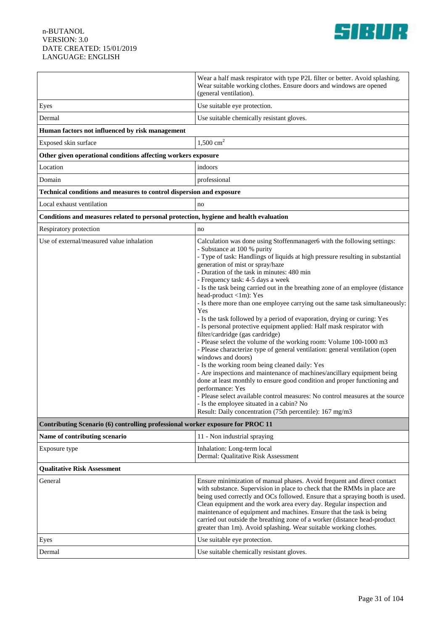

|                                                                                       | Wear a half mask respirator with type P2L filter or better. Avoid splashing.<br>Wear suitable working clothes. Ensure doors and windows are opened<br>(general ventilation).                                                                                                                                                                                                                                                                                                                                                                                                                                                                                                                                                                                                                                                                                                                                                                                                                                                                                                                                                                                                                                                                                                                                  |
|---------------------------------------------------------------------------------------|---------------------------------------------------------------------------------------------------------------------------------------------------------------------------------------------------------------------------------------------------------------------------------------------------------------------------------------------------------------------------------------------------------------------------------------------------------------------------------------------------------------------------------------------------------------------------------------------------------------------------------------------------------------------------------------------------------------------------------------------------------------------------------------------------------------------------------------------------------------------------------------------------------------------------------------------------------------------------------------------------------------------------------------------------------------------------------------------------------------------------------------------------------------------------------------------------------------------------------------------------------------------------------------------------------------|
| Eyes                                                                                  | Use suitable eye protection.                                                                                                                                                                                                                                                                                                                                                                                                                                                                                                                                                                                                                                                                                                                                                                                                                                                                                                                                                                                                                                                                                                                                                                                                                                                                                  |
| Dermal                                                                                | Use suitable chemically resistant gloves.                                                                                                                                                                                                                                                                                                                                                                                                                                                                                                                                                                                                                                                                                                                                                                                                                                                                                                                                                                                                                                                                                                                                                                                                                                                                     |
| Human factors not influenced by risk management                                       |                                                                                                                                                                                                                                                                                                                                                                                                                                                                                                                                                                                                                                                                                                                                                                                                                                                                                                                                                                                                                                                                                                                                                                                                                                                                                                               |
| Exposed skin surface                                                                  | 1,500 $\text{cm}^2$                                                                                                                                                                                                                                                                                                                                                                                                                                                                                                                                                                                                                                                                                                                                                                                                                                                                                                                                                                                                                                                                                                                                                                                                                                                                                           |
| Other given operational conditions affecting workers exposure                         |                                                                                                                                                                                                                                                                                                                                                                                                                                                                                                                                                                                                                                                                                                                                                                                                                                                                                                                                                                                                                                                                                                                                                                                                                                                                                                               |
| Location                                                                              | indoors                                                                                                                                                                                                                                                                                                                                                                                                                                                                                                                                                                                                                                                                                                                                                                                                                                                                                                                                                                                                                                                                                                                                                                                                                                                                                                       |
| Domain                                                                                | professional                                                                                                                                                                                                                                                                                                                                                                                                                                                                                                                                                                                                                                                                                                                                                                                                                                                                                                                                                                                                                                                                                                                                                                                                                                                                                                  |
| Technical conditions and measures to control dispersion and exposure                  |                                                                                                                                                                                                                                                                                                                                                                                                                                                                                                                                                                                                                                                                                                                                                                                                                                                                                                                                                                                                                                                                                                                                                                                                                                                                                                               |
| Local exhaust ventilation                                                             | no                                                                                                                                                                                                                                                                                                                                                                                                                                                                                                                                                                                                                                                                                                                                                                                                                                                                                                                                                                                                                                                                                                                                                                                                                                                                                                            |
| Conditions and measures related to personal protection, hygiene and health evaluation |                                                                                                                                                                                                                                                                                                                                                                                                                                                                                                                                                                                                                                                                                                                                                                                                                                                                                                                                                                                                                                                                                                                                                                                                                                                                                                               |
| Respiratory protection                                                                | no                                                                                                                                                                                                                                                                                                                                                                                                                                                                                                                                                                                                                                                                                                                                                                                                                                                                                                                                                                                                                                                                                                                                                                                                                                                                                                            |
| Use of external/measured value inhalation                                             | Calculation was done using Stoffenmanager6 with the following settings:<br>- Substance at 100 % purity<br>- Type of task: Handlings of liquids at high pressure resulting in substantial<br>generation of mist or spray/haze<br>- Duration of the task in minutes: 480 min<br>- Frequency task: 4-5 days a week<br>- Is the task being carried out in the breathing zone of an employee (distance<br>head-product <1m): Yes<br>- Is there more than one employee carrying out the same task simultaneously:<br>Yes<br>- Is the task followed by a period of evaporation, drying or curing: Yes<br>- Is personal protective equipment applied: Half mask respirator with<br>filter/cardridge (gas cardridge)<br>- Please select the volume of the working room: Volume 100-1000 m3<br>- Please characterize type of general ventilation: general ventilation (open<br>windows and doors)<br>- Is the working room being cleaned daily: Yes<br>- Are inspections and maintenance of machines/ancillary equipment being<br>done at least monthly to ensure good condition and proper functioning and<br>performance: Yes<br>- Please select available control measures: No control measures at the source<br>Is the employee situated in a cabin? No<br>Result: Daily concentration (75th percentile): 167 mg/m3 |
| Contributing Scenario (6) controlling professional worker exposure for PROC 11        |                                                                                                                                                                                                                                                                                                                                                                                                                                                                                                                                                                                                                                                                                                                                                                                                                                                                                                                                                                                                                                                                                                                                                                                                                                                                                                               |
| Name of contributing scenario                                                         | 11 - Non industrial spraying                                                                                                                                                                                                                                                                                                                                                                                                                                                                                                                                                                                                                                                                                                                                                                                                                                                                                                                                                                                                                                                                                                                                                                                                                                                                                  |
| Exposure type                                                                         | Inhalation: Long-term local<br>Dermal: Qualitative Risk Assessment                                                                                                                                                                                                                                                                                                                                                                                                                                                                                                                                                                                                                                                                                                                                                                                                                                                                                                                                                                                                                                                                                                                                                                                                                                            |
| <b>Oualitative Risk Assessment</b>                                                    |                                                                                                                                                                                                                                                                                                                                                                                                                                                                                                                                                                                                                                                                                                                                                                                                                                                                                                                                                                                                                                                                                                                                                                                                                                                                                                               |
| General                                                                               | Ensure minimization of manual phases. Avoid frequent and direct contact<br>with substance. Supervision in place to check that the RMMs in place are<br>being used correctly and OCs followed. Ensure that a spraying booth is used.<br>Clean equipment and the work area every day. Regular inspection and<br>maintenance of equipment and machines. Ensure that the task is being<br>carried out outside the breathing zone of a worker (distance head-product<br>greater than 1m). Avoid splashing. Wear suitable working clothes.                                                                                                                                                                                                                                                                                                                                                                                                                                                                                                                                                                                                                                                                                                                                                                          |
| Eyes                                                                                  | Use suitable eye protection.                                                                                                                                                                                                                                                                                                                                                                                                                                                                                                                                                                                                                                                                                                                                                                                                                                                                                                                                                                                                                                                                                                                                                                                                                                                                                  |
| Dermal                                                                                | Use suitable chemically resistant gloves.                                                                                                                                                                                                                                                                                                                                                                                                                                                                                                                                                                                                                                                                                                                                                                                                                                                                                                                                                                                                                                                                                                                                                                                                                                                                     |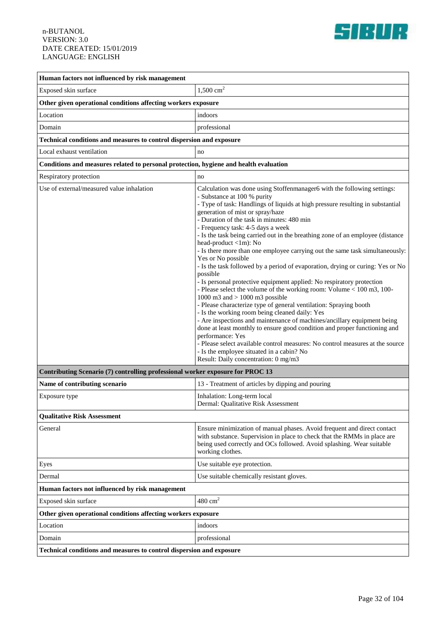

| Human factors not influenced by risk management                                       |                                                                                                                                                                                                                                                                                                                                                                                                                                                                                                                                                                                                                                                                                                                                                                                                                                                                                                                                                                                                                                                                                                                                                                                                                                                                                                |
|---------------------------------------------------------------------------------------|------------------------------------------------------------------------------------------------------------------------------------------------------------------------------------------------------------------------------------------------------------------------------------------------------------------------------------------------------------------------------------------------------------------------------------------------------------------------------------------------------------------------------------------------------------------------------------------------------------------------------------------------------------------------------------------------------------------------------------------------------------------------------------------------------------------------------------------------------------------------------------------------------------------------------------------------------------------------------------------------------------------------------------------------------------------------------------------------------------------------------------------------------------------------------------------------------------------------------------------------------------------------------------------------|
| Exposed skin surface                                                                  | $1,500$ cm <sup>2</sup>                                                                                                                                                                                                                                                                                                                                                                                                                                                                                                                                                                                                                                                                                                                                                                                                                                                                                                                                                                                                                                                                                                                                                                                                                                                                        |
| Other given operational conditions affecting workers exposure                         |                                                                                                                                                                                                                                                                                                                                                                                                                                                                                                                                                                                                                                                                                                                                                                                                                                                                                                                                                                                                                                                                                                                                                                                                                                                                                                |
| Location                                                                              | indoors                                                                                                                                                                                                                                                                                                                                                                                                                                                                                                                                                                                                                                                                                                                                                                                                                                                                                                                                                                                                                                                                                                                                                                                                                                                                                        |
| Domain                                                                                | professional                                                                                                                                                                                                                                                                                                                                                                                                                                                                                                                                                                                                                                                                                                                                                                                                                                                                                                                                                                                                                                                                                                                                                                                                                                                                                   |
| Technical conditions and measures to control dispersion and exposure                  |                                                                                                                                                                                                                                                                                                                                                                                                                                                                                                                                                                                                                                                                                                                                                                                                                                                                                                                                                                                                                                                                                                                                                                                                                                                                                                |
| Local exhaust ventilation                                                             | no                                                                                                                                                                                                                                                                                                                                                                                                                                                                                                                                                                                                                                                                                                                                                                                                                                                                                                                                                                                                                                                                                                                                                                                                                                                                                             |
| Conditions and measures related to personal protection, hygiene and health evaluation |                                                                                                                                                                                                                                                                                                                                                                                                                                                                                                                                                                                                                                                                                                                                                                                                                                                                                                                                                                                                                                                                                                                                                                                                                                                                                                |
| Respiratory protection                                                                | no                                                                                                                                                                                                                                                                                                                                                                                                                                                                                                                                                                                                                                                                                                                                                                                                                                                                                                                                                                                                                                                                                                                                                                                                                                                                                             |
| Use of external/measured value inhalation                                             | Calculation was done using Stoffenmanager6 with the following settings:<br>- Substance at 100 % purity<br>- Type of task: Handlings of liquids at high pressure resulting in substantial<br>generation of mist or spray/haze<br>- Duration of the task in minutes: 480 min<br>- Frequency task: 4-5 days a week<br>- Is the task being carried out in the breathing zone of an employee (distance)<br>head-product <1m): No<br>- Is there more than one employee carrying out the same task simultaneously:<br>Yes or No possible<br>- Is the task followed by a period of evaporation, drying or curing: Yes or No<br>possible<br>- Is personal protective equipment applied: No respiratory protection<br>- Please select the volume of the working room: Volume < 100 m3, 100-<br>1000 m3 and $> 1000$ m3 possible<br>- Please characterize type of general ventilation: Spraying booth<br>- Is the working room being cleaned daily: Yes<br>- Are inspections and maintenance of machines/ancillary equipment being<br>done at least monthly to ensure good condition and proper functioning and<br>performance: Yes<br>- Please select available control measures: No control measures at the source<br>- Is the employee situated in a cabin? No<br>Result: Daily concentration: 0 mg/m3 |
| Contributing Scenario (7) controlling professional worker exposure for PROC 13        |                                                                                                                                                                                                                                                                                                                                                                                                                                                                                                                                                                                                                                                                                                                                                                                                                                                                                                                                                                                                                                                                                                                                                                                                                                                                                                |
| Name of contributing scenario                                                         | 13 - Treatment of articles by dipping and pouring                                                                                                                                                                                                                                                                                                                                                                                                                                                                                                                                                                                                                                                                                                                                                                                                                                                                                                                                                                                                                                                                                                                                                                                                                                              |
| Exposure type                                                                         | Inhalation: Long-term local<br>Dermal: Qualitative Risk Assessment                                                                                                                                                                                                                                                                                                                                                                                                                                                                                                                                                                                                                                                                                                                                                                                                                                                                                                                                                                                                                                                                                                                                                                                                                             |
| <b>Qualitative Risk Assessment</b>                                                    |                                                                                                                                                                                                                                                                                                                                                                                                                                                                                                                                                                                                                                                                                                                                                                                                                                                                                                                                                                                                                                                                                                                                                                                                                                                                                                |
| General                                                                               | Ensure minimization of manual phases. Avoid frequent and direct contact<br>with substance. Supervision in place to check that the RMMs in place are<br>being used correctly and OCs followed. Avoid splashing. Wear suitable<br>working clothes.                                                                                                                                                                                                                                                                                                                                                                                                                                                                                                                                                                                                                                                                                                                                                                                                                                                                                                                                                                                                                                               |
| Eyes                                                                                  | Use suitable eye protection.                                                                                                                                                                                                                                                                                                                                                                                                                                                                                                                                                                                                                                                                                                                                                                                                                                                                                                                                                                                                                                                                                                                                                                                                                                                                   |
| Dermal                                                                                | Use suitable chemically resistant gloves.                                                                                                                                                                                                                                                                                                                                                                                                                                                                                                                                                                                                                                                                                                                                                                                                                                                                                                                                                                                                                                                                                                                                                                                                                                                      |
| Human factors not influenced by risk management                                       |                                                                                                                                                                                                                                                                                                                                                                                                                                                                                                                                                                                                                                                                                                                                                                                                                                                                                                                                                                                                                                                                                                                                                                                                                                                                                                |
| Exposed skin surface                                                                  | $480 \text{ cm}^2$                                                                                                                                                                                                                                                                                                                                                                                                                                                                                                                                                                                                                                                                                                                                                                                                                                                                                                                                                                                                                                                                                                                                                                                                                                                                             |
| Other given operational conditions affecting workers exposure                         |                                                                                                                                                                                                                                                                                                                                                                                                                                                                                                                                                                                                                                                                                                                                                                                                                                                                                                                                                                                                                                                                                                                                                                                                                                                                                                |
| Location                                                                              | indoors                                                                                                                                                                                                                                                                                                                                                                                                                                                                                                                                                                                                                                                                                                                                                                                                                                                                                                                                                                                                                                                                                                                                                                                                                                                                                        |
| Domain                                                                                | professional                                                                                                                                                                                                                                                                                                                                                                                                                                                                                                                                                                                                                                                                                                                                                                                                                                                                                                                                                                                                                                                                                                                                                                                                                                                                                   |
| Technical conditions and measures to control dispersion and exposure                  |                                                                                                                                                                                                                                                                                                                                                                                                                                                                                                                                                                                                                                                                                                                                                                                                                                                                                                                                                                                                                                                                                                                                                                                                                                                                                                |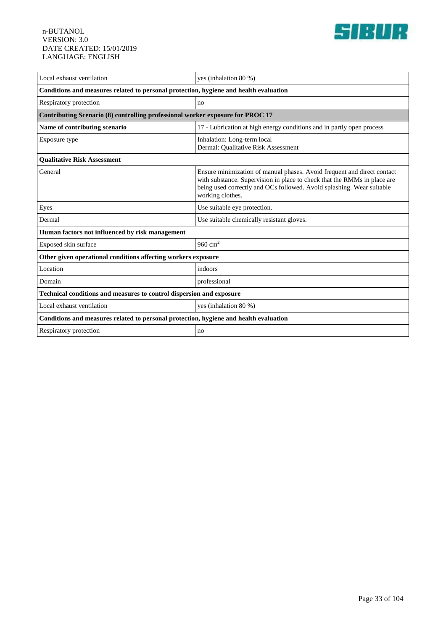

| Local exhaust ventilation                                                             | yes (inhalation 80 %)                                                                                                                                                                                                                            |
|---------------------------------------------------------------------------------------|--------------------------------------------------------------------------------------------------------------------------------------------------------------------------------------------------------------------------------------------------|
| Conditions and measures related to personal protection, hygiene and health evaluation |                                                                                                                                                                                                                                                  |
| Respiratory protection                                                                | no                                                                                                                                                                                                                                               |
| Contributing Scenario (8) controlling professional worker exposure for PROC 17        |                                                                                                                                                                                                                                                  |
| Name of contributing scenario                                                         | 17 - Lubrication at high energy conditions and in partly open process                                                                                                                                                                            |
| Exposure type                                                                         | Inhalation: Long-term local<br>Dermal: Qualitative Risk Assessment                                                                                                                                                                               |
| <b>Oualitative Risk Assessment</b>                                                    |                                                                                                                                                                                                                                                  |
| General                                                                               | Ensure minimization of manual phases. Avoid frequent and direct contact<br>with substance. Supervision in place to check that the RMMs in place are<br>being used correctly and OCs followed. Avoid splashing. Wear suitable<br>working clothes. |
| Eyes                                                                                  | Use suitable eye protection.                                                                                                                                                                                                                     |
| Dermal                                                                                | Use suitable chemically resistant gloves.                                                                                                                                                                                                        |
| Human factors not influenced by risk management                                       |                                                                                                                                                                                                                                                  |
| Exposed skin surface                                                                  | 960 $cm2$                                                                                                                                                                                                                                        |
| Other given operational conditions affecting workers exposure                         |                                                                                                                                                                                                                                                  |
| Location                                                                              | indoors                                                                                                                                                                                                                                          |
| Domain                                                                                | professional                                                                                                                                                                                                                                     |
| <b>Technical conditions and measures to control dispersion and exposure</b>           |                                                                                                                                                                                                                                                  |
| Local exhaust ventilation                                                             | yes (inhalation $80\%$ )                                                                                                                                                                                                                         |
| Conditions and measures related to personal protection, hygiene and health evaluation |                                                                                                                                                                                                                                                  |
| Respiratory protection                                                                | no                                                                                                                                                                                                                                               |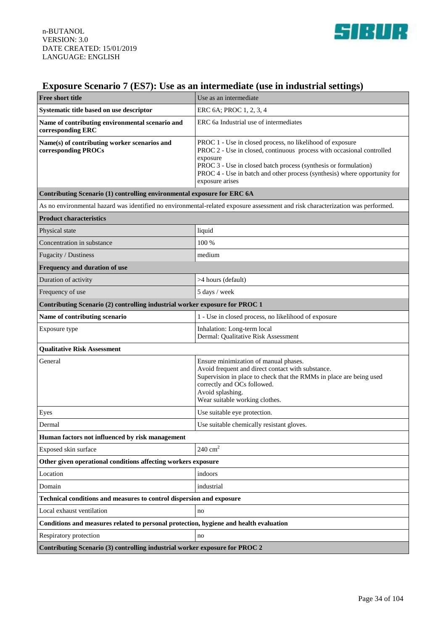

# **Exposure Scenario 7 (ES7): Use as an intermediate (use in industrial settings)**

| <b>Free short title</b>                                                                                                         | Use as an intermediate                                                                                                                                                                                                                                                                                            |
|---------------------------------------------------------------------------------------------------------------------------------|-------------------------------------------------------------------------------------------------------------------------------------------------------------------------------------------------------------------------------------------------------------------------------------------------------------------|
| Systematic title based on use descriptor                                                                                        | ERC 6A; PROC 1, 2, 3, 4                                                                                                                                                                                                                                                                                           |
| Name of contributing environmental scenario and<br>corresponding ERC                                                            | ERC 6a Industrial use of intermediates                                                                                                                                                                                                                                                                            |
| Name(s) of contributing worker scenarios and<br>corresponding PROCs                                                             | PROC 1 - Use in closed process, no likelihood of exposure<br>PROC 2 - Use in closed, continuous process with occasional controlled<br>exposure<br>PROC 3 - Use in closed batch process (synthesis or formulation)<br>PROC 4 - Use in batch and other process (synthesis) where opportunity for<br>exposure arises |
| Contributing Scenario (1) controlling environmental exposure for ERC 6A                                                         |                                                                                                                                                                                                                                                                                                                   |
| As no environmental hazard was identified no environmental-related exposure assessment and risk characterization was performed. |                                                                                                                                                                                                                                                                                                                   |
| <b>Product characteristics</b>                                                                                                  |                                                                                                                                                                                                                                                                                                                   |
| Physical state                                                                                                                  | liquid                                                                                                                                                                                                                                                                                                            |
| Concentration in substance                                                                                                      | 100 %                                                                                                                                                                                                                                                                                                             |
| Fugacity / Dustiness                                                                                                            | medium                                                                                                                                                                                                                                                                                                            |
| Frequency and duration of use                                                                                                   |                                                                                                                                                                                                                                                                                                                   |
| Duration of activity                                                                                                            | >4 hours (default)                                                                                                                                                                                                                                                                                                |
| Frequency of use                                                                                                                | 5 days / week                                                                                                                                                                                                                                                                                                     |
| Contributing Scenario (2) controlling industrial worker exposure for PROC 1                                                     |                                                                                                                                                                                                                                                                                                                   |
| Name of contributing scenario                                                                                                   | 1 - Use in closed process, no likelihood of exposure                                                                                                                                                                                                                                                              |
| Exposure type                                                                                                                   | Inhalation: Long-term local<br>Dermal: Qualitative Risk Assessment                                                                                                                                                                                                                                                |
| <b>Qualitative Risk Assessment</b>                                                                                              |                                                                                                                                                                                                                                                                                                                   |
| General                                                                                                                         | Ensure minimization of manual phases.<br>Avoid frequent and direct contact with substance.<br>Supervision in place to check that the RMMs in place are being used<br>correctly and OCs followed.<br>Avoid splashing.<br>Wear suitable working clothes.                                                            |
| Eyes                                                                                                                            | Use suitable eye protection.                                                                                                                                                                                                                                                                                      |
| Dermal                                                                                                                          | Use suitable chemically resistant gloves.                                                                                                                                                                                                                                                                         |
| Human factors not influenced by risk management                                                                                 |                                                                                                                                                                                                                                                                                                                   |
| Exposed skin surface                                                                                                            | $240 \text{ cm}^2$                                                                                                                                                                                                                                                                                                |
| Other given operational conditions affecting workers exposure                                                                   |                                                                                                                                                                                                                                                                                                                   |
| Location                                                                                                                        | indoors                                                                                                                                                                                                                                                                                                           |
| Domain                                                                                                                          | industrial                                                                                                                                                                                                                                                                                                        |
| Technical conditions and measures to control dispersion and exposure                                                            |                                                                                                                                                                                                                                                                                                                   |
| Local exhaust ventilation                                                                                                       | no                                                                                                                                                                                                                                                                                                                |
| Conditions and measures related to personal protection, hygiene and health evaluation                                           |                                                                                                                                                                                                                                                                                                                   |
| Respiratory protection                                                                                                          | no                                                                                                                                                                                                                                                                                                                |
| Contributing Scenario (3) controlling industrial worker exposure for PROC 2                                                     |                                                                                                                                                                                                                                                                                                                   |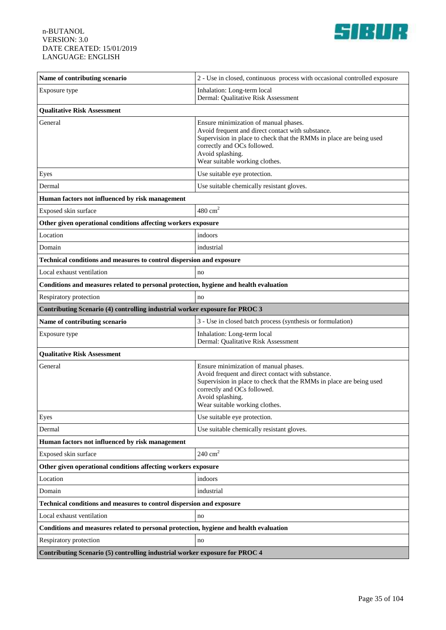

| Name of contributing scenario                                                         | 2 - Use in closed, continuous process with occasional controlled exposure                                                                                                                                                                              |
|---------------------------------------------------------------------------------------|--------------------------------------------------------------------------------------------------------------------------------------------------------------------------------------------------------------------------------------------------------|
| Exposure type                                                                         | Inhalation: Long-term local<br>Dermal: Qualitative Risk Assessment                                                                                                                                                                                     |
| <b>Qualitative Risk Assessment</b>                                                    |                                                                                                                                                                                                                                                        |
| General                                                                               | Ensure minimization of manual phases.<br>Avoid frequent and direct contact with substance.<br>Supervision in place to check that the RMMs in place are being used<br>correctly and OCs followed.<br>Avoid splashing.<br>Wear suitable working clothes. |
| Eyes                                                                                  | Use suitable eye protection.                                                                                                                                                                                                                           |
| Dermal                                                                                | Use suitable chemically resistant gloves.                                                                                                                                                                                                              |
| Human factors not influenced by risk management                                       |                                                                                                                                                                                                                                                        |
| Exposed skin surface                                                                  | $480 \text{ cm}^2$                                                                                                                                                                                                                                     |
| Other given operational conditions affecting workers exposure                         |                                                                                                                                                                                                                                                        |
| Location                                                                              | indoors                                                                                                                                                                                                                                                |
| Domain                                                                                | industrial                                                                                                                                                                                                                                             |
| Technical conditions and measures to control dispersion and exposure                  |                                                                                                                                                                                                                                                        |
| Local exhaust ventilation                                                             | no                                                                                                                                                                                                                                                     |
| Conditions and measures related to personal protection, hygiene and health evaluation |                                                                                                                                                                                                                                                        |
| Respiratory protection                                                                | no                                                                                                                                                                                                                                                     |
| Contributing Scenario (4) controlling industrial worker exposure for PROC 3           |                                                                                                                                                                                                                                                        |
| Name of contributing scenario                                                         | 3 - Use in closed batch process (synthesis or formulation)                                                                                                                                                                                             |
| Exposure type                                                                         | Inhalation: Long-term local<br>Dermal: Qualitative Risk Assessment                                                                                                                                                                                     |
| <b>Qualitative Risk Assessment</b>                                                    |                                                                                                                                                                                                                                                        |
| General                                                                               | Ensure minimization of manual phases.<br>Avoid frequent and direct contact with substance.<br>Supervision in place to check that the RMMs in place are being used<br>correctly and OCs followed.<br>Avoid splashing.<br>Wear suitable working clothes. |
| Eyes                                                                                  | Use suitable eye protection.                                                                                                                                                                                                                           |
| Dermal                                                                                | Use suitable chemically resistant gloves.                                                                                                                                                                                                              |
| Human factors not influenced by risk management                                       |                                                                                                                                                                                                                                                        |
| Exposed skin surface                                                                  | $240 \text{ cm}^2$                                                                                                                                                                                                                                     |
| Other given operational conditions affecting workers exposure                         |                                                                                                                                                                                                                                                        |
| Location                                                                              | indoors                                                                                                                                                                                                                                                |
| Domain                                                                                | industrial                                                                                                                                                                                                                                             |
| Technical conditions and measures to control dispersion and exposure                  |                                                                                                                                                                                                                                                        |
| Local exhaust ventilation                                                             | no                                                                                                                                                                                                                                                     |
| Conditions and measures related to personal protection, hygiene and health evaluation |                                                                                                                                                                                                                                                        |
| Respiratory protection                                                                | no                                                                                                                                                                                                                                                     |
| Contributing Scenario (5) controlling industrial worker exposure for PROC 4           |                                                                                                                                                                                                                                                        |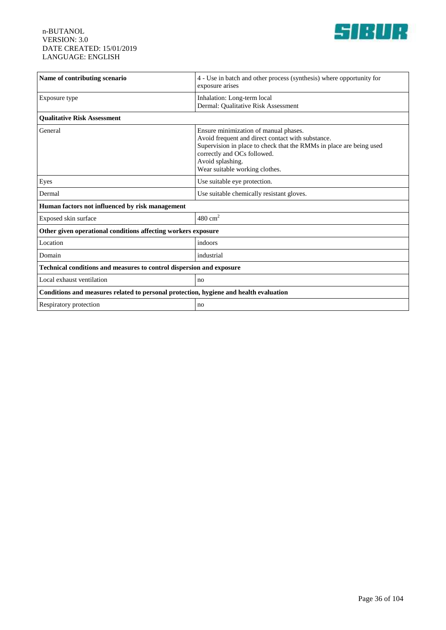

| Name of contributing scenario                                                         | 4 - Use in batch and other process (synthesis) where opportunity for<br>exposure arises                                                                                                                                                                |
|---------------------------------------------------------------------------------------|--------------------------------------------------------------------------------------------------------------------------------------------------------------------------------------------------------------------------------------------------------|
| Exposure type                                                                         | Inhalation: Long-term local<br>Dermal: Qualitative Risk Assessment                                                                                                                                                                                     |
| <b>Qualitative Risk Assessment</b>                                                    |                                                                                                                                                                                                                                                        |
| General                                                                               | Ensure minimization of manual phases.<br>Avoid frequent and direct contact with substance.<br>Supervision in place to check that the RMMs in place are being used<br>correctly and OCs followed.<br>Avoid splashing.<br>Wear suitable working clothes. |
| Eyes                                                                                  | Use suitable eye protection.                                                                                                                                                                                                                           |
| Dermal                                                                                | Use suitable chemically resistant gloves.                                                                                                                                                                                                              |
| Human factors not influenced by risk management                                       |                                                                                                                                                                                                                                                        |
| Exposed skin surface                                                                  | $480 \text{ cm}^2$                                                                                                                                                                                                                                     |
| Other given operational conditions affecting workers exposure                         |                                                                                                                                                                                                                                                        |
| Location                                                                              | indoors                                                                                                                                                                                                                                                |
| Domain                                                                                | industrial                                                                                                                                                                                                                                             |
| Technical conditions and measures to control dispersion and exposure                  |                                                                                                                                                                                                                                                        |
| Local exhaust ventilation                                                             | no                                                                                                                                                                                                                                                     |
| Conditions and measures related to personal protection, hygiene and health evaluation |                                                                                                                                                                                                                                                        |
| Respiratory protection                                                                | no                                                                                                                                                                                                                                                     |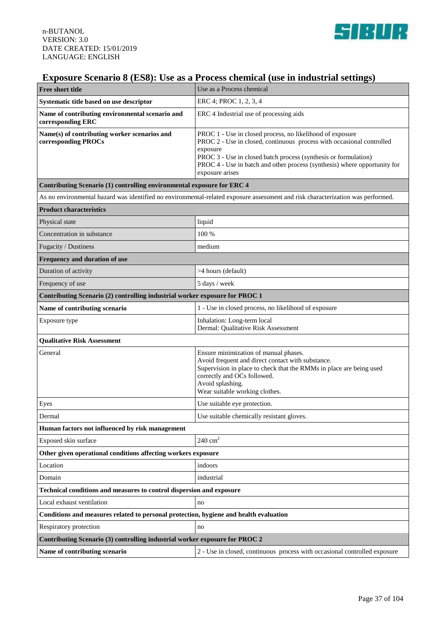

## **Exposure Scenario 8 (ES8): Use as a Process chemical (use in industrial settings)**

| <b>Free short title</b>                                                               | Use as a Process chemical                                                                                                                                                                                                                                                                                         |  |
|---------------------------------------------------------------------------------------|-------------------------------------------------------------------------------------------------------------------------------------------------------------------------------------------------------------------------------------------------------------------------------------------------------------------|--|
| Systematic title based on use descriptor                                              | ERC 4; PROC 1, 2, 3, 4                                                                                                                                                                                                                                                                                            |  |
| Name of contributing environmental scenario and<br>corresponding ERC                  | ERC 4 Industrial use of processing aids                                                                                                                                                                                                                                                                           |  |
| Name(s) of contributing worker scenarios and<br>corresponding PROCs                   | PROC 1 - Use in closed process, no likelihood of exposure<br>PROC 2 - Use in closed, continuous process with occasional controlled<br>exposure<br>PROC 3 - Use in closed batch process (synthesis or formulation)<br>PROC 4 - Use in batch and other process (synthesis) where opportunity for<br>exposure arises |  |
| Contributing Scenario (1) controlling environmental exposure for ERC 4                |                                                                                                                                                                                                                                                                                                                   |  |
|                                                                                       | As no environmental hazard was identified no environmental-related exposure assessment and risk characterization was performed.                                                                                                                                                                                   |  |
| <b>Product characteristics</b>                                                        |                                                                                                                                                                                                                                                                                                                   |  |
| Physical state                                                                        | liquid                                                                                                                                                                                                                                                                                                            |  |
| Concentration in substance                                                            | 100 %                                                                                                                                                                                                                                                                                                             |  |
| Fugacity / Dustiness                                                                  | medium                                                                                                                                                                                                                                                                                                            |  |
| Frequency and duration of use                                                         |                                                                                                                                                                                                                                                                                                                   |  |
| Duration of activity                                                                  | >4 hours (default)                                                                                                                                                                                                                                                                                                |  |
| Frequency of use                                                                      | 5 days / week                                                                                                                                                                                                                                                                                                     |  |
| Contributing Scenario (2) controlling industrial worker exposure for PROC 1           |                                                                                                                                                                                                                                                                                                                   |  |
| Name of contributing scenario                                                         | 1 - Use in closed process, no likelihood of exposure                                                                                                                                                                                                                                                              |  |
| Exposure type                                                                         | Inhalation: Long-term local<br>Dermal: Qualitative Risk Assessment                                                                                                                                                                                                                                                |  |
| <b>Qualitative Risk Assessment</b>                                                    |                                                                                                                                                                                                                                                                                                                   |  |
| General                                                                               | Ensure minimization of manual phases.<br>Avoid frequent and direct contact with substance.<br>Supervision in place to check that the RMMs in place are being used<br>correctly and OCs followed.<br>Avoid splashing.<br>Wear suitable working clothes.                                                            |  |
| Eyes                                                                                  | Use suitable eye protection.                                                                                                                                                                                                                                                                                      |  |
| Dermal                                                                                | Use suitable chemically resistant gloves.                                                                                                                                                                                                                                                                         |  |
| Human factors not influenced by risk management                                       |                                                                                                                                                                                                                                                                                                                   |  |
| Exposed skin surface                                                                  | $240 \text{ cm}^2$                                                                                                                                                                                                                                                                                                |  |
| Other given operational conditions affecting workers exposure                         |                                                                                                                                                                                                                                                                                                                   |  |
| Location                                                                              | indoors                                                                                                                                                                                                                                                                                                           |  |
| Domain                                                                                | industrial                                                                                                                                                                                                                                                                                                        |  |
| Technical conditions and measures to control dispersion and exposure                  |                                                                                                                                                                                                                                                                                                                   |  |
| Local exhaust ventilation                                                             | no                                                                                                                                                                                                                                                                                                                |  |
| Conditions and measures related to personal protection, hygiene and health evaluation |                                                                                                                                                                                                                                                                                                                   |  |
| Respiratory protection                                                                | no                                                                                                                                                                                                                                                                                                                |  |
| Contributing Scenario (3) controlling industrial worker exposure for PROC 2           |                                                                                                                                                                                                                                                                                                                   |  |
| Name of contributing scenario                                                         | 2 - Use in closed, continuous process with occasional controlled exposure                                                                                                                                                                                                                                         |  |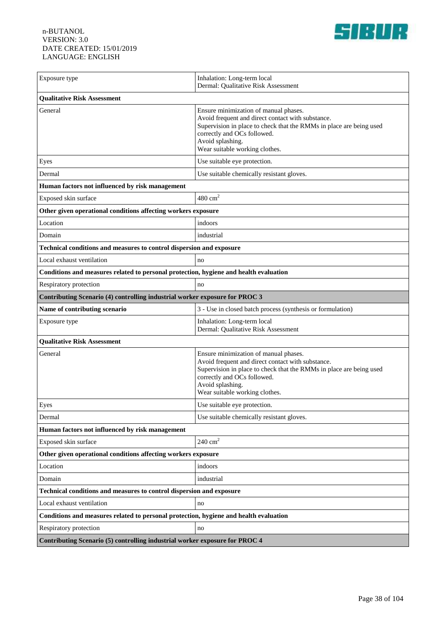

| Exposure type                                                                         | Inhalation: Long-term local<br>Dermal: Qualitative Risk Assessment                                                                                                                                                                                     |  |
|---------------------------------------------------------------------------------------|--------------------------------------------------------------------------------------------------------------------------------------------------------------------------------------------------------------------------------------------------------|--|
| <b>Qualitative Risk Assessment</b>                                                    |                                                                                                                                                                                                                                                        |  |
| General                                                                               | Ensure minimization of manual phases.<br>Avoid frequent and direct contact with substance.<br>Supervision in place to check that the RMMs in place are being used<br>correctly and OCs followed.<br>Avoid splashing.<br>Wear suitable working clothes. |  |
| Eyes                                                                                  | Use suitable eye protection.                                                                                                                                                                                                                           |  |
| Dermal                                                                                | Use suitable chemically resistant gloves.                                                                                                                                                                                                              |  |
| Human factors not influenced by risk management                                       |                                                                                                                                                                                                                                                        |  |
| Exposed skin surface                                                                  | $480 \text{ cm}^2$                                                                                                                                                                                                                                     |  |
| Other given operational conditions affecting workers exposure                         |                                                                                                                                                                                                                                                        |  |
| Location                                                                              | indoors                                                                                                                                                                                                                                                |  |
| Domain                                                                                | industrial                                                                                                                                                                                                                                             |  |
| Technical conditions and measures to control dispersion and exposure                  |                                                                                                                                                                                                                                                        |  |
| Local exhaust ventilation                                                             | no                                                                                                                                                                                                                                                     |  |
| Conditions and measures related to personal protection, hygiene and health evaluation |                                                                                                                                                                                                                                                        |  |
| Respiratory protection                                                                | no                                                                                                                                                                                                                                                     |  |
| Contributing Scenario (4) controlling industrial worker exposure for PROC 3           |                                                                                                                                                                                                                                                        |  |
| Name of contributing scenario                                                         | 3 - Use in closed batch process (synthesis or formulation)                                                                                                                                                                                             |  |
| Exposure type                                                                         | Inhalation: Long-term local<br>Dermal: Qualitative Risk Assessment                                                                                                                                                                                     |  |
| <b>Qualitative Risk Assessment</b>                                                    |                                                                                                                                                                                                                                                        |  |
| General                                                                               | Ensure minimization of manual phases.<br>Avoid frequent and direct contact with substance.<br>Supervision in place to check that the RMMs in place are being used<br>correctly and OCs followed.<br>Avoid splashing.<br>Wear suitable working clothes. |  |
| Eyes                                                                                  | Use suitable eye protection.                                                                                                                                                                                                                           |  |
| Dermal                                                                                | Use suitable chemically resistant gloves.                                                                                                                                                                                                              |  |
| Human factors not influenced by risk management                                       |                                                                                                                                                                                                                                                        |  |
| Exposed skin surface                                                                  | $240 \text{ cm}^2$                                                                                                                                                                                                                                     |  |
| Other given operational conditions affecting workers exposure                         |                                                                                                                                                                                                                                                        |  |
| Location                                                                              | indoors                                                                                                                                                                                                                                                |  |
| Domain                                                                                | industrial                                                                                                                                                                                                                                             |  |
| Technical conditions and measures to control dispersion and exposure                  |                                                                                                                                                                                                                                                        |  |
| Local exhaust ventilation                                                             | no                                                                                                                                                                                                                                                     |  |
| Conditions and measures related to personal protection, hygiene and health evaluation |                                                                                                                                                                                                                                                        |  |
| Respiratory protection                                                                | no                                                                                                                                                                                                                                                     |  |
| Contributing Scenario (5) controlling industrial worker exposure for PROC 4           |                                                                                                                                                                                                                                                        |  |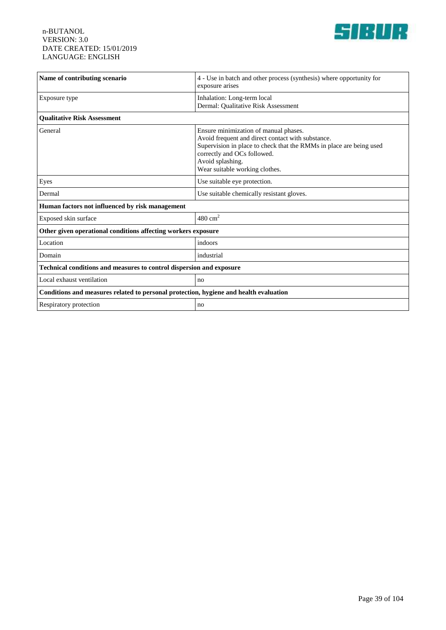

| Name of contributing scenario                                                         | 4 - Use in batch and other process (synthesis) where opportunity for<br>exposure arises                                                                                                                                                                |  |
|---------------------------------------------------------------------------------------|--------------------------------------------------------------------------------------------------------------------------------------------------------------------------------------------------------------------------------------------------------|--|
| Exposure type                                                                         | Inhalation: Long-term local<br>Dermal: Qualitative Risk Assessment                                                                                                                                                                                     |  |
| <b>Oualitative Risk Assessment</b>                                                    |                                                                                                                                                                                                                                                        |  |
| General                                                                               | Ensure minimization of manual phases.<br>Avoid frequent and direct contact with substance.<br>Supervision in place to check that the RMMs in place are being used<br>correctly and OCs followed.<br>Avoid splashing.<br>Wear suitable working clothes. |  |
| Eyes                                                                                  | Use suitable eye protection.                                                                                                                                                                                                                           |  |
| Dermal                                                                                | Use suitable chemically resistant gloves.                                                                                                                                                                                                              |  |
| Human factors not influenced by risk management                                       |                                                                                                                                                                                                                                                        |  |
| Exposed skin surface                                                                  | $480 \text{ cm}^2$                                                                                                                                                                                                                                     |  |
| Other given operational conditions affecting workers exposure                         |                                                                                                                                                                                                                                                        |  |
| Location                                                                              | indoors                                                                                                                                                                                                                                                |  |
| Domain                                                                                | industrial                                                                                                                                                                                                                                             |  |
| Technical conditions and measures to control dispersion and exposure                  |                                                                                                                                                                                                                                                        |  |
| Local exhaust ventilation                                                             | no                                                                                                                                                                                                                                                     |  |
| Conditions and measures related to personal protection, hygiene and health evaluation |                                                                                                                                                                                                                                                        |  |
| Respiratory protection                                                                | no                                                                                                                                                                                                                                                     |  |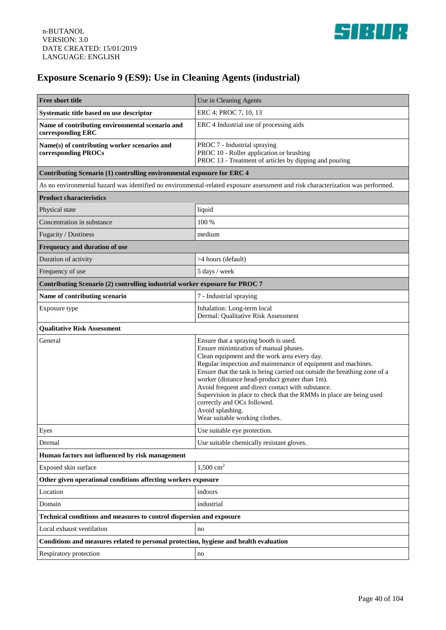

# **Exposure Scenario 9 (ES9): Use in Cleaning Agents (industrial)**

| <b>Free short title</b>                                                                                                         | Use in Cleaning Agents                                                                                                                                                                                                                                                                                                                                                                                                                                                                                                                           |
|---------------------------------------------------------------------------------------------------------------------------------|--------------------------------------------------------------------------------------------------------------------------------------------------------------------------------------------------------------------------------------------------------------------------------------------------------------------------------------------------------------------------------------------------------------------------------------------------------------------------------------------------------------------------------------------------|
| Systematic title based on use descriptor                                                                                        | ERC 4; PROC 7, 10, 13                                                                                                                                                                                                                                                                                                                                                                                                                                                                                                                            |
| Name of contributing environmental scenario and<br>corresponding ERC                                                            | ERC 4 Industrial use of processing aids                                                                                                                                                                                                                                                                                                                                                                                                                                                                                                          |
| Name(s) of contributing worker scenarios and<br>corresponding PROCs                                                             | PROC 7 - Industrial spraying<br>PROC 10 - Roller application or brushing<br>PROC 13 - Treatment of articles by dipping and pouring                                                                                                                                                                                                                                                                                                                                                                                                               |
| Contributing Scenario (1) controlling environmental exposure for ERC 4                                                          |                                                                                                                                                                                                                                                                                                                                                                                                                                                                                                                                                  |
| As no environmental hazard was identified no environmental-related exposure assessment and risk characterization was performed. |                                                                                                                                                                                                                                                                                                                                                                                                                                                                                                                                                  |
| <b>Product characteristics</b>                                                                                                  |                                                                                                                                                                                                                                                                                                                                                                                                                                                                                                                                                  |
| Physical state                                                                                                                  | liquid                                                                                                                                                                                                                                                                                                                                                                                                                                                                                                                                           |
| Concentration in substance                                                                                                      | 100 %                                                                                                                                                                                                                                                                                                                                                                                                                                                                                                                                            |
| Fugacity / Dustiness                                                                                                            | medium                                                                                                                                                                                                                                                                                                                                                                                                                                                                                                                                           |
| Frequency and duration of use                                                                                                   |                                                                                                                                                                                                                                                                                                                                                                                                                                                                                                                                                  |
| Duration of activity                                                                                                            | >4 hours (default)                                                                                                                                                                                                                                                                                                                                                                                                                                                                                                                               |
| Frequency of use                                                                                                                | 5 days / week                                                                                                                                                                                                                                                                                                                                                                                                                                                                                                                                    |
| Contributing Scenario (2) controlling industrial worker exposure for PROC 7                                                     |                                                                                                                                                                                                                                                                                                                                                                                                                                                                                                                                                  |
| Name of contributing scenario                                                                                                   | 7 - Industrial spraying                                                                                                                                                                                                                                                                                                                                                                                                                                                                                                                          |
| Exposure type                                                                                                                   | Inhalation: Long-term local<br>Dermal: Qualitative Risk Assessment                                                                                                                                                                                                                                                                                                                                                                                                                                                                               |
| <b>Qualitative Risk Assessment</b>                                                                                              |                                                                                                                                                                                                                                                                                                                                                                                                                                                                                                                                                  |
| General                                                                                                                         | Ensure that a spraying booth is used.<br>Ensure minimization of manual phases.<br>Clean equipment and the work area every day.<br>Regular inspection and maintenance of equipment and machines.<br>Ensure that the task is being carried out outside the breathing zone of a<br>worker (distance head-product greater than 1m).<br>Avoid frequent and direct contact with substance.<br>Supervision in place to check that the RMMs in place are being used<br>correctly and OCs followed.<br>Avoid splashing.<br>Wear suitable working clothes. |
| Eyes                                                                                                                            | Use suitable eye protection.                                                                                                                                                                                                                                                                                                                                                                                                                                                                                                                     |
| Dermal                                                                                                                          | Use suitable chemically resistant gloves.                                                                                                                                                                                                                                                                                                                                                                                                                                                                                                        |
| Human factors not influenced by risk management                                                                                 |                                                                                                                                                                                                                                                                                                                                                                                                                                                                                                                                                  |
| Exposed skin surface                                                                                                            | $1,500$ cm <sup>2</sup>                                                                                                                                                                                                                                                                                                                                                                                                                                                                                                                          |
| Other given operational conditions affecting workers exposure                                                                   |                                                                                                                                                                                                                                                                                                                                                                                                                                                                                                                                                  |
| Location                                                                                                                        | indoors                                                                                                                                                                                                                                                                                                                                                                                                                                                                                                                                          |
| Domain                                                                                                                          | industrial                                                                                                                                                                                                                                                                                                                                                                                                                                                                                                                                       |
| Technical conditions and measures to control dispersion and exposure                                                            |                                                                                                                                                                                                                                                                                                                                                                                                                                                                                                                                                  |
| Local exhaust ventilation                                                                                                       | no                                                                                                                                                                                                                                                                                                                                                                                                                                                                                                                                               |
| Conditions and measures related to personal protection, hygiene and health evaluation                                           |                                                                                                                                                                                                                                                                                                                                                                                                                                                                                                                                                  |
| Respiratory protection                                                                                                          | no                                                                                                                                                                                                                                                                                                                                                                                                                                                                                                                                               |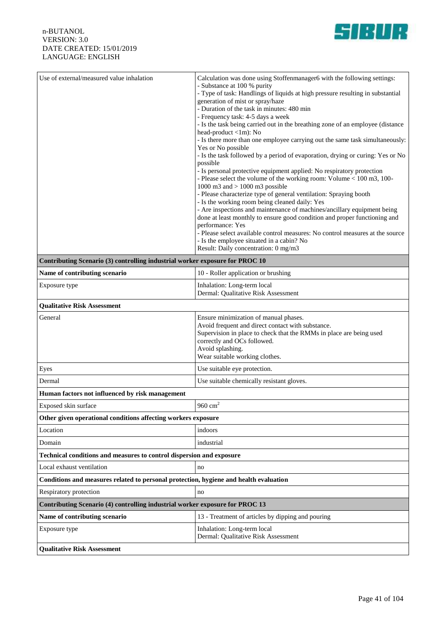

| Use of external/measured value inhalation                                    | Calculation was done using Stoffenmanager6 with the following settings:<br>- Substance at 100 % purity<br>- Type of task: Handlings of liquids at high pressure resulting in substantial<br>generation of mist or spray/haze<br>- Duration of the task in minutes: 480 min<br>- Frequency task: 4-5 days a week<br>- Is the task being carried out in the breathing zone of an employee (distance)<br>head-product <1m): No<br>- Is there more than one employee carrying out the same task simultaneously:<br>Yes or No possible<br>- Is the task followed by a period of evaporation, drying or curing: Yes or No<br>possible<br>- Is personal protective equipment applied: No respiratory protection<br>- Please select the volume of the working room: Volume < 100 m3, 100-<br>1000 m3 and $> 1000$ m3 possible<br>- Please characterize type of general ventilation: Spraying booth<br>- Is the working room being cleaned daily: Yes<br>- Are inspections and maintenance of machines/ancillary equipment being<br>done at least monthly to ensure good condition and proper functioning and<br>performance: Yes<br>- Please select available control measures: No control measures at the source<br>- Is the employee situated in a cabin? No<br>Result: Daily concentration: 0 mg/m3 |
|------------------------------------------------------------------------------|------------------------------------------------------------------------------------------------------------------------------------------------------------------------------------------------------------------------------------------------------------------------------------------------------------------------------------------------------------------------------------------------------------------------------------------------------------------------------------------------------------------------------------------------------------------------------------------------------------------------------------------------------------------------------------------------------------------------------------------------------------------------------------------------------------------------------------------------------------------------------------------------------------------------------------------------------------------------------------------------------------------------------------------------------------------------------------------------------------------------------------------------------------------------------------------------------------------------------------------------------------------------------------------------|
| Contributing Scenario (3) controlling industrial worker exposure for PROC 10 |                                                                                                                                                                                                                                                                                                                                                                                                                                                                                                                                                                                                                                                                                                                                                                                                                                                                                                                                                                                                                                                                                                                                                                                                                                                                                                |
| Name of contributing scenario                                                | 10 - Roller application or brushing                                                                                                                                                                                                                                                                                                                                                                                                                                                                                                                                                                                                                                                                                                                                                                                                                                                                                                                                                                                                                                                                                                                                                                                                                                                            |
| Exposure type                                                                | Inhalation: Long-term local<br>Dermal: Qualitative Risk Assessment                                                                                                                                                                                                                                                                                                                                                                                                                                                                                                                                                                                                                                                                                                                                                                                                                                                                                                                                                                                                                                                                                                                                                                                                                             |

### **Qualitative Risk Assessment** General **Ensure minimization of manual phases.** Avoid frequent and direct contact with substance. Supervision in place to check that the RMMs in place are being used correctly and OCs followed. Avoid splashing. Wear suitable working clothes. Eyes Use suitable eye protection. Dermal Use suitable chemically resistant gloves. **Human factors not influenced by risk management** Exposed skin surface  $960 \text{ cm}^2$ **Other given operational conditions affecting workers exposure** Location indoors Domain industrial industrial **Technical conditions and measures to control dispersion and exposure** Local exhaust ventilation no not no no **Conditions and measures related to personal protection, hygiene and health evaluation** Respiratory protection no **Contributing Scenario (4) controlling industrial worker exposure for PROC 13** Name of contributing scenario **13** - Treatment of articles by dipping and pouring Exposure type Inhalation: Long-term local Dermal: Qualitative Risk Assessment **Qualitative Risk Assessment**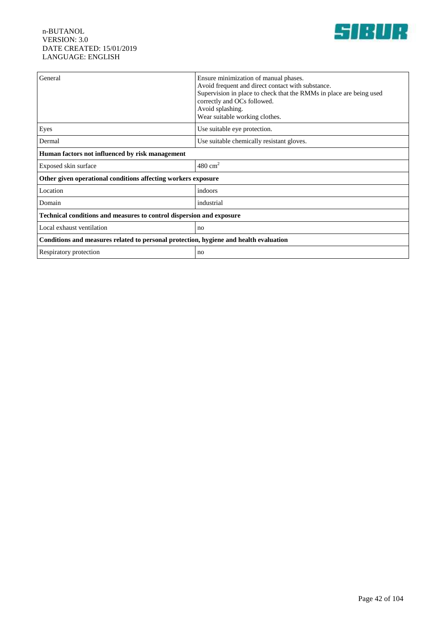

| General                                                                               | Ensure minimization of manual phases.<br>Avoid frequent and direct contact with substance.<br>Supervision in place to check that the RMMs in place are being used<br>correctly and OCs followed.<br>Avoid splashing.<br>Wear suitable working clothes. |  |
|---------------------------------------------------------------------------------------|--------------------------------------------------------------------------------------------------------------------------------------------------------------------------------------------------------------------------------------------------------|--|
| Eyes                                                                                  | Use suitable eye protection.                                                                                                                                                                                                                           |  |
| Dermal                                                                                | Use suitable chemically resistant gloves.                                                                                                                                                                                                              |  |
| Human factors not influenced by risk management                                       |                                                                                                                                                                                                                                                        |  |
| Exposed skin surface                                                                  | $480 \text{ cm}^2$                                                                                                                                                                                                                                     |  |
| Other given operational conditions affecting workers exposure                         |                                                                                                                                                                                                                                                        |  |
| Location                                                                              | indoors                                                                                                                                                                                                                                                |  |
| Domain                                                                                | industrial                                                                                                                                                                                                                                             |  |
| Technical conditions and measures to control dispersion and exposure                  |                                                                                                                                                                                                                                                        |  |
| Local exhaust ventilation                                                             | no                                                                                                                                                                                                                                                     |  |
| Conditions and measures related to personal protection, hygiene and health evaluation |                                                                                                                                                                                                                                                        |  |
| Respiratory protection                                                                | no                                                                                                                                                                                                                                                     |  |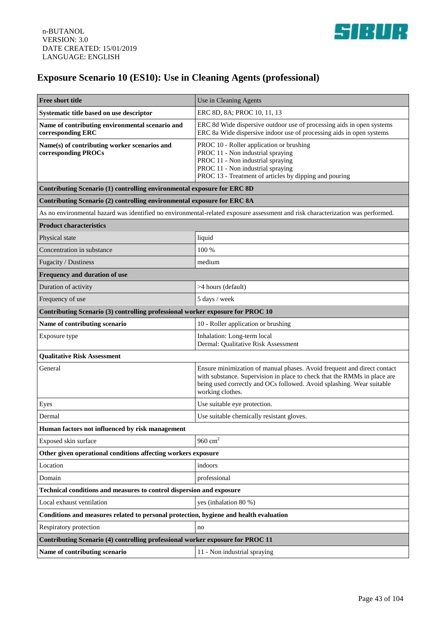

# **Exposure Scenario 10 (ES10): Use in Cleaning Agents (professional)**

| <b>Free short title</b>                                                               | Use in Cleaning Agents                                                                                                                                                                                                                           |  |
|---------------------------------------------------------------------------------------|--------------------------------------------------------------------------------------------------------------------------------------------------------------------------------------------------------------------------------------------------|--|
| Systematic title based on use descriptor                                              | ERC 8D, 8A; PROC 10, 11, 13                                                                                                                                                                                                                      |  |
| Name of contributing environmental scenario and<br>corresponding ERC                  | ERC 8d Wide dispersive outdoor use of processing aids in open systems<br>ERC 8a Wide dispersive indoor use of processing aids in open systems                                                                                                    |  |
| Name(s) of contributing worker scenarios and<br>corresponding PROCs                   | PROC 10 - Roller application or brushing<br>PROC 11 - Non industrial spraying<br>PROC 11 - Non industrial spraying<br>PROC 11 - Non industrial spraying<br>PROC 13 - Treatment of articles by dipping and pouring                                |  |
| Contributing Scenario (1) controlling environmental exposure for ERC 8D               |                                                                                                                                                                                                                                                  |  |
| Contributing Scenario (2) controlling environmental exposure for ERC 8A               |                                                                                                                                                                                                                                                  |  |
|                                                                                       | As no environmental hazard was identified no environmental-related exposure assessment and risk characterization was performed.                                                                                                                  |  |
| <b>Product characteristics</b>                                                        |                                                                                                                                                                                                                                                  |  |
| Physical state                                                                        | liquid                                                                                                                                                                                                                                           |  |
| Concentration in substance                                                            | 100 %                                                                                                                                                                                                                                            |  |
| Fugacity / Dustiness                                                                  | medium                                                                                                                                                                                                                                           |  |
| Frequency and duration of use                                                         |                                                                                                                                                                                                                                                  |  |
| Duration of activity                                                                  | >4 hours (default)                                                                                                                                                                                                                               |  |
| Frequency of use                                                                      | 5 days / week                                                                                                                                                                                                                                    |  |
| Contributing Scenario (3) controlling professional worker exposure for PROC 10        |                                                                                                                                                                                                                                                  |  |
| Name of contributing scenario                                                         | 10 - Roller application or brushing                                                                                                                                                                                                              |  |
| Exposure type                                                                         | Inhalation: Long-term local<br>Dermal: Qualitative Risk Assessment                                                                                                                                                                               |  |
| <b>Qualitative Risk Assessment</b>                                                    |                                                                                                                                                                                                                                                  |  |
| General                                                                               | Ensure minimization of manual phases. Avoid frequent and direct contact<br>with substance. Supervision in place to check that the RMMs in place are<br>being used correctly and OCs followed. Avoid splashing. Wear suitable<br>working clothes. |  |
| Eyes                                                                                  | Use suitable eye protection.                                                                                                                                                                                                                     |  |
| Dermal                                                                                | Use suitable chemically resistant gloves.                                                                                                                                                                                                        |  |
| Human factors not influenced by risk management                                       |                                                                                                                                                                                                                                                  |  |
| Exposed skin surface                                                                  | 960 $cm2$                                                                                                                                                                                                                                        |  |
| Other given operational conditions affecting workers exposure                         |                                                                                                                                                                                                                                                  |  |
| Location                                                                              | indoors                                                                                                                                                                                                                                          |  |
| Domain                                                                                | professional                                                                                                                                                                                                                                     |  |
| Technical conditions and measures to control dispersion and exposure                  |                                                                                                                                                                                                                                                  |  |
| Local exhaust ventilation                                                             | yes (inhalation 80 %)                                                                                                                                                                                                                            |  |
| Conditions and measures related to personal protection, hygiene and health evaluation |                                                                                                                                                                                                                                                  |  |
| Respiratory protection                                                                | no                                                                                                                                                                                                                                               |  |
| Contributing Scenario (4) controlling professional worker exposure for PROC 11        |                                                                                                                                                                                                                                                  |  |
| Name of contributing scenario                                                         | 11 - Non industrial spraying                                                                                                                                                                                                                     |  |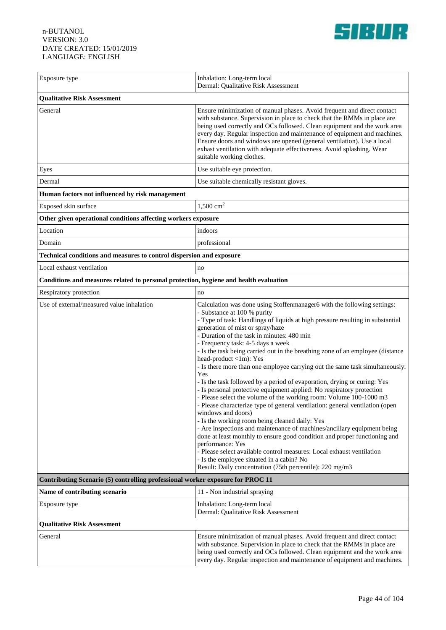

| Exposure type                                                                         | Inhalation: Long-term local<br>Dermal: Qualitative Risk Assessment                                                                                                                                                                                                                                                                                                                                                                                                                                                                                                                                                                                                                                                                                                                                                                                                                                                                                                                                                                                                                                                                                                                                                                                                  |  |
|---------------------------------------------------------------------------------------|---------------------------------------------------------------------------------------------------------------------------------------------------------------------------------------------------------------------------------------------------------------------------------------------------------------------------------------------------------------------------------------------------------------------------------------------------------------------------------------------------------------------------------------------------------------------------------------------------------------------------------------------------------------------------------------------------------------------------------------------------------------------------------------------------------------------------------------------------------------------------------------------------------------------------------------------------------------------------------------------------------------------------------------------------------------------------------------------------------------------------------------------------------------------------------------------------------------------------------------------------------------------|--|
| <b>Qualitative Risk Assessment</b>                                                    |                                                                                                                                                                                                                                                                                                                                                                                                                                                                                                                                                                                                                                                                                                                                                                                                                                                                                                                                                                                                                                                                                                                                                                                                                                                                     |  |
| General                                                                               | Ensure minimization of manual phases. Avoid frequent and direct contact<br>with substance. Supervision in place to check that the RMMs in place are<br>being used correctly and OCs followed. Clean equipment and the work area<br>every day. Regular inspection and maintenance of equipment and machines.<br>Ensure doors and windows are opened (general ventilation). Use a local<br>exhast ventilation with adequate effectiveness. Avoid splashing. Wear<br>suitable working clothes.                                                                                                                                                                                                                                                                                                                                                                                                                                                                                                                                                                                                                                                                                                                                                                         |  |
| Eyes                                                                                  | Use suitable eye protection.                                                                                                                                                                                                                                                                                                                                                                                                                                                                                                                                                                                                                                                                                                                                                                                                                                                                                                                                                                                                                                                                                                                                                                                                                                        |  |
| Dermal                                                                                | Use suitable chemically resistant gloves.                                                                                                                                                                                                                                                                                                                                                                                                                                                                                                                                                                                                                                                                                                                                                                                                                                                                                                                                                                                                                                                                                                                                                                                                                           |  |
| Human factors not influenced by risk management                                       |                                                                                                                                                                                                                                                                                                                                                                                                                                                                                                                                                                                                                                                                                                                                                                                                                                                                                                                                                                                                                                                                                                                                                                                                                                                                     |  |
| Exposed skin surface                                                                  | $1,500$ cm <sup>2</sup>                                                                                                                                                                                                                                                                                                                                                                                                                                                                                                                                                                                                                                                                                                                                                                                                                                                                                                                                                                                                                                                                                                                                                                                                                                             |  |
| Other given operational conditions affecting workers exposure                         |                                                                                                                                                                                                                                                                                                                                                                                                                                                                                                                                                                                                                                                                                                                                                                                                                                                                                                                                                                                                                                                                                                                                                                                                                                                                     |  |
| Location                                                                              | indoors                                                                                                                                                                                                                                                                                                                                                                                                                                                                                                                                                                                                                                                                                                                                                                                                                                                                                                                                                                                                                                                                                                                                                                                                                                                             |  |
| Domain                                                                                | professional                                                                                                                                                                                                                                                                                                                                                                                                                                                                                                                                                                                                                                                                                                                                                                                                                                                                                                                                                                                                                                                                                                                                                                                                                                                        |  |
| Technical conditions and measures to control dispersion and exposure                  |                                                                                                                                                                                                                                                                                                                                                                                                                                                                                                                                                                                                                                                                                                                                                                                                                                                                                                                                                                                                                                                                                                                                                                                                                                                                     |  |
| Local exhaust ventilation                                                             | no                                                                                                                                                                                                                                                                                                                                                                                                                                                                                                                                                                                                                                                                                                                                                                                                                                                                                                                                                                                                                                                                                                                                                                                                                                                                  |  |
| Conditions and measures related to personal protection, hygiene and health evaluation |                                                                                                                                                                                                                                                                                                                                                                                                                                                                                                                                                                                                                                                                                                                                                                                                                                                                                                                                                                                                                                                                                                                                                                                                                                                                     |  |
| Respiratory protection                                                                | no                                                                                                                                                                                                                                                                                                                                                                                                                                                                                                                                                                                                                                                                                                                                                                                                                                                                                                                                                                                                                                                                                                                                                                                                                                                                  |  |
| Use of external/measured value inhalation                                             | Calculation was done using Stoffenmanager6 with the following settings:<br>- Substance at 100 % purity<br>- Type of task: Handlings of liquids at high pressure resulting in substantial<br>generation of mist or spray/haze<br>- Duration of the task in minutes: 480 min<br>- Frequency task: 4-5 days a week<br>- Is the task being carried out in the breathing zone of an employee (distance<br>head-product <1m): Yes<br>- Is there more than one employee carrying out the same task simultaneously:<br>Yes<br>- Is the task followed by a period of evaporation, drying or curing: Yes<br>- Is personal protective equipment applied: No respiratory protection<br>- Please select the volume of the working room: Volume 100-1000 m3<br>- Please characterize type of general ventilation: general ventilation (open<br>windows and doors)<br>- Is the working room being cleaned daily: Yes<br>- Are inspections and maintenance of machines/ancillary equipment being<br>done at least monthly to ensure good condition and proper functioning and<br>performance: Yes<br>- Please select available control measures: Local exhaust ventilation<br>- Is the employee situated in a cabin? No<br>Result: Daily concentration (75th percentile): 220 mg/m3 |  |
| Contributing Scenario (5) controlling professional worker exposure for PROC 11        |                                                                                                                                                                                                                                                                                                                                                                                                                                                                                                                                                                                                                                                                                                                                                                                                                                                                                                                                                                                                                                                                                                                                                                                                                                                                     |  |
| Name of contributing scenario                                                         | 11 - Non industrial spraying                                                                                                                                                                                                                                                                                                                                                                                                                                                                                                                                                                                                                                                                                                                                                                                                                                                                                                                                                                                                                                                                                                                                                                                                                                        |  |
| Exposure type                                                                         | Inhalation: Long-term local<br>Dermal: Qualitative Risk Assessment                                                                                                                                                                                                                                                                                                                                                                                                                                                                                                                                                                                                                                                                                                                                                                                                                                                                                                                                                                                                                                                                                                                                                                                                  |  |
| <b>Qualitative Risk Assessment</b>                                                    |                                                                                                                                                                                                                                                                                                                                                                                                                                                                                                                                                                                                                                                                                                                                                                                                                                                                                                                                                                                                                                                                                                                                                                                                                                                                     |  |
| General                                                                               | Ensure minimization of manual phases. Avoid frequent and direct contact<br>with substance. Supervision in place to check that the RMMs in place are<br>being used correctly and OCs followed. Clean equipment and the work area<br>every day. Regular inspection and maintenance of equipment and machines.                                                                                                                                                                                                                                                                                                                                                                                                                                                                                                                                                                                                                                                                                                                                                                                                                                                                                                                                                         |  |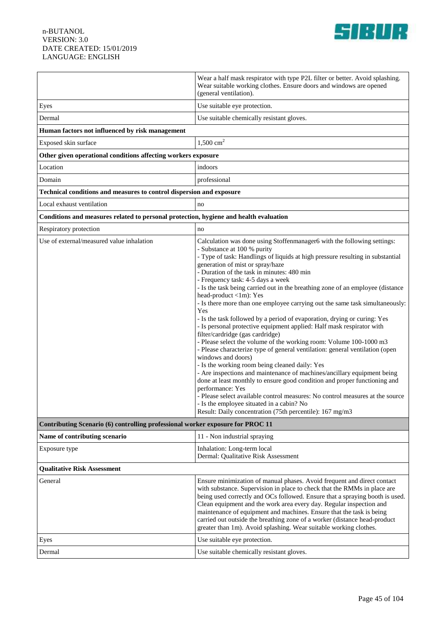

|                                                                                       | Wear a half mask respirator with type P2L filter or better. Avoid splashing.<br>Wear suitable working clothes. Ensure doors and windows are opened<br>(general ventilation).                                                                                                                                                                                                                                                                                                                                                                                                                                                                                                                                                                                                                                                                                                                                                                                                                                                                                                                                                                                                                                                                                                                                  |  |
|---------------------------------------------------------------------------------------|---------------------------------------------------------------------------------------------------------------------------------------------------------------------------------------------------------------------------------------------------------------------------------------------------------------------------------------------------------------------------------------------------------------------------------------------------------------------------------------------------------------------------------------------------------------------------------------------------------------------------------------------------------------------------------------------------------------------------------------------------------------------------------------------------------------------------------------------------------------------------------------------------------------------------------------------------------------------------------------------------------------------------------------------------------------------------------------------------------------------------------------------------------------------------------------------------------------------------------------------------------------------------------------------------------------|--|
| Eyes                                                                                  | Use suitable eye protection.                                                                                                                                                                                                                                                                                                                                                                                                                                                                                                                                                                                                                                                                                                                                                                                                                                                                                                                                                                                                                                                                                                                                                                                                                                                                                  |  |
| Dermal                                                                                | Use suitable chemically resistant gloves.                                                                                                                                                                                                                                                                                                                                                                                                                                                                                                                                                                                                                                                                                                                                                                                                                                                                                                                                                                                                                                                                                                                                                                                                                                                                     |  |
| Human factors not influenced by risk management                                       |                                                                                                                                                                                                                                                                                                                                                                                                                                                                                                                                                                                                                                                                                                                                                                                                                                                                                                                                                                                                                                                                                                                                                                                                                                                                                                               |  |
| Exposed skin surface                                                                  | $1,500 \text{ cm}^2$                                                                                                                                                                                                                                                                                                                                                                                                                                                                                                                                                                                                                                                                                                                                                                                                                                                                                                                                                                                                                                                                                                                                                                                                                                                                                          |  |
| Other given operational conditions affecting workers exposure                         |                                                                                                                                                                                                                                                                                                                                                                                                                                                                                                                                                                                                                                                                                                                                                                                                                                                                                                                                                                                                                                                                                                                                                                                                                                                                                                               |  |
| Location                                                                              | indoors                                                                                                                                                                                                                                                                                                                                                                                                                                                                                                                                                                                                                                                                                                                                                                                                                                                                                                                                                                                                                                                                                                                                                                                                                                                                                                       |  |
| Domain                                                                                | professional                                                                                                                                                                                                                                                                                                                                                                                                                                                                                                                                                                                                                                                                                                                                                                                                                                                                                                                                                                                                                                                                                                                                                                                                                                                                                                  |  |
| Technical conditions and measures to control dispersion and exposure                  |                                                                                                                                                                                                                                                                                                                                                                                                                                                                                                                                                                                                                                                                                                                                                                                                                                                                                                                                                                                                                                                                                                                                                                                                                                                                                                               |  |
| Local exhaust ventilation                                                             | no                                                                                                                                                                                                                                                                                                                                                                                                                                                                                                                                                                                                                                                                                                                                                                                                                                                                                                                                                                                                                                                                                                                                                                                                                                                                                                            |  |
| Conditions and measures related to personal protection, hygiene and health evaluation |                                                                                                                                                                                                                                                                                                                                                                                                                                                                                                                                                                                                                                                                                                                                                                                                                                                                                                                                                                                                                                                                                                                                                                                                                                                                                                               |  |
| Respiratory protection                                                                | no                                                                                                                                                                                                                                                                                                                                                                                                                                                                                                                                                                                                                                                                                                                                                                                                                                                                                                                                                                                                                                                                                                                                                                                                                                                                                                            |  |
| Use of external/measured value inhalation                                             | Calculation was done using Stoffenmanager6 with the following settings:<br>- Substance at 100 % purity<br>- Type of task: Handlings of liquids at high pressure resulting in substantial<br>generation of mist or spray/haze<br>- Duration of the task in minutes: 480 min<br>- Frequency task: 4-5 days a week<br>- Is the task being carried out in the breathing zone of an employee (distance<br>head-product <1m): Yes<br>- Is there more than one employee carrying out the same task simultaneously:<br>Yes<br>- Is the task followed by a period of evaporation, drying or curing: Yes<br>- Is personal protective equipment applied: Half mask respirator with<br>filter/cardridge (gas cardridge)<br>- Please select the volume of the working room: Volume 100-1000 m3<br>- Please characterize type of general ventilation: general ventilation (open<br>windows and doors)<br>- Is the working room being cleaned daily: Yes<br>- Are inspections and maintenance of machines/ancillary equipment being<br>done at least monthly to ensure good condition and proper functioning and<br>performance: Yes<br>- Please select available control measures: No control measures at the source<br>Is the employee situated in a cabin? No<br>Result: Daily concentration (75th percentile): 167 mg/m3 |  |
| Contributing Scenario (6) controlling professional worker exposure for PROC 11        |                                                                                                                                                                                                                                                                                                                                                                                                                                                                                                                                                                                                                                                                                                                                                                                                                                                                                                                                                                                                                                                                                                                                                                                                                                                                                                               |  |
| Name of contributing scenario                                                         | 11 - Non industrial spraying                                                                                                                                                                                                                                                                                                                                                                                                                                                                                                                                                                                                                                                                                                                                                                                                                                                                                                                                                                                                                                                                                                                                                                                                                                                                                  |  |
| Exposure type                                                                         | Inhalation: Long-term local<br>Dermal: Qualitative Risk Assessment                                                                                                                                                                                                                                                                                                                                                                                                                                                                                                                                                                                                                                                                                                                                                                                                                                                                                                                                                                                                                                                                                                                                                                                                                                            |  |
| <b>Oualitative Risk Assessment</b>                                                    |                                                                                                                                                                                                                                                                                                                                                                                                                                                                                                                                                                                                                                                                                                                                                                                                                                                                                                                                                                                                                                                                                                                                                                                                                                                                                                               |  |
| General                                                                               | Ensure minimization of manual phases. Avoid frequent and direct contact<br>with substance. Supervision in place to check that the RMMs in place are<br>being used correctly and OCs followed. Ensure that a spraying booth is used.<br>Clean equipment and the work area every day. Regular inspection and<br>maintenance of equipment and machines. Ensure that the task is being<br>carried out outside the breathing zone of a worker (distance head-product<br>greater than 1m). Avoid splashing. Wear suitable working clothes.                                                                                                                                                                                                                                                                                                                                                                                                                                                                                                                                                                                                                                                                                                                                                                          |  |
| Eyes                                                                                  | Use suitable eye protection.                                                                                                                                                                                                                                                                                                                                                                                                                                                                                                                                                                                                                                                                                                                                                                                                                                                                                                                                                                                                                                                                                                                                                                                                                                                                                  |  |
| Dermal                                                                                | Use suitable chemically resistant gloves.                                                                                                                                                                                                                                                                                                                                                                                                                                                                                                                                                                                                                                                                                                                                                                                                                                                                                                                                                                                                                                                                                                                                                                                                                                                                     |  |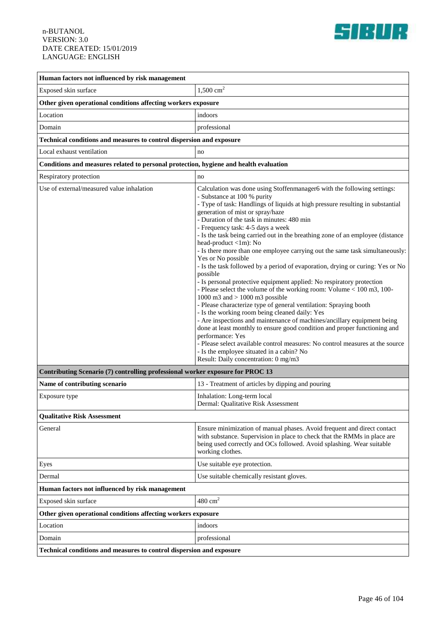

| Human factors not influenced by risk management                                       |                                                                                                                                                                                                                                                                                                                                                                                                                                                                                                                                                                                                                                                                                                                                                                                                                                                                                                                                                                                                                                                                                                                                                                                                                                                                                                |  |
|---------------------------------------------------------------------------------------|------------------------------------------------------------------------------------------------------------------------------------------------------------------------------------------------------------------------------------------------------------------------------------------------------------------------------------------------------------------------------------------------------------------------------------------------------------------------------------------------------------------------------------------------------------------------------------------------------------------------------------------------------------------------------------------------------------------------------------------------------------------------------------------------------------------------------------------------------------------------------------------------------------------------------------------------------------------------------------------------------------------------------------------------------------------------------------------------------------------------------------------------------------------------------------------------------------------------------------------------------------------------------------------------|--|
| Exposed skin surface                                                                  | $1,500$ cm <sup>2</sup>                                                                                                                                                                                                                                                                                                                                                                                                                                                                                                                                                                                                                                                                                                                                                                                                                                                                                                                                                                                                                                                                                                                                                                                                                                                                        |  |
| Other given operational conditions affecting workers exposure                         |                                                                                                                                                                                                                                                                                                                                                                                                                                                                                                                                                                                                                                                                                                                                                                                                                                                                                                                                                                                                                                                                                                                                                                                                                                                                                                |  |
| Location                                                                              | indoors                                                                                                                                                                                                                                                                                                                                                                                                                                                                                                                                                                                                                                                                                                                                                                                                                                                                                                                                                                                                                                                                                                                                                                                                                                                                                        |  |
| Domain                                                                                | professional                                                                                                                                                                                                                                                                                                                                                                                                                                                                                                                                                                                                                                                                                                                                                                                                                                                                                                                                                                                                                                                                                                                                                                                                                                                                                   |  |
| Technical conditions and measures to control dispersion and exposure                  |                                                                                                                                                                                                                                                                                                                                                                                                                                                                                                                                                                                                                                                                                                                                                                                                                                                                                                                                                                                                                                                                                                                                                                                                                                                                                                |  |
| Local exhaust ventilation                                                             | no                                                                                                                                                                                                                                                                                                                                                                                                                                                                                                                                                                                                                                                                                                                                                                                                                                                                                                                                                                                                                                                                                                                                                                                                                                                                                             |  |
| Conditions and measures related to personal protection, hygiene and health evaluation |                                                                                                                                                                                                                                                                                                                                                                                                                                                                                                                                                                                                                                                                                                                                                                                                                                                                                                                                                                                                                                                                                                                                                                                                                                                                                                |  |
| Respiratory protection                                                                | no                                                                                                                                                                                                                                                                                                                                                                                                                                                                                                                                                                                                                                                                                                                                                                                                                                                                                                                                                                                                                                                                                                                                                                                                                                                                                             |  |
| Use of external/measured value inhalation                                             | Calculation was done using Stoffenmanager6 with the following settings:<br>- Substance at 100 % purity<br>- Type of task: Handlings of liquids at high pressure resulting in substantial<br>generation of mist or spray/haze<br>- Duration of the task in minutes: 480 min<br>- Frequency task: 4-5 days a week<br>- Is the task being carried out in the breathing zone of an employee (distance)<br>head-product <1m): No<br>- Is there more than one employee carrying out the same task simultaneously:<br>Yes or No possible<br>- Is the task followed by a period of evaporation, drying or curing: Yes or No<br>possible<br>- Is personal protective equipment applied: No respiratory protection<br>- Please select the volume of the working room: Volume < 100 m3, 100-<br>1000 m3 and $> 1000$ m3 possible<br>- Please characterize type of general ventilation: Spraying booth<br>- Is the working room being cleaned daily: Yes<br>- Are inspections and maintenance of machines/ancillary equipment being<br>done at least monthly to ensure good condition and proper functioning and<br>performance: Yes<br>- Please select available control measures: No control measures at the source<br>- Is the employee situated in a cabin? No<br>Result: Daily concentration: 0 mg/m3 |  |
| Contributing Scenario (7) controlling professional worker exposure for PROC 13        |                                                                                                                                                                                                                                                                                                                                                                                                                                                                                                                                                                                                                                                                                                                                                                                                                                                                                                                                                                                                                                                                                                                                                                                                                                                                                                |  |
| Name of contributing scenario                                                         | 13 - Treatment of articles by dipping and pouring                                                                                                                                                                                                                                                                                                                                                                                                                                                                                                                                                                                                                                                                                                                                                                                                                                                                                                                                                                                                                                                                                                                                                                                                                                              |  |
| Exposure type                                                                         | Inhalation: Long-term local<br>Dermal: Qualitative Risk Assessment                                                                                                                                                                                                                                                                                                                                                                                                                                                                                                                                                                                                                                                                                                                                                                                                                                                                                                                                                                                                                                                                                                                                                                                                                             |  |
| <b>Qualitative Risk Assessment</b>                                                    |                                                                                                                                                                                                                                                                                                                                                                                                                                                                                                                                                                                                                                                                                                                                                                                                                                                                                                                                                                                                                                                                                                                                                                                                                                                                                                |  |
| General                                                                               | Ensure minimization of manual phases. Avoid frequent and direct contact<br>with substance. Supervision in place to check that the RMMs in place are<br>being used correctly and OCs followed. Avoid splashing. Wear suitable<br>working clothes.                                                                                                                                                                                                                                                                                                                                                                                                                                                                                                                                                                                                                                                                                                                                                                                                                                                                                                                                                                                                                                               |  |
| Eyes                                                                                  | Use suitable eye protection.                                                                                                                                                                                                                                                                                                                                                                                                                                                                                                                                                                                                                                                                                                                                                                                                                                                                                                                                                                                                                                                                                                                                                                                                                                                                   |  |
| Dermal                                                                                | Use suitable chemically resistant gloves.                                                                                                                                                                                                                                                                                                                                                                                                                                                                                                                                                                                                                                                                                                                                                                                                                                                                                                                                                                                                                                                                                                                                                                                                                                                      |  |
| Human factors not influenced by risk management                                       |                                                                                                                                                                                                                                                                                                                                                                                                                                                                                                                                                                                                                                                                                                                                                                                                                                                                                                                                                                                                                                                                                                                                                                                                                                                                                                |  |
| Exposed skin surface                                                                  | $480 \text{ cm}^2$                                                                                                                                                                                                                                                                                                                                                                                                                                                                                                                                                                                                                                                                                                                                                                                                                                                                                                                                                                                                                                                                                                                                                                                                                                                                             |  |
| Other given operational conditions affecting workers exposure                         |                                                                                                                                                                                                                                                                                                                                                                                                                                                                                                                                                                                                                                                                                                                                                                                                                                                                                                                                                                                                                                                                                                                                                                                                                                                                                                |  |
| Location                                                                              | indoors                                                                                                                                                                                                                                                                                                                                                                                                                                                                                                                                                                                                                                                                                                                                                                                                                                                                                                                                                                                                                                                                                                                                                                                                                                                                                        |  |
| Domain                                                                                | professional                                                                                                                                                                                                                                                                                                                                                                                                                                                                                                                                                                                                                                                                                                                                                                                                                                                                                                                                                                                                                                                                                                                                                                                                                                                                                   |  |
| Technical conditions and measures to control dispersion and exposure                  |                                                                                                                                                                                                                                                                                                                                                                                                                                                                                                                                                                                                                                                                                                                                                                                                                                                                                                                                                                                                                                                                                                                                                                                                                                                                                                |  |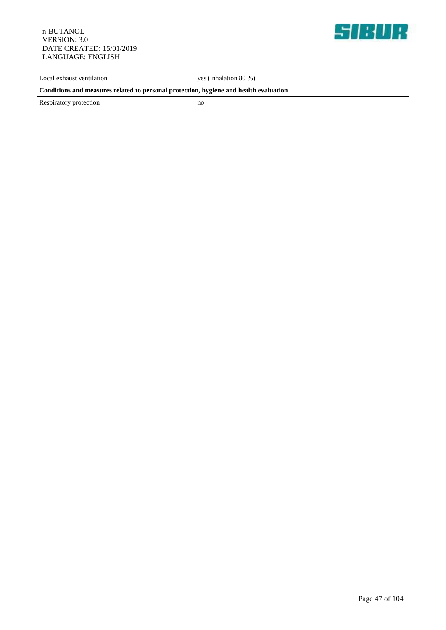

| Local exhaust ventilation                                                             | ves (inhalation $80\%$ ) |  |
|---------------------------------------------------------------------------------------|--------------------------|--|
| Conditions and measures related to personal protection, hygiene and health evaluation |                          |  |
| Respiratory protection                                                                | no                       |  |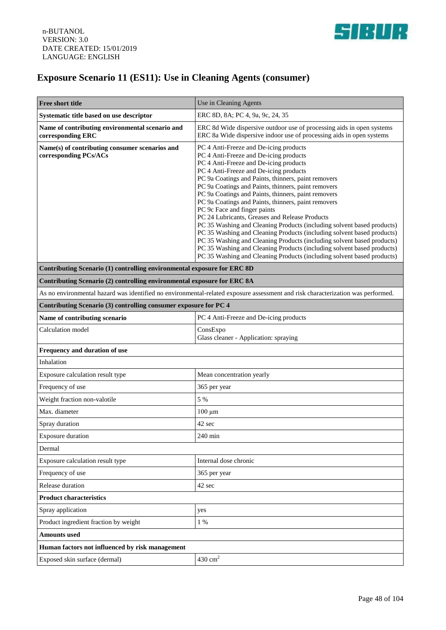

# **Exposure Scenario 11 (ES11): Use in Cleaning Agents (consumer)**

| Free short title                                                                                                                | Use in Cleaning Agents                                                                                                                                                                                                                                                                                                                                                                                                                                                                                                                                                                                                                                                                                                                                                                                                                                               |  |
|---------------------------------------------------------------------------------------------------------------------------------|----------------------------------------------------------------------------------------------------------------------------------------------------------------------------------------------------------------------------------------------------------------------------------------------------------------------------------------------------------------------------------------------------------------------------------------------------------------------------------------------------------------------------------------------------------------------------------------------------------------------------------------------------------------------------------------------------------------------------------------------------------------------------------------------------------------------------------------------------------------------|--|
| Systematic title based on use descriptor                                                                                        | ERC 8D, 8A; PC 4, 9a, 9c, 24, 35                                                                                                                                                                                                                                                                                                                                                                                                                                                                                                                                                                                                                                                                                                                                                                                                                                     |  |
| Name of contributing environmental scenario and<br>corresponding ERC                                                            | ERC 8d Wide dispersive outdoor use of processing aids in open systems<br>ERC 8a Wide dispersive indoor use of processing aids in open systems                                                                                                                                                                                                                                                                                                                                                                                                                                                                                                                                                                                                                                                                                                                        |  |
| Name(s) of contributing consumer scenarios and<br>corresponding PCs/ACs                                                         | PC 4 Anti-Freeze and De-icing products<br>PC 4 Anti-Freeze and De-icing products<br>PC 4 Anti-Freeze and De-icing products<br>PC 4 Anti-Freeze and De-icing products<br>PC 9a Coatings and Paints, thinners, paint removers<br>PC 9a Coatings and Paints, thinners, paint removers<br>PC 9a Coatings and Paints, thinners, paint removers<br>PC 9a Coatings and Paints, thinners, paint removers<br>PC 9c Face and finger paints<br>PC 24 Lubricants, Greases and Release Products<br>PC 35 Washing and Cleaning Products (including solvent based products)<br>PC 35 Washing and Cleaning Products (including solvent based products)<br>PC 35 Washing and Cleaning Products (including solvent based products)<br>PC 35 Washing and Cleaning Products (including solvent based products)<br>PC 35 Washing and Cleaning Products (including solvent based products) |  |
| Contributing Scenario (1) controlling environmental exposure for ERC 8D                                                         |                                                                                                                                                                                                                                                                                                                                                                                                                                                                                                                                                                                                                                                                                                                                                                                                                                                                      |  |
| Contributing Scenario (2) controlling environmental exposure for ERC 8A                                                         |                                                                                                                                                                                                                                                                                                                                                                                                                                                                                                                                                                                                                                                                                                                                                                                                                                                                      |  |
| As no environmental hazard was identified no environmental-related exposure assessment and risk characterization was performed. |                                                                                                                                                                                                                                                                                                                                                                                                                                                                                                                                                                                                                                                                                                                                                                                                                                                                      |  |
| Contributing Scenario (3) controlling consumer exposure for PC 4                                                                |                                                                                                                                                                                                                                                                                                                                                                                                                                                                                                                                                                                                                                                                                                                                                                                                                                                                      |  |
| Name of contributing scenario                                                                                                   | PC 4 Anti-Freeze and De-icing products                                                                                                                                                                                                                                                                                                                                                                                                                                                                                                                                                                                                                                                                                                                                                                                                                               |  |
| Calculation model                                                                                                               | ConsExpo<br>Glass cleaner - Application: spraying                                                                                                                                                                                                                                                                                                                                                                                                                                                                                                                                                                                                                                                                                                                                                                                                                    |  |
| Frequency and duration of use                                                                                                   |                                                                                                                                                                                                                                                                                                                                                                                                                                                                                                                                                                                                                                                                                                                                                                                                                                                                      |  |
| Inhalation                                                                                                                      |                                                                                                                                                                                                                                                                                                                                                                                                                                                                                                                                                                                                                                                                                                                                                                                                                                                                      |  |
| Exposure calculation result type                                                                                                | Mean concentration yearly                                                                                                                                                                                                                                                                                                                                                                                                                                                                                                                                                                                                                                                                                                                                                                                                                                            |  |
| Frequency of use                                                                                                                | 365 per year                                                                                                                                                                                                                                                                                                                                                                                                                                                                                                                                                                                                                                                                                                                                                                                                                                                         |  |
| Weight fraction non-valotile                                                                                                    | 5 %                                                                                                                                                                                                                                                                                                                                                                                                                                                                                                                                                                                                                                                                                                                                                                                                                                                                  |  |
| Max. diameter                                                                                                                   | $100 \mu m$                                                                                                                                                                                                                                                                                                                                                                                                                                                                                                                                                                                                                                                                                                                                                                                                                                                          |  |
| Spray duration                                                                                                                  | 42 sec                                                                                                                                                                                                                                                                                                                                                                                                                                                                                                                                                                                                                                                                                                                                                                                                                                                               |  |
| <b>Exposure duration</b>                                                                                                        | 240 min                                                                                                                                                                                                                                                                                                                                                                                                                                                                                                                                                                                                                                                                                                                                                                                                                                                              |  |
| Dermal                                                                                                                          |                                                                                                                                                                                                                                                                                                                                                                                                                                                                                                                                                                                                                                                                                                                                                                                                                                                                      |  |
| Exposure calculation result type                                                                                                | Internal dose chronic                                                                                                                                                                                                                                                                                                                                                                                                                                                                                                                                                                                                                                                                                                                                                                                                                                                |  |
| Frequency of use                                                                                                                | 365 per year                                                                                                                                                                                                                                                                                                                                                                                                                                                                                                                                                                                                                                                                                                                                                                                                                                                         |  |
| Release duration                                                                                                                | 42 sec                                                                                                                                                                                                                                                                                                                                                                                                                                                                                                                                                                                                                                                                                                                                                                                                                                                               |  |
| <b>Product characteristics</b>                                                                                                  |                                                                                                                                                                                                                                                                                                                                                                                                                                                                                                                                                                                                                                                                                                                                                                                                                                                                      |  |
| Spray application                                                                                                               | yes                                                                                                                                                                                                                                                                                                                                                                                                                                                                                                                                                                                                                                                                                                                                                                                                                                                                  |  |
| Product ingredient fraction by weight                                                                                           | 1 %                                                                                                                                                                                                                                                                                                                                                                                                                                                                                                                                                                                                                                                                                                                                                                                                                                                                  |  |
| <b>Amounts</b> used                                                                                                             |                                                                                                                                                                                                                                                                                                                                                                                                                                                                                                                                                                                                                                                                                                                                                                                                                                                                      |  |
| Human factors not influenced by risk management                                                                                 |                                                                                                                                                                                                                                                                                                                                                                                                                                                                                                                                                                                                                                                                                                                                                                                                                                                                      |  |
| Exposed skin surface (dermal)                                                                                                   | $430 \text{ cm}^2$                                                                                                                                                                                                                                                                                                                                                                                                                                                                                                                                                                                                                                                                                                                                                                                                                                                   |  |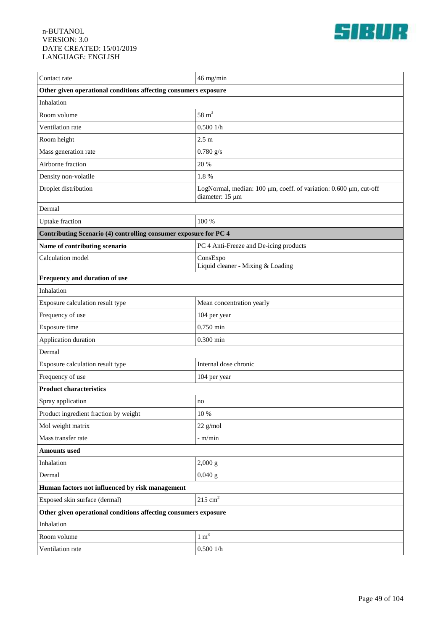

| Contact rate                                                     | 46 mg/min                                                                            |  |
|------------------------------------------------------------------|--------------------------------------------------------------------------------------|--|
| Other given operational conditions affecting consumers exposure  |                                                                                      |  |
| Inhalation                                                       |                                                                                      |  |
| Room volume                                                      | $58 \text{ m}^3$                                                                     |  |
| Ventilation rate                                                 | 0.5001/h                                                                             |  |
| Room height                                                      | $2.5 \text{ m}$                                                                      |  |
| Mass generation rate                                             | $0.780$ g/s                                                                          |  |
| Airborne fraction                                                | 20 %                                                                                 |  |
| Density non-volatile                                             | 1.8%                                                                                 |  |
| Droplet distribution                                             | LogNormal, median: 100 µm, coeff. of variation: 0.600 µm, cut-off<br>diameter: 15 µm |  |
| Dermal                                                           |                                                                                      |  |
| <b>Uptake</b> fraction                                           | 100 %                                                                                |  |
| Contributing Scenario (4) controlling consumer exposure for PC 4 |                                                                                      |  |
| Name of contributing scenario                                    | PC 4 Anti-Freeze and De-icing products                                               |  |
| Calculation model                                                | ConsExpo<br>Liquid cleaner - Mixing & Loading                                        |  |
| Frequency and duration of use                                    |                                                                                      |  |
| Inhalation                                                       |                                                                                      |  |
| Exposure calculation result type                                 | Mean concentration yearly                                                            |  |
| Frequency of use                                                 | 104 per year                                                                         |  |
| Exposure time                                                    | $0.750$ min                                                                          |  |
| Application duration                                             | $0.300$ min                                                                          |  |
| Dermal                                                           |                                                                                      |  |
| Exposure calculation result type                                 | Internal dose chronic                                                                |  |
| Frequency of use                                                 | 104 per year                                                                         |  |
| <b>Product characteristics</b>                                   |                                                                                      |  |
| Spray application                                                | $\mathbf{no}$                                                                        |  |
| Product ingredient fraction by weight                            | 10 %                                                                                 |  |
| Mol weight matrix                                                | 22 g/mol                                                                             |  |
| Mass transfer rate                                               | - m/min                                                                              |  |
| <b>Amounts</b> used                                              |                                                                                      |  |
| Inhalation                                                       | 2,000 g                                                                              |  |
| Dermal                                                           | $0.040$ g                                                                            |  |
| Human factors not influenced by risk management                  |                                                                                      |  |
| Exposed skin surface (dermal)                                    | $215 \text{ cm}^2$                                                                   |  |
| Other given operational conditions affecting consumers exposure  |                                                                                      |  |
| Inhalation                                                       |                                                                                      |  |
| Room volume                                                      | $1 \text{ m}^3$                                                                      |  |
| Ventilation rate                                                 | 0.5001/h                                                                             |  |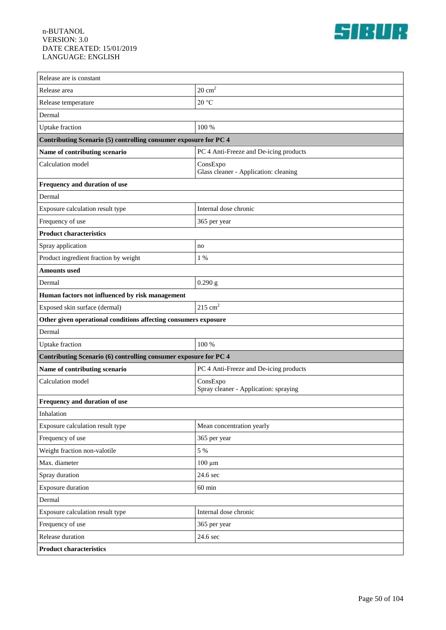

| Release are is constant                                          |                                                   |  |
|------------------------------------------------------------------|---------------------------------------------------|--|
| Release area                                                     | $20 \text{ cm}^2$                                 |  |
| Release temperature                                              | 20 °C                                             |  |
| Dermal                                                           |                                                   |  |
| Uptake fraction                                                  | 100 %                                             |  |
| Contributing Scenario (5) controlling consumer exposure for PC 4 |                                                   |  |
| Name of contributing scenario                                    | PC 4 Anti-Freeze and De-icing products            |  |
| Calculation model                                                | ConsExpo                                          |  |
|                                                                  | Glass cleaner - Application: cleaning             |  |
| Frequency and duration of use                                    |                                                   |  |
| Dermal                                                           |                                                   |  |
| Exposure calculation result type                                 | Internal dose chronic                             |  |
| Frequency of use                                                 | 365 per year                                      |  |
| <b>Product characteristics</b>                                   |                                                   |  |
| Spray application                                                | no                                                |  |
| Product ingredient fraction by weight                            | 1 %                                               |  |
| <b>Amounts</b> used                                              |                                                   |  |
| Dermal                                                           | 0.290 g                                           |  |
| Human factors not influenced by risk management                  |                                                   |  |
| Exposed skin surface (dermal)                                    | $215 \text{ cm}^2$                                |  |
| Other given operational conditions affecting consumers exposure  |                                                   |  |
| Dermal                                                           |                                                   |  |
| Uptake fraction                                                  | 100 %                                             |  |
| Contributing Scenario (6) controlling consumer exposure for PC 4 |                                                   |  |
| Name of contributing scenario                                    | PC 4 Anti-Freeze and De-icing products            |  |
| Calculation model                                                | ConsExpo<br>Spray cleaner - Application: spraying |  |
| Frequency and duration of use                                    |                                                   |  |
| Inhalation                                                       |                                                   |  |
| Exposure calculation result type                                 | Mean concentration yearly                         |  |
| Frequency of use                                                 | 365 per year                                      |  |
| Weight fraction non-valotile                                     | 5 %                                               |  |
| Max. diameter                                                    | $100 \mu m$                                       |  |
| Spray duration                                                   | 24.6 sec                                          |  |
| <b>Exposure duration</b>                                         | $60$ min                                          |  |
| Dermal                                                           |                                                   |  |
| Exposure calculation result type                                 | Internal dose chronic                             |  |
| Frequency of use                                                 | 365 per year                                      |  |
| Release duration                                                 | 24.6 sec                                          |  |
| <b>Product characteristics</b>                                   |                                                   |  |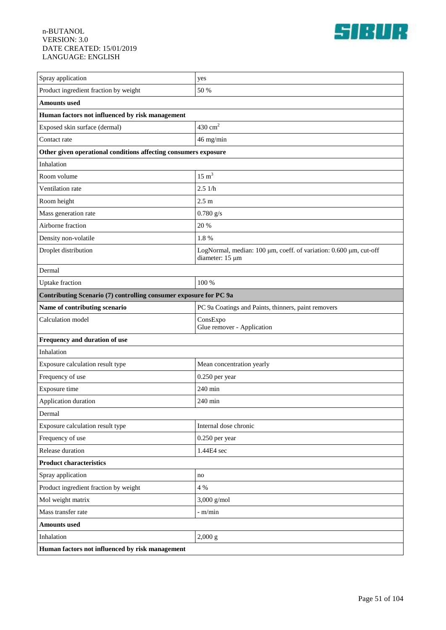

| Spray application                                                             | yes                                                                                  |  |
|-------------------------------------------------------------------------------|--------------------------------------------------------------------------------------|--|
| Product ingredient fraction by weight                                         | 50 %                                                                                 |  |
| <b>Amounts</b> used                                                           |                                                                                      |  |
| Human factors not influenced by risk management                               |                                                                                      |  |
| Exposed skin surface (dermal)                                                 | $430 \text{ cm}^2$                                                                   |  |
|                                                                               |                                                                                      |  |
| Contact rate                                                                  | 46 mg/min                                                                            |  |
| Other given operational conditions affecting consumers exposure<br>Inhalation |                                                                                      |  |
| Room volume                                                                   | $15 \text{ m}^3$                                                                     |  |
|                                                                               | 2.51/h                                                                               |  |
| Ventilation rate                                                              |                                                                                      |  |
| Room height                                                                   | 2.5 <sub>m</sub>                                                                     |  |
| Mass generation rate                                                          | $0.780$ g/s                                                                          |  |
| Airborne fraction                                                             | 20 %                                                                                 |  |
| Density non-volatile                                                          | 1.8%                                                                                 |  |
| Droplet distribution                                                          | LogNormal, median: 100 µm, coeff. of variation: 0.600 µm, cut-off<br>diameter: 15 µm |  |
| Dermal                                                                        |                                                                                      |  |
| <b>Uptake</b> fraction                                                        | 100 %                                                                                |  |
| Contributing Scenario (7) controlling consumer exposure for PC 9a             |                                                                                      |  |
| Name of contributing scenario                                                 | PC 9a Coatings and Paints, thinners, paint removers                                  |  |
| Calculation model                                                             | ConsExpo<br>Glue remover - Application                                               |  |
| Frequency and duration of use                                                 |                                                                                      |  |
| Inhalation                                                                    |                                                                                      |  |
| Exposure calculation result type                                              | Mean concentration yearly                                                            |  |
| Frequency of use                                                              | 0.250 per year                                                                       |  |
| Exposure time                                                                 | 240 min                                                                              |  |
| Application duration                                                          | 240 min                                                                              |  |
| Dermal                                                                        |                                                                                      |  |
| Exposure calculation result type                                              | Internal dose chronic                                                                |  |
| Frequency of use                                                              | 0.250 per year                                                                       |  |
| Release duration                                                              | 1.44E4 sec                                                                           |  |
| <b>Product characteristics</b>                                                |                                                                                      |  |
| Spray application                                                             | no                                                                                   |  |
| Product ingredient fraction by weight                                         | 4 %                                                                                  |  |
| Mol weight matrix                                                             | $3,000$ g/mol                                                                        |  |
| Mass transfer rate                                                            | - m/min                                                                              |  |
| <b>Amounts used</b>                                                           |                                                                                      |  |
| Inhalation                                                                    | 2,000 g                                                                              |  |
| Human factors not influenced by risk management                               |                                                                                      |  |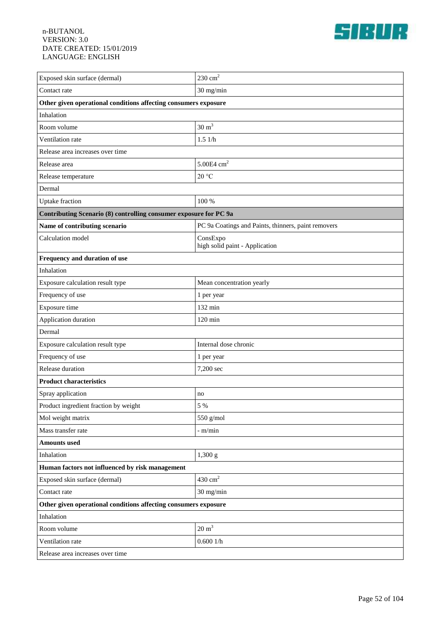

| Exposed skin surface (dermal)                                     | $230 \text{ cm}^2$                                  |  |
|-------------------------------------------------------------------|-----------------------------------------------------|--|
| Contact rate                                                      | 30 mg/min                                           |  |
| Other given operational conditions affecting consumers exposure   |                                                     |  |
| Inhalation                                                        |                                                     |  |
| Room volume                                                       | $30 \text{ m}^3$                                    |  |
| Ventilation rate                                                  | 1.51/h                                              |  |
| Release area increases over time                                  |                                                     |  |
| Release area                                                      | $5.00E4$ cm <sup>2</sup>                            |  |
| Release temperature                                               | $20\text{ °C}$                                      |  |
| Dermal                                                            |                                                     |  |
| <b>Uptake</b> fraction                                            | 100 %                                               |  |
| Contributing Scenario (8) controlling consumer exposure for PC 9a |                                                     |  |
| Name of contributing scenario                                     | PC 9a Coatings and Paints, thinners, paint removers |  |
| Calculation model                                                 | ConsExpo<br>high solid paint - Application          |  |
| Frequency and duration of use                                     |                                                     |  |
| Inhalation                                                        |                                                     |  |
| Exposure calculation result type                                  | Mean concentration yearly                           |  |
| Frequency of use                                                  | 1 per year                                          |  |
| Exposure time                                                     | 132 min                                             |  |
| Application duration                                              | $120 \text{ min}$                                   |  |
| Dermal                                                            |                                                     |  |
| Exposure calculation result type                                  | Internal dose chronic                               |  |
| Frequency of use                                                  | 1 per year                                          |  |
| Release duration                                                  | 7,200 sec                                           |  |
| <b>Product characteristics</b>                                    |                                                     |  |
| Spray application                                                 | no                                                  |  |
| Product ingredient fraction by weight                             | 5 %                                                 |  |
| Mol weight matrix                                                 | 550 g/mol                                           |  |
| Mass transfer rate                                                | $-$ m/min                                           |  |
| <b>Amounts used</b>                                               |                                                     |  |
| Inhalation                                                        | 1,300 g                                             |  |
| Human factors not influenced by risk management                   |                                                     |  |
| Exposed skin surface (dermal)                                     | $430\ {\rm cm}^2$                                   |  |
| Contact rate                                                      | 30 mg/min                                           |  |
| Other given operational conditions affecting consumers exposure   |                                                     |  |
| Inhalation                                                        |                                                     |  |
| Room volume                                                       | $20 \text{ m}^3$                                    |  |
| Ventilation rate                                                  | 0.6001/h                                            |  |
| Release area increases over time                                  |                                                     |  |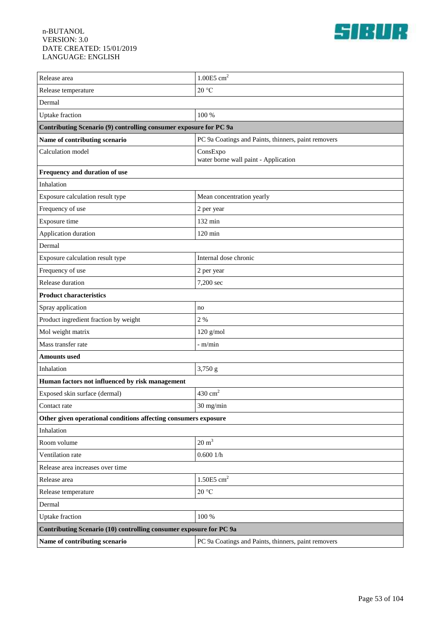

| Release area                                                       | $1.00E5$ cm <sup>2</sup>                            |  |
|--------------------------------------------------------------------|-----------------------------------------------------|--|
| Release temperature                                                | 20 °C                                               |  |
| Dermal                                                             |                                                     |  |
| <b>Uptake</b> fraction                                             | 100 %                                               |  |
| Contributing Scenario (9) controlling consumer exposure for PC 9a  |                                                     |  |
| Name of contributing scenario                                      | PC 9a Coatings and Paints, thinners, paint removers |  |
| Calculation model                                                  | ConsExpo<br>water borne wall paint - Application    |  |
| Frequency and duration of use                                      |                                                     |  |
| Inhalation                                                         |                                                     |  |
| Exposure calculation result type                                   | Mean concentration yearly                           |  |
| Frequency of use                                                   | 2 per year                                          |  |
| Exposure time                                                      | 132 min                                             |  |
| Application duration                                               | $120$ min                                           |  |
| Dermal                                                             |                                                     |  |
| Exposure calculation result type                                   | Internal dose chronic                               |  |
| Frequency of use                                                   | 2 per year                                          |  |
| Release duration                                                   | 7,200 sec                                           |  |
| <b>Product characteristics</b>                                     |                                                     |  |
| Spray application                                                  | no                                                  |  |
| Product ingredient fraction by weight                              | 2 %                                                 |  |
| Mol weight matrix                                                  | $120$ g/mol                                         |  |
| Mass transfer rate                                                 | - m/min                                             |  |
| <b>Amounts used</b>                                                |                                                     |  |
| Inhalation                                                         | 3,750 g                                             |  |
| Human factors not influenced by risk management                    |                                                     |  |
| Exposed skin surface (dermal)                                      | $430 \text{ cm}^2$                                  |  |
| Contact rate                                                       | 30 mg/min                                           |  |
| Other given operational conditions affecting consumers exposure    |                                                     |  |
| Inhalation                                                         |                                                     |  |
| Room volume                                                        | $20 \text{ m}^3$                                    |  |
| Ventilation rate                                                   | 0.6001/h                                            |  |
| Release area increases over time                                   |                                                     |  |
| Release area                                                       | $1.50E5$ ${\rm cm}^2$                               |  |
| Release temperature                                                | $20\text{ °C}$                                      |  |
| Dermal                                                             |                                                     |  |
| <b>Uptake</b> fraction                                             | 100 %                                               |  |
| Contributing Scenario (10) controlling consumer exposure for PC 9a |                                                     |  |
| Name of contributing scenario                                      | PC 9a Coatings and Paints, thinners, paint removers |  |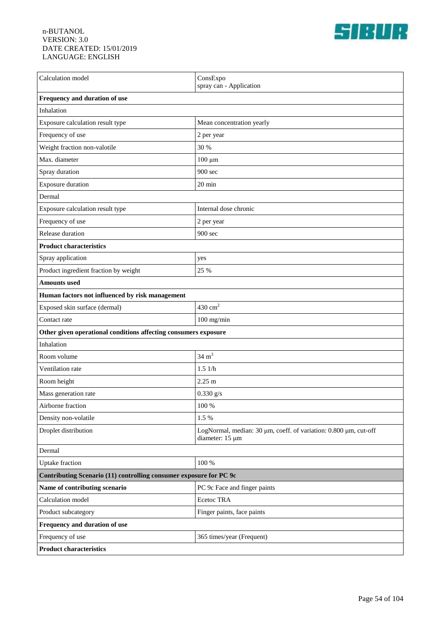

| Calculation model                                                  | ConsExpo<br>spray can - Application                                                 |  |
|--------------------------------------------------------------------|-------------------------------------------------------------------------------------|--|
| Frequency and duration of use                                      |                                                                                     |  |
| Inhalation                                                         |                                                                                     |  |
| Exposure calculation result type                                   | Mean concentration yearly                                                           |  |
| Frequency of use                                                   | 2 per year                                                                          |  |
| Weight fraction non-valotile                                       | 30 %                                                                                |  |
| Max. diameter                                                      | $100 \mu m$                                                                         |  |
| Spray duration                                                     | 900 sec                                                                             |  |
| Exposure duration                                                  | 20 min                                                                              |  |
| Dermal                                                             |                                                                                     |  |
| Exposure calculation result type                                   | Internal dose chronic                                                               |  |
| Frequency of use                                                   | 2 per year                                                                          |  |
| Release duration                                                   | 900 sec                                                                             |  |
| <b>Product characteristics</b>                                     |                                                                                     |  |
| Spray application                                                  | yes                                                                                 |  |
| Product ingredient fraction by weight                              | 25 %                                                                                |  |
| <b>Amounts</b> used                                                |                                                                                     |  |
| Human factors not influenced by risk management                    |                                                                                     |  |
| Exposed skin surface (dermal)                                      | $430 \text{ cm}^2$                                                                  |  |
| Contact rate                                                       | $100$ mg/min                                                                        |  |
| Other given operational conditions affecting consumers exposure    |                                                                                     |  |
| Inhalation                                                         |                                                                                     |  |
| Room volume                                                        | $34 \text{ m}^3$                                                                    |  |
| Ventilation rate                                                   | 1.51/h                                                                              |  |
| Room height                                                        | $2.25 \text{ m}$                                                                    |  |
| Mass generation rate                                               | $0.330$ g/s                                                                         |  |
| Airborne fraction                                                  | 100 %                                                                               |  |
| Density non-volatile                                               | 1.5 %                                                                               |  |
| Droplet distribution                                               | LogNormal, median: 30 µm, coeff. of variation: 0.800 µm, cut-off<br>diameter: 15 µm |  |
| Dermal                                                             |                                                                                     |  |
| <b>Uptake</b> fraction                                             | 100 %                                                                               |  |
| Contributing Scenario (11) controlling consumer exposure for PC 9c |                                                                                     |  |
| Name of contributing scenario                                      | PC 9c Face and finger paints                                                        |  |
| Calculation model                                                  | Ecetoc TRA                                                                          |  |
| Product subcategory                                                | Finger paints, face paints                                                          |  |
| Frequency and duration of use                                      |                                                                                     |  |
| Frequency of use                                                   | 365 times/year (Frequent)                                                           |  |
| <b>Product characteristics</b>                                     |                                                                                     |  |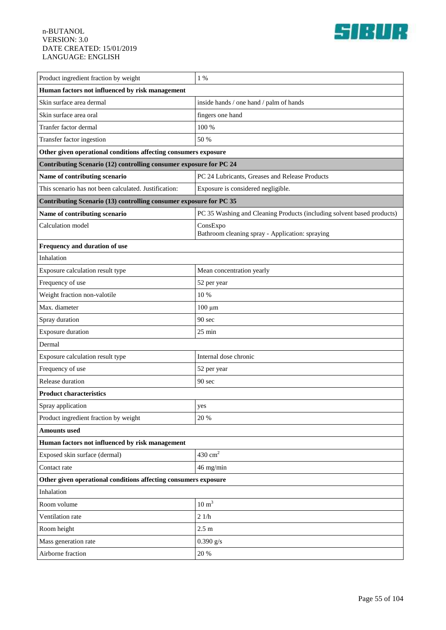

| Product ingredient fraction by weight                              | $1\%$                                                                  |  |
|--------------------------------------------------------------------|------------------------------------------------------------------------|--|
| Human factors not influenced by risk management                    |                                                                        |  |
| Skin surface area dermal                                           | inside hands / one hand / palm of hands                                |  |
| Skin surface area oral                                             | fingers one hand                                                       |  |
| Tranfer factor dermal                                              | 100 %                                                                  |  |
| Transfer factor ingestion                                          | 50 %                                                                   |  |
| Other given operational conditions affecting consumers exposure    |                                                                        |  |
| Contributing Scenario (12) controlling consumer exposure for PC 24 |                                                                        |  |
| Name of contributing scenario                                      | PC 24 Lubricants, Greases and Release Products                         |  |
| This scenario has not been calculated. Justification:              | Exposure is considered negligible.                                     |  |
| Contributing Scenario (13) controlling consumer exposure for PC 35 |                                                                        |  |
| Name of contributing scenario                                      | PC 35 Washing and Cleaning Products (including solvent based products) |  |
| Calculation model                                                  | ConsExpo<br>Bathroom cleaning spray - Application: spraying            |  |
| Frequency and duration of use                                      |                                                                        |  |
| Inhalation                                                         |                                                                        |  |
| Exposure calculation result type                                   | Mean concentration yearly                                              |  |
| Frequency of use                                                   | 52 per year                                                            |  |
| Weight fraction non-valotile                                       | 10 %                                                                   |  |
| Max. diameter                                                      | $100 \mu m$                                                            |  |
| Spray duration                                                     | 90 sec                                                                 |  |
| <b>Exposure duration</b>                                           | 25 min                                                                 |  |
| Dermal                                                             |                                                                        |  |
| Exposure calculation result type                                   | Internal dose chronic                                                  |  |
| Frequency of use                                                   | 52 per year                                                            |  |
| Release duration                                                   | 90 sec                                                                 |  |
| <b>Product characteristics</b>                                     |                                                                        |  |
| Spray application                                                  | yes                                                                    |  |
| Product ingredient fraction by weight                              | 20 %                                                                   |  |
| <b>Amounts</b> used                                                |                                                                        |  |
| Human factors not influenced by risk management                    |                                                                        |  |
| Exposed skin surface (dermal)                                      | $430 \text{ cm}^2$                                                     |  |
| Contact rate                                                       | 46 mg/min                                                              |  |
| Other given operational conditions affecting consumers exposure    |                                                                        |  |
| Inhalation                                                         |                                                                        |  |
| Room volume                                                        | $10 \text{ m}^3$                                                       |  |
| Ventilation rate                                                   | 21/h                                                                   |  |
| Room height                                                        | $2.5 \text{ m}$                                                        |  |
| Mass generation rate                                               | $0.390$ g/s                                                            |  |
| Airborne fraction                                                  | 20 %                                                                   |  |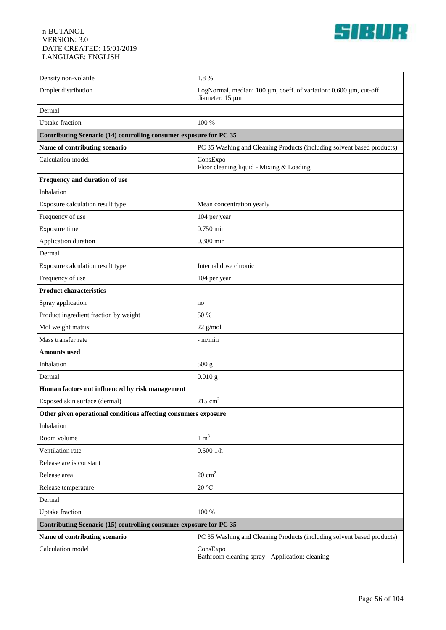

| Density non-volatile                                               | 1.8%                                                                                 |  |
|--------------------------------------------------------------------|--------------------------------------------------------------------------------------|--|
| Droplet distribution                                               | LogNormal, median: 100 µm, coeff. of variation: 0.600 µm, cut-off<br>diameter: 15 µm |  |
| Dermal                                                             |                                                                                      |  |
| Uptake fraction                                                    | 100 %                                                                                |  |
| Contributing Scenario (14) controlling consumer exposure for PC 35 |                                                                                      |  |
| Name of contributing scenario                                      | PC 35 Washing and Cleaning Products (including solvent based products)               |  |
| Calculation model                                                  | ConsExpo<br>Floor cleaning liquid - Mixing & Loading                                 |  |
| Frequency and duration of use                                      |                                                                                      |  |
| Inhalation                                                         |                                                                                      |  |
| Exposure calculation result type                                   | Mean concentration yearly                                                            |  |
| Frequency of use                                                   | 104 per year                                                                         |  |
| Exposure time                                                      | $0.750$ min                                                                          |  |
| Application duration                                               | $0.300$ min                                                                          |  |
| Dermal                                                             |                                                                                      |  |
| Exposure calculation result type                                   | Internal dose chronic                                                                |  |
| Frequency of use                                                   | 104 per year                                                                         |  |
| <b>Product characteristics</b>                                     |                                                                                      |  |
| Spray application                                                  | no                                                                                   |  |
| Product ingredient fraction by weight                              | 50 %                                                                                 |  |
| Mol weight matrix                                                  | $22$ g/mol                                                                           |  |
| Mass transfer rate                                                 | - m/min                                                                              |  |
| <b>Amounts</b> used                                                |                                                                                      |  |
| Inhalation                                                         | 500 g                                                                                |  |
| Dermal                                                             | $0.010$ g                                                                            |  |
| Human factors not influenced by risk management                    |                                                                                      |  |
| Exposed skin surface (dermal)                                      | $215 \text{ cm}^2$                                                                   |  |
| Other given operational conditions affecting consumers exposure    |                                                                                      |  |
| Inhalation                                                         |                                                                                      |  |
| Room volume                                                        | $1 \text{ m}^3$                                                                      |  |
| Ventilation rate                                                   | 0.5001/h                                                                             |  |
| Release are is constant                                            |                                                                                      |  |
| Release area                                                       | $20 \text{ cm}^2$                                                                    |  |
| Release temperature                                                | $20\,^{\circ}\mathrm{C}$                                                             |  |
| Dermal                                                             |                                                                                      |  |
| Uptake fraction                                                    | 100 %                                                                                |  |
| Contributing Scenario (15) controlling consumer exposure for PC 35 |                                                                                      |  |
| Name of contributing scenario                                      | PC 35 Washing and Cleaning Products (including solvent based products)               |  |
| Calculation model                                                  | ConsExpo<br>Bathroom cleaning spray - Application: cleaning                          |  |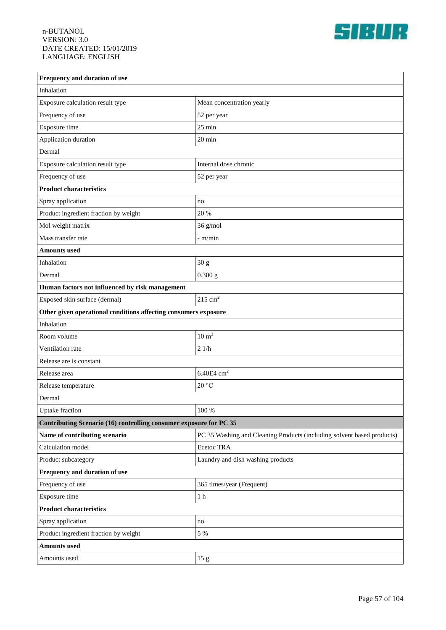

| Frequency and duration of use                                      |                                                                        |  |
|--------------------------------------------------------------------|------------------------------------------------------------------------|--|
| Inhalation                                                         |                                                                        |  |
| Exposure calculation result type                                   | Mean concentration yearly                                              |  |
| Frequency of use                                                   | 52 per year                                                            |  |
| Exposure time                                                      | $25 \text{ min}$                                                       |  |
| Application duration                                               | $20 \text{ min}$                                                       |  |
| Dermal                                                             |                                                                        |  |
| Exposure calculation result type                                   | Internal dose chronic                                                  |  |
| Frequency of use                                                   | 52 per year                                                            |  |
| <b>Product characteristics</b>                                     |                                                                        |  |
| Spray application                                                  | no                                                                     |  |
| Product ingredient fraction by weight                              | 20 %                                                                   |  |
| Mol weight matrix                                                  | $36$ g/mol                                                             |  |
| Mass transfer rate                                                 | - m/min                                                                |  |
| <b>Amounts</b> used                                                |                                                                        |  |
| Inhalation                                                         | 30 <sub>g</sub>                                                        |  |
| Dermal                                                             | $0.300$ g                                                              |  |
| Human factors not influenced by risk management                    |                                                                        |  |
| Exposed skin surface (dermal)                                      | $215$ cm <sup>2</sup>                                                  |  |
| Other given operational conditions affecting consumers exposure    |                                                                        |  |
| Inhalation                                                         |                                                                        |  |
| Room volume                                                        | $10 \text{ m}^3$                                                       |  |
| Ventilation rate                                                   | 21/h                                                                   |  |
| Release are is constant                                            |                                                                        |  |
| Release area                                                       | 6.40E4 $cm2$                                                           |  |
| Release temperature                                                | 20 °C                                                                  |  |
| Dermal                                                             |                                                                        |  |
| Uptake fraction                                                    | 100 %                                                                  |  |
| Contributing Scenario (16) controlling consumer exposure for PC 35 |                                                                        |  |
| Name of contributing scenario                                      | PC 35 Washing and Cleaning Products (including solvent based products) |  |
| Calculation model                                                  | Ecetoc TRA                                                             |  |
| Product subcategory                                                | Laundry and dish washing products                                      |  |
| Frequency and duration of use                                      |                                                                        |  |
| Frequency of use                                                   | 365 times/year (Frequent)                                              |  |
| Exposure time                                                      | $1\ \mathrm{h}$                                                        |  |
| <b>Product characteristics</b>                                     |                                                                        |  |
| Spray application                                                  | no                                                                     |  |
| Product ingredient fraction by weight                              | 5 %                                                                    |  |
| <b>Amounts used</b>                                                |                                                                        |  |
| Amounts used                                                       | 15 <sub>g</sub>                                                        |  |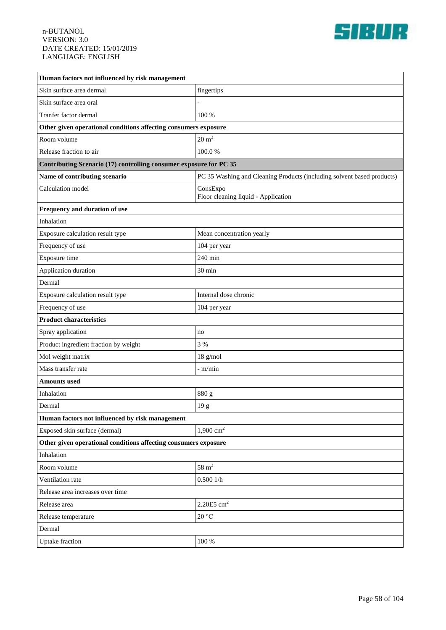

| Human factors not influenced by risk management                    |                                                                        |  |
|--------------------------------------------------------------------|------------------------------------------------------------------------|--|
| Skin surface area dermal                                           | fingertips                                                             |  |
| Skin surface area oral                                             |                                                                        |  |
| Tranfer factor dermal                                              | 100 %                                                                  |  |
| Other given operational conditions affecting consumers exposure    |                                                                        |  |
| Room volume                                                        | $20 \text{ m}^3$                                                       |  |
| Release fraction to air                                            | 100.0%                                                                 |  |
| Contributing Scenario (17) controlling consumer exposure for PC 35 |                                                                        |  |
| Name of contributing scenario                                      | PC 35 Washing and Cleaning Products (including solvent based products) |  |
| Calculation model                                                  | ConsExpo<br>Floor cleaning liquid - Application                        |  |
| Frequency and duration of use                                      |                                                                        |  |
| Inhalation                                                         |                                                                        |  |
| Exposure calculation result type                                   | Mean concentration yearly                                              |  |
| Frequency of use                                                   | 104 per year                                                           |  |
| Exposure time                                                      | 240 min                                                                |  |
| Application duration                                               | 30 min                                                                 |  |
| Dermal                                                             |                                                                        |  |
| Exposure calculation result type                                   | Internal dose chronic                                                  |  |
| Frequency of use                                                   | 104 per year                                                           |  |
| <b>Product characteristics</b>                                     |                                                                        |  |
| Spray application                                                  | no                                                                     |  |
| Product ingredient fraction by weight                              | 3 %                                                                    |  |
| Mol weight matrix                                                  | $18$ g/mol                                                             |  |
| Mass transfer rate                                                 | - m/min                                                                |  |
| <b>Amounts</b> used                                                |                                                                        |  |
| Inhalation                                                         | 880 g                                                                  |  |
| Dermal                                                             | 19 g                                                                   |  |
| Human factors not influenced by risk management                    |                                                                        |  |
| Exposed skin surface (dermal)                                      | $1,900 \text{ cm}^2$                                                   |  |
| Other given operational conditions affecting consumers exposure    |                                                                        |  |
| Inhalation                                                         |                                                                        |  |
| Room volume                                                        | $58 \text{ m}^3$                                                       |  |
| Ventilation rate                                                   | 0.5001/h                                                               |  |
| Release area increases over time                                   |                                                                        |  |
| Release area                                                       | 2.20E5 cm <sup>2</sup>                                                 |  |
| Release temperature                                                | $20\text{ °C}$                                                         |  |
| Dermal                                                             |                                                                        |  |
| <b>Uptake</b> fraction                                             | $100\,\%$                                                              |  |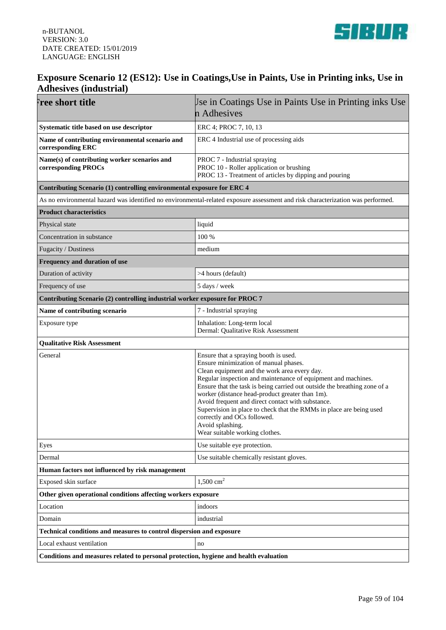



### **Exposure Scenario 12 (ES12): Use in Coatings,Use in Paints, Use in Printing inks, Use in Adhesives (industrial)**

| <b>Free short title</b>                                                               | Use in Coatings Use in Paints Use in Printing inks Use<br>n Adhesives                                                                                                                                                                                                                                                                                                                                                                                                                                                                            |
|---------------------------------------------------------------------------------------|--------------------------------------------------------------------------------------------------------------------------------------------------------------------------------------------------------------------------------------------------------------------------------------------------------------------------------------------------------------------------------------------------------------------------------------------------------------------------------------------------------------------------------------------------|
|                                                                                       |                                                                                                                                                                                                                                                                                                                                                                                                                                                                                                                                                  |
| Systematic title based on use descriptor                                              | ERC 4; PROC 7, 10, 13                                                                                                                                                                                                                                                                                                                                                                                                                                                                                                                            |
| Name of contributing environmental scenario and<br>corresponding ERC                  | ERC 4 Industrial use of processing aids                                                                                                                                                                                                                                                                                                                                                                                                                                                                                                          |
| Name(s) of contributing worker scenarios and<br>corresponding PROCs                   | PROC 7 - Industrial spraying<br>PROC 10 - Roller application or brushing<br>PROC 13 - Treatment of articles by dipping and pouring                                                                                                                                                                                                                                                                                                                                                                                                               |
| Contributing Scenario (1) controlling environmental exposure for ERC 4                |                                                                                                                                                                                                                                                                                                                                                                                                                                                                                                                                                  |
|                                                                                       | As no environmental hazard was identified no environmental-related exposure assessment and risk characterization was performed.                                                                                                                                                                                                                                                                                                                                                                                                                  |
| <b>Product characteristics</b>                                                        |                                                                                                                                                                                                                                                                                                                                                                                                                                                                                                                                                  |
| Physical state                                                                        | liquid                                                                                                                                                                                                                                                                                                                                                                                                                                                                                                                                           |
| Concentration in substance                                                            | 100 %                                                                                                                                                                                                                                                                                                                                                                                                                                                                                                                                            |
| Fugacity / Dustiness                                                                  | medium                                                                                                                                                                                                                                                                                                                                                                                                                                                                                                                                           |
| Frequency and duration of use                                                         |                                                                                                                                                                                                                                                                                                                                                                                                                                                                                                                                                  |
| Duration of activity                                                                  | >4 hours (default)                                                                                                                                                                                                                                                                                                                                                                                                                                                                                                                               |
| Frequency of use                                                                      | 5 days / week                                                                                                                                                                                                                                                                                                                                                                                                                                                                                                                                    |
| Contributing Scenario (2) controlling industrial worker exposure for PROC 7           |                                                                                                                                                                                                                                                                                                                                                                                                                                                                                                                                                  |
| Name of contributing scenario                                                         | 7 - Industrial spraying                                                                                                                                                                                                                                                                                                                                                                                                                                                                                                                          |
| Exposure type                                                                         | Inhalation: Long-term local<br>Dermal: Qualitative Risk Assessment                                                                                                                                                                                                                                                                                                                                                                                                                                                                               |
| <b>Qualitative Risk Assessment</b>                                                    |                                                                                                                                                                                                                                                                                                                                                                                                                                                                                                                                                  |
| General                                                                               | Ensure that a spraying booth is used.<br>Ensure minimization of manual phases.<br>Clean equipment and the work area every day.<br>Regular inspection and maintenance of equipment and machines.<br>Ensure that the task is being carried out outside the breathing zone of a<br>worker (distance head-product greater than 1m).<br>Avoid frequent and direct contact with substance.<br>Supervision in place to check that the RMMs in place are being used<br>correctly and OCs followed.<br>Avoid splashing.<br>Wear suitable working clothes. |
| Eyes                                                                                  | Use suitable eye protection.                                                                                                                                                                                                                                                                                                                                                                                                                                                                                                                     |
| Dermal                                                                                | Use suitable chemically resistant gloves.                                                                                                                                                                                                                                                                                                                                                                                                                                                                                                        |
| Human factors not influenced by risk management                                       |                                                                                                                                                                                                                                                                                                                                                                                                                                                                                                                                                  |
| Exposed skin surface                                                                  | $1,500$ cm <sup>2</sup>                                                                                                                                                                                                                                                                                                                                                                                                                                                                                                                          |
| Other given operational conditions affecting workers exposure                         |                                                                                                                                                                                                                                                                                                                                                                                                                                                                                                                                                  |
| Location                                                                              | indoors                                                                                                                                                                                                                                                                                                                                                                                                                                                                                                                                          |
| Domain                                                                                | industrial                                                                                                                                                                                                                                                                                                                                                                                                                                                                                                                                       |
| Technical conditions and measures to control dispersion and exposure                  |                                                                                                                                                                                                                                                                                                                                                                                                                                                                                                                                                  |
| Local exhaust ventilation                                                             | no                                                                                                                                                                                                                                                                                                                                                                                                                                                                                                                                               |
| Conditions and measures related to personal protection, hygiene and health evaluation |                                                                                                                                                                                                                                                                                                                                                                                                                                                                                                                                                  |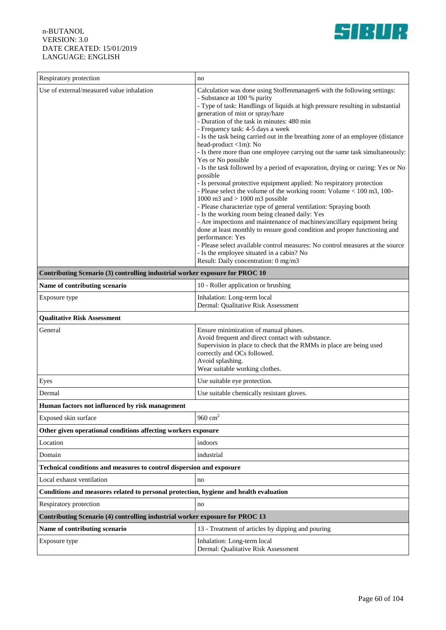

| Respiratory protection                                                                | no                                                                                                                                                   |  |
|---------------------------------------------------------------------------------------|------------------------------------------------------------------------------------------------------------------------------------------------------|--|
| Use of external/measured value inhalation                                             | Calculation was done using Stoffenmanager6 with the following settings:                                                                              |  |
|                                                                                       | - Substance at 100 % purity                                                                                                                          |  |
|                                                                                       | - Type of task: Handlings of liquids at high pressure resulting in substantial<br>generation of mist or spray/haze                                   |  |
|                                                                                       | - Duration of the task in minutes: 480 min                                                                                                           |  |
|                                                                                       | - Frequency task: 4-5 days a week                                                                                                                    |  |
|                                                                                       | - Is the task being carried out in the breathing zone of an employee (distance<br>head-product <1m): No                                              |  |
|                                                                                       | - Is there more than one employee carrying out the same task simultaneously:                                                                         |  |
|                                                                                       | Yes or No possible                                                                                                                                   |  |
|                                                                                       | - Is the task followed by a period of evaporation, drying or curing: Yes or No<br>possible                                                           |  |
|                                                                                       | - Is personal protective equipment applied: No respiratory protection                                                                                |  |
|                                                                                       | - Please select the volume of the working room: Volume < 100 m3, 100-<br>1000 m3 and $> 1000$ m3 possible                                            |  |
|                                                                                       | - Please characterize type of general ventilation: Spraying booth                                                                                    |  |
|                                                                                       | - Is the working room being cleaned daily: Yes                                                                                                       |  |
|                                                                                       | - Are inspections and maintenance of machines/ancillary equipment being<br>done at least monthly to ensure good condition and proper functioning and |  |
|                                                                                       | performance: Yes                                                                                                                                     |  |
|                                                                                       | - Please select available control measures: No control measures at the source<br>- Is the employee situated in a cabin? No                           |  |
|                                                                                       | Result: Daily concentration: 0 mg/m3                                                                                                                 |  |
| Contributing Scenario (3) controlling industrial worker exposure for PROC 10          |                                                                                                                                                      |  |
| Name of contributing scenario                                                         | 10 - Roller application or brushing                                                                                                                  |  |
| Exposure type                                                                         | Inhalation: Long-term local<br>Dermal: Qualitative Risk Assessment                                                                                   |  |
| <b>Qualitative Risk Assessment</b>                                                    |                                                                                                                                                      |  |
| General                                                                               | Ensure minimization of manual phases.                                                                                                                |  |
|                                                                                       | Avoid frequent and direct contact with substance.                                                                                                    |  |
|                                                                                       | Supervision in place to check that the RMMs in place are being used<br>correctly and OCs followed.                                                   |  |
|                                                                                       | Avoid splashing.                                                                                                                                     |  |
|                                                                                       | Wear suitable working clothes.                                                                                                                       |  |
| Eyes                                                                                  | Use suitable eye protection.                                                                                                                         |  |
| Dermal                                                                                | Use suitable chemically resistant gloves.                                                                                                            |  |
| Human factors not influenced by risk management                                       |                                                                                                                                                      |  |
| Exposed skin surface                                                                  | 960 $cm2$                                                                                                                                            |  |
| Other given operational conditions affecting workers exposure                         |                                                                                                                                                      |  |
| Location                                                                              | indoors                                                                                                                                              |  |
| Domain                                                                                | industrial                                                                                                                                           |  |
| <b>Technical conditions and measures to control dispersion and exposure</b>           |                                                                                                                                                      |  |
| Local exhaust ventilation                                                             | no                                                                                                                                                   |  |
| Conditions and measures related to personal protection, hygiene and health evaluation |                                                                                                                                                      |  |
| Respiratory protection                                                                | no                                                                                                                                                   |  |
| Contributing Scenario (4) controlling industrial worker exposure for PROC 13          |                                                                                                                                                      |  |
| Name of contributing scenario                                                         | 13 - Treatment of articles by dipping and pouring                                                                                                    |  |
| Exposure type                                                                         | Inhalation: Long-term local<br>Dermal: Qualitative Risk Assessment                                                                                   |  |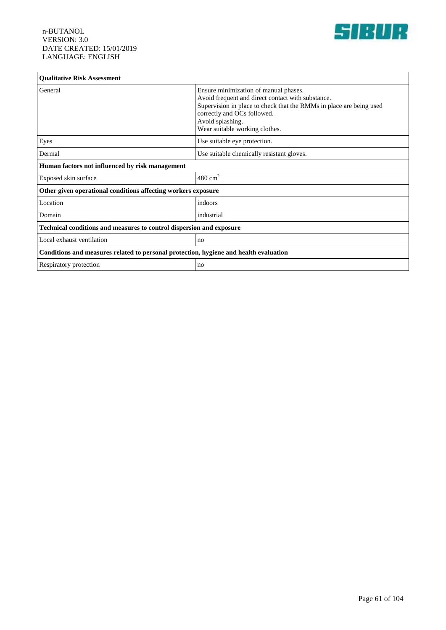

| <b>Qualitative Risk Assessment</b>                                                    |                                                                                                                                                                                                                                                        |  |
|---------------------------------------------------------------------------------------|--------------------------------------------------------------------------------------------------------------------------------------------------------------------------------------------------------------------------------------------------------|--|
| General                                                                               | Ensure minimization of manual phases.<br>Avoid frequent and direct contact with substance.<br>Supervision in place to check that the RMMs in place are being used<br>correctly and OCs followed.<br>Avoid splashing.<br>Wear suitable working clothes. |  |
| Eyes                                                                                  | Use suitable eye protection.                                                                                                                                                                                                                           |  |
| Dermal                                                                                | Use suitable chemically resistant gloves.                                                                                                                                                                                                              |  |
| Human factors not influenced by risk management                                       |                                                                                                                                                                                                                                                        |  |
| Exposed skin surface                                                                  | $480 \text{ cm}^2$                                                                                                                                                                                                                                     |  |
| Other given operational conditions affecting workers exposure                         |                                                                                                                                                                                                                                                        |  |
| Location                                                                              | indoors                                                                                                                                                                                                                                                |  |
| Domain                                                                                | industrial                                                                                                                                                                                                                                             |  |
| Technical conditions and measures to control dispersion and exposure                  |                                                                                                                                                                                                                                                        |  |
| Local exhaust ventilation                                                             | no                                                                                                                                                                                                                                                     |  |
| Conditions and measures related to personal protection, hygiene and health evaluation |                                                                                                                                                                                                                                                        |  |
| <b>Respiratory protection</b>                                                         | no                                                                                                                                                                                                                                                     |  |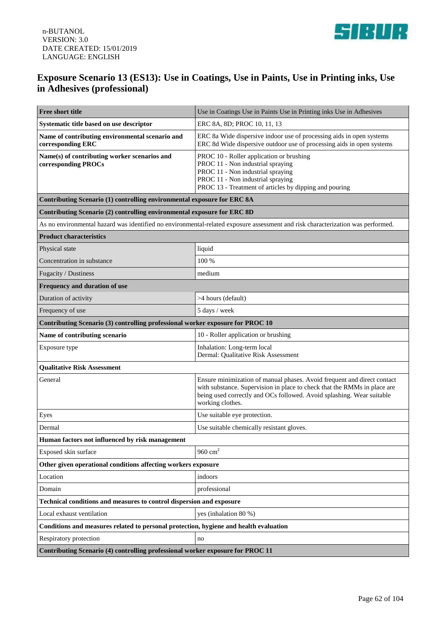

## **Exposure Scenario 13 (ES13): Use in Coatings, Use in Paints, Use in Printing inks, Use in Adhesives (professional)**

| Free short title                                                                      | Use in Coatings Use in Paints Use in Printing inks Use in Adhesives                                                                                                                                                                              |  |
|---------------------------------------------------------------------------------------|--------------------------------------------------------------------------------------------------------------------------------------------------------------------------------------------------------------------------------------------------|--|
| Systematic title based on use descriptor                                              | ERC 8A, 8D; PROC 10, 11, 13                                                                                                                                                                                                                      |  |
| Name of contributing environmental scenario and<br>corresponding ERC                  | ERC 8a Wide dispersive indoor use of processing aids in open systems<br>ERC 8d Wide dispersive outdoor use of processing aids in open systems                                                                                                    |  |
| Name(s) of contributing worker scenarios and<br>corresponding PROCs                   | PROC 10 - Roller application or brushing<br>PROC 11 - Non industrial spraying<br>PROC 11 - Non industrial spraying<br>PROC 11 - Non industrial spraying<br>PROC 13 - Treatment of articles by dipping and pouring                                |  |
| Contributing Scenario (1) controlling environmental exposure for ERC 8A               |                                                                                                                                                                                                                                                  |  |
| Contributing Scenario (2) controlling environmental exposure for ERC 8D               |                                                                                                                                                                                                                                                  |  |
|                                                                                       | As no environmental hazard was identified no environmental-related exposure assessment and risk characterization was performed.                                                                                                                  |  |
| <b>Product characteristics</b>                                                        |                                                                                                                                                                                                                                                  |  |
| Physical state                                                                        | liquid                                                                                                                                                                                                                                           |  |
| Concentration in substance                                                            | 100 %                                                                                                                                                                                                                                            |  |
| Fugacity / Dustiness                                                                  | medium                                                                                                                                                                                                                                           |  |
| Frequency and duration of use                                                         |                                                                                                                                                                                                                                                  |  |
| Duration of activity                                                                  | >4 hours (default)                                                                                                                                                                                                                               |  |
| Frequency of use                                                                      | 5 days / week                                                                                                                                                                                                                                    |  |
| Contributing Scenario (3) controlling professional worker exposure for PROC 10        |                                                                                                                                                                                                                                                  |  |
| Name of contributing scenario                                                         | 10 - Roller application or brushing                                                                                                                                                                                                              |  |
| Exposure type                                                                         | Inhalation: Long-term local<br>Dermal: Qualitative Risk Assessment                                                                                                                                                                               |  |
| <b>Qualitative Risk Assessment</b>                                                    |                                                                                                                                                                                                                                                  |  |
| General                                                                               | Ensure minimization of manual phases. Avoid frequent and direct contact<br>with substance. Supervision in place to check that the RMMs in place are<br>being used correctly and OCs followed. Avoid splashing. Wear suitable<br>working clothes. |  |
| Eyes                                                                                  | Use suitable eye protection.                                                                                                                                                                                                                     |  |
| Dermal                                                                                | Use suitable chemically resistant gloves.                                                                                                                                                                                                        |  |
| Human factors not influenced by risk management                                       |                                                                                                                                                                                                                                                  |  |
| Exposed skin surface                                                                  | 960 $cm2$                                                                                                                                                                                                                                        |  |
| Other given operational conditions affecting workers exposure                         |                                                                                                                                                                                                                                                  |  |
| Location                                                                              | indoors                                                                                                                                                                                                                                          |  |
| Domain                                                                                | professional                                                                                                                                                                                                                                     |  |
| Technical conditions and measures to control dispersion and exposure                  |                                                                                                                                                                                                                                                  |  |
| Local exhaust ventilation                                                             | yes (inhalation 80 %)                                                                                                                                                                                                                            |  |
| Conditions and measures related to personal protection, hygiene and health evaluation |                                                                                                                                                                                                                                                  |  |
| Respiratory protection                                                                | no                                                                                                                                                                                                                                               |  |
| Contributing Scenario (4) controlling professional worker exposure for PROC 11        |                                                                                                                                                                                                                                                  |  |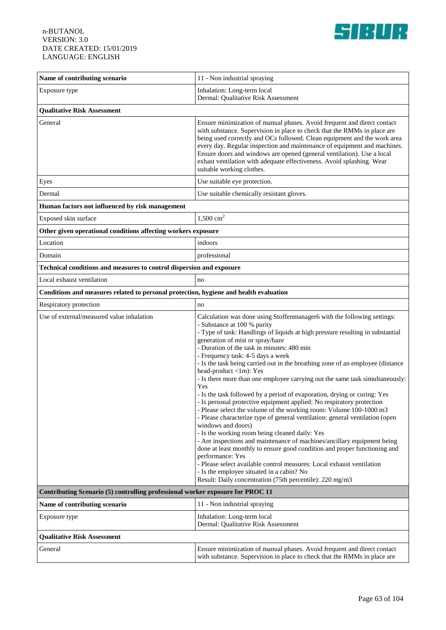

| Name of contributing scenario                                                         | 11 - Non industrial spraying                                                                                                                                                                                                                                                                                                                                                                                                                                                                                                                                                                                                                                                                                                                                                                                                                                                                                                                                                                                                                                                                                                                                                                                                                                        |
|---------------------------------------------------------------------------------------|---------------------------------------------------------------------------------------------------------------------------------------------------------------------------------------------------------------------------------------------------------------------------------------------------------------------------------------------------------------------------------------------------------------------------------------------------------------------------------------------------------------------------------------------------------------------------------------------------------------------------------------------------------------------------------------------------------------------------------------------------------------------------------------------------------------------------------------------------------------------------------------------------------------------------------------------------------------------------------------------------------------------------------------------------------------------------------------------------------------------------------------------------------------------------------------------------------------------------------------------------------------------|
| Exposure type                                                                         | Inhalation: Long-term local<br>Dermal: Qualitative Risk Assessment                                                                                                                                                                                                                                                                                                                                                                                                                                                                                                                                                                                                                                                                                                                                                                                                                                                                                                                                                                                                                                                                                                                                                                                                  |
| <b>Qualitative Risk Assessment</b>                                                    |                                                                                                                                                                                                                                                                                                                                                                                                                                                                                                                                                                                                                                                                                                                                                                                                                                                                                                                                                                                                                                                                                                                                                                                                                                                                     |
| General                                                                               | Ensure minimization of manual phases. Avoid frequent and direct contact<br>with substance. Supervision in place to check that the RMMs in place are<br>being used correctly and OCs followed. Clean equipment and the work area<br>every day. Regular inspection and maintenance of equipment and machines.<br>Ensure doors and windows are opened (general ventilation). Use a local<br>exhast ventilation with adequate effectiveness. Avoid splashing. Wear<br>suitable working clothes.                                                                                                                                                                                                                                                                                                                                                                                                                                                                                                                                                                                                                                                                                                                                                                         |
| Eyes                                                                                  | Use suitable eye protection.                                                                                                                                                                                                                                                                                                                                                                                                                                                                                                                                                                                                                                                                                                                                                                                                                                                                                                                                                                                                                                                                                                                                                                                                                                        |
| Dermal                                                                                | Use suitable chemically resistant gloves.                                                                                                                                                                                                                                                                                                                                                                                                                                                                                                                                                                                                                                                                                                                                                                                                                                                                                                                                                                                                                                                                                                                                                                                                                           |
| Human factors not influenced by risk management                                       |                                                                                                                                                                                                                                                                                                                                                                                                                                                                                                                                                                                                                                                                                                                                                                                                                                                                                                                                                                                                                                                                                                                                                                                                                                                                     |
| Exposed skin surface                                                                  | $1,500 \text{ cm}^2$                                                                                                                                                                                                                                                                                                                                                                                                                                                                                                                                                                                                                                                                                                                                                                                                                                                                                                                                                                                                                                                                                                                                                                                                                                                |
| Other given operational conditions affecting workers exposure                         |                                                                                                                                                                                                                                                                                                                                                                                                                                                                                                                                                                                                                                                                                                                                                                                                                                                                                                                                                                                                                                                                                                                                                                                                                                                                     |
| Location                                                                              | indoors                                                                                                                                                                                                                                                                                                                                                                                                                                                                                                                                                                                                                                                                                                                                                                                                                                                                                                                                                                                                                                                                                                                                                                                                                                                             |
| Domain                                                                                | professional                                                                                                                                                                                                                                                                                                                                                                                                                                                                                                                                                                                                                                                                                                                                                                                                                                                                                                                                                                                                                                                                                                                                                                                                                                                        |
| Technical conditions and measures to control dispersion and exposure                  |                                                                                                                                                                                                                                                                                                                                                                                                                                                                                                                                                                                                                                                                                                                                                                                                                                                                                                                                                                                                                                                                                                                                                                                                                                                                     |
| Local exhaust ventilation                                                             | no                                                                                                                                                                                                                                                                                                                                                                                                                                                                                                                                                                                                                                                                                                                                                                                                                                                                                                                                                                                                                                                                                                                                                                                                                                                                  |
| Conditions and measures related to personal protection, hygiene and health evaluation |                                                                                                                                                                                                                                                                                                                                                                                                                                                                                                                                                                                                                                                                                                                                                                                                                                                                                                                                                                                                                                                                                                                                                                                                                                                                     |
| Respiratory protection                                                                | no                                                                                                                                                                                                                                                                                                                                                                                                                                                                                                                                                                                                                                                                                                                                                                                                                                                                                                                                                                                                                                                                                                                                                                                                                                                                  |
| Use of external/measured value inhalation                                             | Calculation was done using Stoffenmanager6 with the following settings:<br>- Substance at 100 % purity<br>- Type of task: Handlings of liquids at high pressure resulting in substantial<br>generation of mist or spray/haze<br>- Duration of the task in minutes: 480 min<br>- Frequency task: 4-5 days a week<br>- Is the task being carried out in the breathing zone of an employee (distance<br>head-product <1m): Yes<br>- Is there more than one employee carrying out the same task simultaneously:<br>Yes<br>- Is the task followed by a period of evaporation, drying or curing: Yes<br>- Is personal protective equipment applied: No respiratory protection<br>- Please select the volume of the working room: Volume 100-1000 m3<br>- Please characterize type of general ventilation: general ventilation (open<br>windows and doors)<br>- Is the working room being cleaned daily: Yes<br>- Are inspections and maintenance of machines/ancillary equipment being<br>done at least monthly to ensure good condition and proper functioning and<br>performance: Yes<br>- Please select available control measures: Local exhaust ventilation<br>- Is the employee situated in a cabin? No<br>Result: Daily concentration (75th percentile): 220 mg/m3 |
| Contributing Scenario (5) controlling professional worker exposure for PROC 11        |                                                                                                                                                                                                                                                                                                                                                                                                                                                                                                                                                                                                                                                                                                                                                                                                                                                                                                                                                                                                                                                                                                                                                                                                                                                                     |
| Name of contributing scenario                                                         | 11 - Non industrial spraying                                                                                                                                                                                                                                                                                                                                                                                                                                                                                                                                                                                                                                                                                                                                                                                                                                                                                                                                                                                                                                                                                                                                                                                                                                        |
| Exposure type                                                                         | Inhalation: Long-term local<br>Dermal: Qualitative Risk Assessment                                                                                                                                                                                                                                                                                                                                                                                                                                                                                                                                                                                                                                                                                                                                                                                                                                                                                                                                                                                                                                                                                                                                                                                                  |
| <b>Qualitative Risk Assessment</b>                                                    |                                                                                                                                                                                                                                                                                                                                                                                                                                                                                                                                                                                                                                                                                                                                                                                                                                                                                                                                                                                                                                                                                                                                                                                                                                                                     |
| General                                                                               | Ensure minimization of manual phases. Avoid frequent and direct contact<br>with substance. Supervision in place to check that the RMMs in place are                                                                                                                                                                                                                                                                                                                                                                                                                                                                                                                                                                                                                                                                                                                                                                                                                                                                                                                                                                                                                                                                                                                 |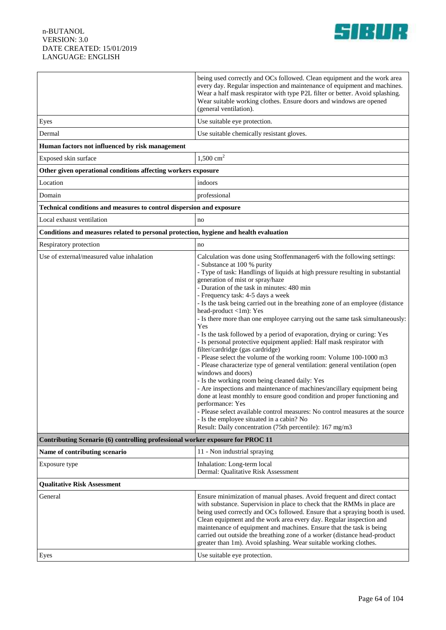

|                                                                                       | being used correctly and OCs followed. Clean equipment and the work area<br>every day. Regular inspection and maintenance of equipment and machines.<br>Wear a half mask respirator with type P2L filter or better. Avoid splashing.<br>Wear suitable working clothes. Ensure doors and windows are opened<br>(general ventilation).                                                                                                                                                                                                                                                                                                                                                                                                                                                                                                                                                                                                                                                                                                                                                                                                                                                                                                                                                                            |
|---------------------------------------------------------------------------------------|-----------------------------------------------------------------------------------------------------------------------------------------------------------------------------------------------------------------------------------------------------------------------------------------------------------------------------------------------------------------------------------------------------------------------------------------------------------------------------------------------------------------------------------------------------------------------------------------------------------------------------------------------------------------------------------------------------------------------------------------------------------------------------------------------------------------------------------------------------------------------------------------------------------------------------------------------------------------------------------------------------------------------------------------------------------------------------------------------------------------------------------------------------------------------------------------------------------------------------------------------------------------------------------------------------------------|
| Eyes                                                                                  | Use suitable eye protection.                                                                                                                                                                                                                                                                                                                                                                                                                                                                                                                                                                                                                                                                                                                                                                                                                                                                                                                                                                                                                                                                                                                                                                                                                                                                                    |
| Dermal                                                                                | Use suitable chemically resistant gloves.                                                                                                                                                                                                                                                                                                                                                                                                                                                                                                                                                                                                                                                                                                                                                                                                                                                                                                                                                                                                                                                                                                                                                                                                                                                                       |
| Human factors not influenced by risk management                                       |                                                                                                                                                                                                                                                                                                                                                                                                                                                                                                                                                                                                                                                                                                                                                                                                                                                                                                                                                                                                                                                                                                                                                                                                                                                                                                                 |
| Exposed skin surface                                                                  | $1,500 \text{ cm}^2$                                                                                                                                                                                                                                                                                                                                                                                                                                                                                                                                                                                                                                                                                                                                                                                                                                                                                                                                                                                                                                                                                                                                                                                                                                                                                            |
| Other given operational conditions affecting workers exposure                         |                                                                                                                                                                                                                                                                                                                                                                                                                                                                                                                                                                                                                                                                                                                                                                                                                                                                                                                                                                                                                                                                                                                                                                                                                                                                                                                 |
| Location                                                                              | indoors                                                                                                                                                                                                                                                                                                                                                                                                                                                                                                                                                                                                                                                                                                                                                                                                                                                                                                                                                                                                                                                                                                                                                                                                                                                                                                         |
| Domain                                                                                | professional                                                                                                                                                                                                                                                                                                                                                                                                                                                                                                                                                                                                                                                                                                                                                                                                                                                                                                                                                                                                                                                                                                                                                                                                                                                                                                    |
| Technical conditions and measures to control dispersion and exposure                  |                                                                                                                                                                                                                                                                                                                                                                                                                                                                                                                                                                                                                                                                                                                                                                                                                                                                                                                                                                                                                                                                                                                                                                                                                                                                                                                 |
| Local exhaust ventilation                                                             | no                                                                                                                                                                                                                                                                                                                                                                                                                                                                                                                                                                                                                                                                                                                                                                                                                                                                                                                                                                                                                                                                                                                                                                                                                                                                                                              |
| Conditions and measures related to personal protection, hygiene and health evaluation |                                                                                                                                                                                                                                                                                                                                                                                                                                                                                                                                                                                                                                                                                                                                                                                                                                                                                                                                                                                                                                                                                                                                                                                                                                                                                                                 |
| Respiratory protection                                                                | no                                                                                                                                                                                                                                                                                                                                                                                                                                                                                                                                                                                                                                                                                                                                                                                                                                                                                                                                                                                                                                                                                                                                                                                                                                                                                                              |
| Use of external/measured value inhalation                                             | Calculation was done using Stoffenmanager6 with the following settings:<br>- Substance at 100 % purity<br>- Type of task: Handlings of liquids at high pressure resulting in substantial<br>generation of mist or spray/haze<br>- Duration of the task in minutes: 480 min<br>- Frequency task: 4-5 days a week<br>- Is the task being carried out in the breathing zone of an employee (distance<br>head-product <1m): Yes<br>- Is there more than one employee carrying out the same task simultaneously:<br>Yes<br>- Is the task followed by a period of evaporation, drying or curing: Yes<br>- Is personal protective equipment applied: Half mask respirator with<br>filter/cardridge (gas cardridge)<br>- Please select the volume of the working room: Volume 100-1000 m3<br>- Please characterize type of general ventilation: general ventilation (open<br>windows and doors)<br>- Is the working room being cleaned daily: Yes<br>- Are inspections and maintenance of machines/ancillary equipment being<br>done at least monthly to ensure good condition and proper functioning and<br>performance: Yes<br>- Please select available control measures: No control measures at the source<br>- Is the employee situated in a cabin? No<br>Result: Daily concentration (75th percentile): 167 mg/m3 |
| Contributing Scenario (6) controlling professional worker exposure for PROC 11        |                                                                                                                                                                                                                                                                                                                                                                                                                                                                                                                                                                                                                                                                                                                                                                                                                                                                                                                                                                                                                                                                                                                                                                                                                                                                                                                 |
| Name of contributing scenario                                                         | 11 - Non industrial spraying                                                                                                                                                                                                                                                                                                                                                                                                                                                                                                                                                                                                                                                                                                                                                                                                                                                                                                                                                                                                                                                                                                                                                                                                                                                                                    |
| Exposure type                                                                         | Inhalation: Long-term local<br>Dermal: Qualitative Risk Assessment                                                                                                                                                                                                                                                                                                                                                                                                                                                                                                                                                                                                                                                                                                                                                                                                                                                                                                                                                                                                                                                                                                                                                                                                                                              |
| <b>Qualitative Risk Assessment</b>                                                    |                                                                                                                                                                                                                                                                                                                                                                                                                                                                                                                                                                                                                                                                                                                                                                                                                                                                                                                                                                                                                                                                                                                                                                                                                                                                                                                 |
| General                                                                               | Ensure minimization of manual phases. Avoid frequent and direct contact<br>with substance. Supervision in place to check that the RMMs in place are<br>being used correctly and OCs followed. Ensure that a spraying booth is used.<br>Clean equipment and the work area every day. Regular inspection and<br>maintenance of equipment and machines. Ensure that the task is being<br>carried out outside the breathing zone of a worker (distance head-product<br>greater than 1m). Avoid splashing. Wear suitable working clothes.                                                                                                                                                                                                                                                                                                                                                                                                                                                                                                                                                                                                                                                                                                                                                                            |
| Eyes                                                                                  | Use suitable eye protection.                                                                                                                                                                                                                                                                                                                                                                                                                                                                                                                                                                                                                                                                                                                                                                                                                                                                                                                                                                                                                                                                                                                                                                                                                                                                                    |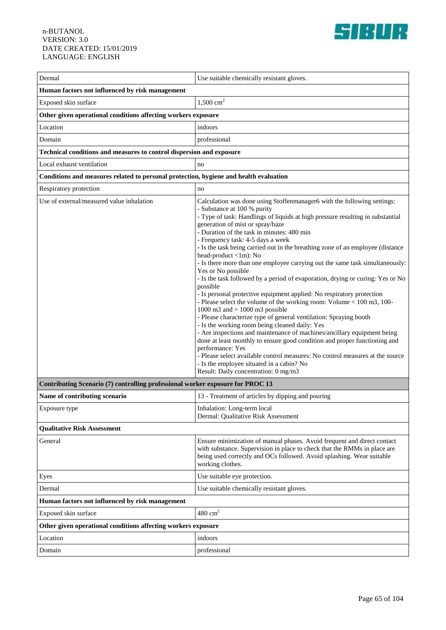

| Dermal                                                                                | Use suitable chemically resistant gloves.                                                                                                                                                                                                                                                                                                                                                                                                                                                                                                                                                                                                                                                                                                                                                                                                                                                                                                                                                                                                                                                                                                                                                                                                                                                     |  |
|---------------------------------------------------------------------------------------|-----------------------------------------------------------------------------------------------------------------------------------------------------------------------------------------------------------------------------------------------------------------------------------------------------------------------------------------------------------------------------------------------------------------------------------------------------------------------------------------------------------------------------------------------------------------------------------------------------------------------------------------------------------------------------------------------------------------------------------------------------------------------------------------------------------------------------------------------------------------------------------------------------------------------------------------------------------------------------------------------------------------------------------------------------------------------------------------------------------------------------------------------------------------------------------------------------------------------------------------------------------------------------------------------|--|
| Human factors not influenced by risk management                                       |                                                                                                                                                                                                                                                                                                                                                                                                                                                                                                                                                                                                                                                                                                                                                                                                                                                                                                                                                                                                                                                                                                                                                                                                                                                                                               |  |
| Exposed skin surface                                                                  | $1,500 \text{ cm}^2$                                                                                                                                                                                                                                                                                                                                                                                                                                                                                                                                                                                                                                                                                                                                                                                                                                                                                                                                                                                                                                                                                                                                                                                                                                                                          |  |
| Other given operational conditions affecting workers exposure                         |                                                                                                                                                                                                                                                                                                                                                                                                                                                                                                                                                                                                                                                                                                                                                                                                                                                                                                                                                                                                                                                                                                                                                                                                                                                                                               |  |
| Location                                                                              | indoors                                                                                                                                                                                                                                                                                                                                                                                                                                                                                                                                                                                                                                                                                                                                                                                                                                                                                                                                                                                                                                                                                                                                                                                                                                                                                       |  |
| Domain                                                                                | professional                                                                                                                                                                                                                                                                                                                                                                                                                                                                                                                                                                                                                                                                                                                                                                                                                                                                                                                                                                                                                                                                                                                                                                                                                                                                                  |  |
| Technical conditions and measures to control dispersion and exposure                  |                                                                                                                                                                                                                                                                                                                                                                                                                                                                                                                                                                                                                                                                                                                                                                                                                                                                                                                                                                                                                                                                                                                                                                                                                                                                                               |  |
| Local exhaust ventilation                                                             | no                                                                                                                                                                                                                                                                                                                                                                                                                                                                                                                                                                                                                                                                                                                                                                                                                                                                                                                                                                                                                                                                                                                                                                                                                                                                                            |  |
| Conditions and measures related to personal protection, hygiene and health evaluation |                                                                                                                                                                                                                                                                                                                                                                                                                                                                                                                                                                                                                                                                                                                                                                                                                                                                                                                                                                                                                                                                                                                                                                                                                                                                                               |  |
| Respiratory protection                                                                | no                                                                                                                                                                                                                                                                                                                                                                                                                                                                                                                                                                                                                                                                                                                                                                                                                                                                                                                                                                                                                                                                                                                                                                                                                                                                                            |  |
| Use of external/measured value inhalation                                             | Calculation was done using Stoffenmanager6 with the following settings:<br>- Substance at 100 % purity<br>- Type of task: Handlings of liquids at high pressure resulting in substantial<br>generation of mist or spray/haze<br>- Duration of the task in minutes: 480 min<br>- Frequency task: 4-5 days a week<br>- Is the task being carried out in the breathing zone of an employee (distance<br>head-product <1m): No<br>- Is there more than one employee carrying out the same task simultaneously:<br>Yes or No possible<br>- Is the task followed by a period of evaporation, drying or curing: Yes or No<br>possible<br>- Is personal protective equipment applied: No respiratory protection<br>- Please select the volume of the working room: Volume < 100 m3, 100-<br>1000 m3 and $> 1000$ m3 possible<br>- Please characterize type of general ventilation: Spraying booth<br>- Is the working room being cleaned daily: Yes<br>- Are inspections and maintenance of machines/ancillary equipment being<br>done at least monthly to ensure good condition and proper functioning and<br>performance: Yes<br>- Please select available control measures: No control measures at the source<br>- Is the employee situated in a cabin? No<br>Result: Daily concentration: 0 mg/m3 |  |
| Contributing Scenario (7) controlling professional worker exposure for PROC 13        |                                                                                                                                                                                                                                                                                                                                                                                                                                                                                                                                                                                                                                                                                                                                                                                                                                                                                                                                                                                                                                                                                                                                                                                                                                                                                               |  |
| Name of contributing scenario                                                         | 13 - Treatment of articles by dipping and pouring                                                                                                                                                                                                                                                                                                                                                                                                                                                                                                                                                                                                                                                                                                                                                                                                                                                                                                                                                                                                                                                                                                                                                                                                                                             |  |
| Exposure type                                                                         | Inhalation: Long-term local<br>Dermal: Qualitative Risk Assessment                                                                                                                                                                                                                                                                                                                                                                                                                                                                                                                                                                                                                                                                                                                                                                                                                                                                                                                                                                                                                                                                                                                                                                                                                            |  |
| <b>Qualitative Risk Assessment</b>                                                    |                                                                                                                                                                                                                                                                                                                                                                                                                                                                                                                                                                                                                                                                                                                                                                                                                                                                                                                                                                                                                                                                                                                                                                                                                                                                                               |  |
| General                                                                               | Ensure minimization of manual phases. Avoid frequent and direct contact<br>with substance. Supervision in place to check that the RMMs in place are<br>being used correctly and OCs followed. Avoid splashing. Wear suitable<br>working clothes.                                                                                                                                                                                                                                                                                                                                                                                                                                                                                                                                                                                                                                                                                                                                                                                                                                                                                                                                                                                                                                              |  |
| Eyes                                                                                  | Use suitable eye protection.                                                                                                                                                                                                                                                                                                                                                                                                                                                                                                                                                                                                                                                                                                                                                                                                                                                                                                                                                                                                                                                                                                                                                                                                                                                                  |  |
| Dermal                                                                                | Use suitable chemically resistant gloves.                                                                                                                                                                                                                                                                                                                                                                                                                                                                                                                                                                                                                                                                                                                                                                                                                                                                                                                                                                                                                                                                                                                                                                                                                                                     |  |
| Human factors not influenced by risk management                                       |                                                                                                                                                                                                                                                                                                                                                                                                                                                                                                                                                                                                                                                                                                                                                                                                                                                                                                                                                                                                                                                                                                                                                                                                                                                                                               |  |
| Exposed skin surface                                                                  | $480 \text{ cm}^2$                                                                                                                                                                                                                                                                                                                                                                                                                                                                                                                                                                                                                                                                                                                                                                                                                                                                                                                                                                                                                                                                                                                                                                                                                                                                            |  |
| Other given operational conditions affecting workers exposure                         |                                                                                                                                                                                                                                                                                                                                                                                                                                                                                                                                                                                                                                                                                                                                                                                                                                                                                                                                                                                                                                                                                                                                                                                                                                                                                               |  |
| Location                                                                              | indoors                                                                                                                                                                                                                                                                                                                                                                                                                                                                                                                                                                                                                                                                                                                                                                                                                                                                                                                                                                                                                                                                                                                                                                                                                                                                                       |  |
| Domain                                                                                | professional                                                                                                                                                                                                                                                                                                                                                                                                                                                                                                                                                                                                                                                                                                                                                                                                                                                                                                                                                                                                                                                                                                                                                                                                                                                                                  |  |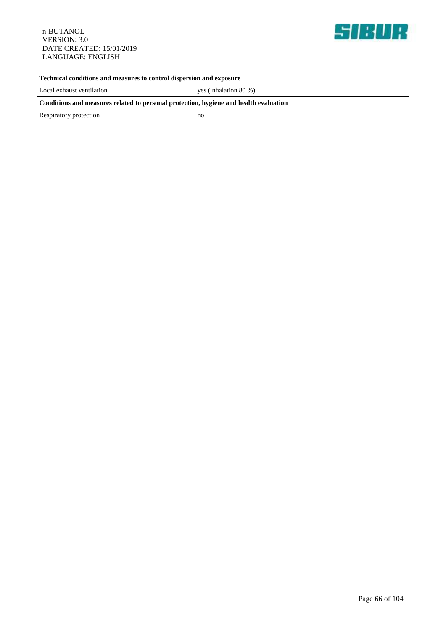

| Technical conditions and measures to control dispersion and exposure                  |                          |  |
|---------------------------------------------------------------------------------------|--------------------------|--|
| Local exhaust ventilation                                                             | yes (inhalation $80\%$ ) |  |
| Conditions and measures related to personal protection, hygiene and health evaluation |                          |  |
| Respiratory protection                                                                | no                       |  |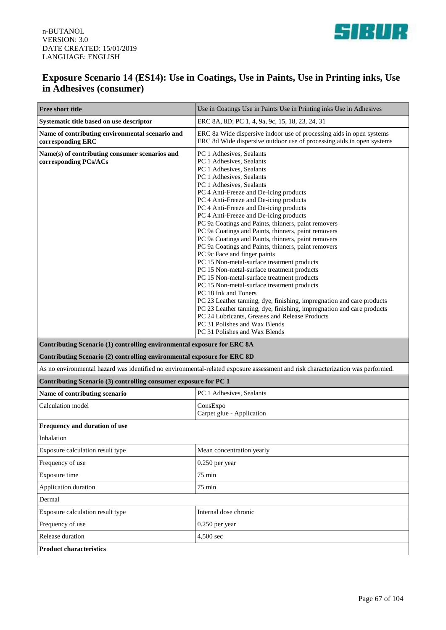

## **Exposure Scenario 14 (ES14): Use in Coatings, Use in Paints, Use in Printing inks, Use in Adhesives (consumer)**

| Free short title                                                        | Use in Coatings Use in Paints Use in Printing inks Use in Adhesives                                                                                                                                                                                                                                                                                                                                                                                                                                                                                                                                                                                                                                                                                                                                                                                                                                                                                                                                                                                                |
|-------------------------------------------------------------------------|--------------------------------------------------------------------------------------------------------------------------------------------------------------------------------------------------------------------------------------------------------------------------------------------------------------------------------------------------------------------------------------------------------------------------------------------------------------------------------------------------------------------------------------------------------------------------------------------------------------------------------------------------------------------------------------------------------------------------------------------------------------------------------------------------------------------------------------------------------------------------------------------------------------------------------------------------------------------------------------------------------------------------------------------------------------------|
| Systematic title based on use descriptor                                | ERC 8A, 8D; PC 1, 4, 9a, 9c, 15, 18, 23, 24, 31                                                                                                                                                                                                                                                                                                                                                                                                                                                                                                                                                                                                                                                                                                                                                                                                                                                                                                                                                                                                                    |
| Name of contributing environmental scenario and<br>corresponding ERC    | ERC 8a Wide dispersive indoor use of processing aids in open systems<br>ERC 8d Wide dispersive outdoor use of processing aids in open systems                                                                                                                                                                                                                                                                                                                                                                                                                                                                                                                                                                                                                                                                                                                                                                                                                                                                                                                      |
| Name(s) of contributing consumer scenarios and<br>corresponding PCs/ACs | PC 1 Adhesives, Sealants<br>PC 1 Adhesives, Sealants<br>PC 1 Adhesives, Sealants<br>PC 1 Adhesives, Sealants<br>PC 1 Adhesives, Sealants<br>PC 4 Anti-Freeze and De-icing products<br>PC 4 Anti-Freeze and De-icing products<br>PC 4 Anti-Freeze and De-icing products<br>PC 4 Anti-Freeze and De-icing products<br>PC 9a Coatings and Paints, thinners, paint removers<br>PC 9a Coatings and Paints, thinners, paint removers<br>PC 9a Coatings and Paints, thinners, paint removers<br>PC 9a Coatings and Paints, thinners, paint removers<br>PC 9c Face and finger paints<br>PC 15 Non-metal-surface treatment products<br>PC 15 Non-metal-surface treatment products<br>PC 15 Non-metal-surface treatment products<br>PC 15 Non-metal-surface treatment products<br>PC 18 Ink and Toners<br>PC 23 Leather tanning, dye, finishing, impregnation and care products<br>PC 23 Leather tanning, dye, finishing, impregnation and care products<br>PC 24 Lubricants, Greases and Release Products<br>PC 31 Polishes and Wax Blends<br>PC 31 Polishes and Wax Blends |
| Contributing Scenario (1) controlling environmental exposure for ERC 8A |                                                                                                                                                                                                                                                                                                                                                                                                                                                                                                                                                                                                                                                                                                                                                                                                                                                                                                                                                                                                                                                                    |
| Contributing Scenario (2) controlling environmental exposure for ERC 8D |                                                                                                                                                                                                                                                                                                                                                                                                                                                                                                                                                                                                                                                                                                                                                                                                                                                                                                                                                                                                                                                                    |
|                                                                         | As no environmental hazard was identified no environmental-related exposure assessment and risk characterization was performed.                                                                                                                                                                                                                                                                                                                                                                                                                                                                                                                                                                                                                                                                                                                                                                                                                                                                                                                                    |
| Contributing Scenario (3) controlling consumer exposure for PC 1        |                                                                                                                                                                                                                                                                                                                                                                                                                                                                                                                                                                                                                                                                                                                                                                                                                                                                                                                                                                                                                                                                    |
| Name of contributing scenario                                           | PC 1 Adhesives, Sealants                                                                                                                                                                                                                                                                                                                                                                                                                                                                                                                                                                                                                                                                                                                                                                                                                                                                                                                                                                                                                                           |
| Calculation model                                                       | ConsExpo<br>Carpet glue - Application                                                                                                                                                                                                                                                                                                                                                                                                                                                                                                                                                                                                                                                                                                                                                                                                                                                                                                                                                                                                                              |
| Frequency and duration of use                                           |                                                                                                                                                                                                                                                                                                                                                                                                                                                                                                                                                                                                                                                                                                                                                                                                                                                                                                                                                                                                                                                                    |
| Inhalation                                                              |                                                                                                                                                                                                                                                                                                                                                                                                                                                                                                                                                                                                                                                                                                                                                                                                                                                                                                                                                                                                                                                                    |
| Exposure calculation result type                                        | Mean concentration yearly                                                                                                                                                                                                                                                                                                                                                                                                                                                                                                                                                                                                                                                                                                                                                                                                                                                                                                                                                                                                                                          |
| Frequency of use                                                        | 0.250 per year                                                                                                                                                                                                                                                                                                                                                                                                                                                                                                                                                                                                                                                                                                                                                                                                                                                                                                                                                                                                                                                     |
| Exposure time                                                           | $75 \text{ min}$                                                                                                                                                                                                                                                                                                                                                                                                                                                                                                                                                                                                                                                                                                                                                                                                                                                                                                                                                                                                                                                   |
| Application duration                                                    | $75 \text{ min}$                                                                                                                                                                                                                                                                                                                                                                                                                                                                                                                                                                                                                                                                                                                                                                                                                                                                                                                                                                                                                                                   |
| Dermal                                                                  |                                                                                                                                                                                                                                                                                                                                                                                                                                                                                                                                                                                                                                                                                                                                                                                                                                                                                                                                                                                                                                                                    |
| Exposure calculation result type                                        | Internal dose chronic                                                                                                                                                                                                                                                                                                                                                                                                                                                                                                                                                                                                                                                                                                                                                                                                                                                                                                                                                                                                                                              |
| Frequency of use                                                        | 0.250 per year                                                                                                                                                                                                                                                                                                                                                                                                                                                                                                                                                                                                                                                                                                                                                                                                                                                                                                                                                                                                                                                     |
| Release duration                                                        | 4,500 sec                                                                                                                                                                                                                                                                                                                                                                                                                                                                                                                                                                                                                                                                                                                                                                                                                                                                                                                                                                                                                                                          |
| <b>Product characteristics</b>                                          |                                                                                                                                                                                                                                                                                                                                                                                                                                                                                                                                                                                                                                                                                                                                                                                                                                                                                                                                                                                                                                                                    |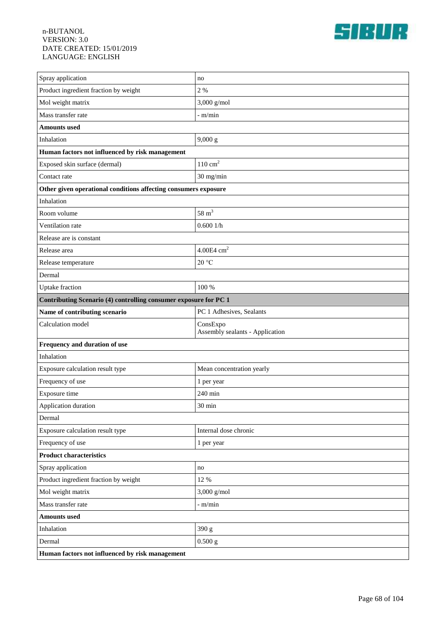

| Spray application                                                | no                                          |  |
|------------------------------------------------------------------|---------------------------------------------|--|
| Product ingredient fraction by weight                            | 2%                                          |  |
| Mol weight matrix                                                | 3,000 g/mol                                 |  |
| Mass transfer rate                                               | $-m/min$                                    |  |
| <b>Amounts used</b>                                              |                                             |  |
| Inhalation                                                       | 9,000 g                                     |  |
| Human factors not influenced by risk management                  |                                             |  |
| Exposed skin surface (dermal)                                    | $110\ {\rm cm^2}$                           |  |
| Contact rate                                                     | 30 mg/min                                   |  |
| Other given operational conditions affecting consumers exposure  |                                             |  |
| Inhalation                                                       |                                             |  |
| Room volume                                                      | $58 \text{ m}^3$                            |  |
| Ventilation rate                                                 | 0.6001/h                                    |  |
| Release are is constant                                          |                                             |  |
| Release area                                                     | $4.00E4$ cm <sup>2</sup>                    |  |
| Release temperature                                              | 20 °C                                       |  |
| Dermal                                                           |                                             |  |
| Uptake fraction                                                  | 100 %                                       |  |
| Contributing Scenario (4) controlling consumer exposure for PC 1 |                                             |  |
| Name of contributing scenario                                    | PC 1 Adhesives, Sealants                    |  |
| Calculation model                                                | ConsExpo<br>Assembly sealants - Application |  |
| Frequency and duration of use                                    |                                             |  |
| Inhalation                                                       |                                             |  |
|                                                                  |                                             |  |
| Exposure calculation result type                                 | Mean concentration yearly                   |  |
| Frequency of use                                                 | 1 per year                                  |  |
| Exposure time                                                    | 240 min                                     |  |
| Application duration                                             | $30\;\mathrm{min}$                          |  |
| Dermal                                                           |                                             |  |
| Exposure calculation result type                                 | Internal dose chronic                       |  |
| Frequency of use                                                 | 1 per year                                  |  |
| <b>Product characteristics</b>                                   |                                             |  |
| Spray application                                                | no                                          |  |
| Product ingredient fraction by weight                            | 12 %                                        |  |
| Mol weight matrix                                                | $3,000$ g/mol                               |  |
| Mass transfer rate                                               | - m/min                                     |  |
| <b>Amounts</b> used                                              |                                             |  |
| Inhalation                                                       | 390 g                                       |  |
| Dermal                                                           | $0.500$ g                                   |  |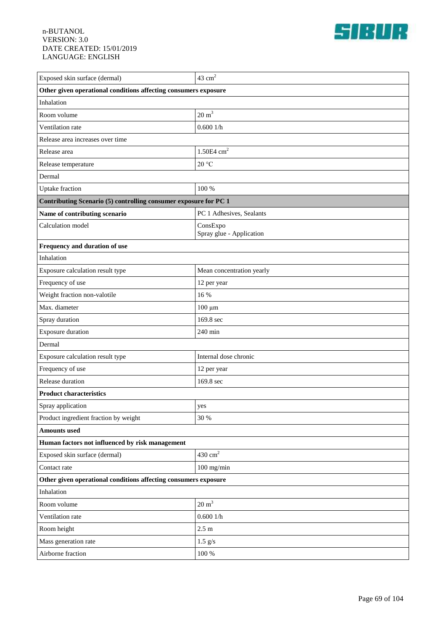

| Exposed skin surface (dermal)                                    | 43 $cm2$                             |  |
|------------------------------------------------------------------|--------------------------------------|--|
| Other given operational conditions affecting consumers exposure  |                                      |  |
| Inhalation                                                       |                                      |  |
| Room volume                                                      | $20 \text{ m}^3$                     |  |
| Ventilation rate                                                 | 0.6001/h                             |  |
| Release area increases over time                                 |                                      |  |
| Release area                                                     | $1.50E4$ cm <sup>2</sup>             |  |
| Release temperature                                              | 20 °C                                |  |
| Dermal                                                           |                                      |  |
| <b>Uptake</b> fraction                                           | 100 %                                |  |
| Contributing Scenario (5) controlling consumer exposure for PC 1 |                                      |  |
| Name of contributing scenario                                    | PC 1 Adhesives, Sealants             |  |
| Calculation model                                                | ConsExpo<br>Spray glue - Application |  |
| Frequency and duration of use                                    |                                      |  |
| Inhalation                                                       |                                      |  |
| Exposure calculation result type                                 | Mean concentration yearly            |  |
| Frequency of use                                                 | 12 per year                          |  |
| Weight fraction non-valotile                                     | 16 %                                 |  |
| Max. diameter                                                    | $100 \mu m$                          |  |
| Spray duration                                                   | 169.8 sec                            |  |
| Exposure duration                                                | 240 min                              |  |
| Dermal                                                           |                                      |  |
| Exposure calculation result type                                 | Internal dose chronic                |  |
| Frequency of use                                                 | 12 per year                          |  |
| Release duration                                                 | 169.8 sec                            |  |
| <b>Product characteristics</b>                                   |                                      |  |
| Spray application                                                | yes                                  |  |
| Product ingredient fraction by weight                            | 30 %                                 |  |
| <b>Amounts</b> used                                              |                                      |  |
| Human factors not influenced by risk management                  |                                      |  |
| Exposed skin surface (dermal)                                    | $430 \text{ cm}^2$                   |  |
| Contact rate                                                     | $100$ mg/min                         |  |
| Other given operational conditions affecting consumers exposure  |                                      |  |
| Inhalation                                                       |                                      |  |
| Room volume                                                      | $20 \text{ m}^3$                     |  |
| Ventilation rate                                                 | 0.6001/h                             |  |
| Room height                                                      | $2.5 \text{ m}$                      |  |
| Mass generation rate                                             | $1.5$ g/s                            |  |
| Airborne fraction                                                | $100\,\%$                            |  |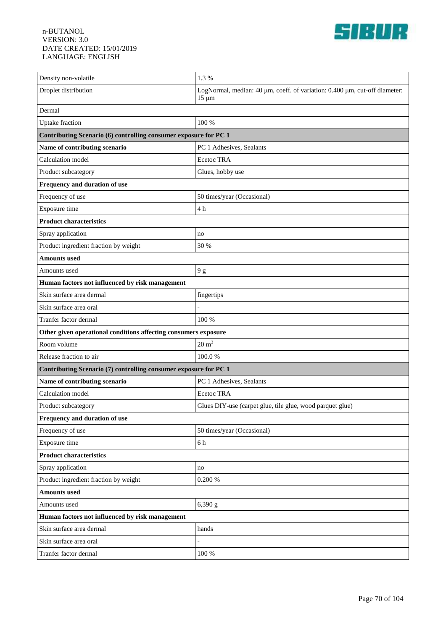

| Density non-volatile                                             | 1.3%                                                                                     |  |
|------------------------------------------------------------------|------------------------------------------------------------------------------------------|--|
| Droplet distribution                                             | LogNormal, median: 40 µm, coeff. of variation: 0.400 µm, cut-off diameter:<br>$15 \mu m$ |  |
| Dermal                                                           |                                                                                          |  |
| <b>Uptake</b> fraction                                           | 100 %                                                                                    |  |
| Contributing Scenario (6) controlling consumer exposure for PC 1 |                                                                                          |  |
| Name of contributing scenario                                    | PC 1 Adhesives, Sealants                                                                 |  |
| Calculation model                                                | Ecetoc TRA                                                                               |  |
| Product subcategory                                              | Glues, hobby use                                                                         |  |
| Frequency and duration of use                                    |                                                                                          |  |
| Frequency of use                                                 | 50 times/year (Occasional)                                                               |  |
| Exposure time                                                    | 4 h                                                                                      |  |
| <b>Product characteristics</b>                                   |                                                                                          |  |
| Spray application                                                | no                                                                                       |  |
| Product ingredient fraction by weight                            | 30 %                                                                                     |  |
| <b>Amounts</b> used                                              |                                                                                          |  |
| Amounts used                                                     | 9g                                                                                       |  |
| Human factors not influenced by risk management                  |                                                                                          |  |
| Skin surface area dermal                                         | fingertips                                                                               |  |
| Skin surface area oral                                           |                                                                                          |  |
| Tranfer factor dermal                                            | 100 %                                                                                    |  |
| Other given operational conditions affecting consumers exposure  |                                                                                          |  |
| Room volume                                                      | $20 \text{ m}^3$                                                                         |  |
| Release fraction to air                                          | 100.0%                                                                                   |  |
| Contributing Scenario (7) controlling consumer exposure for PC 1 |                                                                                          |  |
| Name of contributing scenario                                    | PC 1 Adhesives, Sealants                                                                 |  |
| Calculation model                                                | Ecetoc TRA                                                                               |  |
| Product subcategory                                              | Glues DIY-use (carpet glue, tile glue, wood parquet glue)                                |  |
| Frequency and duration of use                                    |                                                                                          |  |
| Frequency of use                                                 | 50 times/year (Occasional)                                                               |  |
| Exposure time                                                    | 6 h                                                                                      |  |
| <b>Product characteristics</b>                                   |                                                                                          |  |
| Spray application                                                | no                                                                                       |  |
| Product ingredient fraction by weight                            | $0.200~\%$                                                                               |  |
| <b>Amounts used</b>                                              |                                                                                          |  |
| Amounts used                                                     | 6,390 g                                                                                  |  |
| Human factors not influenced by risk management                  |                                                                                          |  |
| Skin surface area dermal                                         | hands                                                                                    |  |
| Skin surface area oral                                           |                                                                                          |  |
| Tranfer factor dermal                                            | $100\,\%$                                                                                |  |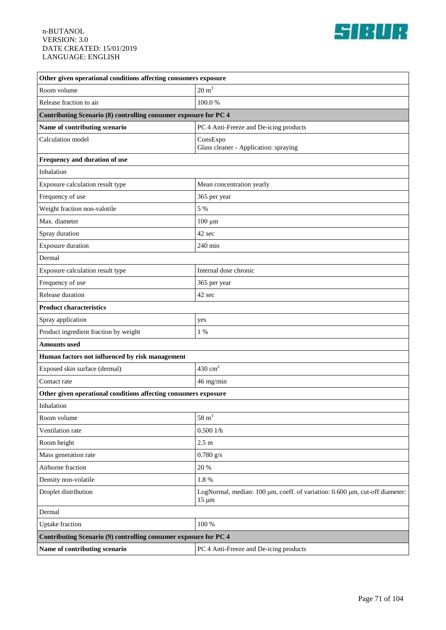

| Other given operational conditions affecting consumers exposure  |                                                                                           |  |
|------------------------------------------------------------------|-------------------------------------------------------------------------------------------|--|
| Room volume                                                      | $20 \text{ m}^3$                                                                          |  |
| Release fraction to air                                          | 100.0%                                                                                    |  |
| Contributing Scenario (8) controlling consumer exposure for PC 4 |                                                                                           |  |
| Name of contributing scenario                                    | PC 4 Anti-Freeze and De-icing products                                                    |  |
| Calculation model                                                | ConsExpo<br>Glass cleaner - Application: spraying                                         |  |
| Frequency and duration of use                                    |                                                                                           |  |
| Inhalation                                                       |                                                                                           |  |
| Exposure calculation result type                                 | Mean concentration yearly                                                                 |  |
| Frequency of use                                                 | 365 per year                                                                              |  |
| Weight fraction non-valotile                                     | 5 %                                                                                       |  |
| Max. diameter                                                    | $100 \mu m$                                                                               |  |
| Spray duration                                                   | 42 sec                                                                                    |  |
| <b>Exposure duration</b>                                         | 240 min                                                                                   |  |
| Dermal                                                           |                                                                                           |  |
| Exposure calculation result type                                 | Internal dose chronic                                                                     |  |
| Frequency of use                                                 | 365 per year                                                                              |  |
| Release duration                                                 | 42 sec                                                                                    |  |
| <b>Product characteristics</b>                                   |                                                                                           |  |
| Spray application                                                | yes                                                                                       |  |
| Product ingredient fraction by weight                            | 1 %                                                                                       |  |
| <b>Amounts</b> used                                              |                                                                                           |  |
| Human factors not influenced by risk management                  |                                                                                           |  |
| Exposed skin surface (dermal)                                    | $430 \text{ cm}^2$                                                                        |  |
| Contact rate                                                     | 46 mg/min                                                                                 |  |
| Other given operational conditions affecting consumers exposure  |                                                                                           |  |
| Inhalation                                                       |                                                                                           |  |
| Room volume                                                      | $58~{\rm m}^3$                                                                            |  |
| Ventilation rate                                                 | 0.5001/h                                                                                  |  |
| Room height                                                      | 2.5 <sub>m</sub>                                                                          |  |
| Mass generation rate                                             | $0.780$ g/s                                                                               |  |
| Airborne fraction                                                | 20 %                                                                                      |  |
| Density non-volatile                                             | $1.8~\%$                                                                                  |  |
| Droplet distribution                                             | LogNormal, median: 100 µm, coeff. of variation: 0.600 µm, cut-off diameter:<br>$15 \mu m$ |  |
| Dermal                                                           |                                                                                           |  |
| <b>Uptake</b> fraction                                           | 100 %                                                                                     |  |
| Contributing Scenario (9) controlling consumer exposure for PC 4 |                                                                                           |  |
| Name of contributing scenario                                    | PC 4 Anti-Freeze and De-icing products                                                    |  |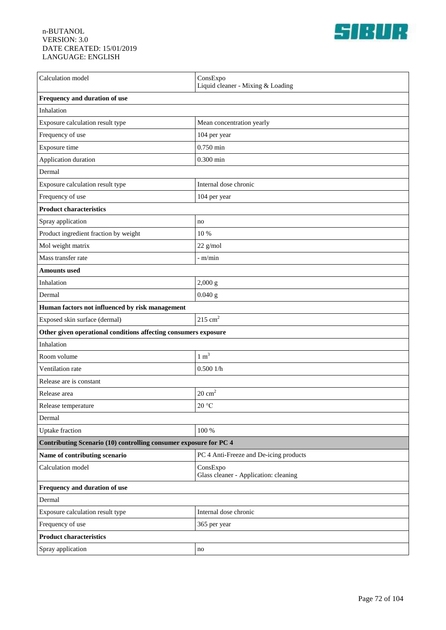

| Calculation model                                                 | ConsExpo<br>Liquid cleaner - Mixing & Loading     |  |
|-------------------------------------------------------------------|---------------------------------------------------|--|
| Frequency and duration of use                                     |                                                   |  |
| Inhalation                                                        |                                                   |  |
| Exposure calculation result type                                  | Mean concentration yearly                         |  |
| Frequency of use                                                  | 104 per year                                      |  |
| Exposure time                                                     | $0.750$ min                                       |  |
| Application duration                                              | $0.300$ min                                       |  |
| Dermal                                                            |                                                   |  |
| Exposure calculation result type                                  | Internal dose chronic                             |  |
| Frequency of use                                                  | 104 per year                                      |  |
| <b>Product characteristics</b>                                    |                                                   |  |
| Spray application                                                 | no                                                |  |
| Product ingredient fraction by weight                             | 10 %                                              |  |
| Mol weight matrix                                                 | $22$ g/mol                                        |  |
| Mass transfer rate                                                | $-m/min$                                          |  |
| <b>Amounts used</b>                                               |                                                   |  |
| Inhalation                                                        | 2,000 g                                           |  |
| Dermal                                                            | $0.040$ g                                         |  |
| Human factors not influenced by risk management                   |                                                   |  |
| Exposed skin surface (dermal)                                     | $215 \text{ cm}^2$                                |  |
| Other given operational conditions affecting consumers exposure   |                                                   |  |
| Inhalation                                                        |                                                   |  |
| Room volume                                                       | $1 \text{ m}^3$                                   |  |
| Ventilation rate                                                  | 0.5001/h                                          |  |
| Release are is constant                                           |                                                   |  |
| Release area                                                      | $20 \text{ cm}^2$                                 |  |
| Release temperature                                               | $20\,^{\circ}\mathrm{C}$                          |  |
| Dermal                                                            |                                                   |  |
| <b>Uptake</b> fraction                                            | 100 %                                             |  |
| Contributing Scenario (10) controlling consumer exposure for PC 4 |                                                   |  |
| Name of contributing scenario                                     | PC 4 Anti-Freeze and De-icing products            |  |
| Calculation model                                                 | ConsExpo<br>Glass cleaner - Application: cleaning |  |
| Frequency and duration of use                                     |                                                   |  |
| Dermal                                                            |                                                   |  |
| Exposure calculation result type                                  | Internal dose chronic                             |  |
| Frequency of use                                                  | 365 per year                                      |  |
| <b>Product characteristics</b>                                    |                                                   |  |
| Spray application                                                 | no                                                |  |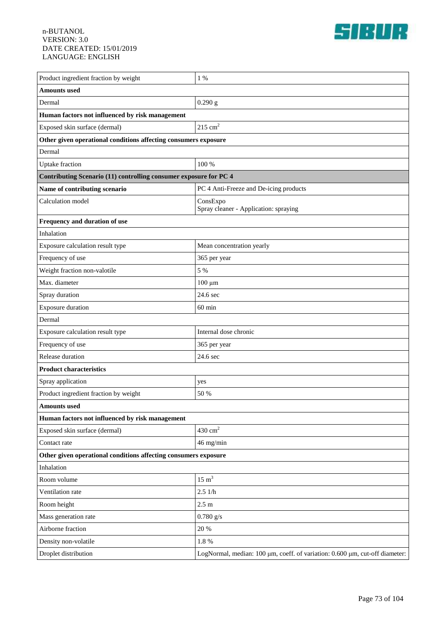

| Product ingredient fraction by weight                             | $1\%$                                                                       |  |
|-------------------------------------------------------------------|-----------------------------------------------------------------------------|--|
| <b>Amounts</b> used                                               |                                                                             |  |
| Dermal                                                            | 0.290 g                                                                     |  |
| Human factors not influenced by risk management                   |                                                                             |  |
| Exposed skin surface (dermal)                                     | $215 \text{ cm}^2$                                                          |  |
| Other given operational conditions affecting consumers exposure   |                                                                             |  |
| Dermal                                                            |                                                                             |  |
| <b>Uptake</b> fraction                                            | 100 %                                                                       |  |
| Contributing Scenario (11) controlling consumer exposure for PC 4 |                                                                             |  |
| Name of contributing scenario                                     | PC 4 Anti-Freeze and De-icing products                                      |  |
| Calculation model                                                 | ConsExpo<br>Spray cleaner - Application: spraying                           |  |
| Frequency and duration of use                                     |                                                                             |  |
| Inhalation                                                        |                                                                             |  |
| Exposure calculation result type                                  | Mean concentration yearly                                                   |  |
| Frequency of use                                                  | 365 per year                                                                |  |
| Weight fraction non-valotile                                      | 5 %                                                                         |  |
| Max. diameter                                                     | $100 \mu m$                                                                 |  |
| Spray duration                                                    | 24.6 sec                                                                    |  |
| <b>Exposure duration</b>                                          | $60 \text{ min}$                                                            |  |
| Dermal                                                            |                                                                             |  |
| Exposure calculation result type                                  | Internal dose chronic                                                       |  |
| Frequency of use                                                  | 365 per year                                                                |  |
| Release duration                                                  | 24.6 sec                                                                    |  |
| <b>Product characteristics</b>                                    |                                                                             |  |
| Spray application                                                 | yes                                                                         |  |
| Product ingredient fraction by weight                             | 50 %                                                                        |  |
| <b>Amounts used</b>                                               |                                                                             |  |
| Human factors not influenced by risk management                   |                                                                             |  |
| Exposed skin surface (dermal)                                     | $430\ {\rm cm}^2$                                                           |  |
| Contact rate                                                      | 46 mg/min                                                                   |  |
| Other given operational conditions affecting consumers exposure   |                                                                             |  |
| Inhalation                                                        |                                                                             |  |
| Room volume                                                       | $15 \text{ m}^3$                                                            |  |
| Ventilation rate                                                  | 2.51/h                                                                      |  |
| Room height                                                       | 2.5 m                                                                       |  |
| Mass generation rate                                              | $0.780$ g/s                                                                 |  |
| Airborne fraction                                                 | 20 %                                                                        |  |
| Density non-volatile                                              | $1.8~\%$                                                                    |  |
| Droplet distribution                                              | LogNormal, median: 100 µm, coeff. of variation: 0.600 µm, cut-off diameter: |  |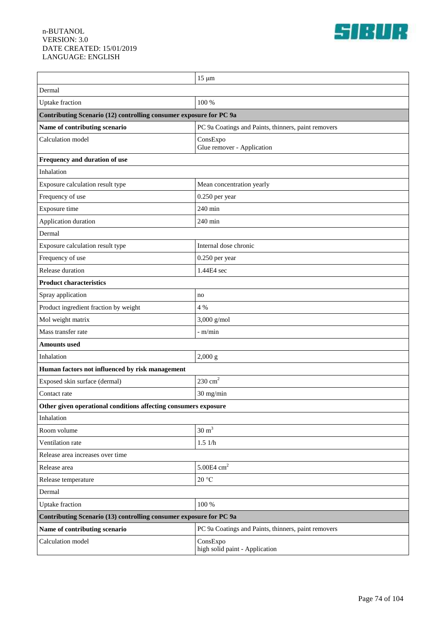

| Dermal                                                                                       | $15 \mu m$                                          |  |
|----------------------------------------------------------------------------------------------|-----------------------------------------------------|--|
|                                                                                              | 100 %                                               |  |
| <b>Uptake</b> fraction<br>Contributing Scenario (12) controlling consumer exposure for PC 9a |                                                     |  |
| Name of contributing scenario                                                                | PC 9a Coatings and Paints, thinners, paint removers |  |
| Calculation model                                                                            | ConsExpo                                            |  |
|                                                                                              | Glue remover - Application                          |  |
| Frequency and duration of use                                                                |                                                     |  |
| Inhalation                                                                                   |                                                     |  |
| Exposure calculation result type                                                             | Mean concentration yearly                           |  |
| Frequency of use                                                                             | 0.250 per year                                      |  |
| Exposure time                                                                                | 240 min                                             |  |
| Application duration                                                                         | 240 min                                             |  |
| Dermal                                                                                       |                                                     |  |
| Exposure calculation result type                                                             | Internal dose chronic                               |  |
| Frequency of use                                                                             | $0.250$ per year                                    |  |
| Release duration                                                                             | 1.44E4 sec                                          |  |
| <b>Product characteristics</b>                                                               |                                                     |  |
| Spray application                                                                            | no                                                  |  |
| Product ingredient fraction by weight                                                        | 4 %                                                 |  |
| Mol weight matrix                                                                            | $3,000$ g/mol                                       |  |
| Mass transfer rate                                                                           | - m/min                                             |  |
| <b>Amounts used</b>                                                                          |                                                     |  |
| Inhalation                                                                                   | 2,000 g                                             |  |
| Human factors not influenced by risk management                                              |                                                     |  |
| Exposed skin surface (dermal)                                                                | $230 \text{ cm}^2$                                  |  |
| Contact rate                                                                                 | 30 mg/min                                           |  |
| Other given operational conditions affecting consumers exposure                              |                                                     |  |
| Inhalation                                                                                   |                                                     |  |
| Room volume                                                                                  | $30 \text{ m}^3$                                    |  |
| Ventilation rate                                                                             | $1.5\;1/h$                                          |  |
| Release area increases over time                                                             |                                                     |  |
| Release area                                                                                 | 5.00E4 $cm2$                                        |  |
| Release temperature                                                                          | $20\text{ °C}$                                      |  |
| Dermal                                                                                       |                                                     |  |
| <b>Uptake</b> fraction                                                                       | 100 %                                               |  |
| Contributing Scenario (13) controlling consumer exposure for PC 9a                           |                                                     |  |
| Name of contributing scenario                                                                | PC 9a Coatings and Paints, thinners, paint removers |  |
| Calculation model                                                                            | ConsExpo<br>high solid paint - Application          |  |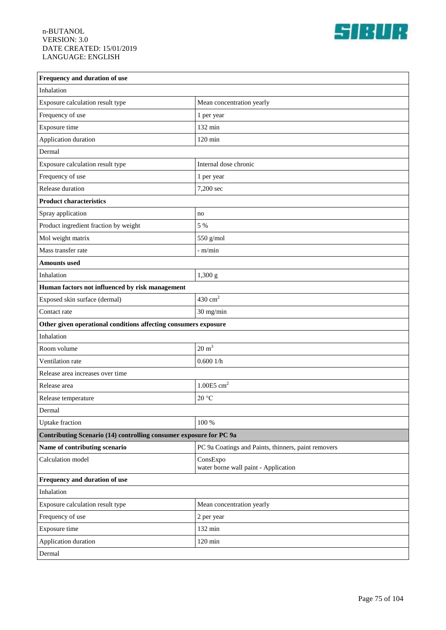

| Frequency and duration of use                                      |                                                     |  |
|--------------------------------------------------------------------|-----------------------------------------------------|--|
| Inhalation                                                         |                                                     |  |
| Exposure calculation result type                                   | Mean concentration yearly                           |  |
| Frequency of use                                                   | 1 per year                                          |  |
| Exposure time                                                      | 132 min                                             |  |
| Application duration                                               | $120 \text{ min}$                                   |  |
| Dermal                                                             |                                                     |  |
| Exposure calculation result type                                   | Internal dose chronic                               |  |
| Frequency of use                                                   | 1 per year                                          |  |
| Release duration                                                   | 7,200 sec                                           |  |
| <b>Product characteristics</b>                                     |                                                     |  |
| Spray application                                                  | no                                                  |  |
| Product ingredient fraction by weight                              | 5 %                                                 |  |
| Mol weight matrix                                                  | 550 g/mol                                           |  |
| Mass transfer rate                                                 | - m/min                                             |  |
| <b>Amounts</b> used                                                |                                                     |  |
| Inhalation                                                         | 1,300 g                                             |  |
| Human factors not influenced by risk management                    |                                                     |  |
| Exposed skin surface (dermal)                                      | $430 \text{ cm}^2$                                  |  |
| Contact rate                                                       | 30 mg/min                                           |  |
| Other given operational conditions affecting consumers exposure    |                                                     |  |
| Inhalation                                                         |                                                     |  |
| Room volume                                                        | $20 \text{ m}^3$                                    |  |
| Ventilation rate                                                   | 0.6001/h                                            |  |
| Release area increases over time                                   |                                                     |  |
| Release area                                                       | $1.00E5$ cm <sup>2</sup>                            |  |
| Release temperature                                                | 20 °C                                               |  |
| Dermal                                                             |                                                     |  |
| Uptake fraction                                                    | 100 %                                               |  |
| Contributing Scenario (14) controlling consumer exposure for PC 9a |                                                     |  |
| Name of contributing scenario                                      | PC 9a Coatings and Paints, thinners, paint removers |  |
| Calculation model                                                  | ConsExpo<br>water borne wall paint - Application    |  |
| Frequency and duration of use                                      |                                                     |  |
| Inhalation                                                         |                                                     |  |
| Exposure calculation result type                                   | Mean concentration yearly                           |  |
| Frequency of use                                                   | 2 per year                                          |  |
| Exposure time                                                      | 132 min                                             |  |
| Application duration                                               | $120 \text{ min}$                                   |  |
| Dermal                                                             |                                                     |  |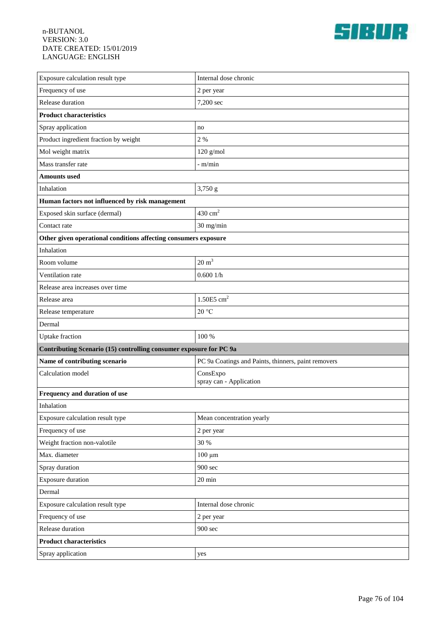

| Exposure calculation result type                                | Internal dose chronic                                              |  |  |
|-----------------------------------------------------------------|--------------------------------------------------------------------|--|--|
| Frequency of use                                                | 2 per year                                                         |  |  |
| Release duration                                                | 7,200 sec                                                          |  |  |
| <b>Product characteristics</b>                                  |                                                                    |  |  |
| Spray application                                               | no                                                                 |  |  |
| Product ingredient fraction by weight                           | 2%                                                                 |  |  |
| Mol weight matrix                                               | $120$ g/mol                                                        |  |  |
| Mass transfer rate                                              | $-$ m/min                                                          |  |  |
| <b>Amounts</b> used                                             |                                                                    |  |  |
| Inhalation                                                      | 3,750 g                                                            |  |  |
| Human factors not influenced by risk management                 |                                                                    |  |  |
| Exposed skin surface (dermal)                                   | $430 \text{ cm}^2$                                                 |  |  |
| Contact rate                                                    | 30 mg/min                                                          |  |  |
| Other given operational conditions affecting consumers exposure |                                                                    |  |  |
| Inhalation                                                      |                                                                    |  |  |
| Room volume                                                     | $20 \text{ m}^3$                                                   |  |  |
| Ventilation rate                                                | 0.6001/h                                                           |  |  |
| Release area increases over time                                |                                                                    |  |  |
| Release area                                                    | $1.50E5$ cm <sup>2</sup>                                           |  |  |
| Release temperature                                             | 20 °C                                                              |  |  |
| Dermal                                                          |                                                                    |  |  |
| <b>Uptake</b> fraction                                          | 100 %                                                              |  |  |
|                                                                 | Contributing Scenario (15) controlling consumer exposure for PC 9a |  |  |
| Name of contributing scenario                                   | PC 9a Coatings and Paints, thinners, paint removers                |  |  |
| Calculation model                                               | ConsExpo<br>spray can - Application                                |  |  |
| Frequency and duration of use                                   |                                                                    |  |  |
| Inhalation                                                      |                                                                    |  |  |
| Exposure calculation result type                                | Mean concentration yearly                                          |  |  |
| Frequency of use                                                | 2 per year                                                         |  |  |
| Weight fraction non-valotile                                    | 30 %                                                               |  |  |
| Max. diameter                                                   | $100 \mu m$                                                        |  |  |
| Spray duration                                                  | 900 sec                                                            |  |  |
| Exposure duration                                               | 20 min                                                             |  |  |
| Dermal                                                          |                                                                    |  |  |
| Exposure calculation result type                                | Internal dose chronic                                              |  |  |
| Frequency of use                                                | 2 per year                                                         |  |  |
| Release duration                                                | 900 sec                                                            |  |  |
| <b>Product characteristics</b>                                  |                                                                    |  |  |
| Spray application                                               | yes                                                                |  |  |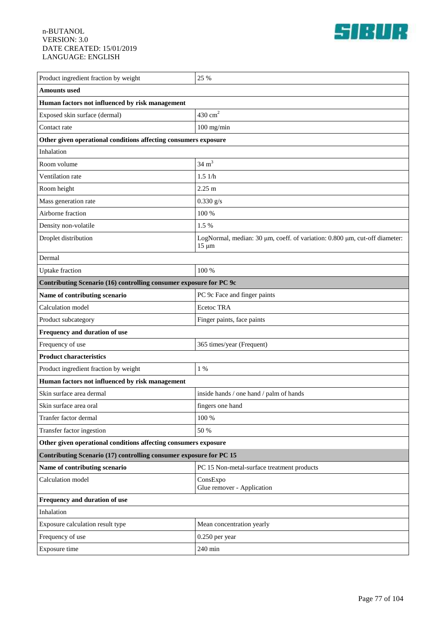

| Product ingredient fraction by weight                              | 25 %                                                                                     |  |
|--------------------------------------------------------------------|------------------------------------------------------------------------------------------|--|
| <b>Amounts</b> used                                                |                                                                                          |  |
| Human factors not influenced by risk management                    |                                                                                          |  |
| Exposed skin surface (dermal)                                      | $430 \text{ cm}^2$                                                                       |  |
| Contact rate                                                       | $100$ mg/min                                                                             |  |
| Other given operational conditions affecting consumers exposure    |                                                                                          |  |
| Inhalation                                                         |                                                                                          |  |
| Room volume                                                        | $34 \text{ m}^3$                                                                         |  |
| Ventilation rate                                                   | 1.51/h                                                                                   |  |
| Room height                                                        | $2.25 \text{ m}$                                                                         |  |
| Mass generation rate                                               | $0.330$ g/s                                                                              |  |
| Airborne fraction                                                  | 100 %                                                                                    |  |
| Density non-volatile                                               | 1.5 %                                                                                    |  |
| Droplet distribution                                               | LogNormal, median: 30 µm, coeff. of variation: 0.800 µm, cut-off diameter:<br>$15 \mu m$ |  |
| Dermal                                                             |                                                                                          |  |
| <b>Uptake</b> fraction                                             | 100 %                                                                                    |  |
| Contributing Scenario (16) controlling consumer exposure for PC 9c |                                                                                          |  |
| Name of contributing scenario                                      | PC 9c Face and finger paints                                                             |  |
| Calculation model                                                  | Ecetoc TRA                                                                               |  |
| Product subcategory                                                | Finger paints, face paints                                                               |  |
| Frequency and duration of use                                      |                                                                                          |  |
| Frequency of use                                                   | 365 times/year (Frequent)                                                                |  |
| <b>Product characteristics</b>                                     |                                                                                          |  |
| Product ingredient fraction by weight                              | $1\%$                                                                                    |  |
| Human factors not influenced by risk management                    |                                                                                          |  |
| Skin surface area dermal                                           | inside hands / one hand / palm of hands                                                  |  |
| Skin surface area oral                                             | fingers one hand                                                                         |  |
| Tranfer factor dermal                                              | 100 %                                                                                    |  |
| Transfer factor ingestion                                          | 50 %                                                                                     |  |
| Other given operational conditions affecting consumers exposure    |                                                                                          |  |
| Contributing Scenario (17) controlling consumer exposure for PC 15 |                                                                                          |  |
| Name of contributing scenario                                      | PC 15 Non-metal-surface treatment products                                               |  |
| Calculation model                                                  | ConsExpo<br>Glue remover - Application                                                   |  |
| Frequency and duration of use                                      |                                                                                          |  |
| Inhalation                                                         |                                                                                          |  |
| Exposure calculation result type                                   | Mean concentration yearly                                                                |  |
| Frequency of use                                                   | 0.250 per year                                                                           |  |
| Exposure time                                                      | 240 min                                                                                  |  |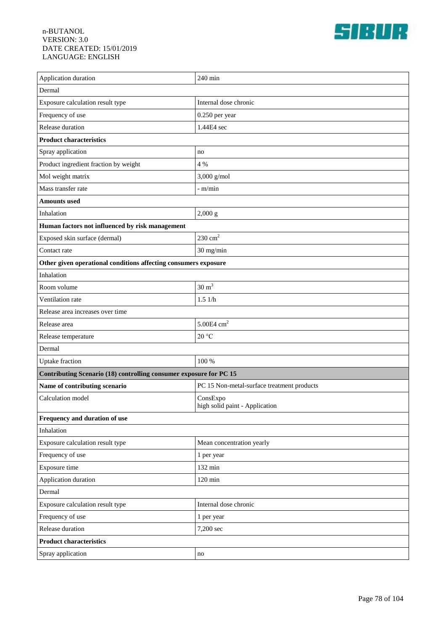

| Application duration                                               | 240 min                                    |
|--------------------------------------------------------------------|--------------------------------------------|
| Dermal                                                             |                                            |
| Exposure calculation result type                                   | Internal dose chronic                      |
| Frequency of use                                                   | 0.250 per year                             |
| Release duration                                                   | 1.44E4 sec                                 |
| <b>Product characteristics</b>                                     |                                            |
| Spray application                                                  | no                                         |
| Product ingredient fraction by weight                              | 4 %                                        |
| Mol weight matrix                                                  | $3,000$ g/mol                              |
| Mass transfer rate                                                 | - m/min                                    |
| <b>Amounts used</b>                                                |                                            |
| Inhalation                                                         | 2,000 g                                    |
| Human factors not influenced by risk management                    |                                            |
| Exposed skin surface (dermal)                                      | $230 \text{ cm}^2$                         |
| Contact rate                                                       | 30 mg/min                                  |
| Other given operational conditions affecting consumers exposure    |                                            |
| Inhalation                                                         |                                            |
| Room volume                                                        | $30 \text{ m}^3$                           |
| Ventilation rate                                                   | 1.51/h                                     |
| Release area increases over time                                   |                                            |
| Release area                                                       | 5.00E4 $cm2$                               |
| Release temperature                                                | 20 °C                                      |
| Dermal                                                             |                                            |
| <b>Uptake</b> fraction                                             | 100 %                                      |
| Contributing Scenario (18) controlling consumer exposure for PC 15 |                                            |
| Name of contributing scenario                                      | PC 15 Non-metal-surface treatment products |
| Calculation model                                                  | ConsExpo<br>high solid paint - Application |
| Frequency and duration of use                                      |                                            |
| Inhalation                                                         |                                            |
| Exposure calculation result type                                   | Mean concentration yearly                  |
| Frequency of use                                                   | 1 per year                                 |
| Exposure time                                                      | 132 min                                    |
| Application duration                                               | $120 \text{ min}$                          |
| Dermal                                                             |                                            |
| Exposure calculation result type                                   | Internal dose chronic                      |
| Frequency of use                                                   | 1 per year                                 |
| Release duration                                                   | 7,200 sec                                  |
| <b>Product characteristics</b>                                     |                                            |
| Spray application                                                  | no                                         |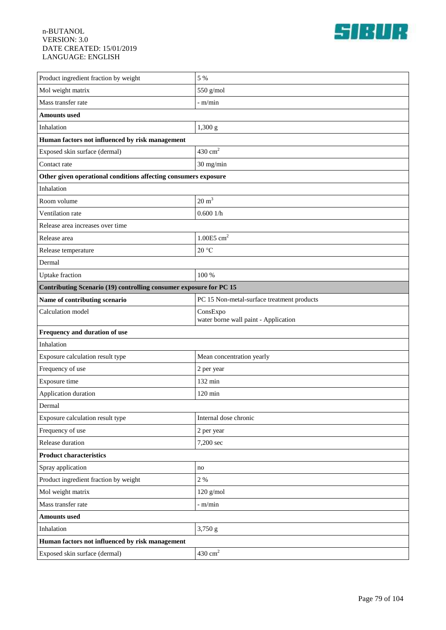

| Product ingredient fraction by weight                              | 5 %                                              |  |
|--------------------------------------------------------------------|--------------------------------------------------|--|
| Mol weight matrix                                                  | 550 g/mol                                        |  |
| Mass transfer rate                                                 | $-$ m/min                                        |  |
| <b>Amounts</b> used                                                |                                                  |  |
| Inhalation                                                         | 1,300 g                                          |  |
| Human factors not influenced by risk management                    |                                                  |  |
| Exposed skin surface (dermal)                                      | $430 \text{ cm}^2$                               |  |
| Contact rate                                                       | 30 mg/min                                        |  |
| Other given operational conditions affecting consumers exposure    |                                                  |  |
| Inhalation                                                         |                                                  |  |
| Room volume                                                        | $20 \text{ m}^3$                                 |  |
| Ventilation rate                                                   | 0.6001/h                                         |  |
| Release area increases over time                                   |                                                  |  |
| Release area                                                       | $1.00E5$ cm <sup>2</sup>                         |  |
| Release temperature                                                | 20 °C                                            |  |
| Dermal                                                             |                                                  |  |
| <b>Uptake</b> fraction                                             | 100 %                                            |  |
| Contributing Scenario (19) controlling consumer exposure for PC 15 |                                                  |  |
| Name of contributing scenario                                      | PC 15 Non-metal-surface treatment products       |  |
| Calculation model                                                  | ConsExpo<br>water borne wall paint - Application |  |
| Frequency and duration of use                                      |                                                  |  |
| Inhalation                                                         |                                                  |  |
| Exposure calculation result type                                   | Mean concentration yearly                        |  |
| Frequency of use                                                   | 2 per year                                       |  |
| Exposure time                                                      | 132 min                                          |  |
| Application duration                                               | $120$ min                                        |  |
| Dermal                                                             |                                                  |  |
| Exposure calculation result type                                   | Internal dose chronic                            |  |
| Frequency of use                                                   | 2 per year                                       |  |
| Release duration                                                   | 7,200 sec                                        |  |
| <b>Product characteristics</b>                                     |                                                  |  |
| Spray application                                                  | no                                               |  |
| Product ingredient fraction by weight                              | $2~\%$                                           |  |
| Mol weight matrix                                                  | $120$ g/mol                                      |  |
| Mass transfer rate                                                 | - m/min                                          |  |
| <b>Amounts</b> used                                                |                                                  |  |
| Inhalation                                                         | 3,750 g                                          |  |
| Human factors not influenced by risk management                    |                                                  |  |
| Exposed skin surface (dermal)                                      | $430\ {\rm cm}^2$                                |  |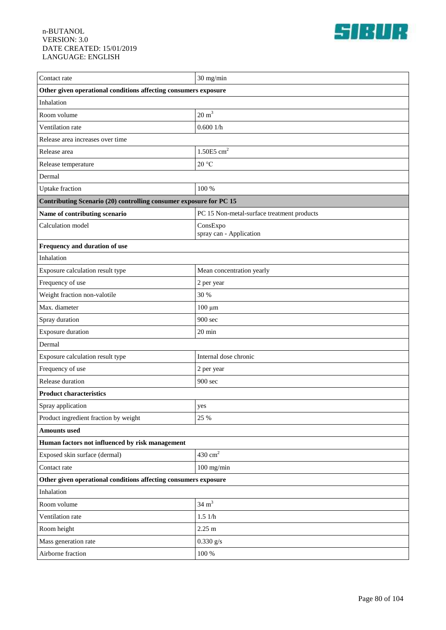

| Contact rate                                                       | 30 mg/min                                  |  |
|--------------------------------------------------------------------|--------------------------------------------|--|
| Other given operational conditions affecting consumers exposure    |                                            |  |
| Inhalation                                                         |                                            |  |
| Room volume                                                        | $20 \text{ m}^3$                           |  |
| Ventilation rate                                                   | 0.6001/h                                   |  |
| Release area increases over time                                   |                                            |  |
| Release area                                                       | 1.50 $E$ 5 cm <sup>2</sup>                 |  |
| Release temperature                                                | 20 °C                                      |  |
| Dermal                                                             |                                            |  |
| <b>Uptake</b> fraction                                             | 100 %                                      |  |
| Contributing Scenario (20) controlling consumer exposure for PC 15 |                                            |  |
| Name of contributing scenario                                      | PC 15 Non-metal-surface treatment products |  |
| Calculation model                                                  | ConsExpo<br>spray can - Application        |  |
| Frequency and duration of use                                      |                                            |  |
| Inhalation                                                         |                                            |  |
| Exposure calculation result type                                   | Mean concentration yearly                  |  |
| Frequency of use                                                   | 2 per year                                 |  |
| Weight fraction non-valotile                                       | 30 %                                       |  |
| Max. diameter                                                      | $100 \mu m$                                |  |
| Spray duration                                                     | 900 sec                                    |  |
| <b>Exposure duration</b>                                           | $20 \text{ min}$                           |  |
| Dermal                                                             |                                            |  |
| Exposure calculation result type                                   | Internal dose chronic                      |  |
| Frequency of use                                                   | 2 per year                                 |  |
| Release duration                                                   | 900 sec                                    |  |
| <b>Product characteristics</b>                                     |                                            |  |
| Spray application                                                  | yes                                        |  |
| Product ingredient fraction by weight                              | 25 %                                       |  |
| <b>Amounts used</b>                                                |                                            |  |
| Human factors not influenced by risk management                    |                                            |  |
| Exposed skin surface (dermal)                                      | $430 \text{ cm}^2$                         |  |
| Contact rate                                                       | $100$ mg/min                               |  |
| Other given operational conditions affecting consumers exposure    |                                            |  |
| Inhalation                                                         |                                            |  |
| Room volume                                                        | $34 \text{ m}^3$                           |  |
| Ventilation rate                                                   | 1.51/h                                     |  |
| Room height                                                        | $2.25~\mathrm{m}$                          |  |
| Mass generation rate                                               | $0.330$ g/s                                |  |
| Airborne fraction                                                  | $100\,\%$                                  |  |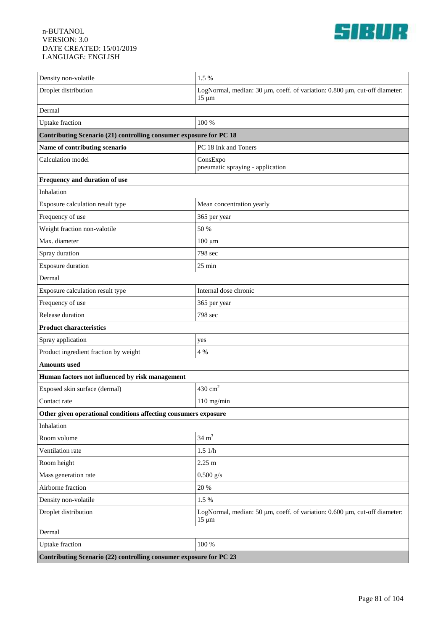

| Density non-volatile                                               | 1.5 %                                                                                    |  |
|--------------------------------------------------------------------|------------------------------------------------------------------------------------------|--|
| Droplet distribution                                               | LogNormal, median: 30 µm, coeff. of variation: 0.800 µm, cut-off diameter:<br>$15 \mu m$ |  |
| Dermal                                                             |                                                                                          |  |
| <b>Uptake</b> fraction                                             | 100 %                                                                                    |  |
| Contributing Scenario (21) controlling consumer exposure for PC 18 |                                                                                          |  |
| Name of contributing scenario                                      | PC 18 Ink and Toners                                                                     |  |
| Calculation model                                                  | ConsExpo<br>pneumatic spraying - application                                             |  |
| Frequency and duration of use                                      |                                                                                          |  |
| Inhalation                                                         |                                                                                          |  |
| Exposure calculation result type                                   | Mean concentration yearly                                                                |  |
| Frequency of use                                                   | 365 per year                                                                             |  |
| Weight fraction non-valotile                                       | 50 %                                                                                     |  |
| Max. diameter                                                      | $100 \mu m$                                                                              |  |
| Spray duration                                                     | 798 sec                                                                                  |  |
| <b>Exposure duration</b>                                           | $25 \text{ min}$                                                                         |  |
| Dermal                                                             |                                                                                          |  |
| Exposure calculation result type                                   | Internal dose chronic                                                                    |  |
| Frequency of use                                                   | 365 per year                                                                             |  |
| Release duration                                                   | 798 sec                                                                                  |  |
| <b>Product characteristics</b>                                     |                                                                                          |  |
| Spray application                                                  | yes                                                                                      |  |
| Product ingredient fraction by weight                              | 4 %                                                                                      |  |
| <b>Amounts</b> used                                                |                                                                                          |  |
| Human factors not influenced by risk management                    |                                                                                          |  |
| Exposed skin surface (dermal)                                      | 430 $cm2$                                                                                |  |
| Contact rate                                                       | $110$ mg/min                                                                             |  |
| Other given operational conditions affecting consumers exposure    |                                                                                          |  |
| Inhalation                                                         |                                                                                          |  |
| Room volume                                                        | $34 \text{ m}^3$                                                                         |  |
| Ventilation rate                                                   | 1.51/h                                                                                   |  |
| Room height                                                        | $2.25 \text{ m}$                                                                         |  |
| Mass generation rate                                               | $0.500$ g/s                                                                              |  |
| Airborne fraction                                                  | 20 %                                                                                     |  |
| Density non-volatile                                               | 1.5 %                                                                                    |  |
| Droplet distribution                                               | LogNormal, median: 50 µm, coeff. of variation: 0.600 µm, cut-off diameter:<br>$15 \mu m$ |  |
| Dermal                                                             |                                                                                          |  |
| <b>Uptake</b> fraction                                             | $100\,\%$                                                                                |  |
| Contributing Scenario (22) controlling consumer exposure for PC 23 |                                                                                          |  |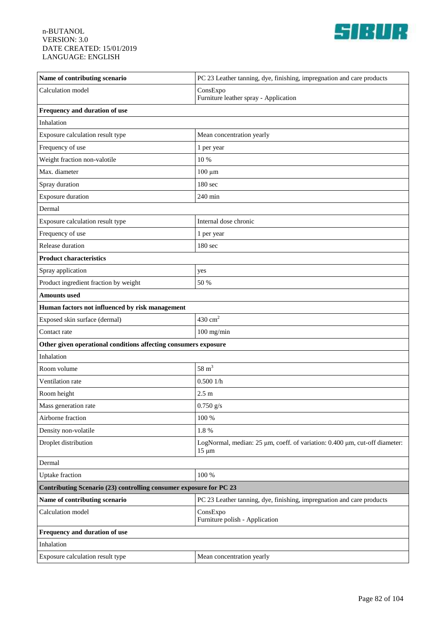

| Name of contributing scenario                                      | PC 23 Leather tanning, dye, finishing, impregnation and care products                    |
|--------------------------------------------------------------------|------------------------------------------------------------------------------------------|
| Calculation model                                                  | ConsExpo<br>Furniture leather spray - Application                                        |
| Frequency and duration of use                                      |                                                                                          |
| Inhalation                                                         |                                                                                          |
| Exposure calculation result type                                   | Mean concentration yearly                                                                |
| Frequency of use                                                   | 1 per year                                                                               |
| Weight fraction non-valotile                                       | 10 %                                                                                     |
| Max. diameter                                                      | $100 \mu m$                                                                              |
| Spray duration                                                     | 180 sec                                                                                  |
| <b>Exposure duration</b>                                           | 240 min                                                                                  |
| Dermal                                                             |                                                                                          |
| Exposure calculation result type                                   | Internal dose chronic                                                                    |
| Frequency of use                                                   | 1 per year                                                                               |
| Release duration                                                   | 180 sec                                                                                  |
| <b>Product characteristics</b>                                     |                                                                                          |
| Spray application                                                  | yes                                                                                      |
| Product ingredient fraction by weight                              | 50 %                                                                                     |
| <b>Amounts</b> used                                                |                                                                                          |
| Human factors not influenced by risk management                    |                                                                                          |
| Exposed skin surface (dermal)                                      | $430\ {\rm cm}^2$                                                                        |
| Contact rate                                                       | $100$ mg/min                                                                             |
| Other given operational conditions affecting consumers exposure    |                                                                                          |
| Inhalation                                                         |                                                                                          |
| Room volume                                                        | $58 \text{ m}^3$                                                                         |
| Ventilation rate                                                   | 0.5001/h                                                                                 |
| Room height                                                        | 2.5 <sub>m</sub>                                                                         |
| Mass generation rate                                               | $0.750$ g/s                                                                              |
| Airborne fraction                                                  | 100 %                                                                                    |
| Density non-volatile                                               | $1.8\ \%$                                                                                |
| Droplet distribution                                               | LogNormal, median: 25 µm, coeff. of variation: 0.400 µm, cut-off diameter:<br>$15 \mu m$ |
| Dermal                                                             |                                                                                          |
| <b>Uptake</b> fraction                                             | 100 %                                                                                    |
| Contributing Scenario (23) controlling consumer exposure for PC 23 |                                                                                          |
| Name of contributing scenario                                      | PC 23 Leather tanning, dye, finishing, impregnation and care products                    |
| Calculation model                                                  | ConsExpo<br>Furniture polish - Application                                               |
| Frequency and duration of use                                      |                                                                                          |
| Inhalation                                                         |                                                                                          |
| Exposure calculation result type                                   | Mean concentration yearly                                                                |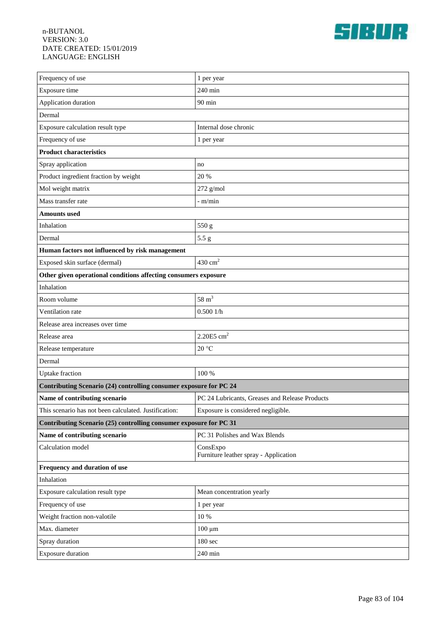

| Frequency of use                                                   | 1 per year                                        |  |
|--------------------------------------------------------------------|---------------------------------------------------|--|
| Exposure time                                                      | 240 min                                           |  |
| Application duration                                               | $90$ min                                          |  |
| Dermal                                                             |                                                   |  |
| Exposure calculation result type                                   | Internal dose chronic                             |  |
| Frequency of use                                                   | 1 per year                                        |  |
| <b>Product characteristics</b>                                     |                                                   |  |
| Spray application                                                  | no                                                |  |
| Product ingredient fraction by weight                              | 20 %                                              |  |
| Mol weight matrix                                                  | $272$ g/mol                                       |  |
| Mass transfer rate                                                 | - m/min                                           |  |
| <b>Amounts</b> used                                                |                                                   |  |
| Inhalation                                                         | 550 g                                             |  |
| Dermal                                                             | $5.5\;{\rm g}$                                    |  |
| Human factors not influenced by risk management                    |                                                   |  |
| Exposed skin surface (dermal)                                      | $430 \text{ cm}^2$                                |  |
| Other given operational conditions affecting consumers exposure    |                                                   |  |
| Inhalation                                                         |                                                   |  |
| Room volume                                                        | $58 \text{ m}^3$                                  |  |
| Ventilation rate                                                   | 0.5001/h                                          |  |
| Release area increases over time                                   |                                                   |  |
| Release area                                                       | $2.20E5$ cm <sup>2</sup>                          |  |
| Release temperature                                                | 20 °C                                             |  |
| Dermal                                                             |                                                   |  |
| <b>Uptake</b> fraction                                             | 100 %                                             |  |
| Contributing Scenario (24) controlling consumer exposure for PC 24 |                                                   |  |
| Name of contributing scenario                                      | PC 24 Lubricants, Greases and Release Products    |  |
| This scenario has not been calculated. Justification:              | Exposure is considered negligible.                |  |
| Contributing Scenario (25) controlling consumer exposure for PC 31 |                                                   |  |
| Name of contributing scenario                                      | PC 31 Polishes and Wax Blends                     |  |
| Calculation model                                                  | ConsExpo<br>Furniture leather spray - Application |  |
| Frequency and duration of use                                      |                                                   |  |
| Inhalation                                                         |                                                   |  |
| Exposure calculation result type                                   | Mean concentration yearly                         |  |
| Frequency of use                                                   | 1 per year                                        |  |
| Weight fraction non-valotile                                       | 10 %                                              |  |
| Max. diameter                                                      | $100 \mu m$                                       |  |
| Spray duration                                                     | 180 sec                                           |  |
| Exposure duration                                                  | 240 min                                           |  |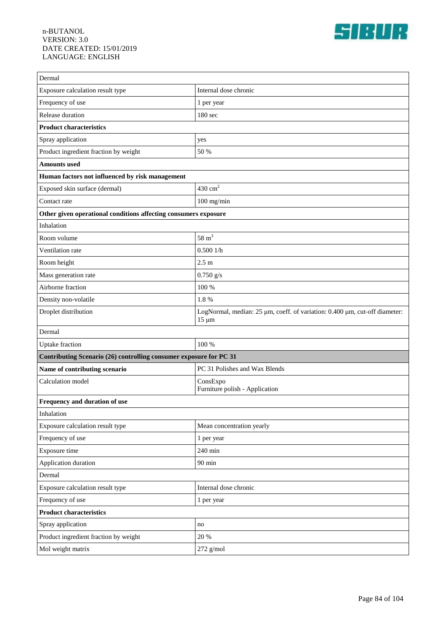

| Dermal                                                             |                                                                                          |  |
|--------------------------------------------------------------------|------------------------------------------------------------------------------------------|--|
| Exposure calculation result type                                   | Internal dose chronic                                                                    |  |
| Frequency of use                                                   | 1 per year                                                                               |  |
| Release duration                                                   | 180 sec                                                                                  |  |
| <b>Product characteristics</b>                                     |                                                                                          |  |
| Spray application                                                  | yes                                                                                      |  |
| Product ingredient fraction by weight                              | 50 %                                                                                     |  |
| <b>Amounts</b> used                                                |                                                                                          |  |
| Human factors not influenced by risk management                    |                                                                                          |  |
| Exposed skin surface (dermal)                                      | 430 $cm2$                                                                                |  |
| Contact rate                                                       | $100$ mg/min                                                                             |  |
| Other given operational conditions affecting consumers exposure    |                                                                                          |  |
| Inhalation                                                         |                                                                                          |  |
| Room volume                                                        | $58 \text{ m}^3$                                                                         |  |
| Ventilation rate                                                   | 0.5001/h                                                                                 |  |
| Room height                                                        | 2.5 <sub>m</sub>                                                                         |  |
| Mass generation rate                                               | $0.750$ g/s                                                                              |  |
| Airborne fraction                                                  | 100 %                                                                                    |  |
| Density non-volatile                                               | 1.8%                                                                                     |  |
| Droplet distribution                                               | LogNormal, median: 25 µm, coeff. of variation: 0.400 µm, cut-off diameter:<br>$15 \mu m$ |  |
| Dermal                                                             |                                                                                          |  |
| <b>Uptake</b> fraction                                             | 100 %                                                                                    |  |
| Contributing Scenario (26) controlling consumer exposure for PC 31 |                                                                                          |  |
| Name of contributing scenario                                      | PC 31 Polishes and Wax Blends                                                            |  |
| Calculation model                                                  | ConsExpo<br>Furniture polish - Application                                               |  |
| Frequency and duration of use                                      |                                                                                          |  |
| Inhalation                                                         |                                                                                          |  |
| Exposure calculation result type                                   | Mean concentration yearly                                                                |  |
| Frequency of use                                                   | 1 per year                                                                               |  |
| Exposure time                                                      | 240 min                                                                                  |  |
| Application duration                                               | 90 min                                                                                   |  |
| Dermal                                                             |                                                                                          |  |
| Exposure calculation result type                                   | Internal dose chronic                                                                    |  |
| Frequency of use                                                   | 1 per year                                                                               |  |
| <b>Product characteristics</b>                                     |                                                                                          |  |
| Spray application                                                  | no                                                                                       |  |
| Product ingredient fraction by weight                              | 20 %                                                                                     |  |
| Mol weight matrix                                                  | $272$ g/mol                                                                              |  |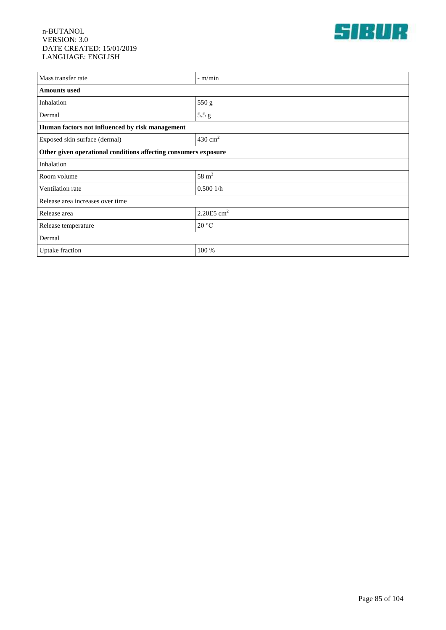

| Mass transfer rate                                              | $-$ m/min                |  |
|-----------------------------------------------------------------|--------------------------|--|
| <b>Amounts used</b>                                             |                          |  |
| Inhalation                                                      | 550 g                    |  |
| Dermal                                                          | 5.5 g                    |  |
| Human factors not influenced by risk management                 |                          |  |
| Exposed skin surface (dermal)                                   | $430 \text{ cm}^2$       |  |
| Other given operational conditions affecting consumers exposure |                          |  |
| Inhalation                                                      |                          |  |
| Room volume                                                     | $58 \text{ m}^3$         |  |
| Ventilation rate                                                | 0.5001/h                 |  |
| Release area increases over time                                |                          |  |
| Release area                                                    | $2.20E5$ cm <sup>2</sup> |  |
| Release temperature                                             | 20 °C                    |  |
| Dermal                                                          |                          |  |
| Uptake fraction                                                 | 100 %                    |  |
|                                                                 |                          |  |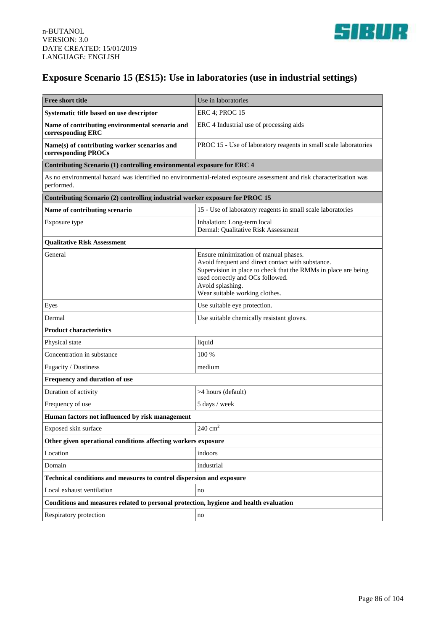

## **Exposure Scenario 15 (ES15): Use in laboratories (use in industrial settings)**

| <b>Free short title</b>                                                                                                            | Use in laboratories                                                                                                                                                                                                                                    |  |
|------------------------------------------------------------------------------------------------------------------------------------|--------------------------------------------------------------------------------------------------------------------------------------------------------------------------------------------------------------------------------------------------------|--|
| Systematic title based on use descriptor                                                                                           | <b>ERC 4; PROC 15</b>                                                                                                                                                                                                                                  |  |
| Name of contributing environmental scenario and<br>corresponding ERC                                                               | ERC 4 Industrial use of processing aids                                                                                                                                                                                                                |  |
| Name(s) of contributing worker scenarios and<br>corresponding PROCs                                                                | PROC 15 - Use of laboratory reagents in small scale laboratories                                                                                                                                                                                       |  |
| Contributing Scenario (1) controlling environmental exposure for ERC 4                                                             |                                                                                                                                                                                                                                                        |  |
| As no environmental hazard was identified no environmental-related exposure assessment and risk characterization was<br>performed. |                                                                                                                                                                                                                                                        |  |
| Contributing Scenario (2) controlling industrial worker exposure for PROC 15                                                       |                                                                                                                                                                                                                                                        |  |
| Name of contributing scenario                                                                                                      | 15 - Use of laboratory reagents in small scale laboratories                                                                                                                                                                                            |  |
| Exposure type                                                                                                                      | Inhalation: Long-term local<br>Dermal: Qualitative Risk Assessment                                                                                                                                                                                     |  |
| <b>Qualitative Risk Assessment</b>                                                                                                 |                                                                                                                                                                                                                                                        |  |
| General                                                                                                                            | Ensure minimization of manual phases.<br>Avoid frequent and direct contact with substance.<br>Supervision in place to check that the RMMs in place are being<br>used correctly and OCs followed.<br>Avoid splashing.<br>Wear suitable working clothes. |  |
| Eyes                                                                                                                               | Use suitable eye protection.                                                                                                                                                                                                                           |  |
| Dermal                                                                                                                             | Use suitable chemically resistant gloves.                                                                                                                                                                                                              |  |
| <b>Product characteristics</b>                                                                                                     |                                                                                                                                                                                                                                                        |  |
| Physical state                                                                                                                     | liquid                                                                                                                                                                                                                                                 |  |
| Concentration in substance                                                                                                         | 100 %                                                                                                                                                                                                                                                  |  |
| Fugacity / Dustiness                                                                                                               | medium                                                                                                                                                                                                                                                 |  |
| Frequency and duration of use                                                                                                      |                                                                                                                                                                                                                                                        |  |
| Duration of activity                                                                                                               | >4 hours (default)                                                                                                                                                                                                                                     |  |
| Frequency of use                                                                                                                   | 5 days / week                                                                                                                                                                                                                                          |  |
| Human factors not influenced by risk management                                                                                    |                                                                                                                                                                                                                                                        |  |
| Exposed skin surface                                                                                                               | $240\ {\rm cm^2}$                                                                                                                                                                                                                                      |  |
| Other given operational conditions affecting workers exposure                                                                      |                                                                                                                                                                                                                                                        |  |
| Location                                                                                                                           | indoors                                                                                                                                                                                                                                                |  |
| Domain                                                                                                                             | industrial                                                                                                                                                                                                                                             |  |
| Technical conditions and measures to control dispersion and exposure                                                               |                                                                                                                                                                                                                                                        |  |
| Local exhaust ventilation                                                                                                          | no                                                                                                                                                                                                                                                     |  |
| Conditions and measures related to personal protection, hygiene and health evaluation                                              |                                                                                                                                                                                                                                                        |  |
| Respiratory protection                                                                                                             | no                                                                                                                                                                                                                                                     |  |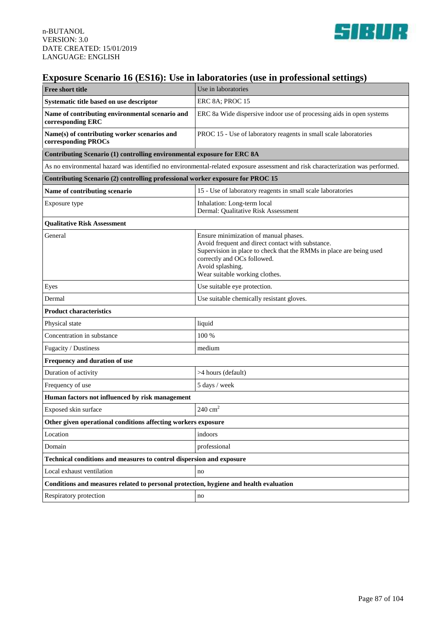

### **Exposure Scenario 16 (ES16): Use in laboratories (use in professional settings)**

| Free short title                                                                                                                | Use in laboratories                                                                                                                                                                                                                                    |  |
|---------------------------------------------------------------------------------------------------------------------------------|--------------------------------------------------------------------------------------------------------------------------------------------------------------------------------------------------------------------------------------------------------|--|
| Systematic title based on use descriptor                                                                                        | ERC 8A; PROC 15                                                                                                                                                                                                                                        |  |
| Name of contributing environmental scenario and<br>corresponding ERC                                                            | ERC 8a Wide dispersive indoor use of processing aids in open systems                                                                                                                                                                                   |  |
| Name(s) of contributing worker scenarios and<br>corresponding PROCs                                                             | PROC 15 - Use of laboratory reagents in small scale laboratories                                                                                                                                                                                       |  |
| Contributing Scenario (1) controlling environmental exposure for ERC 8A                                                         |                                                                                                                                                                                                                                                        |  |
| As no environmental hazard was identified no environmental-related exposure assessment and risk characterization was performed. |                                                                                                                                                                                                                                                        |  |
| Contributing Scenario (2) controlling professional worker exposure for PROC 15                                                  |                                                                                                                                                                                                                                                        |  |
| Name of contributing scenario                                                                                                   | 15 - Use of laboratory reagents in small scale laboratories                                                                                                                                                                                            |  |
| Exposure type                                                                                                                   | Inhalation: Long-term local<br>Dermal: Qualitative Risk Assessment                                                                                                                                                                                     |  |
| <b>Qualitative Risk Assessment</b>                                                                                              |                                                                                                                                                                                                                                                        |  |
| General                                                                                                                         | Ensure minimization of manual phases.<br>Avoid frequent and direct contact with substance.<br>Supervision in place to check that the RMMs in place are being used<br>correctly and OCs followed.<br>Avoid splashing.<br>Wear suitable working clothes. |  |
| Eyes                                                                                                                            | Use suitable eye protection.                                                                                                                                                                                                                           |  |
| Dermal                                                                                                                          | Use suitable chemically resistant gloves.                                                                                                                                                                                                              |  |
| <b>Product characteristics</b>                                                                                                  |                                                                                                                                                                                                                                                        |  |
| Physical state                                                                                                                  | liquid                                                                                                                                                                                                                                                 |  |
| Concentration in substance                                                                                                      | 100 %                                                                                                                                                                                                                                                  |  |
| Fugacity / Dustiness                                                                                                            | medium                                                                                                                                                                                                                                                 |  |
| Frequency and duration of use                                                                                                   |                                                                                                                                                                                                                                                        |  |
| Duration of activity                                                                                                            | >4 hours (default)                                                                                                                                                                                                                                     |  |
| Frequency of use                                                                                                                | 5 days / week                                                                                                                                                                                                                                          |  |
| Human factors not influenced by risk management                                                                                 |                                                                                                                                                                                                                                                        |  |
| Exposed skin surface                                                                                                            | $240 \text{ cm}^2$                                                                                                                                                                                                                                     |  |
| Other given operational conditions affecting workers exposure                                                                   |                                                                                                                                                                                                                                                        |  |
| Location                                                                                                                        | indoors                                                                                                                                                                                                                                                |  |
| Domain                                                                                                                          | professional                                                                                                                                                                                                                                           |  |
| Technical conditions and measures to control dispersion and exposure                                                            |                                                                                                                                                                                                                                                        |  |
| Local exhaust ventilation                                                                                                       | no                                                                                                                                                                                                                                                     |  |
| Conditions and measures related to personal protection, hygiene and health evaluation                                           |                                                                                                                                                                                                                                                        |  |
| Respiratory protection                                                                                                          | no                                                                                                                                                                                                                                                     |  |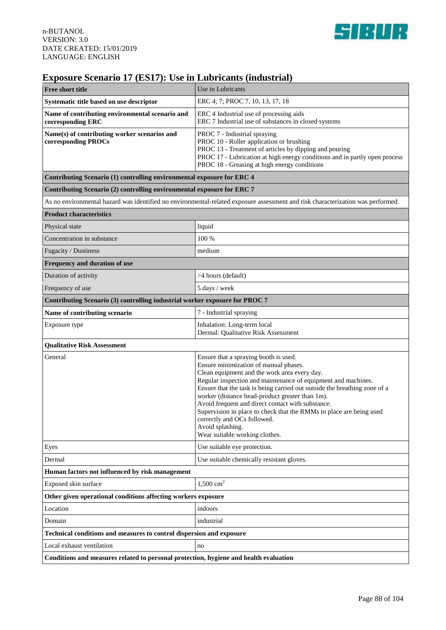

# **Exposure Scenario 17 (ES17): Use in Lubricants (industrial)**

| <b>Free short title</b>                                                                                                         | Use in Lubricants                                                                                                                                                                                                                                                                                                                                                                                                                                                                                                                                |
|---------------------------------------------------------------------------------------------------------------------------------|--------------------------------------------------------------------------------------------------------------------------------------------------------------------------------------------------------------------------------------------------------------------------------------------------------------------------------------------------------------------------------------------------------------------------------------------------------------------------------------------------------------------------------------------------|
| Systematic title based on use descriptor                                                                                        | ERC 4, 7; PROC 7, 10, 13, 17, 18                                                                                                                                                                                                                                                                                                                                                                                                                                                                                                                 |
| Name of contributing environmental scenario and<br>corresponding ERC                                                            | ERC 4 Industrial use of processing aids<br>ERC 7 Industrial use of substances in closed systems                                                                                                                                                                                                                                                                                                                                                                                                                                                  |
| Name(s) of contributing worker scenarios and<br>corresponding PROCs                                                             | PROC 7 - Industrial spraying<br>PROC 10 - Roller application or brushing<br>PROC 13 - Treatment of articles by dipping and pouring<br>PROC 17 - Lubrication at high energy conditions and in partly open process<br>PROC 18 - Greasing at high energy conditions                                                                                                                                                                                                                                                                                 |
| Contributing Scenario (1) controlling environmental exposure for ERC 4                                                          |                                                                                                                                                                                                                                                                                                                                                                                                                                                                                                                                                  |
| Contributing Scenario (2) controlling environmental exposure for ERC 7                                                          |                                                                                                                                                                                                                                                                                                                                                                                                                                                                                                                                                  |
| As no environmental hazard was identified no environmental-related exposure assessment and risk characterization was performed. |                                                                                                                                                                                                                                                                                                                                                                                                                                                                                                                                                  |
| <b>Product characteristics</b>                                                                                                  |                                                                                                                                                                                                                                                                                                                                                                                                                                                                                                                                                  |
| Physical state                                                                                                                  | liquid                                                                                                                                                                                                                                                                                                                                                                                                                                                                                                                                           |
| Concentration in substance                                                                                                      | 100 %                                                                                                                                                                                                                                                                                                                                                                                                                                                                                                                                            |
| Fugacity / Dustiness                                                                                                            | medium                                                                                                                                                                                                                                                                                                                                                                                                                                                                                                                                           |
| Frequency and duration of use                                                                                                   |                                                                                                                                                                                                                                                                                                                                                                                                                                                                                                                                                  |
| Duration of activity                                                                                                            | >4 hours (default)                                                                                                                                                                                                                                                                                                                                                                                                                                                                                                                               |
| Frequency of use                                                                                                                | 5 days / week                                                                                                                                                                                                                                                                                                                                                                                                                                                                                                                                    |
| Contributing Scenario (3) controlling industrial worker exposure for PROC 7                                                     |                                                                                                                                                                                                                                                                                                                                                                                                                                                                                                                                                  |
| Name of contributing scenario                                                                                                   | 7 - Industrial spraying                                                                                                                                                                                                                                                                                                                                                                                                                                                                                                                          |
| Exposure type                                                                                                                   | Inhalation: Long-term local<br>Dermal: Qualitative Risk Assessment                                                                                                                                                                                                                                                                                                                                                                                                                                                                               |
| <b>Qualitative Risk Assessment</b>                                                                                              |                                                                                                                                                                                                                                                                                                                                                                                                                                                                                                                                                  |
| General                                                                                                                         | Ensure that a spraying booth is used.<br>Ensure minimization of manual phases.<br>Clean equipment and the work area every day.<br>Regular inspection and maintenance of equipment and machines.<br>Ensure that the task is being carried out outside the breathing zone of a<br>worker (distance head-product greater than 1m).<br>Avoid frequent and direct contact with substance.<br>Supervision in place to check that the RMMs in place are being used<br>correctly and OCs followed.<br>Avoid splashing.<br>Wear suitable working clothes. |
| Eyes                                                                                                                            | Use suitable eye protection.                                                                                                                                                                                                                                                                                                                                                                                                                                                                                                                     |
| Dermal                                                                                                                          | Use suitable chemically resistant gloves.                                                                                                                                                                                                                                                                                                                                                                                                                                                                                                        |
| Human factors not influenced by risk management                                                                                 |                                                                                                                                                                                                                                                                                                                                                                                                                                                                                                                                                  |
| Exposed skin surface                                                                                                            | $1,500$ cm <sup>2</sup>                                                                                                                                                                                                                                                                                                                                                                                                                                                                                                                          |
| Other given operational conditions affecting workers exposure                                                                   |                                                                                                                                                                                                                                                                                                                                                                                                                                                                                                                                                  |
| Location                                                                                                                        | indoors                                                                                                                                                                                                                                                                                                                                                                                                                                                                                                                                          |
| Domain                                                                                                                          | industrial                                                                                                                                                                                                                                                                                                                                                                                                                                                                                                                                       |
| Technical conditions and measures to control dispersion and exposure                                                            |                                                                                                                                                                                                                                                                                                                                                                                                                                                                                                                                                  |
| Local exhaust ventilation                                                                                                       | no                                                                                                                                                                                                                                                                                                                                                                                                                                                                                                                                               |
| Conditions and measures related to personal protection, hygiene and health evaluation                                           |                                                                                                                                                                                                                                                                                                                                                                                                                                                                                                                                                  |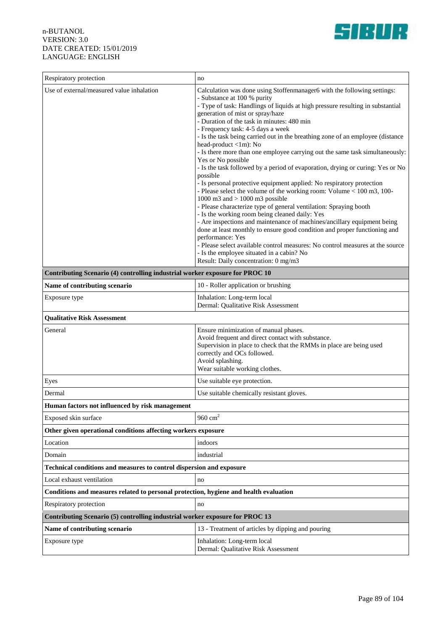

| Respiratory protection                                                                | no                                                                                                                                                                                                                                                                                                                                                                                                                                                                                                                                                                                                                                                                                                                                                                                                                                                                                                                                                                                                                                                                                                                                                                                                                                                                                              |  |
|---------------------------------------------------------------------------------------|-------------------------------------------------------------------------------------------------------------------------------------------------------------------------------------------------------------------------------------------------------------------------------------------------------------------------------------------------------------------------------------------------------------------------------------------------------------------------------------------------------------------------------------------------------------------------------------------------------------------------------------------------------------------------------------------------------------------------------------------------------------------------------------------------------------------------------------------------------------------------------------------------------------------------------------------------------------------------------------------------------------------------------------------------------------------------------------------------------------------------------------------------------------------------------------------------------------------------------------------------------------------------------------------------|--|
| Use of external/measured value inhalation                                             | Calculation was done using Stoffenmanager6 with the following settings:<br>- Substance at 100 % purity<br>- Type of task: Handlings of liquids at high pressure resulting in substantial<br>generation of mist or spray/haze<br>- Duration of the task in minutes: 480 min<br>- Frequency task: 4-5 days a week<br>- Is the task being carried out in the breathing zone of an employee (distance<br>head-product <1m): No<br>- Is there more than one employee carrying out the same task simultaneously:<br>Yes or No possible<br>- Is the task followed by a period of evaporation, drying or curing: Yes or No<br>possible<br>- Is personal protective equipment applied: No respiratory protection<br>- Please select the volume of the working room: Volume $< 100$ m3, 100-<br>1000 m3 and $> 1000$ m3 possible<br>- Please characterize type of general ventilation: Spraying booth<br>- Is the working room being cleaned daily: Yes<br>- Are inspections and maintenance of machines/ancillary equipment being<br>done at least monthly to ensure good condition and proper functioning and<br>performance: Yes<br>- Please select available control measures: No control measures at the source<br>- Is the employee situated in a cabin? No<br>Result: Daily concentration: 0 mg/m3 |  |
| Contributing Scenario (4) controlling industrial worker exposure for PROC 10          |                                                                                                                                                                                                                                                                                                                                                                                                                                                                                                                                                                                                                                                                                                                                                                                                                                                                                                                                                                                                                                                                                                                                                                                                                                                                                                 |  |
| Name of contributing scenario                                                         | 10 - Roller application or brushing                                                                                                                                                                                                                                                                                                                                                                                                                                                                                                                                                                                                                                                                                                                                                                                                                                                                                                                                                                                                                                                                                                                                                                                                                                                             |  |
| Exposure type                                                                         | Inhalation: Long-term local<br>Dermal: Qualitative Risk Assessment                                                                                                                                                                                                                                                                                                                                                                                                                                                                                                                                                                                                                                                                                                                                                                                                                                                                                                                                                                                                                                                                                                                                                                                                                              |  |
| <b>Qualitative Risk Assessment</b>                                                    |                                                                                                                                                                                                                                                                                                                                                                                                                                                                                                                                                                                                                                                                                                                                                                                                                                                                                                                                                                                                                                                                                                                                                                                                                                                                                                 |  |
| General                                                                               | Ensure minimization of manual phases.<br>Avoid frequent and direct contact with substance.<br>Supervision in place to check that the RMMs in place are being used<br>correctly and OCs followed.<br>Avoid splashing.<br>Wear suitable working clothes.                                                                                                                                                                                                                                                                                                                                                                                                                                                                                                                                                                                                                                                                                                                                                                                                                                                                                                                                                                                                                                          |  |
| Eyes                                                                                  | Use suitable eye protection.                                                                                                                                                                                                                                                                                                                                                                                                                                                                                                                                                                                                                                                                                                                                                                                                                                                                                                                                                                                                                                                                                                                                                                                                                                                                    |  |
| Dermal                                                                                | Use suitable chemically resistant gloves.                                                                                                                                                                                                                                                                                                                                                                                                                                                                                                                                                                                                                                                                                                                                                                                                                                                                                                                                                                                                                                                                                                                                                                                                                                                       |  |
| Human factors not influenced by risk management                                       |                                                                                                                                                                                                                                                                                                                                                                                                                                                                                                                                                                                                                                                                                                                                                                                                                                                                                                                                                                                                                                                                                                                                                                                                                                                                                                 |  |
| Exposed skin surface                                                                  | 960 $cm2$                                                                                                                                                                                                                                                                                                                                                                                                                                                                                                                                                                                                                                                                                                                                                                                                                                                                                                                                                                                                                                                                                                                                                                                                                                                                                       |  |
| Other given operational conditions affecting workers exposure                         |                                                                                                                                                                                                                                                                                                                                                                                                                                                                                                                                                                                                                                                                                                                                                                                                                                                                                                                                                                                                                                                                                                                                                                                                                                                                                                 |  |
| Location                                                                              | indoors                                                                                                                                                                                                                                                                                                                                                                                                                                                                                                                                                                                                                                                                                                                                                                                                                                                                                                                                                                                                                                                                                                                                                                                                                                                                                         |  |
| Domain                                                                                | industrial                                                                                                                                                                                                                                                                                                                                                                                                                                                                                                                                                                                                                                                                                                                                                                                                                                                                                                                                                                                                                                                                                                                                                                                                                                                                                      |  |
| Technical conditions and measures to control dispersion and exposure                  |                                                                                                                                                                                                                                                                                                                                                                                                                                                                                                                                                                                                                                                                                                                                                                                                                                                                                                                                                                                                                                                                                                                                                                                                                                                                                                 |  |
| Local exhaust ventilation                                                             | no                                                                                                                                                                                                                                                                                                                                                                                                                                                                                                                                                                                                                                                                                                                                                                                                                                                                                                                                                                                                                                                                                                                                                                                                                                                                                              |  |
| Conditions and measures related to personal protection, hygiene and health evaluation |                                                                                                                                                                                                                                                                                                                                                                                                                                                                                                                                                                                                                                                                                                                                                                                                                                                                                                                                                                                                                                                                                                                                                                                                                                                                                                 |  |
| Respiratory protection                                                                | no                                                                                                                                                                                                                                                                                                                                                                                                                                                                                                                                                                                                                                                                                                                                                                                                                                                                                                                                                                                                                                                                                                                                                                                                                                                                                              |  |
| Contributing Scenario (5) controlling industrial worker exposure for PROC 13          |                                                                                                                                                                                                                                                                                                                                                                                                                                                                                                                                                                                                                                                                                                                                                                                                                                                                                                                                                                                                                                                                                                                                                                                                                                                                                                 |  |
| Name of contributing scenario                                                         | 13 - Treatment of articles by dipping and pouring                                                                                                                                                                                                                                                                                                                                                                                                                                                                                                                                                                                                                                                                                                                                                                                                                                                                                                                                                                                                                                                                                                                                                                                                                                               |  |
| Exposure type                                                                         | Inhalation: Long-term local<br>Dermal: Qualitative Risk Assessment                                                                                                                                                                                                                                                                                                                                                                                                                                                                                                                                                                                                                                                                                                                                                                                                                                                                                                                                                                                                                                                                                                                                                                                                                              |  |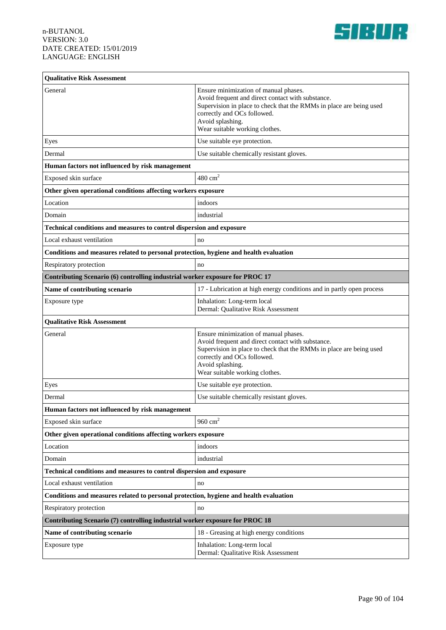

| <b>Qualitative Risk Assessment</b>                                                    |                                                                                                    |  |
|---------------------------------------------------------------------------------------|----------------------------------------------------------------------------------------------------|--|
|                                                                                       |                                                                                                    |  |
| General                                                                               | Ensure minimization of manual phases.<br>Avoid frequent and direct contact with substance.         |  |
|                                                                                       | Supervision in place to check that the RMMs in place are being used                                |  |
|                                                                                       | correctly and OCs followed.<br>Avoid splashing.                                                    |  |
|                                                                                       | Wear suitable working clothes.                                                                     |  |
| Eyes                                                                                  | Use suitable eye protection.                                                                       |  |
| Dermal                                                                                | Use suitable chemically resistant gloves.                                                          |  |
| Human factors not influenced by risk management                                       |                                                                                                    |  |
| Exposed skin surface                                                                  | $480 \text{ cm}^2$                                                                                 |  |
| Other given operational conditions affecting workers exposure                         |                                                                                                    |  |
| Location                                                                              | indoors                                                                                            |  |
| Domain                                                                                | industrial                                                                                         |  |
| Technical conditions and measures to control dispersion and exposure                  |                                                                                                    |  |
| Local exhaust ventilation                                                             | no                                                                                                 |  |
| Conditions and measures related to personal protection, hygiene and health evaluation |                                                                                                    |  |
| Respiratory protection                                                                | no                                                                                                 |  |
| Contributing Scenario (6) controlling industrial worker exposure for PROC 17          |                                                                                                    |  |
| Name of contributing scenario                                                         | 17 - Lubrication at high energy conditions and in partly open process                              |  |
| Exposure type                                                                         | Inhalation: Long-term local<br>Dermal: Qualitative Risk Assessment                                 |  |
| <b>Qualitative Risk Assessment</b>                                                    |                                                                                                    |  |
| General                                                                               | Ensure minimization of manual phases.                                                              |  |
|                                                                                       | Avoid frequent and direct contact with substance.                                                  |  |
|                                                                                       | Supervision in place to check that the RMMs in place are being used<br>correctly and OCs followed. |  |
|                                                                                       | Avoid splashing.                                                                                   |  |
|                                                                                       | Wear suitable working clothes.                                                                     |  |
| Eyes                                                                                  | Use suitable eye protection.                                                                       |  |
| Dermal                                                                                | Use suitable chemically resistant gloves.                                                          |  |
| Human factors not influenced by risk management                                       |                                                                                                    |  |
| Exposed skin surface                                                                  | 960 $cm2$                                                                                          |  |
| Other given operational conditions affecting workers exposure                         |                                                                                                    |  |
| Location                                                                              | indoors                                                                                            |  |
| Domain                                                                                | industrial                                                                                         |  |
| Technical conditions and measures to control dispersion and exposure                  |                                                                                                    |  |
| Local exhaust ventilation                                                             | no                                                                                                 |  |
| Conditions and measures related to personal protection, hygiene and health evaluation |                                                                                                    |  |
| Respiratory protection                                                                | no                                                                                                 |  |
| Contributing Scenario (7) controlling industrial worker exposure for PROC 18          |                                                                                                    |  |
| Name of contributing scenario                                                         | 18 - Greasing at high energy conditions                                                            |  |
| Exposure type                                                                         | Inhalation: Long-term local<br>Dermal: Qualitative Risk Assessment                                 |  |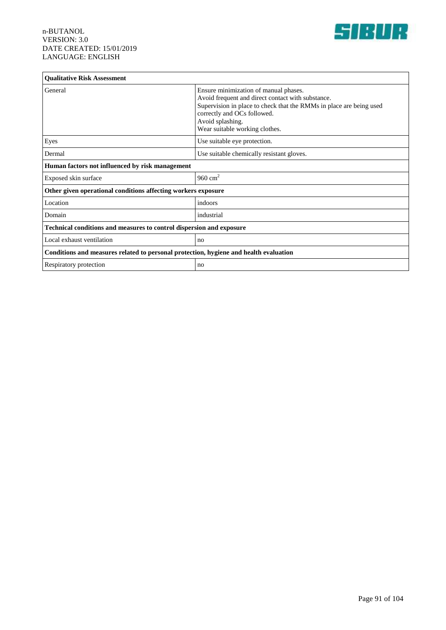

| <b>Qualitative Risk Assessment</b>                                                    |                                                                                                                                                                                                                                                        |  |
|---------------------------------------------------------------------------------------|--------------------------------------------------------------------------------------------------------------------------------------------------------------------------------------------------------------------------------------------------------|--|
| General                                                                               | Ensure minimization of manual phases.<br>Avoid frequent and direct contact with substance.<br>Supervision in place to check that the RMMs in place are being used<br>correctly and OCs followed.<br>Avoid splashing.<br>Wear suitable working clothes. |  |
| Eyes                                                                                  | Use suitable eye protection.                                                                                                                                                                                                                           |  |
| Dermal                                                                                | Use suitable chemically resistant gloves.                                                                                                                                                                                                              |  |
| Human factors not influenced by risk management                                       |                                                                                                                                                                                                                                                        |  |
| Exposed skin surface                                                                  | 960 $cm2$                                                                                                                                                                                                                                              |  |
| Other given operational conditions affecting workers exposure                         |                                                                                                                                                                                                                                                        |  |
| Location                                                                              | indoors                                                                                                                                                                                                                                                |  |
| Domain                                                                                | industrial                                                                                                                                                                                                                                             |  |
| Technical conditions and measures to control dispersion and exposure                  |                                                                                                                                                                                                                                                        |  |
| Local exhaust ventilation                                                             | no                                                                                                                                                                                                                                                     |  |
| Conditions and measures related to personal protection, hygiene and health evaluation |                                                                                                                                                                                                                                                        |  |
| Respiratory protection                                                                | no                                                                                                                                                                                                                                                     |  |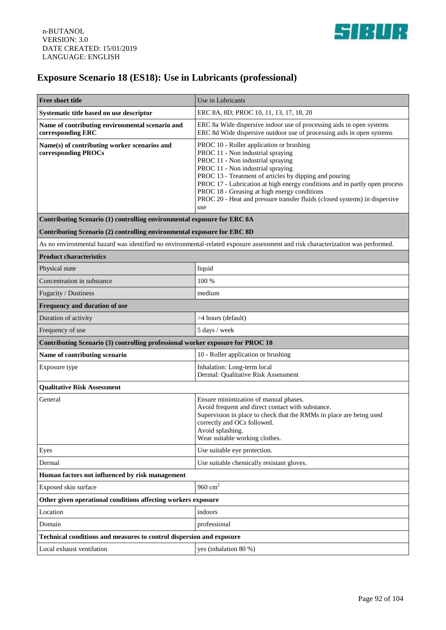

# **Exposure Scenario 18 (ES18): Use in Lubricants (professional)**

| Free short title                                                                                                                | Use in Lubricants                                                                                                                                                                                                                                                                                                                                                                                                                    |  |
|---------------------------------------------------------------------------------------------------------------------------------|--------------------------------------------------------------------------------------------------------------------------------------------------------------------------------------------------------------------------------------------------------------------------------------------------------------------------------------------------------------------------------------------------------------------------------------|--|
| Systematic title based on use descriptor                                                                                        | ERC 8A, 8D; PROC 10, 11, 13, 17, 18, 20                                                                                                                                                                                                                                                                                                                                                                                              |  |
| Name of contributing environmental scenario and<br>corresponding ERC                                                            | ERC 8a Wide dispersive indoor use of processing aids in open systems<br>ERC 8d Wide dispersive outdoor use of processing aids in open systems                                                                                                                                                                                                                                                                                        |  |
| Name(s) of contributing worker scenarios and<br>corresponding PROCs                                                             | PROC 10 - Roller application or brushing<br>PROC 11 - Non industrial spraying<br>PROC 11 - Non industrial spraying<br>PROC 11 - Non industrial spraying<br>PROC 13 - Treatment of articles by dipping and pouring<br>PROC 17 - Lubrication at high energy conditions and in partly open process<br>PROC 18 - Greasing at high energy conditions<br>PROC 20 - Heat and pressure transfer fluids (closed systems) in dispersive<br>use |  |
| Contributing Scenario (1) controlling environmental exposure for ERC 8A                                                         |                                                                                                                                                                                                                                                                                                                                                                                                                                      |  |
| Contributing Scenario (2) controlling environmental exposure for ERC 8D                                                         |                                                                                                                                                                                                                                                                                                                                                                                                                                      |  |
| As no environmental hazard was identified no environmental-related exposure assessment and risk characterization was performed. |                                                                                                                                                                                                                                                                                                                                                                                                                                      |  |
| <b>Product characteristics</b>                                                                                                  |                                                                                                                                                                                                                                                                                                                                                                                                                                      |  |
| Physical state                                                                                                                  | liquid                                                                                                                                                                                                                                                                                                                                                                                                                               |  |
| Concentration in substance                                                                                                      | 100 %                                                                                                                                                                                                                                                                                                                                                                                                                                |  |
| Fugacity / Dustiness                                                                                                            | medium                                                                                                                                                                                                                                                                                                                                                                                                                               |  |
| Frequency and duration of use                                                                                                   |                                                                                                                                                                                                                                                                                                                                                                                                                                      |  |
| Duration of activity                                                                                                            | >4 hours (default)                                                                                                                                                                                                                                                                                                                                                                                                                   |  |
| Frequency of use                                                                                                                | 5 days / week                                                                                                                                                                                                                                                                                                                                                                                                                        |  |
| Contributing Scenario (3) controlling professional worker exposure for PROC 10                                                  |                                                                                                                                                                                                                                                                                                                                                                                                                                      |  |
| Name of contributing scenario                                                                                                   | 10 - Roller application or brushing                                                                                                                                                                                                                                                                                                                                                                                                  |  |
| Exposure type                                                                                                                   | Inhalation: Long-term local<br>Dermal: Qualitative Risk Assessment                                                                                                                                                                                                                                                                                                                                                                   |  |
| <b>Qualitative Risk Assessment</b>                                                                                              |                                                                                                                                                                                                                                                                                                                                                                                                                                      |  |
| General                                                                                                                         | Ensure minimization of manual phases.<br>Avoid frequent and direct contact with substance.<br>Supervision in place to check that the RMMs in place are being used<br>correctly and OCs followed.<br>Avoid splashing.<br>Wear suitable working clothes.                                                                                                                                                                               |  |
| Eyes                                                                                                                            | Use suitable eye protection.                                                                                                                                                                                                                                                                                                                                                                                                         |  |
| Dermal                                                                                                                          | Use suitable chemically resistant gloves.                                                                                                                                                                                                                                                                                                                                                                                            |  |
| Human factors not influenced by risk management                                                                                 |                                                                                                                                                                                                                                                                                                                                                                                                                                      |  |
| Exposed skin surface                                                                                                            | 960 $cm2$                                                                                                                                                                                                                                                                                                                                                                                                                            |  |
| Other given operational conditions affecting workers exposure                                                                   |                                                                                                                                                                                                                                                                                                                                                                                                                                      |  |
| Location                                                                                                                        | indoors                                                                                                                                                                                                                                                                                                                                                                                                                              |  |
| Domain                                                                                                                          | professional                                                                                                                                                                                                                                                                                                                                                                                                                         |  |
| Technical conditions and measures to control dispersion and exposure                                                            |                                                                                                                                                                                                                                                                                                                                                                                                                                      |  |
| Local exhaust ventilation                                                                                                       | yes (inhalation 80 %)                                                                                                                                                                                                                                                                                                                                                                                                                |  |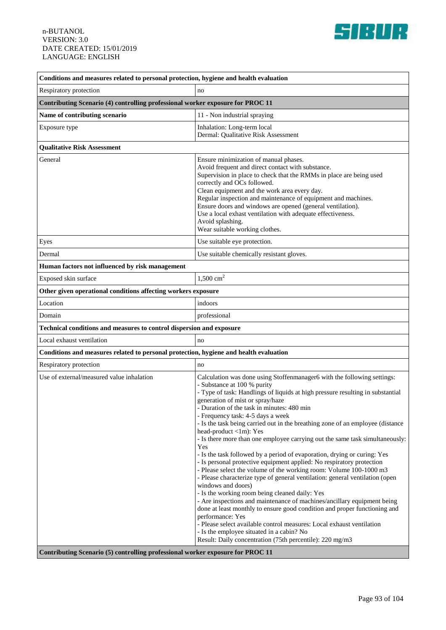

| Conditions and measures related to personal protection, hygiene and health evaluation |                                                                                                                                                                                                                                                                                                                                                                                                                                                                                                                                                                                                                                                                                                                                                                                                                                                                                                                                                                                                                                                                                   |
|---------------------------------------------------------------------------------------|-----------------------------------------------------------------------------------------------------------------------------------------------------------------------------------------------------------------------------------------------------------------------------------------------------------------------------------------------------------------------------------------------------------------------------------------------------------------------------------------------------------------------------------------------------------------------------------------------------------------------------------------------------------------------------------------------------------------------------------------------------------------------------------------------------------------------------------------------------------------------------------------------------------------------------------------------------------------------------------------------------------------------------------------------------------------------------------|
| Respiratory protection                                                                | no                                                                                                                                                                                                                                                                                                                                                                                                                                                                                                                                                                                                                                                                                                                                                                                                                                                                                                                                                                                                                                                                                |
| Contributing Scenario (4) controlling professional worker exposure for PROC 11        |                                                                                                                                                                                                                                                                                                                                                                                                                                                                                                                                                                                                                                                                                                                                                                                                                                                                                                                                                                                                                                                                                   |
| Name of contributing scenario                                                         | 11 - Non industrial spraying                                                                                                                                                                                                                                                                                                                                                                                                                                                                                                                                                                                                                                                                                                                                                                                                                                                                                                                                                                                                                                                      |
| Exposure type                                                                         | Inhalation: Long-term local                                                                                                                                                                                                                                                                                                                                                                                                                                                                                                                                                                                                                                                                                                                                                                                                                                                                                                                                                                                                                                                       |
|                                                                                       | Dermal: Qualitative Risk Assessment                                                                                                                                                                                                                                                                                                                                                                                                                                                                                                                                                                                                                                                                                                                                                                                                                                                                                                                                                                                                                                               |
| <b>Qualitative Risk Assessment</b>                                                    |                                                                                                                                                                                                                                                                                                                                                                                                                                                                                                                                                                                                                                                                                                                                                                                                                                                                                                                                                                                                                                                                                   |
| General                                                                               | Ensure minimization of manual phases.<br>Avoid frequent and direct contact with substance.<br>Supervision in place to check that the RMMs in place are being used<br>correctly and OCs followed.<br>Clean equipment and the work area every day.<br>Regular inspection and maintenance of equipment and machines.<br>Ensure doors and windows are opened (general ventilation).<br>Use a local exhast ventilation with adequate effectiveness.<br>Avoid splashing.<br>Wear suitable working clothes.                                                                                                                                                                                                                                                                                                                                                                                                                                                                                                                                                                              |
| Eyes                                                                                  | Use suitable eye protection.                                                                                                                                                                                                                                                                                                                                                                                                                                                                                                                                                                                                                                                                                                                                                                                                                                                                                                                                                                                                                                                      |
| Dermal                                                                                | Use suitable chemically resistant gloves.                                                                                                                                                                                                                                                                                                                                                                                                                                                                                                                                                                                                                                                                                                                                                                                                                                                                                                                                                                                                                                         |
| Human factors not influenced by risk management                                       |                                                                                                                                                                                                                                                                                                                                                                                                                                                                                                                                                                                                                                                                                                                                                                                                                                                                                                                                                                                                                                                                                   |
| Exposed skin surface                                                                  | 1,500 $\text{cm}^2$                                                                                                                                                                                                                                                                                                                                                                                                                                                                                                                                                                                                                                                                                                                                                                                                                                                                                                                                                                                                                                                               |
| Other given operational conditions affecting workers exposure                         |                                                                                                                                                                                                                                                                                                                                                                                                                                                                                                                                                                                                                                                                                                                                                                                                                                                                                                                                                                                                                                                                                   |
| Location                                                                              | indoors                                                                                                                                                                                                                                                                                                                                                                                                                                                                                                                                                                                                                                                                                                                                                                                                                                                                                                                                                                                                                                                                           |
| Domain                                                                                | professional                                                                                                                                                                                                                                                                                                                                                                                                                                                                                                                                                                                                                                                                                                                                                                                                                                                                                                                                                                                                                                                                      |
| Technical conditions and measures to control dispersion and exposure                  |                                                                                                                                                                                                                                                                                                                                                                                                                                                                                                                                                                                                                                                                                                                                                                                                                                                                                                                                                                                                                                                                                   |
| Local exhaust ventilation                                                             | no                                                                                                                                                                                                                                                                                                                                                                                                                                                                                                                                                                                                                                                                                                                                                                                                                                                                                                                                                                                                                                                                                |
| Conditions and measures related to personal protection, hygiene and health evaluation |                                                                                                                                                                                                                                                                                                                                                                                                                                                                                                                                                                                                                                                                                                                                                                                                                                                                                                                                                                                                                                                                                   |
| Respiratory protection                                                                | no                                                                                                                                                                                                                                                                                                                                                                                                                                                                                                                                                                                                                                                                                                                                                                                                                                                                                                                                                                                                                                                                                |
| Use of external/measured value inhalation                                             | Calculation was done using Stoffenmanager6 with the following settings:<br>- Substance at 100 % purity<br>- Type of task: Handlings of liquids at high pressure resulting in substantial<br>generation of mist or spray/haze<br>- Duration of the task in minutes: 480 min<br>- Frequency task: 4-5 days a week<br>- Is the task being carried out in the breathing zone of an employee (distance<br>head-product <1m): Yes<br>- Is there more than one employee carrying out the same task simultaneously:<br>Yes<br>- Is the task followed by a period of evaporation, drying or curing: Yes<br>- Is personal protective equipment applied: No respiratory protection<br>- Please select the volume of the working room: Volume 100-1000 m3<br>- Please characterize type of general ventilation: general ventilation (open<br>windows and doors)<br>- Is the working room being cleaned daily: Yes<br>- Are inspections and maintenance of machines/ancillary equipment being<br>done at least monthly to ensure good condition and proper functioning and<br>performance: Yes |
|                                                                                       | - Please select available control measures: Local exhaust ventilation<br>- Is the employee situated in a cabin? No<br>Result: Daily concentration (75th percentile): 220 mg/m3                                                                                                                                                                                                                                                                                                                                                                                                                                                                                                                                                                                                                                                                                                                                                                                                                                                                                                    |
| Contributing Scenario (5) controlling professional worker exposure for PROC 11        |                                                                                                                                                                                                                                                                                                                                                                                                                                                                                                                                                                                                                                                                                                                                                                                                                                                                                                                                                                                                                                                                                   |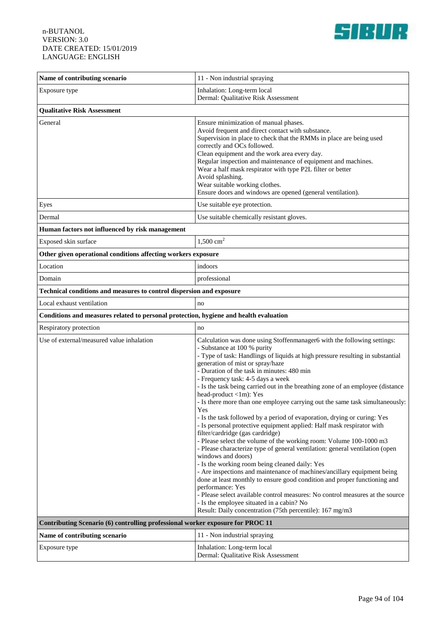

| Name of contributing scenario                                                         | 11 - Non industrial spraying                                                                                                                                                                                                                                                                                                                                                                                                                                                                                                                                                                                                                                                                                                                                                                                                                                                                                                                                                                                                                                                                                                                                                                                                                                                                                    |  |
|---------------------------------------------------------------------------------------|-----------------------------------------------------------------------------------------------------------------------------------------------------------------------------------------------------------------------------------------------------------------------------------------------------------------------------------------------------------------------------------------------------------------------------------------------------------------------------------------------------------------------------------------------------------------------------------------------------------------------------------------------------------------------------------------------------------------------------------------------------------------------------------------------------------------------------------------------------------------------------------------------------------------------------------------------------------------------------------------------------------------------------------------------------------------------------------------------------------------------------------------------------------------------------------------------------------------------------------------------------------------------------------------------------------------|--|
| Exposure type                                                                         | Inhalation: Long-term local                                                                                                                                                                                                                                                                                                                                                                                                                                                                                                                                                                                                                                                                                                                                                                                                                                                                                                                                                                                                                                                                                                                                                                                                                                                                                     |  |
|                                                                                       | Dermal: Qualitative Risk Assessment                                                                                                                                                                                                                                                                                                                                                                                                                                                                                                                                                                                                                                                                                                                                                                                                                                                                                                                                                                                                                                                                                                                                                                                                                                                                             |  |
| <b>Qualitative Risk Assessment</b>                                                    |                                                                                                                                                                                                                                                                                                                                                                                                                                                                                                                                                                                                                                                                                                                                                                                                                                                                                                                                                                                                                                                                                                                                                                                                                                                                                                                 |  |
| General                                                                               | Ensure minimization of manual phases.<br>Avoid frequent and direct contact with substance.<br>Supervision in place to check that the RMMs in place are being used<br>correctly and OCs followed.<br>Clean equipment and the work area every day.<br>Regular inspection and maintenance of equipment and machines.<br>Wear a half mask respirator with type P2L filter or better<br>Avoid splashing.<br>Wear suitable working clothes.<br>Ensure doors and windows are opened (general ventilation).                                                                                                                                                                                                                                                                                                                                                                                                                                                                                                                                                                                                                                                                                                                                                                                                             |  |
| Eyes                                                                                  | Use suitable eye protection.                                                                                                                                                                                                                                                                                                                                                                                                                                                                                                                                                                                                                                                                                                                                                                                                                                                                                                                                                                                                                                                                                                                                                                                                                                                                                    |  |
| Dermal                                                                                | Use suitable chemically resistant gloves.                                                                                                                                                                                                                                                                                                                                                                                                                                                                                                                                                                                                                                                                                                                                                                                                                                                                                                                                                                                                                                                                                                                                                                                                                                                                       |  |
| Human factors not influenced by risk management                                       |                                                                                                                                                                                                                                                                                                                                                                                                                                                                                                                                                                                                                                                                                                                                                                                                                                                                                                                                                                                                                                                                                                                                                                                                                                                                                                                 |  |
| Exposed skin surface                                                                  | $1,500$ cm <sup>2</sup>                                                                                                                                                                                                                                                                                                                                                                                                                                                                                                                                                                                                                                                                                                                                                                                                                                                                                                                                                                                                                                                                                                                                                                                                                                                                                         |  |
| Other given operational conditions affecting workers exposure                         |                                                                                                                                                                                                                                                                                                                                                                                                                                                                                                                                                                                                                                                                                                                                                                                                                                                                                                                                                                                                                                                                                                                                                                                                                                                                                                                 |  |
| Location                                                                              | indoors                                                                                                                                                                                                                                                                                                                                                                                                                                                                                                                                                                                                                                                                                                                                                                                                                                                                                                                                                                                                                                                                                                                                                                                                                                                                                                         |  |
| Domain                                                                                | professional                                                                                                                                                                                                                                                                                                                                                                                                                                                                                                                                                                                                                                                                                                                                                                                                                                                                                                                                                                                                                                                                                                                                                                                                                                                                                                    |  |
| Technical conditions and measures to control dispersion and exposure                  |                                                                                                                                                                                                                                                                                                                                                                                                                                                                                                                                                                                                                                                                                                                                                                                                                                                                                                                                                                                                                                                                                                                                                                                                                                                                                                                 |  |
| Local exhaust ventilation                                                             | no                                                                                                                                                                                                                                                                                                                                                                                                                                                                                                                                                                                                                                                                                                                                                                                                                                                                                                                                                                                                                                                                                                                                                                                                                                                                                                              |  |
| Conditions and measures related to personal protection, hygiene and health evaluation |                                                                                                                                                                                                                                                                                                                                                                                                                                                                                                                                                                                                                                                                                                                                                                                                                                                                                                                                                                                                                                                                                                                                                                                                                                                                                                                 |  |
| Respiratory protection                                                                | no                                                                                                                                                                                                                                                                                                                                                                                                                                                                                                                                                                                                                                                                                                                                                                                                                                                                                                                                                                                                                                                                                                                                                                                                                                                                                                              |  |
| Use of external/measured value inhalation                                             | Calculation was done using Stoffenmanager6 with the following settings:<br>- Substance at 100 % purity<br>- Type of task: Handlings of liquids at high pressure resulting in substantial<br>generation of mist or spray/haze<br>- Duration of the task in minutes: 480 min<br>- Frequency task: 4-5 days a week<br>- Is the task being carried out in the breathing zone of an employee (distance<br>head-product <1m): Yes<br>- Is there more than one employee carrying out the same task simultaneously:<br>Yes<br>- Is the task followed by a period of evaporation, drying or curing: Yes<br>- Is personal protective equipment applied: Half mask respirator with<br>filter/cardridge (gas cardridge)<br>- Please select the volume of the working room: Volume 100-1000 m3<br>- Please characterize type of general ventilation: general ventilation (open<br>windows and doors)<br>- Is the working room being cleaned daily: Yes<br>- Are inspections and maintenance of machines/ancillary equipment being<br>done at least monthly to ensure good condition and proper functioning and<br>performance: Yes<br>- Please select available control measures: No control measures at the source<br>- Is the employee situated in a cabin? No<br>Result: Daily concentration (75th percentile): 167 mg/m3 |  |
| Contributing Scenario (6) controlling professional worker exposure for PROC 11        |                                                                                                                                                                                                                                                                                                                                                                                                                                                                                                                                                                                                                                                                                                                                                                                                                                                                                                                                                                                                                                                                                                                                                                                                                                                                                                                 |  |
| Name of contributing scenario                                                         | 11 - Non industrial spraying                                                                                                                                                                                                                                                                                                                                                                                                                                                                                                                                                                                                                                                                                                                                                                                                                                                                                                                                                                                                                                                                                                                                                                                                                                                                                    |  |
| Exposure type                                                                         | Inhalation: Long-term local<br>Dermal: Qualitative Risk Assessment                                                                                                                                                                                                                                                                                                                                                                                                                                                                                                                                                                                                                                                                                                                                                                                                                                                                                                                                                                                                                                                                                                                                                                                                                                              |  |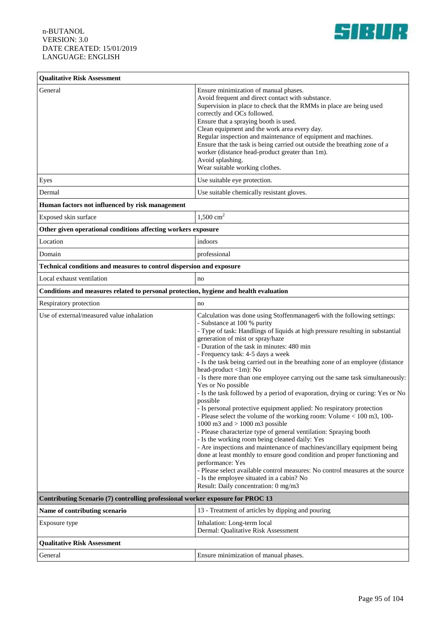

### **Qualitative Risk Assessment** General **Ensure minimization of manual phases**. Avoid frequent and direct contact with substance. Supervision in place to check that the RMMs in place are being used correctly and OCs followed. Ensure that a spraying booth is used. Clean equipment and the work area every day. Regular inspection and maintenance of equipment and machines. Ensure that the task is being carried out outside the breathing zone of a worker (distance head-product greater than 1m). Avoid splashing. Wear suitable working clothes. Eyes Use suitable eye protection. Dermal Use suitable chemically resistant gloves. **Human factors not influenced by risk management** Exposed skin surface  $1,500 \text{ cm}^2$ **Other given operational conditions affecting workers exposure** Location indoors Domain professional **Technical conditions and measures to control dispersion and exposure** Local exhaust ventilation no **Conditions and measures related to personal protection, hygiene and health evaluation** Respiratory protection no Use of external/measured value inhalation Calculation vas done using Stoffenmanager6 with the following settings: - Substance at 100 % purity - Type of task: Handlings of liquids at high pressure resulting in substantial generation of mist or spray/haze - Duration of the task in minutes: 480 min - Frequency task: 4-5 days a week - Is the task being carried out in the breathing zone of an employee (distance head-product <1m): No - Is there more than one employee carrying out the same task simultaneously: Yes or No possible - Is the task followed by a period of evaporation, drying or curing: Yes or No possible - Is personal protective equipment applied: No respiratory protection - Please select the volume of the working room: Volume < 100 m3, 100- 1000 m3 and > 1000 m3 possible - Please characterize type of general ventilation: Spraying booth - Is the working room being cleaned daily: Yes - Are inspections and maintenance of machines/ancillary equipment being done at least monthly to ensure good condition and proper functioning and performance: Yes - Please select available control measures: No control measures at the source - Is the employee situated in a cabin? No Result: Daily concentration: 0 mg/m3 **Contributing Scenario (7) controlling professional worker exposure for PROC 13 Name of contributing scenario** 13 - Treatment of articles by dipping and pouring Exposure type **Inhalation:** Long-term local Dermal: Qualitative Risk Assessment **Qualitative Risk Assessment** General **Ensure minimization of manual phases.**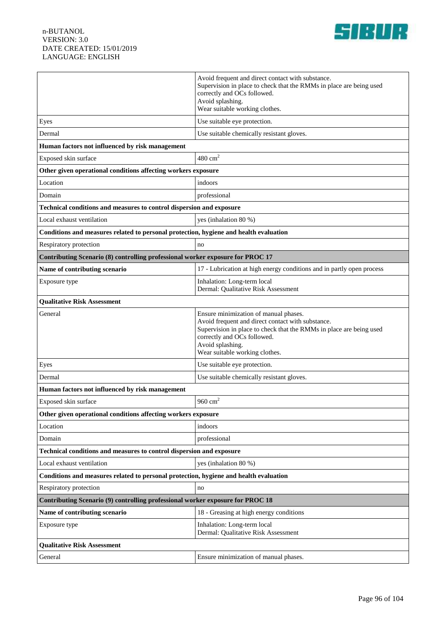

|                                                                                       | Avoid frequent and direct contact with substance.<br>Supervision in place to check that the RMMs in place are being used<br>correctly and OCs followed.<br>Avoid splashing.<br>Wear suitable working clothes.                                          |  |
|---------------------------------------------------------------------------------------|--------------------------------------------------------------------------------------------------------------------------------------------------------------------------------------------------------------------------------------------------------|--|
| Eyes                                                                                  | Use suitable eye protection.                                                                                                                                                                                                                           |  |
| Dermal                                                                                | Use suitable chemically resistant gloves.                                                                                                                                                                                                              |  |
| Human factors not influenced by risk management                                       |                                                                                                                                                                                                                                                        |  |
| Exposed skin surface                                                                  | $480 \text{ cm}^2$                                                                                                                                                                                                                                     |  |
| Other given operational conditions affecting workers exposure                         |                                                                                                                                                                                                                                                        |  |
| Location                                                                              | indoors                                                                                                                                                                                                                                                |  |
| Domain                                                                                | professional                                                                                                                                                                                                                                           |  |
| Technical conditions and measures to control dispersion and exposure                  |                                                                                                                                                                                                                                                        |  |
| Local exhaust ventilation                                                             | yes (inhalation 80 %)                                                                                                                                                                                                                                  |  |
| Conditions and measures related to personal protection, hygiene and health evaluation |                                                                                                                                                                                                                                                        |  |
| Respiratory protection                                                                | no                                                                                                                                                                                                                                                     |  |
| Contributing Scenario (8) controlling professional worker exposure for PROC 17        |                                                                                                                                                                                                                                                        |  |
| Name of contributing scenario                                                         | 17 - Lubrication at high energy conditions and in partly open process                                                                                                                                                                                  |  |
| Exposure type                                                                         | Inhalation: Long-term local                                                                                                                                                                                                                            |  |
|                                                                                       | Dermal: Qualitative Risk Assessment                                                                                                                                                                                                                    |  |
| <b>Qualitative Risk Assessment</b>                                                    |                                                                                                                                                                                                                                                        |  |
| General                                                                               | Ensure minimization of manual phases.<br>Avoid frequent and direct contact with substance.<br>Supervision in place to check that the RMMs in place are being used<br>correctly and OCs followed.<br>Avoid splashing.<br>Wear suitable working clothes. |  |
| Eyes                                                                                  | Use suitable eye protection.                                                                                                                                                                                                                           |  |
| Dermal                                                                                | Use suitable chemically resistant gloves.                                                                                                                                                                                                              |  |
| Human factors not influenced by risk management                                       |                                                                                                                                                                                                                                                        |  |
| Exposed skin surface                                                                  | 960 $cm2$                                                                                                                                                                                                                                              |  |
| Other given operational conditions affecting workers exposure                         |                                                                                                                                                                                                                                                        |  |
| Location                                                                              | indoors                                                                                                                                                                                                                                                |  |
| Domain                                                                                | professional                                                                                                                                                                                                                                           |  |
| Technical conditions and measures to control dispersion and exposure                  |                                                                                                                                                                                                                                                        |  |
| Local exhaust ventilation                                                             | yes (inhalation 80 %)                                                                                                                                                                                                                                  |  |
| Conditions and measures related to personal protection, hygiene and health evaluation |                                                                                                                                                                                                                                                        |  |
| Respiratory protection                                                                | no                                                                                                                                                                                                                                                     |  |
| Contributing Scenario (9) controlling professional worker exposure for PROC 18        |                                                                                                                                                                                                                                                        |  |
| Name of contributing scenario                                                         | 18 - Greasing at high energy conditions                                                                                                                                                                                                                |  |
| Exposure type                                                                         | Inhalation: Long-term local<br>Dermal: Qualitative Risk Assessment                                                                                                                                                                                     |  |
| <b>Qualitative Risk Assessment</b>                                                    |                                                                                                                                                                                                                                                        |  |
| General                                                                               | Ensure minimization of manual phases.                                                                                                                                                                                                                  |  |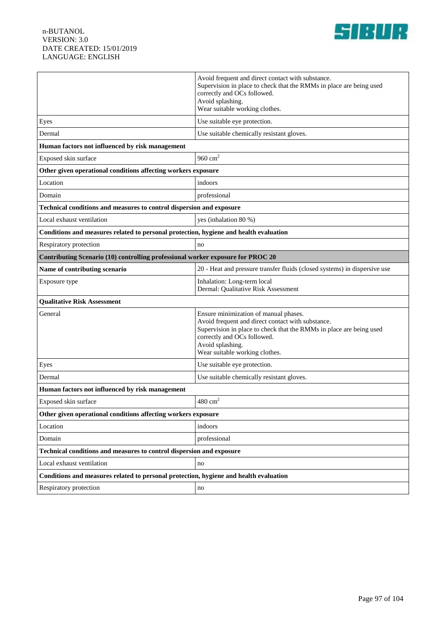

|                                                                                       | Avoid frequent and direct contact with substance.                                                                        |  |
|---------------------------------------------------------------------------------------|--------------------------------------------------------------------------------------------------------------------------|--|
|                                                                                       | Supervision in place to check that the RMMs in place are being used<br>correctly and OCs followed.                       |  |
|                                                                                       | Avoid splashing.                                                                                                         |  |
|                                                                                       | Wear suitable working clothes.                                                                                           |  |
| Eyes                                                                                  | Use suitable eye protection.                                                                                             |  |
| Dermal                                                                                | Use suitable chemically resistant gloves.                                                                                |  |
| Human factors not influenced by risk management                                       |                                                                                                                          |  |
| Exposed skin surface                                                                  | 960 $cm2$                                                                                                                |  |
| Other given operational conditions affecting workers exposure                         |                                                                                                                          |  |
| Location                                                                              | indoors                                                                                                                  |  |
| Domain                                                                                | professional                                                                                                             |  |
| Technical conditions and measures to control dispersion and exposure                  |                                                                                                                          |  |
| Local exhaust ventilation                                                             | yes (inhalation 80 %)                                                                                                    |  |
| Conditions and measures related to personal protection, hygiene and health evaluation |                                                                                                                          |  |
| Respiratory protection                                                                | no                                                                                                                       |  |
| Contributing Scenario (10) controlling professional worker exposure for PROC 20       |                                                                                                                          |  |
| Name of contributing scenario                                                         | 20 - Heat and pressure transfer fluids (closed systems) in dispersive use                                                |  |
| Exposure type                                                                         | Inhalation: Long-term local<br>Dermal: Qualitative Risk Assessment                                                       |  |
| <b>Qualitative Risk Assessment</b>                                                    |                                                                                                                          |  |
| General                                                                               | Ensure minimization of manual phases.                                                                                    |  |
|                                                                                       | Avoid frequent and direct contact with substance.<br>Supervision in place to check that the RMMs in place are being used |  |
|                                                                                       | correctly and OCs followed.                                                                                              |  |
|                                                                                       | Avoid splashing.<br>Wear suitable working clothes.                                                                       |  |
| Eyes                                                                                  | Use suitable eye protection.                                                                                             |  |
| Dermal                                                                                | Use suitable chemically resistant gloves.                                                                                |  |
| Human factors not influenced by risk management                                       |                                                                                                                          |  |
| Exposed skin surface                                                                  | $480 \text{ cm}^2$                                                                                                       |  |
| Other given operational conditions affecting workers exposure                         |                                                                                                                          |  |
| Location                                                                              | indoors                                                                                                                  |  |
| Domain                                                                                | professional                                                                                                             |  |
| Technical conditions and measures to control dispersion and exposure                  |                                                                                                                          |  |
| Local exhaust ventilation                                                             | no                                                                                                                       |  |
| Conditions and measures related to personal protection, hygiene and health evaluation |                                                                                                                          |  |
| Respiratory protection                                                                | no                                                                                                                       |  |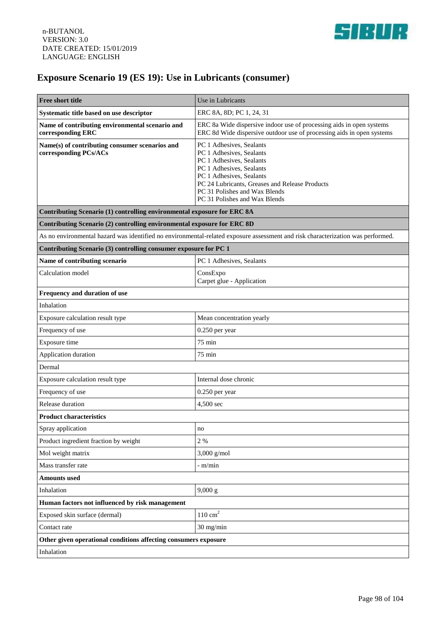

## **Exposure Scenario 19 (ES 19): Use in Lubricants (consumer)**

| <b>Free short title</b>                                                                                                         | Use in Lubricants                                                                                                                                                                                                                                            |
|---------------------------------------------------------------------------------------------------------------------------------|--------------------------------------------------------------------------------------------------------------------------------------------------------------------------------------------------------------------------------------------------------------|
| Systematic title based on use descriptor                                                                                        | ERC 8A, 8D; PC 1, 24, 31                                                                                                                                                                                                                                     |
| Name of contributing environmental scenario and<br>corresponding ERC                                                            | ERC 8a Wide dispersive indoor use of processing aids in open systems<br>ERC 8d Wide dispersive outdoor use of processing aids in open systems                                                                                                                |
| Name(s) of contributing consumer scenarios and<br>corresponding PCs/ACs                                                         | PC 1 Adhesives, Sealants<br>PC 1 Adhesives, Sealants<br>PC 1 Adhesives, Sealants<br>PC 1 Adhesives, Sealants<br>PC 1 Adhesives, Sealants<br>PC 24 Lubricants, Greases and Release Products<br>PC 31 Polishes and Wax Blends<br>PC 31 Polishes and Wax Blends |
| Contributing Scenario (1) controlling environmental exposure for ERC 8A                                                         |                                                                                                                                                                                                                                                              |
| Contributing Scenario (2) controlling environmental exposure for ERC 8D                                                         |                                                                                                                                                                                                                                                              |
| As no environmental hazard was identified no environmental-related exposure assessment and risk characterization was performed. |                                                                                                                                                                                                                                                              |
| Contributing Scenario (3) controlling consumer exposure for PC 1                                                                |                                                                                                                                                                                                                                                              |
| Name of contributing scenario                                                                                                   | PC 1 Adhesives, Sealants                                                                                                                                                                                                                                     |
| Calculation model                                                                                                               | ConsExpo<br>Carpet glue - Application                                                                                                                                                                                                                        |
| Frequency and duration of use                                                                                                   |                                                                                                                                                                                                                                                              |
| Inhalation                                                                                                                      |                                                                                                                                                                                                                                                              |
| Exposure calculation result type                                                                                                | Mean concentration yearly                                                                                                                                                                                                                                    |
| Frequency of use                                                                                                                | 0.250 per year                                                                                                                                                                                                                                               |
| Exposure time                                                                                                                   | 75 min                                                                                                                                                                                                                                                       |
| Application duration                                                                                                            | 75 min                                                                                                                                                                                                                                                       |
| Dermal                                                                                                                          |                                                                                                                                                                                                                                                              |
| Exposure calculation result type                                                                                                | Internal dose chronic                                                                                                                                                                                                                                        |
| Frequency of use                                                                                                                | $0.250$ per year                                                                                                                                                                                                                                             |
| Release duration                                                                                                                | 4,500 sec                                                                                                                                                                                                                                                    |
| <b>Product characteristics</b>                                                                                                  |                                                                                                                                                                                                                                                              |
| Spray application                                                                                                               | no                                                                                                                                                                                                                                                           |
| Product ingredient fraction by weight                                                                                           | 2 %                                                                                                                                                                                                                                                          |
| Mol weight matrix                                                                                                               | $3,000$ g/mol                                                                                                                                                                                                                                                |
| Mass transfer rate                                                                                                              | - m/min                                                                                                                                                                                                                                                      |
| <b>Amounts used</b>                                                                                                             |                                                                                                                                                                                                                                                              |
| Inhalation                                                                                                                      | 9,000 g                                                                                                                                                                                                                                                      |
| Human factors not influenced by risk management                                                                                 |                                                                                                                                                                                                                                                              |
| Exposed skin surface (dermal)                                                                                                   | $110 \text{ cm}^2$                                                                                                                                                                                                                                           |
| Contact rate                                                                                                                    | 30 mg/min                                                                                                                                                                                                                                                    |
| Other given operational conditions affecting consumers exposure                                                                 |                                                                                                                                                                                                                                                              |
| Inhalation                                                                                                                      |                                                                                                                                                                                                                                                              |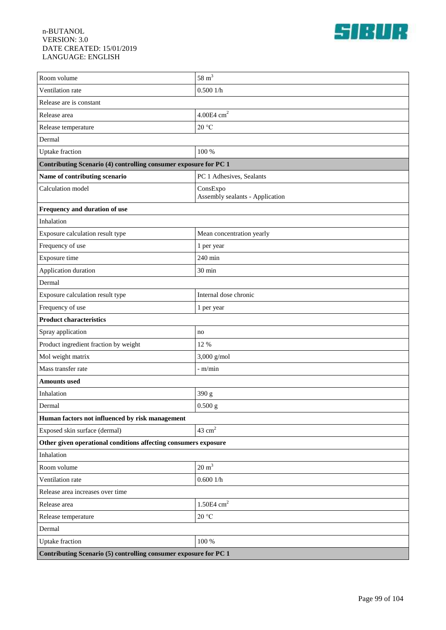

| Room volume                                                      | $58 \text{ m}^3$                            |  |
|------------------------------------------------------------------|---------------------------------------------|--|
| Ventilation rate                                                 | 0.5001/h                                    |  |
| Release are is constant                                          |                                             |  |
| Release area                                                     | $4.00E4$ cm <sup>2</sup>                    |  |
| Release temperature                                              | 20 °C                                       |  |
| Dermal                                                           |                                             |  |
| <b>Uptake</b> fraction                                           | 100 %                                       |  |
| Contributing Scenario (4) controlling consumer exposure for PC 1 |                                             |  |
| Name of contributing scenario                                    | PC 1 Adhesives, Sealants                    |  |
| Calculation model                                                | ConsExpo<br>Assembly sealants - Application |  |
| Frequency and duration of use                                    |                                             |  |
| Inhalation                                                       |                                             |  |
| Exposure calculation result type                                 | Mean concentration yearly                   |  |
| Frequency of use                                                 | 1 per year                                  |  |
| Exposure time                                                    | 240 min                                     |  |
| Application duration                                             | 30 min                                      |  |
| Dermal                                                           |                                             |  |
| Exposure calculation result type                                 | Internal dose chronic                       |  |
| Frequency of use                                                 | 1 per year                                  |  |
| <b>Product characteristics</b>                                   |                                             |  |
| Spray application                                                | no                                          |  |
| Product ingredient fraction by weight                            | 12 %                                        |  |
| Mol weight matrix                                                | $3,000$ g/mol                               |  |
| Mass transfer rate                                               | $-m/min$                                    |  |
| <b>Amounts used</b>                                              |                                             |  |
| Inhalation                                                       | 390 g                                       |  |
| Dermal                                                           | $0.500$ g                                   |  |
| Human factors not influenced by risk management                  |                                             |  |
| Exposed skin surface (dermal)                                    | $43 \text{ cm}^2$                           |  |
| Other given operational conditions affecting consumers exposure  |                                             |  |
| Inhalation                                                       |                                             |  |
| Room volume                                                      | $20 \text{ m}^3$                            |  |
| Ventilation rate                                                 | 0.6001/h                                    |  |
| Release area increases over time                                 |                                             |  |
| Release area                                                     | $1.50E4$ cm <sup>2</sup>                    |  |
| Release temperature                                              | 20 °C                                       |  |
| Dermal                                                           |                                             |  |
| <b>Uptake</b> fraction                                           | 100 %                                       |  |
| Contributing Scenario (5) controlling consumer exposure for PC 1 |                                             |  |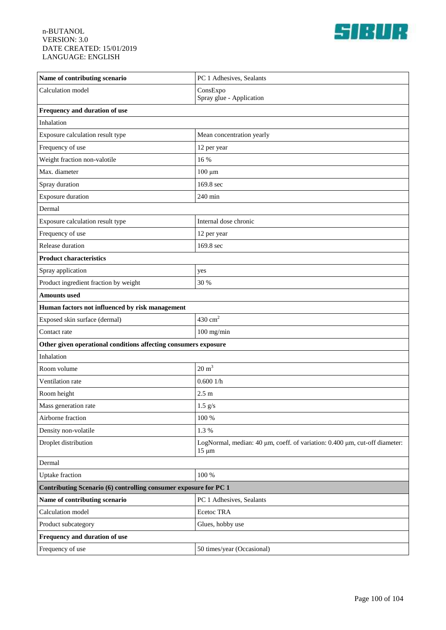

| Name of contributing scenario                                    | PC 1 Adhesives, Sealants                                                                 |  |
|------------------------------------------------------------------|------------------------------------------------------------------------------------------|--|
| Calculation model                                                | ConsExpo<br>Spray glue - Application                                                     |  |
| Frequency and duration of use                                    |                                                                                          |  |
| Inhalation                                                       |                                                                                          |  |
| Exposure calculation result type                                 | Mean concentration yearly                                                                |  |
| Frequency of use                                                 | 12 per year                                                                              |  |
| Weight fraction non-valotile                                     | 16 %                                                                                     |  |
| Max. diameter                                                    | $100 \mu m$                                                                              |  |
| Spray duration                                                   | 169.8 sec                                                                                |  |
| <b>Exposure duration</b>                                         | 240 min                                                                                  |  |
| Dermal                                                           |                                                                                          |  |
| Exposure calculation result type                                 | Internal dose chronic                                                                    |  |
| Frequency of use                                                 | 12 per year                                                                              |  |
| Release duration                                                 | 169.8 sec                                                                                |  |
| <b>Product characteristics</b>                                   |                                                                                          |  |
| Spray application                                                | yes                                                                                      |  |
| Product ingredient fraction by weight                            | 30 %                                                                                     |  |
| Amounts used                                                     |                                                                                          |  |
| Human factors not influenced by risk management                  |                                                                                          |  |
| Exposed skin surface (dermal)                                    | $430 \mathrm{~cm}^2$                                                                     |  |
| Contact rate                                                     | $100$ mg/min                                                                             |  |
| Other given operational conditions affecting consumers exposure  |                                                                                          |  |
| Inhalation                                                       |                                                                                          |  |
| Room volume                                                      | $20~\mathrm{m}^3$                                                                        |  |
| Ventilation rate                                                 | 0.6001/h                                                                                 |  |
| Room height                                                      | 2.5 <sub>m</sub>                                                                         |  |
| Mass generation rate                                             | $1.5$ $g/s$                                                                              |  |
| Airborne fraction                                                | 100 %                                                                                    |  |
| Density non-volatile                                             | 1.3 %                                                                                    |  |
| Droplet distribution                                             | LogNormal, median: 40 µm, coeff. of variation: 0.400 µm, cut-off diameter:<br>$15 \mu m$ |  |
| Dermal                                                           |                                                                                          |  |
| <b>Uptake</b> fraction                                           | 100 %                                                                                    |  |
| Contributing Scenario (6) controlling consumer exposure for PC 1 |                                                                                          |  |
| Name of contributing scenario                                    | PC 1 Adhesives, Sealants                                                                 |  |
| Calculation model                                                | Ecetoc TRA                                                                               |  |
| Product subcategory                                              | Glues, hobby use                                                                         |  |
| Frequency and duration of use                                    |                                                                                          |  |
| Frequency of use                                                 | 50 times/year (Occasional)                                                               |  |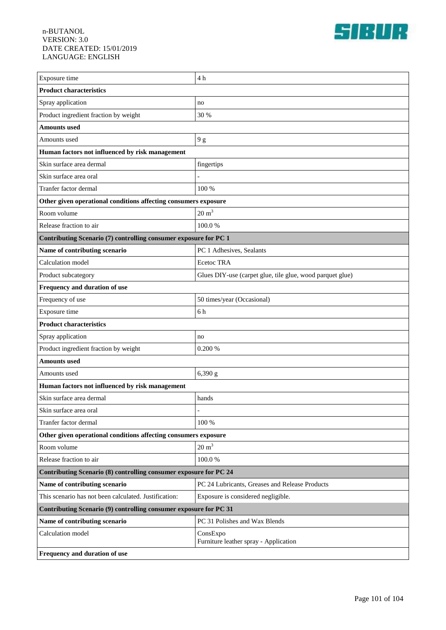

| Exposure time                                                     | 4 <sub>h</sub>                                            |  |
|-------------------------------------------------------------------|-----------------------------------------------------------|--|
| <b>Product characteristics</b>                                    |                                                           |  |
| Spray application                                                 | no                                                        |  |
| Product ingredient fraction by weight                             | 30 %                                                      |  |
| <b>Amounts</b> used                                               |                                                           |  |
| Amounts used                                                      | 9g                                                        |  |
| Human factors not influenced by risk management                   |                                                           |  |
| Skin surface area dermal                                          | fingertips                                                |  |
| Skin surface area oral                                            |                                                           |  |
| Tranfer factor dermal                                             | 100 %                                                     |  |
| Other given operational conditions affecting consumers exposure   |                                                           |  |
| Room volume                                                       | $20 \text{ m}^3$                                          |  |
| Release fraction to air                                           | 100.0%                                                    |  |
| Contributing Scenario (7) controlling consumer exposure for PC 1  |                                                           |  |
| Name of contributing scenario                                     | PC 1 Adhesives, Sealants                                  |  |
| Calculation model                                                 | Ecetoc TRA                                                |  |
| Product subcategory                                               | Glues DIY-use (carpet glue, tile glue, wood parquet glue) |  |
| Frequency and duration of use                                     |                                                           |  |
| Frequency of use                                                  | 50 times/year (Occasional)                                |  |
| Exposure time                                                     | 6h                                                        |  |
| <b>Product characteristics</b>                                    |                                                           |  |
| Spray application                                                 | no                                                        |  |
| Product ingredient fraction by weight                             | 0.200 %                                                   |  |
| <b>Amounts used</b>                                               |                                                           |  |
| Amounts used                                                      | 6,390 g                                                   |  |
| Human factors not influenced by risk management                   |                                                           |  |
| Skin surface area dermal                                          | hands                                                     |  |
| Skin surface area oral                                            |                                                           |  |
| Tranfer factor dermal                                             | 100 %                                                     |  |
| Other given operational conditions affecting consumers exposure   |                                                           |  |
| Room volume                                                       | $20 \text{ m}^3$                                          |  |
| Release fraction to air                                           | 100.0%                                                    |  |
| Contributing Scenario (8) controlling consumer exposure for PC 24 |                                                           |  |
| Name of contributing scenario                                     | PC 24 Lubricants, Greases and Release Products            |  |
| This scenario has not been calculated. Justification:             | Exposure is considered negligible.                        |  |
| Contributing Scenario (9) controlling consumer exposure for PC 31 |                                                           |  |
| Name of contributing scenario                                     | PC 31 Polishes and Wax Blends                             |  |
| Calculation model                                                 | ConsExpo<br>Furniture leather spray - Application         |  |
| Frequency and duration of use                                     |                                                           |  |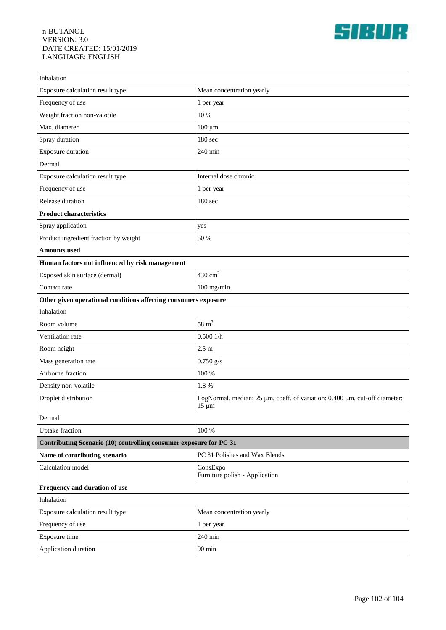

| Inhalation                                                         |                                                                                          |  |
|--------------------------------------------------------------------|------------------------------------------------------------------------------------------|--|
| Exposure calculation result type                                   | Mean concentration yearly                                                                |  |
| Frequency of use                                                   | 1 per year                                                                               |  |
| Weight fraction non-valotile                                       | 10 %                                                                                     |  |
| Max. diameter                                                      | $100 \mu m$                                                                              |  |
| Spray duration                                                     | 180 sec                                                                                  |  |
| Exposure duration                                                  | 240 min                                                                                  |  |
| Dermal                                                             |                                                                                          |  |
| Exposure calculation result type                                   | Internal dose chronic                                                                    |  |
| Frequency of use                                                   | 1 per year                                                                               |  |
| Release duration                                                   | 180 sec                                                                                  |  |
| <b>Product characteristics</b>                                     |                                                                                          |  |
| Spray application                                                  | yes                                                                                      |  |
| Product ingredient fraction by weight                              | 50 %                                                                                     |  |
| <b>Amounts</b> used                                                |                                                                                          |  |
| Human factors not influenced by risk management                    |                                                                                          |  |
| Exposed skin surface (dermal)                                      | $430 \text{ cm}^2$                                                                       |  |
| Contact rate                                                       | $100$ mg/min                                                                             |  |
| Other given operational conditions affecting consumers exposure    |                                                                                          |  |
| Inhalation                                                         |                                                                                          |  |
| Room volume                                                        | $58 \text{ m}^3$                                                                         |  |
| Ventilation rate                                                   | 0.5001/h                                                                                 |  |
| Room height                                                        | 2.5 <sub>m</sub>                                                                         |  |
| Mass generation rate                                               | $0.750$ g/s                                                                              |  |
| Airborne fraction                                                  | 100 %                                                                                    |  |
| Density non-volatile                                               | 1.8%                                                                                     |  |
| Droplet distribution                                               | LogNormal, median: 25 µm, coeff. of variation: 0.400 µm, cut-off diameter:<br>$15 \mu m$ |  |
| Dermal                                                             |                                                                                          |  |
| <b>Uptake</b> fraction                                             | 100 %                                                                                    |  |
| Contributing Scenario (10) controlling consumer exposure for PC 31 |                                                                                          |  |
| Name of contributing scenario                                      | PC 31 Polishes and Wax Blends                                                            |  |
| Calculation model                                                  | ConsExpo<br>Furniture polish - Application                                               |  |
| Frequency and duration of use                                      |                                                                                          |  |
| Inhalation                                                         |                                                                                          |  |
| Exposure calculation result type                                   | Mean concentration yearly                                                                |  |
| Frequency of use                                                   | 1 per year                                                                               |  |
| Exposure time                                                      | 240 min                                                                                  |  |
| Application duration                                               | $90\;\mathrm{min}$                                                                       |  |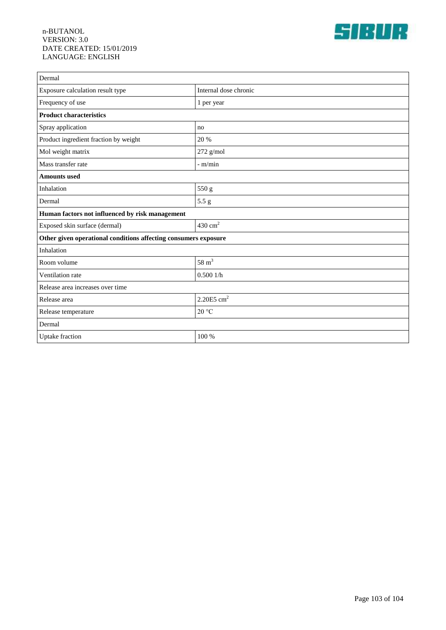

| Dermal                                                          |                          |  |
|-----------------------------------------------------------------|--------------------------|--|
| Exposure calculation result type                                | Internal dose chronic    |  |
| Frequency of use                                                | 1 per year               |  |
| <b>Product characteristics</b>                                  |                          |  |
| Spray application                                               | no                       |  |
| Product ingredient fraction by weight                           | 20 %                     |  |
| Mol weight matrix                                               | 272 g/mol                |  |
| Mass transfer rate                                              | $-m/min$                 |  |
| <b>Amounts</b> used                                             |                          |  |
| Inhalation                                                      | 550 g                    |  |
| Dermal                                                          | 5.5 g                    |  |
| Human factors not influenced by risk management                 |                          |  |
| Exposed skin surface (dermal)                                   | $430 \text{ cm}^2$       |  |
| Other given operational conditions affecting consumers exposure |                          |  |
| Inhalation                                                      |                          |  |
| Room volume                                                     | 58 $m3$                  |  |
| Ventilation rate                                                | 0.5001/h                 |  |
| Release area increases over time                                |                          |  |
| Release area                                                    | $2.20E5$ cm <sup>2</sup> |  |
| Release temperature                                             | 20 °C                    |  |
| Dermal                                                          |                          |  |
| <b>Uptake</b> fraction                                          | 100 %                    |  |
|                                                                 |                          |  |